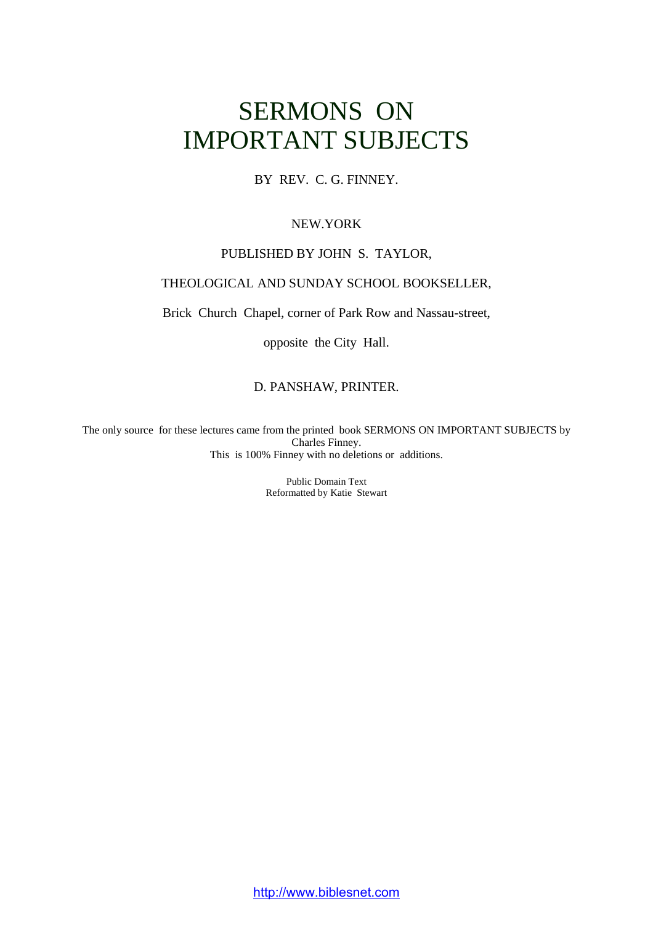# SERMONS ON IMPORTANT SUBJECTS

BY REV. C. G. FINNEY.

## NEW.YORK

#### PUBLISHED BY JOHN S. TAYLOR,

## THEOLOGICAL AND SUNDAY SCHOOL BOOKSELLER,

Brick Church Chapel, corner of Park Row and Nassau-street,

opposite the City Hall.

#### D. PANSHAW, PRINTER.

The only source for these lectures came from the printed book SERMONS ON IMPORTANT SUBJECTS by Charles Finney. This is 100% Finney with no deletions or additions.

> Public Domain Text Reformatted by Katie Stewart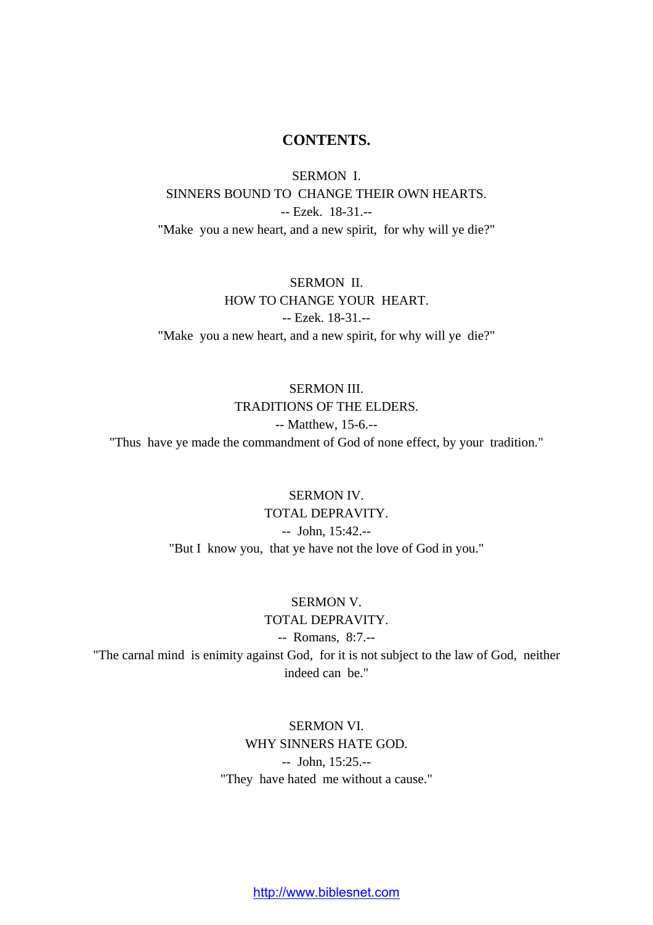## **CONTENTS.**

# SERMON I. SINNERS BOUND TO CHANGE THEIR OWN HEARTS. -- Ezek. 18-31.-- "Make you a new heart, and a new spirit, for why will ye die?"

## SERMON II. HOW TO CHANGE YOUR HEART. -- Ezek. 18-31.--

"Make you a new heart, and a new spirit, for why will ye die?"

#### SERMON III. TRADITIONS OF THE ELDERS.

-- Matthew, 15-6.--

"Thus have ye made the commandment of God of none effect, by your tradition."

## SERMON IV. TOTAL DEPRAVITY. -- John, 15:42.-- "But I know you, that ye have not the love of God in you."

#### SERMON V.

TOTAL DEPRAVITY.

-- Romans, 8:7.--

"The carnal mind is enimity against God, for it is not subject to the law of God, neither indeed can be."

> SERMON VI. WHY SINNERS HATE GOD. -- John, 15:25.-- "They have hated me without a cause."

> > http://www.biblesnet.com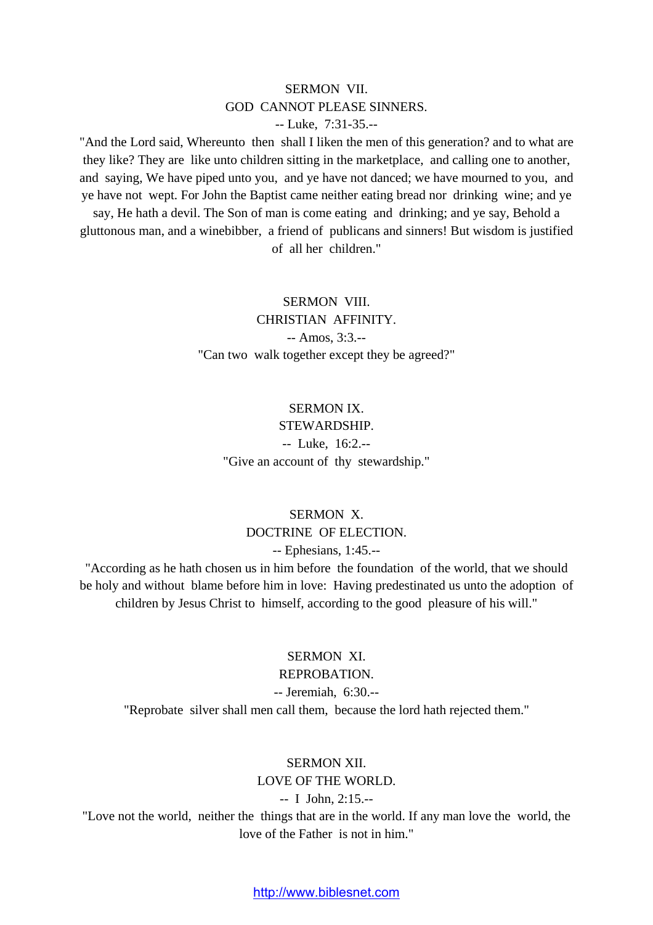# SERMON VII. GOD CANNOT PLEASE SINNERS. -- Luke, 7:31-35.--

"And the Lord said, Whereunto then shall I liken the men of this generation? and to what are they like? They are like unto children sitting in the marketplace, and calling one to another, and saying, We have piped unto you, and ye have not danced; we have mourned to you, and ye have not wept. For John the Baptist came neither eating bread nor drinking wine; and ye say, He hath a devil. The Son of man is come eating and drinking; and ye say, Behold a gluttonous man, and a winebibber, a friend of publicans and sinners! But wisdom is justified of all her children."

# SERMON VIII. CHRISTIAN AFFINITY. -- Amos, 3:3.-- "Can two walk together except they be agreed?"

# SERMON IX.

STEWARDSHIP. -- Luke, 16:2.-- "Give an account of thy stewardship."

## SERMON X. DOCTRINE OF ELECTION. -- Ephesians, 1:45.--

"According as he hath chosen us in him before the foundation of the world, that we should be holy and without blame before him in love: Having predestinated us unto the adoption of children by Jesus Christ to himself, according to the good pleasure of his will."

## SERMON XI.

# REPROBATION.

-- Jeremiah, 6:30.--

"Reprobate silver shall men call them, because the lord hath rejected them."

# SERMON XII.

LOVE OF THE WORLD.

-- I John, 2:15.--

"Love not the world, neither the things that are in the world. If any man love the world, the love of the Father is not in him."

http://www.biblesnet.com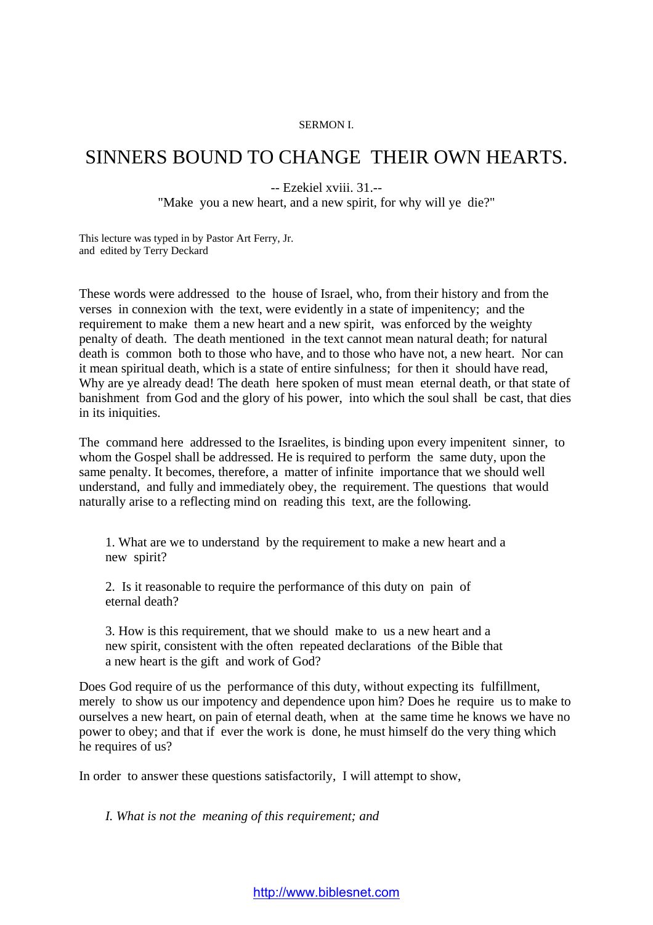#### SERMON I.

# SINNERS BOUND TO CHANGE THEIR OWN HEARTS.

-- Ezekiel xviii. 31.--

"Make you a new heart, and a new spirit, for why will ye die?"

This lecture was typed in by Pastor Art Ferry, Jr. and edited by Terry Deckard

These words were addressed to the house of Israel, who, from their history and from the verses in connexion with the text, were evidently in a state of impenitency; and the requirement to make them a new heart and a new spirit, was enforced by the weighty penalty of death. The death mentioned in the text cannot mean natural death; for natural death is common both to those who have, and to those who have not, a new heart. Nor can it mean spiritual death, which is a state of entire sinfulness; for then it should have read, Why are ye already dead! The death here spoken of must mean eternal death, or that state of banishment from God and the glory of his power, into which the soul shall be cast, that dies in its iniquities.

The command here addressed to the Israelites, is binding upon every impenitent sinner, to whom the Gospel shall be addressed. He is required to perform the same duty, upon the same penalty. It becomes, therefore, a matter of infinite importance that we should well understand, and fully and immediately obey, the requirement. The questions that would naturally arise to a reflecting mind on reading this text, are the following.

1. What are we to understand by the requirement to make a new heart and a new spirit?

2. Is it reasonable to require the performance of this duty on pain of eternal death?

3. How is this requirement, that we should make to us a new heart and a new spirit, consistent with the often repeated declarations of the Bible that a new heart is the gift and work of God?

Does God require of us the performance of this duty, without expecting its fulfillment, merely to show us our impotency and dependence upon him? Does he require us to make to ourselves a new heart, on pain of eternal death, when at the same time he knows we have no power to obey; and that if ever the work is done, he must himself do the very thing which he requires of us?

In order to answer these questions satisfactorily, I will attempt to show,

*I. What is not the meaning of this requirement; and*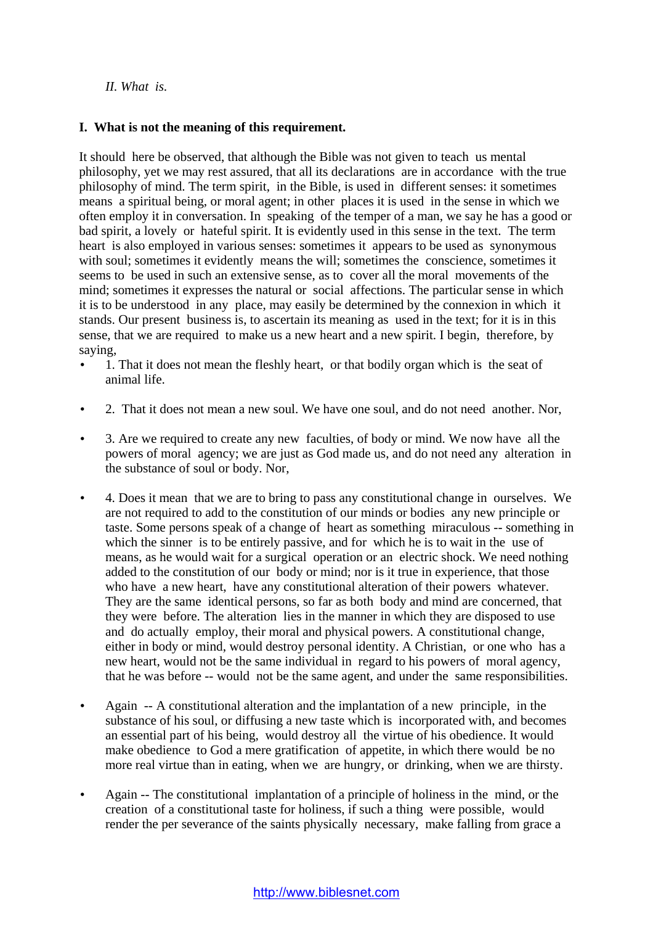*II. What is.*

#### **I. What is not the meaning of this requirement.**

It should here be observed, that although the Bible was not given to teach us mental philosophy, yet we may rest assured, that all its declarations are in accordance with the true philosophy of mind. The term spirit, in the Bible, is used in different senses: it sometimes means a spiritual being, or moral agent; in other places it is used in the sense in which we often employ it in conversation. In speaking of the temper of a man, we say he has a good or bad spirit, a lovely or hateful spirit. It is evidently used in this sense in the text. The term heart is also employed in various senses: sometimes it appears to be used as synonymous with soul; sometimes it evidently means the will; sometimes the conscience, sometimes it seems to be used in such an extensive sense, as to cover all the moral movements of the mind; sometimes it expresses the natural or social affections. The particular sense in which it is to be understood in any place, may easily be determined by the connexion in which it stands. Our present business is, to ascertain its meaning as used in the text; for it is in this sense, that we are required to make us a new heart and a new spirit. I begin, therefore, by saying,

- 1. That it does not mean the fleshly heart, or that bodily organ which is the seat of animal life.
- 2. That it does not mean a new soul. We have one soul, and do not need another. Nor,
- 3. Are we required to create any new faculties, of body or mind. We now have all the powers of moral agency; we are just as God made us, and do not need any alteration in the substance of soul or body. Nor,
- 4. Does it mean that we are to bring to pass any constitutional change in ourselves. We are not required to add to the constitution of our minds or bodies any new principle or taste. Some persons speak of a change of heart as something miraculous -- something in which the sinner is to be entirely passive, and for which he is to wait in the use of means, as he would wait for a surgical operation or an electric shock. We need nothing added to the constitution of our body or mind; nor is it true in experience, that those who have a new heart, have any constitutional alteration of their powers whatever. They are the same identical persons, so far as both body and mind are concerned, that they were before. The alteration lies in the manner in which they are disposed to use and do actually employ, their moral and physical powers. A constitutional change, either in body or mind, would destroy personal identity. A Christian, or one who has a new heart, would not be the same individual in regard to his powers of moral agency, that he was before -- would not be the same agent, and under the same responsibilities.
- Again -- A constitutional alteration and the implantation of a new principle, in the substance of his soul, or diffusing a new taste which is incorporated with, and becomes an essential part of his being, would destroy all the virtue of his obedience. It would make obedience to God a mere gratification of appetite, in which there would be no more real virtue than in eating, when we are hungry, or drinking, when we are thirsty.
- Again -- The constitutional implantation of a principle of holiness in the mind, or the creation of a constitutional taste for holiness, if such a thing were possible, would render the per severance of the saints physically necessary, make falling from grace a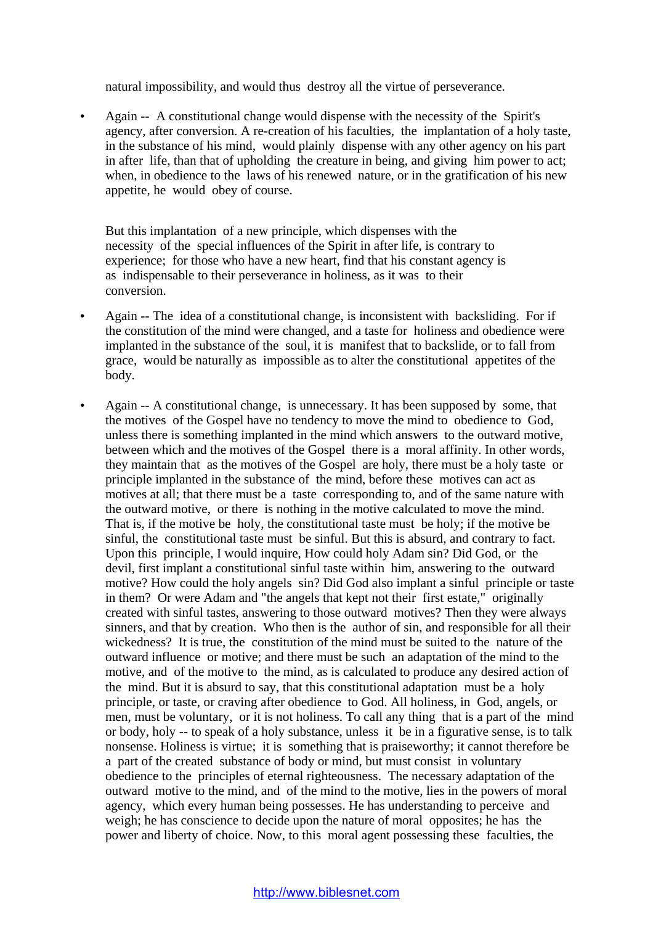natural impossibility, and would thus destroy all the virtue of perseverance.

• Again -- A constitutional change would dispense with the necessity of the Spirit's agency, after conversion. A re-creation of his faculties, the implantation of a holy taste, in the substance of his mind, would plainly dispense with any other agency on his part in after life, than that of upholding the creature in being, and giving him power to act; when, in obedience to the laws of his renewed nature, or in the gratification of his new appetite, he would obey of course.

But this implantation of a new principle, which dispenses with the necessity of the special influences of the Spirit in after life, is contrary to experience; for those who have a new heart, find that his constant agency is as indispensable to their perseverance in holiness, as it was to their conversion.

- Again -- The idea of a constitutional change, is inconsistent with backsliding. For if the constitution of the mind were changed, and a taste for holiness and obedience were implanted in the substance of the soul, it is manifest that to backslide, or to fall from grace, would be naturally as impossible as to alter the constitutional appetites of the body.
- Again -- A constitutional change, is unnecessary. It has been supposed by some, that the motives of the Gospel have no tendency to move the mind to obedience to God, unless there is something implanted in the mind which answers to the outward motive, between which and the motives of the Gospel there is a moral affinity. In other words, they maintain that as the motives of the Gospel are holy, there must be a holy taste or principle implanted in the substance of the mind, before these motives can act as motives at all; that there must be a taste corresponding to, and of the same nature with the outward motive, or there is nothing in the motive calculated to move the mind. That is, if the motive be holy, the constitutional taste must be holy; if the motive be sinful, the constitutional taste must be sinful. But this is absurd, and contrary to fact. Upon this principle, I would inquire, How could holy Adam sin? Did God, or the devil, first implant a constitutional sinful taste within him, answering to the outward motive? How could the holy angels sin? Did God also implant a sinful principle or taste in them? Or were Adam and "the angels that kept not their first estate," originally created with sinful tastes, answering to those outward motives? Then they were always sinners, and that by creation. Who then is the author of sin, and responsible for all their wickedness? It is true, the constitution of the mind must be suited to the nature of the outward influence or motive; and there must be such an adaptation of the mind to the motive, and of the motive to the mind, as is calculated to produce any desired action of the mind. But it is absurd to say, that this constitutional adaptation must be a holy principle, or taste, or craving after obedience to God. All holiness, in God, angels, or men, must be voluntary, or it is not holiness. To call any thing that is a part of the mind or body, holy -- to speak of a holy substance, unless it be in a figurative sense, is to talk nonsense. Holiness is virtue; it is something that is praiseworthy; it cannot therefore be a part of the created substance of body or mind, but must consist in voluntary obedience to the principles of eternal righteousness. The necessary adaptation of the outward motive to the mind, and of the mind to the motive, lies in the powers of moral agency, which every human being possesses. He has understanding to perceive and weigh; he has conscience to decide upon the nature of moral opposites; he has the power and liberty of choice. Now, to this moral agent possessing these faculties, the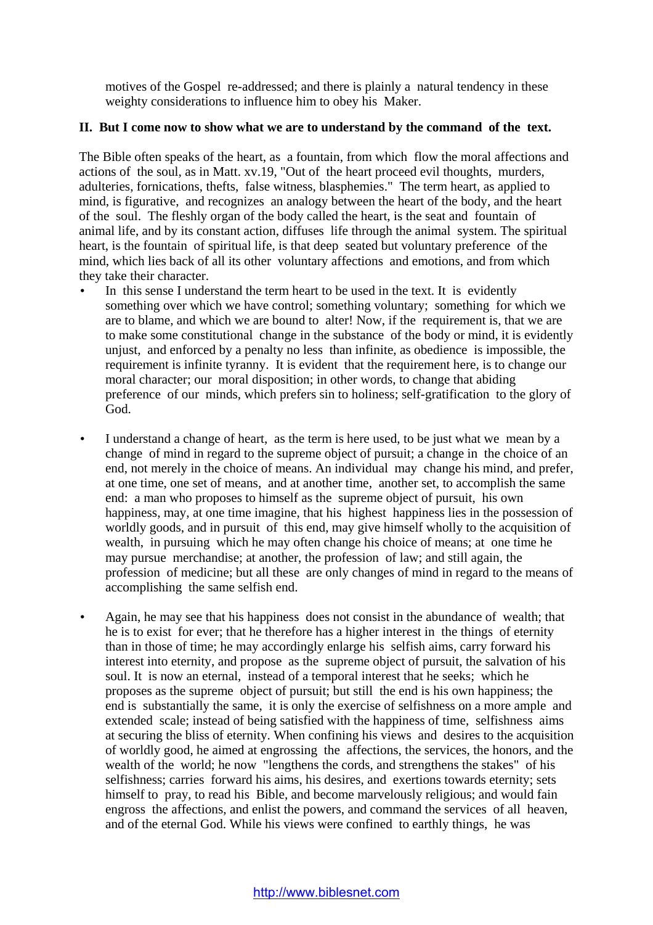motives of the Gospel re-addressed; and there is plainly a natural tendency in these weighty considerations to influence him to obey his Maker.

#### **II. But I come now to show what we are to understand by the command of the text.**

The Bible often speaks of the heart, as a fountain, from which flow the moral affections and actions of the soul, as in Matt. xv.19, "Out of the heart proceed evil thoughts, murders, adulteries, fornications, thefts, false witness, blasphemies." The term heart, as applied to mind, is figurative, and recognizes an analogy between the heart of the body, and the heart of the soul. The fleshly organ of the body called the heart, is the seat and fountain of animal life, and by its constant action, diffuses life through the animal system. The spiritual heart, is the fountain of spiritual life, is that deep seated but voluntary preference of the mind, which lies back of all its other voluntary affections and emotions, and from which they take their character.

- In this sense I understand the term heart to be used in the text. It is evidently something over which we have control; something voluntary; something for which we are to blame, and which we are bound to alter! Now, if the requirement is, that we are to make some constitutional change in the substance of the body or mind, it is evidently unjust, and enforced by a penalty no less than infinite, as obedience is impossible, the requirement is infinite tyranny. It is evident that the requirement here, is to change our moral character; our moral disposition; in other words, to change that abiding preference of our minds, which prefers sin to holiness; self-gratification to the glory of God.
- I understand a change of heart, as the term is here used, to be just what we mean by a change of mind in regard to the supreme object of pursuit; a change in the choice of an end, not merely in the choice of means. An individual may change his mind, and prefer, at one time, one set of means, and at another time, another set, to accomplish the same end: a man who proposes to himself as the supreme object of pursuit, his own happiness, may, at one time imagine, that his highest happiness lies in the possession of worldly goods, and in pursuit of this end, may give himself wholly to the acquisition of wealth, in pursuing which he may often change his choice of means; at one time he may pursue merchandise; at another, the profession of law; and still again, the profession of medicine; but all these are only changes of mind in regard to the means of accomplishing the same selfish end.
- Again, he may see that his happiness does not consist in the abundance of wealth; that he is to exist for ever; that he therefore has a higher interest in the things of eternity than in those of time; he may accordingly enlarge his selfish aims, carry forward his interest into eternity, and propose as the supreme object of pursuit, the salvation of his soul. It is now an eternal, instead of a temporal interest that he seeks; which he proposes as the supreme object of pursuit; but still the end is his own happiness; the end is substantially the same, it is only the exercise of selfishness on a more ample and extended scale; instead of being satisfied with the happiness of time, selfishness aims at securing the bliss of eternity. When confining his views and desires to the acquisition of worldly good, he aimed at engrossing the affections, the services, the honors, and the wealth of the world; he now "lengthens the cords, and strengthens the stakes" of his selfishness; carries forward his aims, his desires, and exertions towards eternity; sets himself to pray, to read his Bible, and become marvelously religious; and would fain engross the affections, and enlist the powers, and command the services of all heaven, and of the eternal God. While his views were confined to earthly things, he was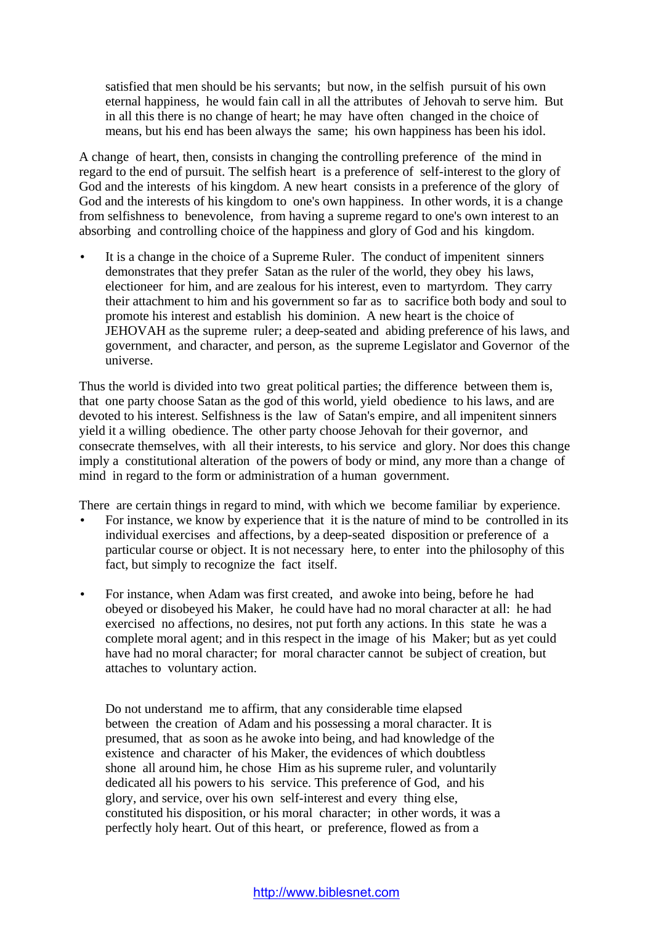satisfied that men should be his servants; but now, in the selfish pursuit of his own eternal happiness, he would fain call in all the attributes of Jehovah to serve him. But in all this there is no change of heart; he may have often changed in the choice of means, but his end has been always the same; his own happiness has been his idol.

A change of heart, then, consists in changing the controlling preference of the mind in regard to the end of pursuit. The selfish heart is a preference of self-interest to the glory of God and the interests of his kingdom. A new heart consists in a preference of the glory of God and the interests of his kingdom to one's own happiness. In other words, it is a change from selfishness to benevolence, from having a supreme regard to one's own interest to an absorbing and controlling choice of the happiness and glory of God and his kingdom.

It is a change in the choice of a Supreme Ruler. The conduct of impenitent sinners demonstrates that they prefer Satan as the ruler of the world, they obey his laws, electioneer for him, and are zealous for his interest, even to martyrdom. They carry their attachment to him and his government so far as to sacrifice both body and soul to promote his interest and establish his dominion. A new heart is the choice of JEHOVAH as the supreme ruler; a deep-seated and abiding preference of his laws, and government, and character, and person, as the supreme Legislator and Governor of the universe.

Thus the world is divided into two great political parties; the difference between them is, that one party choose Satan as the god of this world, yield obedience to his laws, and are devoted to his interest. Selfishness is the law of Satan's empire, and all impenitent sinners yield it a willing obedience. The other party choose Jehovah for their governor, and consecrate themselves, with all their interests, to his service and glory. Nor does this change imply a constitutional alteration of the powers of body or mind, any more than a change of mind in regard to the form or administration of a human government.

There are certain things in regard to mind, with which we become familiar by experience.

- For instance, we know by experience that it is the nature of mind to be controlled in its individual exercises and affections, by a deep-seated disposition or preference of a particular course or object. It is not necessary here, to enter into the philosophy of this fact, but simply to recognize the fact itself.
- For instance, when Adam was first created, and awoke into being, before he had obeyed or disobeyed his Maker, he could have had no moral character at all: he had exercised no affections, no desires, not put forth any actions. In this state he was a complete moral agent; and in this respect in the image of his Maker; but as yet could have had no moral character; for moral character cannot be subject of creation, but attaches to voluntary action.

Do not understand me to affirm, that any considerable time elapsed between the creation of Adam and his possessing a moral character. It is presumed, that as soon as he awoke into being, and had knowledge of the existence and character of his Maker, the evidences of which doubtless shone all around him, he chose Him as his supreme ruler, and voluntarily dedicated all his powers to his service. This preference of God, and his glory, and service, over his own self-interest and every thing else, constituted his disposition, or his moral character; in other words, it was a perfectly holy heart. Out of this heart, or preference, flowed as from a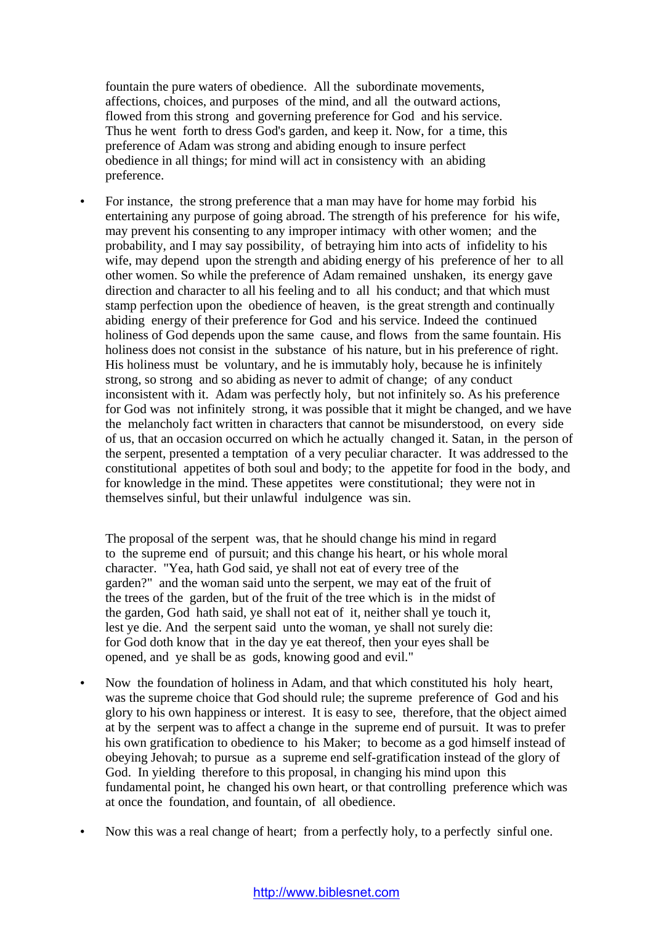fountain the pure waters of obedience. All the subordinate movements, affections, choices, and purposes of the mind, and all the outward actions, flowed from this strong and governing preference for God and his service. Thus he went forth to dress God's garden, and keep it. Now, for a time, this preference of Adam was strong and abiding enough to insure perfect obedience in all things; for mind will act in consistency with an abiding preference.

• For instance, the strong preference that a man may have for home may forbid his entertaining any purpose of going abroad. The strength of his preference for his wife, may prevent his consenting to any improper intimacy with other women; and the probability, and I may say possibility, of betraying him into acts of infidelity to his wife, may depend upon the strength and abiding energy of his preference of her to all other women. So while the preference of Adam remained unshaken, its energy gave direction and character to all his feeling and to all his conduct; and that which must stamp perfection upon the obedience of heaven, is the great strength and continually abiding energy of their preference for God and his service. Indeed the continued holiness of God depends upon the same cause, and flows from the same fountain. His holiness does not consist in the substance of his nature, but in his preference of right. His holiness must be voluntary, and he is immutably holy, because he is infinitely strong, so strong and so abiding as never to admit of change; of any conduct inconsistent with it. Adam was perfectly holy, but not infinitely so. As his preference for God was not infinitely strong, it was possible that it might be changed, and we have the melancholy fact written in characters that cannot be misunderstood, on every side of us, that an occasion occurred on which he actually changed it. Satan, in the person of the serpent, presented a temptation of a very peculiar character. It was addressed to the constitutional appetites of both soul and body; to the appetite for food in the body, and for knowledge in the mind. These appetites were constitutional; they were not in themselves sinful, but their unlawful indulgence was sin.

The proposal of the serpent was, that he should change his mind in regard to the supreme end of pursuit; and this change his heart, or his whole moral character. "Yea, hath God said, ye shall not eat of every tree of the garden?" and the woman said unto the serpent, we may eat of the fruit of the trees of the garden, but of the fruit of the tree which is in the midst of the garden, God hath said, ye shall not eat of it, neither shall ye touch it, lest ye die. And the serpent said unto the woman, ye shall not surely die: for God doth know that in the day ye eat thereof, then your eyes shall be opened, and ye shall be as gods, knowing good and evil."

- Now the foundation of holiness in Adam, and that which constituted his holy heart, was the supreme choice that God should rule; the supreme preference of God and his glory to his own happiness or interest. It is easy to see, therefore, that the object aimed at by the serpent was to affect a change in the supreme end of pursuit. It was to prefer his own gratification to obedience to his Maker; to become as a god himself instead of obeying Jehovah; to pursue as a supreme end self-gratification instead of the glory of God. In yielding therefore to this proposal, in changing his mind upon this fundamental point, he changed his own heart, or that controlling preference which was at once the foundation, and fountain, of all obedience.
- Now this was a real change of heart; from a perfectly holy, to a perfectly sinful one.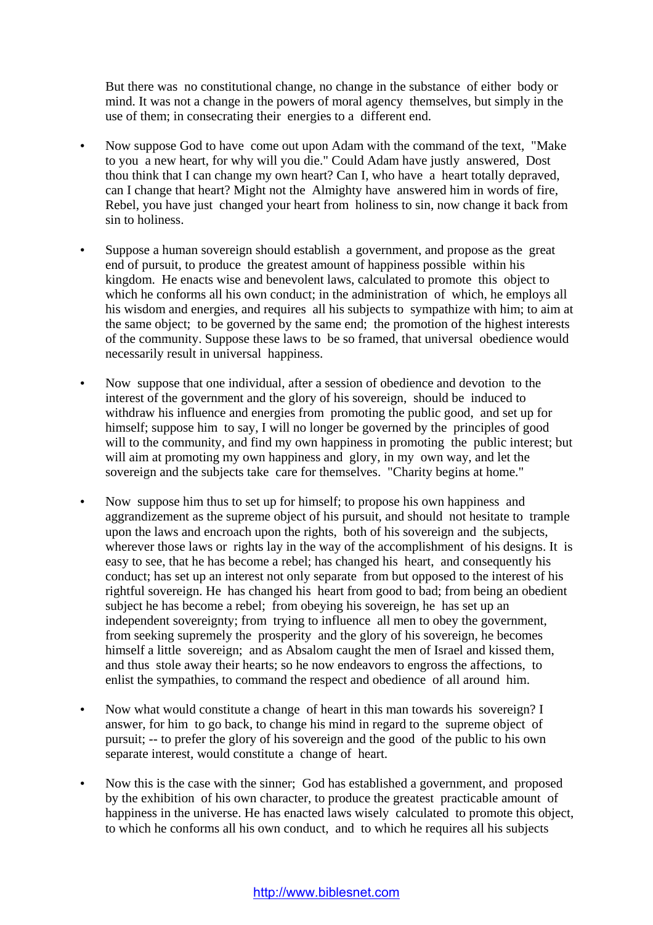But there was no constitutional change, no change in the substance of either body or mind. It was not a change in the powers of moral agency themselves, but simply in the use of them; in consecrating their energies to a different end.

- Now suppose God to have come out upon Adam with the command of the text, "Make to you a new heart, for why will you die." Could Adam have justly answered, Dost thou think that I can change my own heart? Can I, who have a heart totally depraved, can I change that heart? Might not the Almighty have answered him in words of fire, Rebel, you have just changed your heart from holiness to sin, now change it back from sin to holiness.
- Suppose a human sovereign should establish a government, and propose as the great end of pursuit, to produce the greatest amount of happiness possible within his kingdom. He enacts wise and benevolent laws, calculated to promote this object to which he conforms all his own conduct; in the administration of which, he employs all his wisdom and energies, and requires all his subjects to sympathize with him; to aim at the same object; to be governed by the same end; the promotion of the highest interests of the community. Suppose these laws to be so framed, that universal obedience would necessarily result in universal happiness.
- Now suppose that one individual, after a session of obedience and devotion to the interest of the government and the glory of his sovereign, should be induced to withdraw his influence and energies from promoting the public good, and set up for himself; suppose him to say, I will no longer be governed by the principles of good will to the community, and find my own happiness in promoting the public interest; but will aim at promoting my own happiness and glory, in my own way, and let the sovereign and the subjects take care for themselves. "Charity begins at home."
- Now suppose him thus to set up for himself; to propose his own happiness and aggrandizement as the supreme object of his pursuit, and should not hesitate to trample upon the laws and encroach upon the rights, both of his sovereign and the subjects, wherever those laws or rights lay in the way of the accomplishment of his designs. It is easy to see, that he has become a rebel; has changed his heart, and consequently his conduct; has set up an interest not only separate from but opposed to the interest of his rightful sovereign. He has changed his heart from good to bad; from being an obedient subject he has become a rebel; from obeying his sovereign, he has set up an independent sovereignty; from trying to influence all men to obey the government, from seeking supremely the prosperity and the glory of his sovereign, he becomes himself a little sovereign; and as Absalom caught the men of Israel and kissed them, and thus stole away their hearts; so he now endeavors to engross the affections, to enlist the sympathies, to command the respect and obedience of all around him.
- Now what would constitute a change of heart in this man towards his sovereign? I answer, for him to go back, to change his mind in regard to the supreme object of pursuit; -- to prefer the glory of his sovereign and the good of the public to his own separate interest, would constitute a change of heart.
- Now this is the case with the sinner; God has established a government, and proposed by the exhibition of his own character, to produce the greatest practicable amount of happiness in the universe. He has enacted laws wisely calculated to promote this object, to which he conforms all his own conduct, and to which he requires all his subjects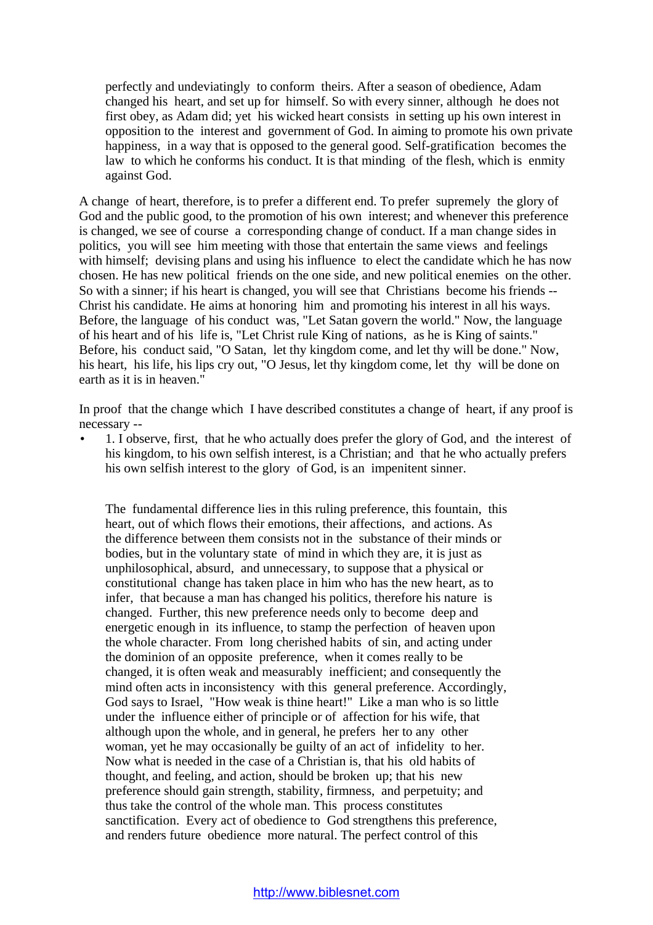perfectly and undeviatingly to conform theirs. After a season of obedience, Adam changed his heart, and set up for himself. So with every sinner, although he does not first obey, as Adam did; yet his wicked heart consists in setting up his own interest in opposition to the interest and government of God. In aiming to promote his own private happiness, in a way that is opposed to the general good. Self-gratification becomes the law to which he conforms his conduct. It is that minding of the flesh, which is enmity against God.

A change of heart, therefore, is to prefer a different end. To prefer supremely the glory of God and the public good, to the promotion of his own interest; and whenever this preference is changed, we see of course a corresponding change of conduct. If a man change sides in politics, you will see him meeting with those that entertain the same views and feelings with himself; devising plans and using his influence to elect the candidate which he has now chosen. He has new political friends on the one side, and new political enemies on the other. So with a sinner; if his heart is changed, you will see that Christians become his friends -- Christ his candidate. He aims at honoring him and promoting his interest in all his ways. Before, the language of his conduct was, "Let Satan govern the world." Now, the language of his heart and of his life is, "Let Christ rule King of nations, as he is King of saints." Before, his conduct said, "O Satan, let thy kingdom come, and let thy will be done." Now, his heart, his life, his lips cry out, "O Jesus, let thy kingdom come, let thy will be done on earth as it is in heaven."

In proof that the change which I have described constitutes a change of heart, if any proof is necessary --

• 1. I observe, first, that he who actually does prefer the glory of God, and the interest of his kingdom, to his own selfish interest, is a Christian; and that he who actually prefers his own selfish interest to the glory of God, is an impenitent sinner.

The fundamental difference lies in this ruling preference, this fountain, this heart, out of which flows their emotions, their affections, and actions. As the difference between them consists not in the substance of their minds or bodies, but in the voluntary state of mind in which they are, it is just as unphilosophical, absurd, and unnecessary, to suppose that a physical or constitutional change has taken place in him who has the new heart, as to infer, that because a man has changed his politics, therefore his nature is changed. Further, this new preference needs only to become deep and energetic enough in its influence, to stamp the perfection of heaven upon the whole character. From long cherished habits of sin, and acting under the dominion of an opposite preference, when it comes really to be changed, it is often weak and measurably inefficient; and consequently the mind often acts in inconsistency with this general preference. Accordingly, God says to Israel, "How weak is thine heart!" Like a man who is so little under the influence either of principle or of affection for his wife, that although upon the whole, and in general, he prefers her to any other woman, yet he may occasionally be guilty of an act of infidelity to her. Now what is needed in the case of a Christian is, that his old habits of thought, and feeling, and action, should be broken up; that his new preference should gain strength, stability, firmness, and perpetuity; and thus take the control of the whole man. This process constitutes sanctification. Every act of obedience to God strengthens this preference, and renders future obedience more natural. The perfect control of this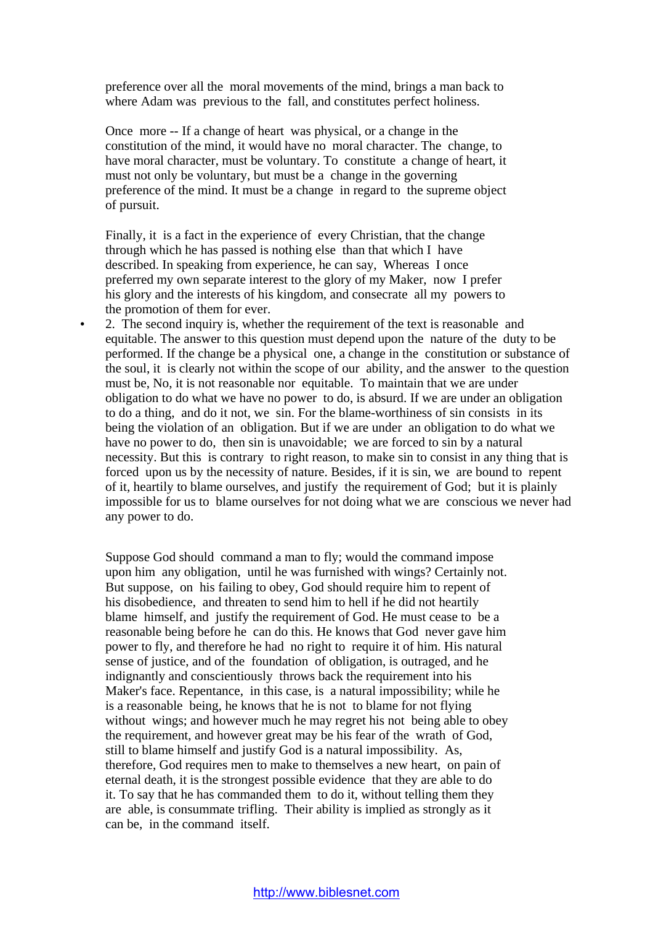preference over all the moral movements of the mind, brings a man back to where Adam was previous to the fall, and constitutes perfect holiness.

Once more -- If a change of heart was physical, or a change in the constitution of the mind, it would have no moral character. The change, to have moral character, must be voluntary. To constitute a change of heart, it must not only be voluntary, but must be a change in the governing preference of the mind. It must be a change in regard to the supreme object of pursuit.

Finally, it is a fact in the experience of every Christian, that the change through which he has passed is nothing else than that which I have described. In speaking from experience, he can say, Whereas I once preferred my own separate interest to the glory of my Maker, now I prefer his glory and the interests of his kingdom, and consecrate all my powers to the promotion of them for ever.

• 2. The second inquiry is, whether the requirement of the text is reasonable and equitable. The answer to this question must depend upon the nature of the duty to be performed. If the change be a physical one, a change in the constitution or substance of the soul, it is clearly not within the scope of our ability, and the answer to the question must be, No, it is not reasonable nor equitable. To maintain that we are under obligation to do what we have no power to do, is absurd. If we are under an obligation to do a thing, and do it not, we sin. For the blame-worthiness of sin consists in its being the violation of an obligation. But if we are under an obligation to do what we have no power to do, then sin is unavoidable; we are forced to sin by a natural necessity. But this is contrary to right reason, to make sin to consist in any thing that is forced upon us by the necessity of nature. Besides, if it is sin, we are bound to repent of it, heartily to blame ourselves, and justify the requirement of God; but it is plainly impossible for us to blame ourselves for not doing what we are conscious we never had any power to do.

Suppose God should command a man to fly; would the command impose upon him any obligation, until he was furnished with wings? Certainly not. But suppose, on his failing to obey, God should require him to repent of his disobedience, and threaten to send him to hell if he did not heartily blame himself, and justify the requirement of God. He must cease to be a reasonable being before he can do this. He knows that God never gave him power to fly, and therefore he had no right to require it of him. His natural sense of justice, and of the foundation of obligation, is outraged, and he indignantly and conscientiously throws back the requirement into his Maker's face. Repentance, in this case, is a natural impossibility; while he is a reasonable being, he knows that he is not to blame for not flying without wings; and however much he may regret his not being able to obey the requirement, and however great may be his fear of the wrath of God, still to blame himself and justify God is a natural impossibility. As, therefore, God requires men to make to themselves a new heart, on pain of eternal death, it is the strongest possible evidence that they are able to do it. To say that he has commanded them to do it, without telling them they are able, is consummate trifling. Their ability is implied as strongly as it can be, in the command itself.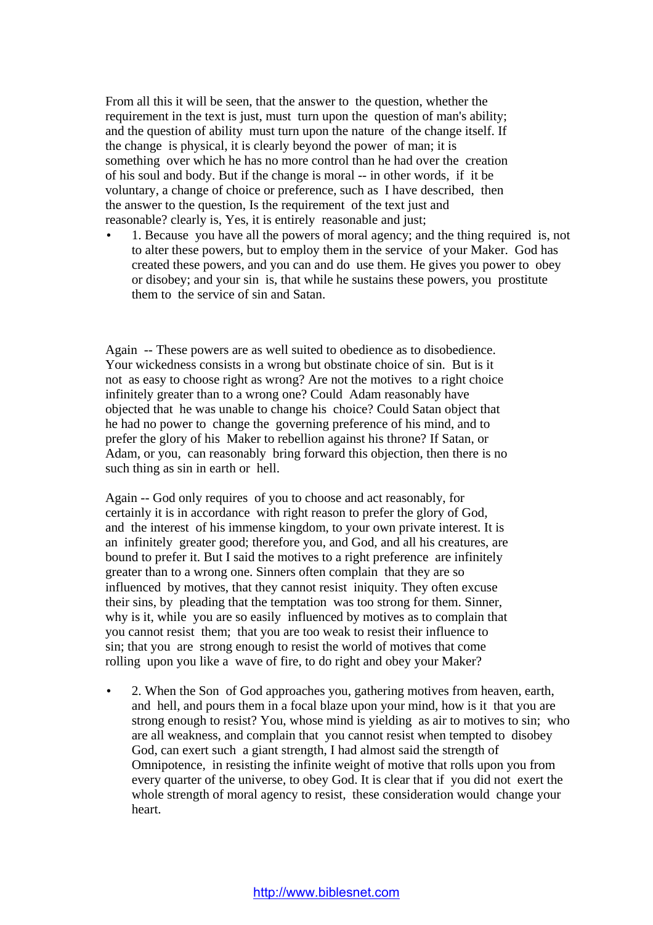From all this it will be seen, that the answer to the question, whether the requirement in the text is just, must turn upon the question of man's ability; and the question of ability must turn upon the nature of the change itself. If the change is physical, it is clearly beyond the power of man; it is something over which he has no more control than he had over the creation of his soul and body. But if the change is moral -- in other words, if it be voluntary, a change of choice or preference, such as I have described, then the answer to the question, Is the requirement of the text just and reasonable? clearly is, Yes, it is entirely reasonable and just;

• 1. Because you have all the powers of moral agency; and the thing required is, not to alter these powers, but to employ them in the service of your Maker. God has created these powers, and you can and do use them. He gives you power to obey or disobey; and your sin is, that while he sustains these powers, you prostitute them to the service of sin and Satan.

Again -- These powers are as well suited to obedience as to disobedience. Your wickedness consists in a wrong but obstinate choice of sin. But is it not as easy to choose right as wrong? Are not the motives to a right choice infinitely greater than to a wrong one? Could Adam reasonably have objected that he was unable to change his choice? Could Satan object that he had no power to change the governing preference of his mind, and to prefer the glory of his Maker to rebellion against his throne? If Satan, or Adam, or you, can reasonably bring forward this objection, then there is no such thing as sin in earth or hell.

Again -- God only requires of you to choose and act reasonably, for certainly it is in accordance with right reason to prefer the glory of God, and the interest of his immense kingdom, to your own private interest. It is an infinitely greater good; therefore you, and God, and all his creatures, are bound to prefer it. But I said the motives to a right preference are infinitely greater than to a wrong one. Sinners often complain that they are so influenced by motives, that they cannot resist iniquity. They often excuse their sins, by pleading that the temptation was too strong for them. Sinner, why is it, while you are so easily influenced by motives as to complain that you cannot resist them; that you are too weak to resist their influence to sin; that you are strong enough to resist the world of motives that come rolling upon you like a wave of fire, to do right and obey your Maker?

• 2. When the Son of God approaches you, gathering motives from heaven, earth, and hell, and pours them in a focal blaze upon your mind, how is it that you are strong enough to resist? You, whose mind is yielding as air to motives to sin; who are all weakness, and complain that you cannot resist when tempted to disobey God, can exert such a giant strength, I had almost said the strength of Omnipotence, in resisting the infinite weight of motive that rolls upon you from every quarter of the universe, to obey God. It is clear that if you did not exert the whole strength of moral agency to resist, these consideration would change your heart.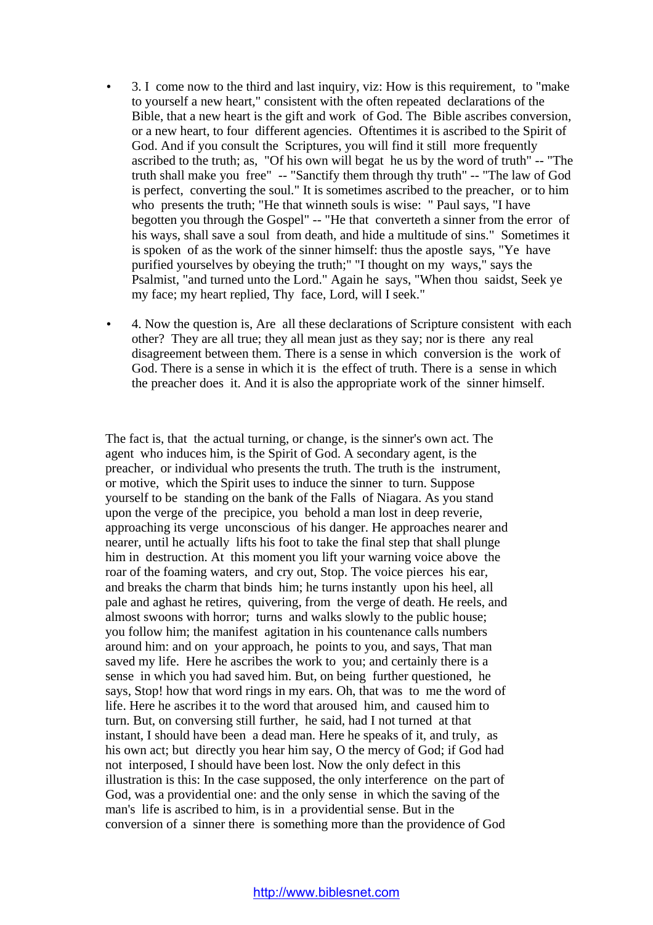- 3. I come now to the third and last inquiry, viz: How is this requirement, to "make to yourself a new heart," consistent with the often repeated declarations of the Bible, that a new heart is the gift and work of God. The Bible ascribes conversion, or a new heart, to four different agencies. Oftentimes it is ascribed to the Spirit of God. And if you consult the Scriptures, you will find it still more frequently ascribed to the truth; as, "Of his own will begat he us by the word of truth" -- "The truth shall make you free" -- "Sanctify them through thy truth" -- "The law of God is perfect, converting the soul." It is sometimes ascribed to the preacher, or to him who presents the truth; "He that winneth souls is wise: " Paul says, "I have begotten you through the Gospel" -- "He that converteth a sinner from the error of his ways, shall save a soul from death, and hide a multitude of sins." Sometimes it is spoken of as the work of the sinner himself: thus the apostle says, "Ye have purified yourselves by obeying the truth;" "I thought on my ways," says the Psalmist, "and turned unto the Lord." Again he says, "When thou saidst, Seek ye my face; my heart replied, Thy face, Lord, will I seek."
- 4. Now the question is, Are all these declarations of Scripture consistent with each other? They are all true; they all mean just as they say; nor is there any real disagreement between them. There is a sense in which conversion is the work of God. There is a sense in which it is the effect of truth. There is a sense in which the preacher does it. And it is also the appropriate work of the sinner himself.

The fact is, that the actual turning, or change, is the sinner's own act. The agent who induces him, is the Spirit of God. A secondary agent, is the preacher, or individual who presents the truth. The truth is the instrument, or motive, which the Spirit uses to induce the sinner to turn. Suppose yourself to be standing on the bank of the Falls of Niagara. As you stand upon the verge of the precipice, you behold a man lost in deep reverie, approaching its verge unconscious of his danger. He approaches nearer and nearer, until he actually lifts his foot to take the final step that shall plunge him in destruction. At this moment you lift your warning voice above the roar of the foaming waters, and cry out, Stop. The voice pierces his ear, and breaks the charm that binds him; he turns instantly upon his heel, all pale and aghast he retires, quivering, from the verge of death. He reels, and almost swoons with horror; turns and walks slowly to the public house; you follow him; the manifest agitation in his countenance calls numbers around him: and on your approach, he points to you, and says, That man saved my life. Here he ascribes the work to you; and certainly there is a sense in which you had saved him. But, on being further questioned, he says, Stop! how that word rings in my ears. Oh, that was to me the word of life. Here he ascribes it to the word that aroused him, and caused him to turn. But, on conversing still further, he said, had I not turned at that instant, I should have been a dead man. Here he speaks of it, and truly, as his own act; but directly you hear him say, O the mercy of God; if God had not interposed, I should have been lost. Now the only defect in this illustration is this: In the case supposed, the only interference on the part of God, was a providential one: and the only sense in which the saving of the man's life is ascribed to him, is in a providential sense. But in the conversion of a sinner there is something more than the providence of God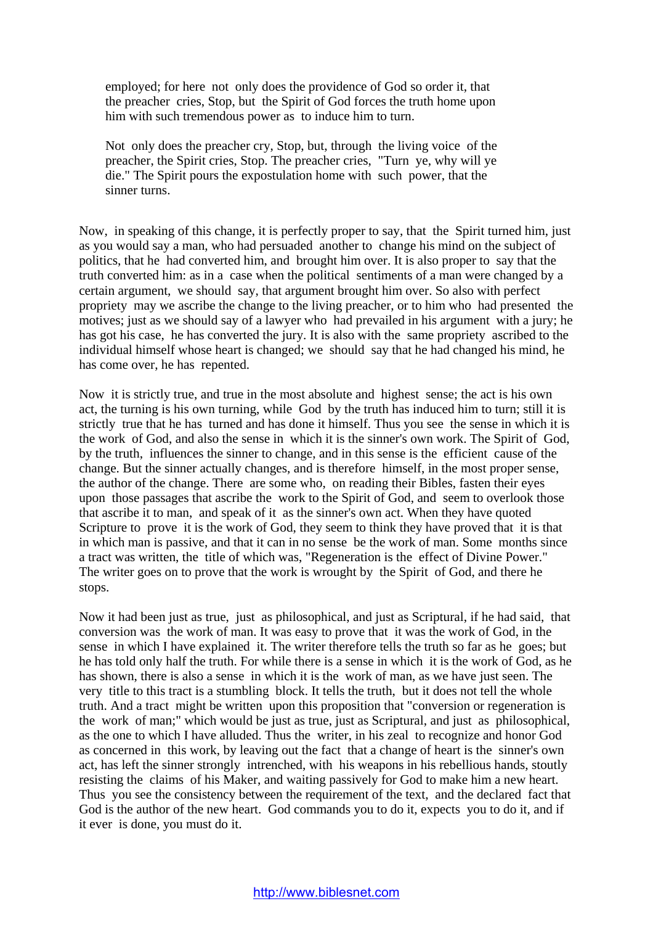employed; for here not only does the providence of God so order it, that the preacher cries, Stop, but the Spirit of God forces the truth home upon him with such tremendous power as to induce him to turn.

Not only does the preacher cry, Stop, but, through the living voice of the preacher, the Spirit cries, Stop. The preacher cries, "Turn ye, why will ye die." The Spirit pours the expostulation home with such power, that the sinner turns.

Now, in speaking of this change, it is perfectly proper to say, that the Spirit turned him, just as you would say a man, who had persuaded another to change his mind on the subject of politics, that he had converted him, and brought him over. It is also proper to say that the truth converted him: as in a case when the political sentiments of a man were changed by a certain argument, we should say, that argument brought him over. So also with perfect propriety may we ascribe the change to the living preacher, or to him who had presented the motives; just as we should say of a lawyer who had prevailed in his argument with a jury; he has got his case, he has converted the jury. It is also with the same propriety ascribed to the individual himself whose heart is changed; we should say that he had changed his mind, he has come over, he has repented.

Now it is strictly true, and true in the most absolute and highest sense; the act is his own act, the turning is his own turning, while God by the truth has induced him to turn; still it is strictly true that he has turned and has done it himself. Thus you see the sense in which it is the work of God, and also the sense in which it is the sinner's own work. The Spirit of God, by the truth, influences the sinner to change, and in this sense is the efficient cause of the change. But the sinner actually changes, and is therefore himself, in the most proper sense, the author of the change. There are some who, on reading their Bibles, fasten their eyes upon those passages that ascribe the work to the Spirit of God, and seem to overlook those that ascribe it to man, and speak of it as the sinner's own act. When they have quoted Scripture to prove it is the work of God, they seem to think they have proved that it is that in which man is passive, and that it can in no sense be the work of man. Some months since a tract was written, the title of which was, "Regeneration is the effect of Divine Power." The writer goes on to prove that the work is wrought by the Spirit of God, and there he stops.

Now it had been just as true, just as philosophical, and just as Scriptural, if he had said, that conversion was the work of man. It was easy to prove that it was the work of God, in the sense in which I have explained it. The writer therefore tells the truth so far as he goes; but he has told only half the truth. For while there is a sense in which it is the work of God, as he has shown, there is also a sense in which it is the work of man, as we have just seen. The very title to this tract is a stumbling block. It tells the truth, but it does not tell the whole truth. And a tract might be written upon this proposition that "conversion or regeneration is the work of man;" which would be just as true, just as Scriptural, and just as philosophical, as the one to which I have alluded. Thus the writer, in his zeal to recognize and honor God as concerned in this work, by leaving out the fact that a change of heart is the sinner's own act, has left the sinner strongly intrenched, with his weapons in his rebellious hands, stoutly resisting the claims of his Maker, and waiting passively for God to make him a new heart. Thus you see the consistency between the requirement of the text, and the declared fact that God is the author of the new heart. God commands you to do it, expects you to do it, and if it ever is done, you must do it.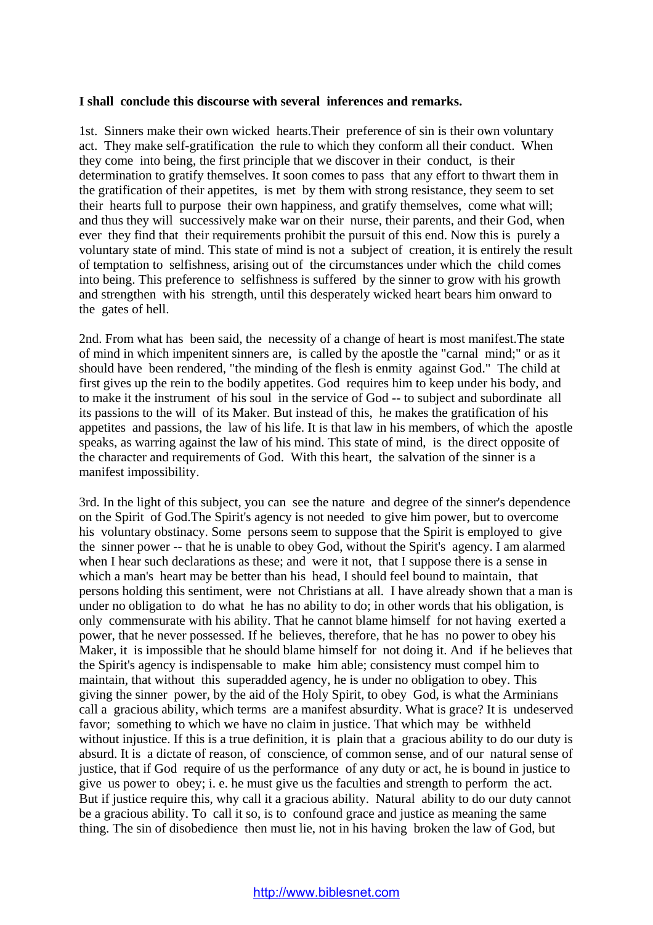#### **I shall conclude this discourse with several inferences and remarks.**

1st. Sinners make their own wicked hearts.Their preference of sin is their own voluntary act. They make self-gratification the rule to which they conform all their conduct. When they come into being, the first principle that we discover in their conduct, is their determination to gratify themselves. It soon comes to pass that any effort to thwart them in the gratification of their appetites, is met by them with strong resistance, they seem to set their hearts full to purpose their own happiness, and gratify themselves, come what will; and thus they will successively make war on their nurse, their parents, and their God, when ever they find that their requirements prohibit the pursuit of this end. Now this is purely a voluntary state of mind. This state of mind is not a subject of creation, it is entirely the result of temptation to selfishness, arising out of the circumstances under which the child comes into being. This preference to selfishness is suffered by the sinner to grow with his growth and strengthen with his strength, until this desperately wicked heart bears him onward to the gates of hell.

2nd. From what has been said, the necessity of a change of heart is most manifest.The state of mind in which impenitent sinners are, is called by the apostle the "carnal mind;" or as it should have been rendered, "the minding of the flesh is enmity against God." The child at first gives up the rein to the bodily appetites. God requires him to keep under his body, and to make it the instrument of his soul in the service of God -- to subject and subordinate all its passions to the will of its Maker. But instead of this, he makes the gratification of his appetites and passions, the law of his life. It is that law in his members, of which the apostle speaks, as warring against the law of his mind. This state of mind, is the direct opposite of the character and requirements of God. With this heart, the salvation of the sinner is a manifest impossibility.

3rd. In the light of this subject, you can see the nature and degree of the sinner's dependence on the Spirit of God.The Spirit's agency is not needed to give him power, but to overcome his voluntary obstinacy. Some persons seem to suppose that the Spirit is employed to give the sinner power -- that he is unable to obey God, without the Spirit's agency. I am alarmed when I hear such declarations as these; and were it not, that I suppose there is a sense in which a man's heart may be better than his head, I should feel bound to maintain, that persons holding this sentiment, were not Christians at all. I have already shown that a man is under no obligation to do what he has no ability to do; in other words that his obligation, is only commensurate with his ability. That he cannot blame himself for not having exerted a power, that he never possessed. If he believes, therefore, that he has no power to obey his Maker, it is impossible that he should blame himself for not doing it. And if he believes that the Spirit's agency is indispensable to make him able; consistency must compel him to maintain, that without this superadded agency, he is under no obligation to obey. This giving the sinner power, by the aid of the Holy Spirit, to obey God, is what the Arminians call a gracious ability, which terms are a manifest absurdity. What is grace? It is undeserved favor; something to which we have no claim in justice. That which may be withheld without injustice. If this is a true definition, it is plain that a gracious ability to do our duty is absurd. It is a dictate of reason, of conscience, of common sense, and of our natural sense of justice, that if God require of us the performance of any duty or act, he is bound in justice to give us power to obey; i. e. he must give us the faculties and strength to perform the act. But if justice require this, why call it a gracious ability. Natural ability to do our duty cannot be a gracious ability. To call it so, is to confound grace and justice as meaning the same thing. The sin of disobedience then must lie, not in his having broken the law of God, but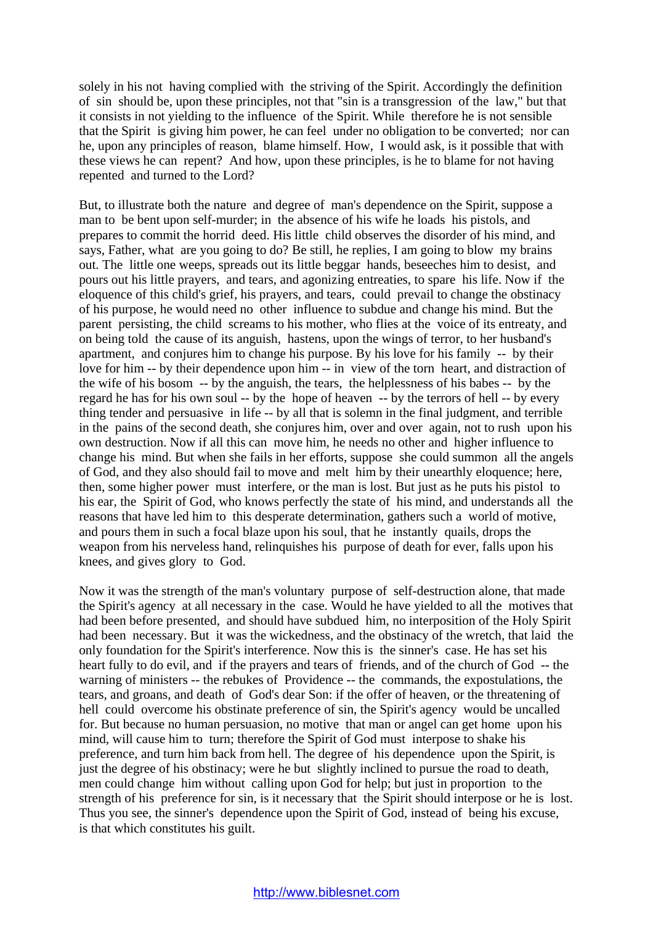solely in his not having complied with the striving of the Spirit. Accordingly the definition of sin should be, upon these principles, not that "sin is a transgression of the law," but that it consists in not yielding to the influence of the Spirit. While therefore he is not sensible that the Spirit is giving him power, he can feel under no obligation to be converted; nor can he, upon any principles of reason, blame himself. How, I would ask, is it possible that with these views he can repent? And how, upon these principles, is he to blame for not having repented and turned to the Lord?

But, to illustrate both the nature and degree of man's dependence on the Spirit, suppose a man to be bent upon self-murder; in the absence of his wife he loads his pistols, and prepares to commit the horrid deed. His little child observes the disorder of his mind, and says, Father, what are you going to do? Be still, he replies, I am going to blow my brains out. The little one weeps, spreads out its little beggar hands, beseeches him to desist, and pours out his little prayers, and tears, and agonizing entreaties, to spare his life. Now if the eloquence of this child's grief, his prayers, and tears, could prevail to change the obstinacy of his purpose, he would need no other influence to subdue and change his mind. But the parent persisting, the child screams to his mother, who flies at the voice of its entreaty, and on being told the cause of its anguish, hastens, upon the wings of terror, to her husband's apartment, and conjures him to change his purpose. By his love for his family -- by their love for him -- by their dependence upon him -- in view of the torn heart, and distraction of the wife of his bosom -- by the anguish, the tears, the helplessness of his babes -- by the regard he has for his own soul -- by the hope of heaven -- by the terrors of hell -- by every thing tender and persuasive in life -- by all that is solemn in the final judgment, and terrible in the pains of the second death, she conjures him, over and over again, not to rush upon his own destruction. Now if all this can move him, he needs no other and higher influence to change his mind. But when she fails in her efforts, suppose she could summon all the angels of God, and they also should fail to move and melt him by their unearthly eloquence; here, then, some higher power must interfere, or the man is lost. But just as he puts his pistol to his ear, the Spirit of God, who knows perfectly the state of his mind, and understands all the reasons that have led him to this desperate determination, gathers such a world of motive, and pours them in such a focal blaze upon his soul, that he instantly quails, drops the weapon from his nerveless hand, relinquishes his purpose of death for ever, falls upon his knees, and gives glory to God.

Now it was the strength of the man's voluntary purpose of self-destruction alone, that made the Spirit's agency at all necessary in the case. Would he have yielded to all the motives that had been before presented, and should have subdued him, no interposition of the Holy Spirit had been necessary. But it was the wickedness, and the obstinacy of the wretch, that laid the only foundation for the Spirit's interference. Now this is the sinner's case. He has set his heart fully to do evil, and if the prayers and tears of friends, and of the church of God -- the warning of ministers -- the rebukes of Providence -- the commands, the expostulations, the tears, and groans, and death of God's dear Son: if the offer of heaven, or the threatening of hell could overcome his obstinate preference of sin, the Spirit's agency would be uncalled for. But because no human persuasion, no motive that man or angel can get home upon his mind, will cause him to turn; therefore the Spirit of God must interpose to shake his preference, and turn him back from hell. The degree of his dependence upon the Spirit, is just the degree of his obstinacy; were he but slightly inclined to pursue the road to death, men could change him without calling upon God for help; but just in proportion to the strength of his preference for sin, is it necessary that the Spirit should interpose or he is lost. Thus you see, the sinner's dependence upon the Spirit of God, instead of being his excuse, is that which constitutes his guilt.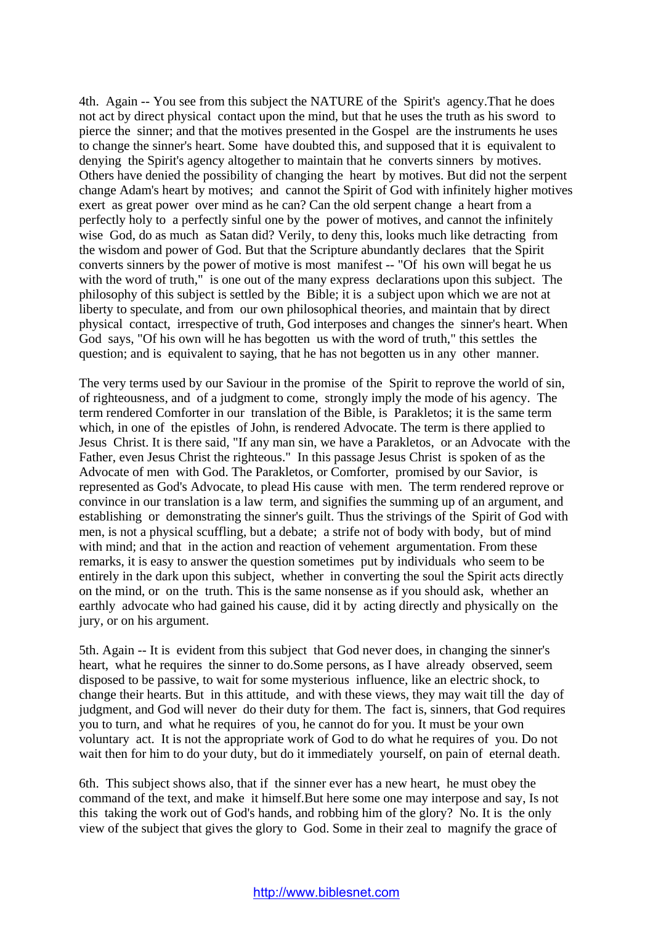4th. Again -- You see from this subject the NATURE of the Spirit's agency.That he does not act by direct physical contact upon the mind, but that he uses the truth as his sword to pierce the sinner; and that the motives presented in the Gospel are the instruments he uses to change the sinner's heart. Some have doubted this, and supposed that it is equivalent to denying the Spirit's agency altogether to maintain that he converts sinners by motives. Others have denied the possibility of changing the heart by motives. But did not the serpent change Adam's heart by motives; and cannot the Spirit of God with infinitely higher motives exert as great power over mind as he can? Can the old serpent change a heart from a perfectly holy to a perfectly sinful one by the power of motives, and cannot the infinitely wise God, do as much as Satan did? Verily, to deny this, looks much like detracting from the wisdom and power of God. But that the Scripture abundantly declares that the Spirit converts sinners by the power of motive is most manifest -- "Of his own will begat he us with the word of truth," is one out of the many express declarations upon this subject. The philosophy of this subject is settled by the Bible; it is a subject upon which we are not at liberty to speculate, and from our own philosophical theories, and maintain that by direct physical contact, irrespective of truth, God interposes and changes the sinner's heart. When God says, "Of his own will he has begotten us with the word of truth," this settles the question; and is equivalent to saying, that he has not begotten us in any other manner.

The very terms used by our Saviour in the promise of the Spirit to reprove the world of sin, of righteousness, and of a judgment to come, strongly imply the mode of his agency. The term rendered Comforter in our translation of the Bible, is Parakletos; it is the same term which, in one of the epistles of John, is rendered Advocate. The term is there applied to Jesus Christ. It is there said, "If any man sin, we have a Parakletos, or an Advocate with the Father, even Jesus Christ the righteous." In this passage Jesus Christ is spoken of as the Advocate of men with God. The Parakletos, or Comforter, promised by our Savior, is represented as God's Advocate, to plead His cause with men. The term rendered reprove or convince in our translation is a law term, and signifies the summing up of an argument, and establishing or demonstrating the sinner's guilt. Thus the strivings of the Spirit of God with men, is not a physical scuffling, but a debate; a strife not of body with body, but of mind with mind; and that in the action and reaction of vehement argumentation. From these remarks, it is easy to answer the question sometimes put by individuals who seem to be entirely in the dark upon this subject, whether in converting the soul the Spirit acts directly on the mind, or on the truth. This is the same nonsense as if you should ask, whether an earthly advocate who had gained his cause, did it by acting directly and physically on the jury, or on his argument.

5th. Again -- It is evident from this subject that God never does, in changing the sinner's heart, what he requires the sinner to do.Some persons, as I have already observed, seem disposed to be passive, to wait for some mysterious influence, like an electric shock, to change their hearts. But in this attitude, and with these views, they may wait till the day of judgment, and God will never do their duty for them. The fact is, sinners, that God requires you to turn, and what he requires of you, he cannot do for you. It must be your own voluntary act. It is not the appropriate work of God to do what he requires of you. Do not wait then for him to do your duty, but do it immediately yourself, on pain of eternal death.

6th. This subject shows also, that if the sinner ever has a new heart, he must obey the command of the text, and make it himself.But here some one may interpose and say, Is not this taking the work out of God's hands, and robbing him of the glory? No. It is the only view of the subject that gives the glory to God. Some in their zeal to magnify the grace of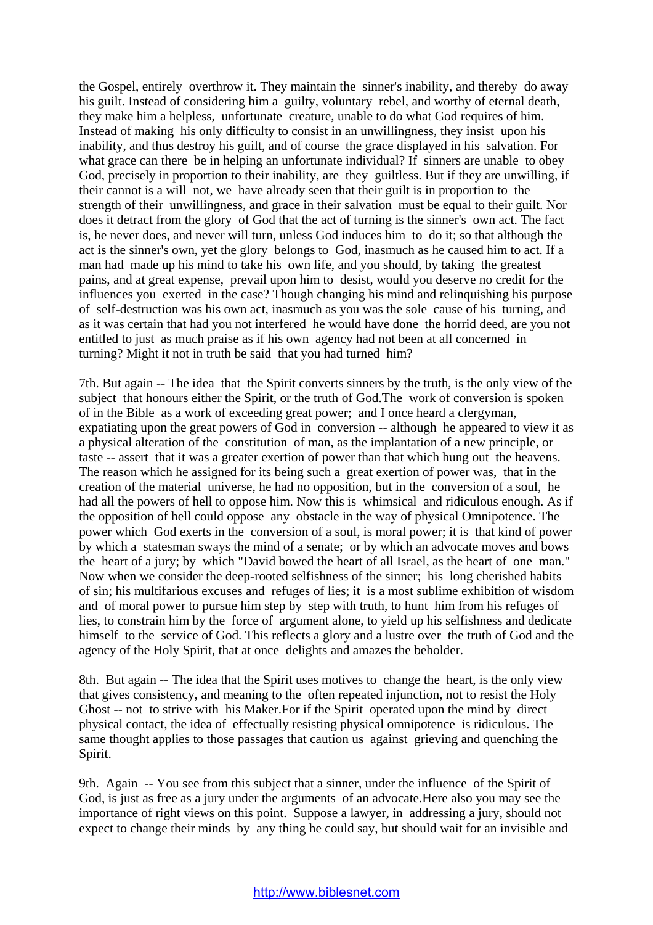the Gospel, entirely overthrow it. They maintain the sinner's inability, and thereby do away his guilt. Instead of considering him a guilty, voluntary rebel, and worthy of eternal death, they make him a helpless, unfortunate creature, unable to do what God requires of him. Instead of making his only difficulty to consist in an unwillingness, they insist upon his inability, and thus destroy his guilt, and of course the grace displayed in his salvation. For what grace can there be in helping an unfortunate individual? If sinners are unable to obey God, precisely in proportion to their inability, are they guiltless. But if they are unwilling, if their cannot is a will not, we have already seen that their guilt is in proportion to the strength of their unwillingness, and grace in their salvation must be equal to their guilt. Nor does it detract from the glory of God that the act of turning is the sinner's own act. The fact is, he never does, and never will turn, unless God induces him to do it; so that although the act is the sinner's own, yet the glory belongs to God, inasmuch as he caused him to act. If a man had made up his mind to take his own life, and you should, by taking the greatest pains, and at great expense, prevail upon him to desist, would you deserve no credit for the influences you exerted in the case? Though changing his mind and relinquishing his purpose of self-destruction was his own act, inasmuch as you was the sole cause of his turning, and as it was certain that had you not interfered he would have done the horrid deed, are you not entitled to just as much praise as if his own agency had not been at all concerned in turning? Might it not in truth be said that you had turned him?

7th. But again -- The idea that the Spirit converts sinners by the truth, is the only view of the subject that honours either the Spirit, or the truth of God.The work of conversion is spoken of in the Bible as a work of exceeding great power; and I once heard a clergyman, expatiating upon the great powers of God in conversion -- although he appeared to view it as a physical alteration of the constitution of man, as the implantation of a new principle, or taste -- assert that it was a greater exertion of power than that which hung out the heavens. The reason which he assigned for its being such a great exertion of power was, that in the creation of the material universe, he had no opposition, but in the conversion of a soul, he had all the powers of hell to oppose him. Now this is whimsical and ridiculous enough. As if the opposition of hell could oppose any obstacle in the way of physical Omnipotence. The power which God exerts in the conversion of a soul, is moral power; it is that kind of power by which a statesman sways the mind of a senate; or by which an advocate moves and bows the heart of a jury; by which "David bowed the heart of all Israel, as the heart of one man." Now when we consider the deep-rooted selfishness of the sinner; his long cherished habits of sin; his multifarious excuses and refuges of lies; it is a most sublime exhibition of wisdom and of moral power to pursue him step by step with truth, to hunt him from his refuges of lies, to constrain him by the force of argument alone, to yield up his selfishness and dedicate himself to the service of God. This reflects a glory and a lustre over the truth of God and the agency of the Holy Spirit, that at once delights and amazes the beholder.

8th. But again -- The idea that the Spirit uses motives to change the heart, is the only view that gives consistency, and meaning to the often repeated injunction, not to resist the Holy Ghost -- not to strive with his Maker.For if the Spirit operated upon the mind by direct physical contact, the idea of effectually resisting physical omnipotence is ridiculous. The same thought applies to those passages that caution us against grieving and quenching the Spirit.

9th. Again -- You see from this subject that a sinner, under the influence of the Spirit of God, is just as free as a jury under the arguments of an advocate.Here also you may see the importance of right views on this point. Suppose a lawyer, in addressing a jury, should not expect to change their minds by any thing he could say, but should wait for an invisible and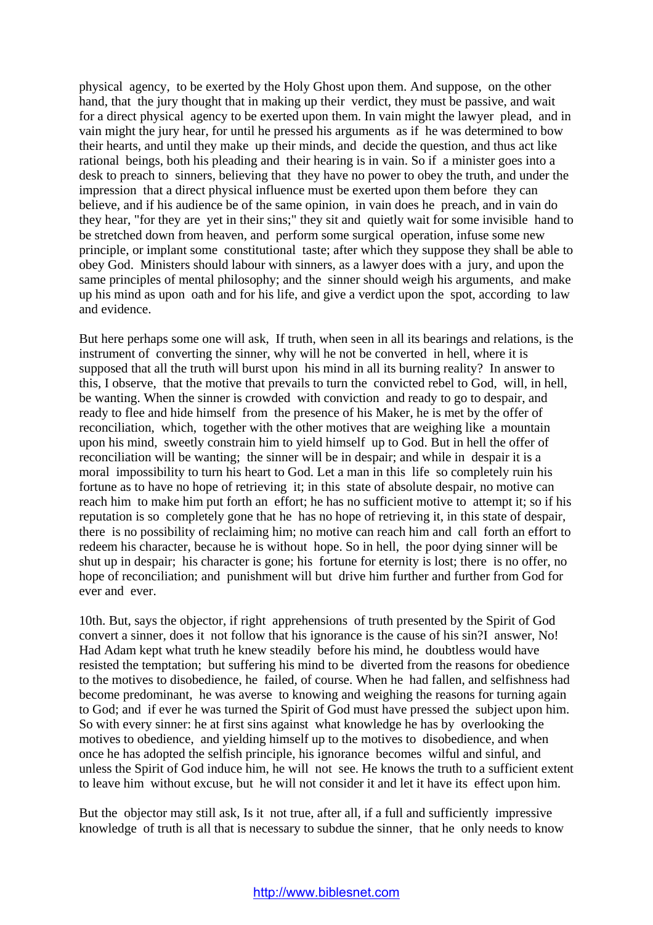physical agency, to be exerted by the Holy Ghost upon them. And suppose, on the other hand, that the jury thought that in making up their verdict, they must be passive, and wait for a direct physical agency to be exerted upon them. In vain might the lawyer plead, and in vain might the jury hear, for until he pressed his arguments as if he was determined to bow their hearts, and until they make up their minds, and decide the question, and thus act like rational beings, both his pleading and their hearing is in vain. So if a minister goes into a desk to preach to sinners, believing that they have no power to obey the truth, and under the impression that a direct physical influence must be exerted upon them before they can believe, and if his audience be of the same opinion, in vain does he preach, and in vain do they hear, "for they are yet in their sins;" they sit and quietly wait for some invisible hand to be stretched down from heaven, and perform some surgical operation, infuse some new principle, or implant some constitutional taste; after which they suppose they shall be able to obey God. Ministers should labour with sinners, as a lawyer does with a jury, and upon the same principles of mental philosophy; and the sinner should weigh his arguments, and make up his mind as upon oath and for his life, and give a verdict upon the spot, according to law and evidence.

But here perhaps some one will ask, If truth, when seen in all its bearings and relations, is the instrument of converting the sinner, why will he not be converted in hell, where it is supposed that all the truth will burst upon his mind in all its burning reality? In answer to this, I observe, that the motive that prevails to turn the convicted rebel to God, will, in hell, be wanting. When the sinner is crowded with conviction and ready to go to despair, and ready to flee and hide himself from the presence of his Maker, he is met by the offer of reconciliation, which, together with the other motives that are weighing like a mountain upon his mind, sweetly constrain him to yield himself up to God. But in hell the offer of reconciliation will be wanting; the sinner will be in despair; and while in despair it is a moral impossibility to turn his heart to God. Let a man in this life so completely ruin his fortune as to have no hope of retrieving it; in this state of absolute despair, no motive can reach him to make him put forth an effort; he has no sufficient motive to attempt it; so if his reputation is so completely gone that he has no hope of retrieving it, in this state of despair, there is no possibility of reclaiming him; no motive can reach him and call forth an effort to redeem his character, because he is without hope. So in hell, the poor dying sinner will be shut up in despair; his character is gone; his fortune for eternity is lost; there is no offer, no hope of reconciliation; and punishment will but drive him further and further from God for ever and ever.

10th. But, says the objector, if right apprehensions of truth presented by the Spirit of God convert a sinner, does it not follow that his ignorance is the cause of his sin?I answer, No! Had Adam kept what truth he knew steadily before his mind, he doubtless would have resisted the temptation; but suffering his mind to be diverted from the reasons for obedience to the motives to disobedience, he failed, of course. When he had fallen, and selfishness had become predominant, he was averse to knowing and weighing the reasons for turning again to God; and if ever he was turned the Spirit of God must have pressed the subject upon him. So with every sinner: he at first sins against what knowledge he has by overlooking the motives to obedience, and yielding himself up to the motives to disobedience, and when once he has adopted the selfish principle, his ignorance becomes wilful and sinful, and unless the Spirit of God induce him, he will not see. He knows the truth to a sufficient extent to leave him without excuse, but he will not consider it and let it have its effect upon him.

But the objector may still ask, Is it not true, after all, if a full and sufficiently impressive knowledge of truth is all that is necessary to subdue the sinner, that he only needs to know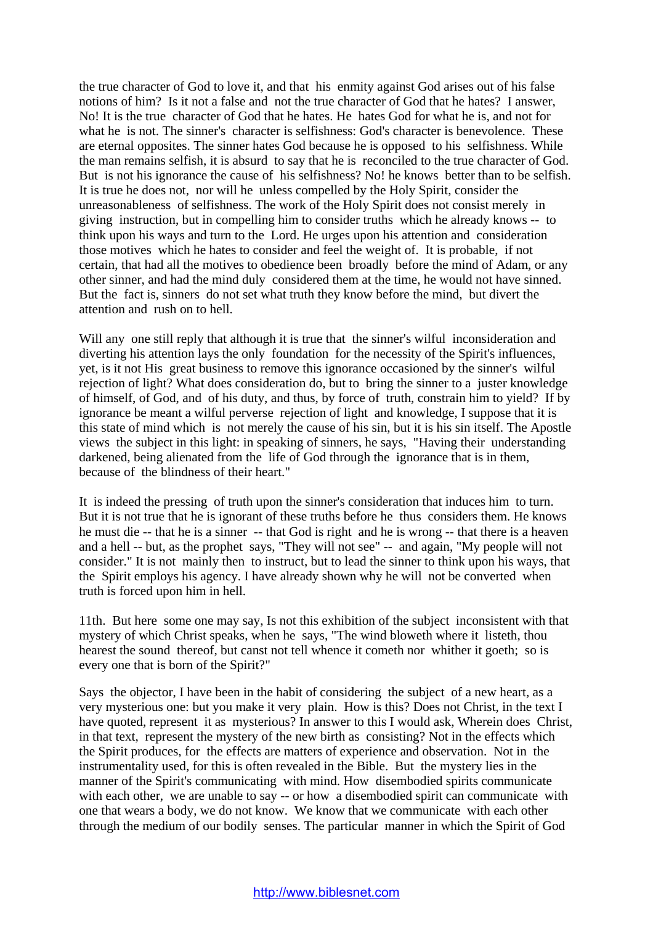the true character of God to love it, and that his enmity against God arises out of his false notions of him? Is it not a false and not the true character of God that he hates? I answer, No! It is the true character of God that he hates. He hates God for what he is, and not for what he is not. The sinner's character is selfishness: God's character is benevolence. These are eternal opposites. The sinner hates God because he is opposed to his selfishness. While the man remains selfish, it is absurd to say that he is reconciled to the true character of God. But is not his ignorance the cause of his selfishness? No! he knows better than to be selfish. It is true he does not, nor will he unless compelled by the Holy Spirit, consider the unreasonableness of selfishness. The work of the Holy Spirit does not consist merely in giving instruction, but in compelling him to consider truths which he already knows -- to think upon his ways and turn to the Lord. He urges upon his attention and consideration those motives which he hates to consider and feel the weight of. It is probable, if not certain, that had all the motives to obedience been broadly before the mind of Adam, or any other sinner, and had the mind duly considered them at the time, he would not have sinned. But the fact is, sinners do not set what truth they know before the mind, but divert the attention and rush on to hell.

Will any one still reply that although it is true that the sinner's wilful inconsideration and diverting his attention lays the only foundation for the necessity of the Spirit's influences, yet, is it not His great business to remove this ignorance occasioned by the sinner's wilful rejection of light? What does consideration do, but to bring the sinner to a juster knowledge of himself, of God, and of his duty, and thus, by force of truth, constrain him to yield? If by ignorance be meant a wilful perverse rejection of light and knowledge, I suppose that it is this state of mind which is not merely the cause of his sin, but it is his sin itself. The Apostle views the subject in this light: in speaking of sinners, he says, "Having their understanding darkened, being alienated from the life of God through the ignorance that is in them, because of the blindness of their heart."

It is indeed the pressing of truth upon the sinner's consideration that induces him to turn. But it is not true that he is ignorant of these truths before he thus considers them. He knows he must die -- that he is a sinner -- that God is right and he is wrong -- that there is a heaven and a hell -- but, as the prophet says, "They will not see" -- and again, "My people will not consider." It is not mainly then to instruct, but to lead the sinner to think upon his ways, that the Spirit employs his agency. I have already shown why he will not be converted when truth is forced upon him in hell.

11th. But here some one may say, Is not this exhibition of the subject inconsistent with that mystery of which Christ speaks, when he says, "The wind bloweth where it listeth, thou hearest the sound thereof, but canst not tell whence it cometh nor whither it goeth; so is every one that is born of the Spirit?"

Says the objector, I have been in the habit of considering the subject of a new heart, as a very mysterious one: but you make it very plain. How is this? Does not Christ, in the text I have quoted, represent it as mysterious? In answer to this I would ask, Wherein does Christ, in that text, represent the mystery of the new birth as consisting? Not in the effects which the Spirit produces, for the effects are matters of experience and observation. Not in the instrumentality used, for this is often revealed in the Bible. But the mystery lies in the manner of the Spirit's communicating with mind. How disembodied spirits communicate with each other, we are unable to say -- or how a disembodied spirit can communicate with one that wears a body, we do not know. We know that we communicate with each other through the medium of our bodily senses. The particular manner in which the Spirit of God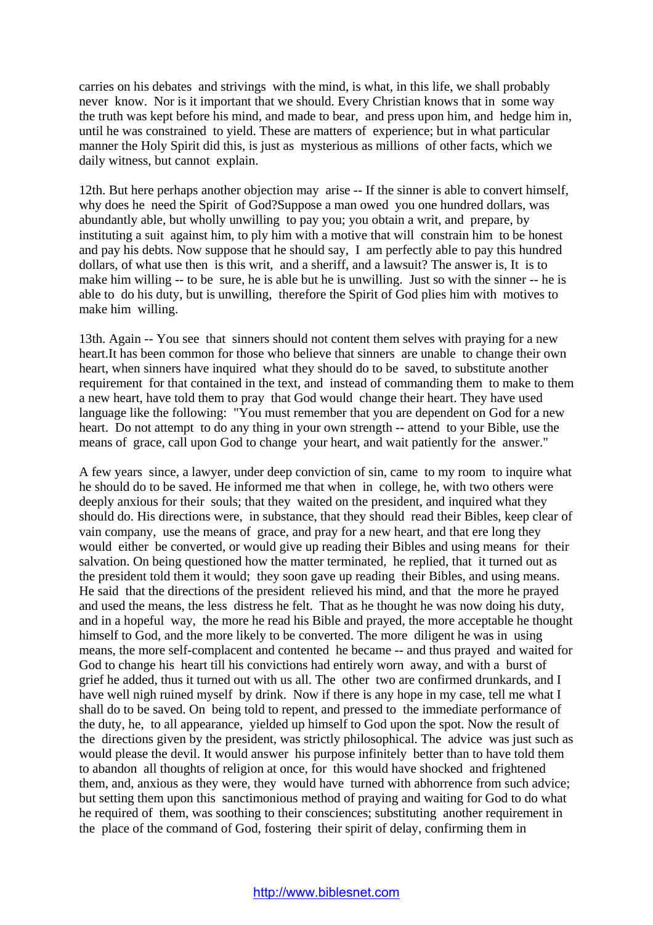carries on his debates and strivings with the mind, is what, in this life, we shall probably never know. Nor is it important that we should. Every Christian knows that in some way the truth was kept before his mind, and made to bear, and press upon him, and hedge him in, until he was constrained to yield. These are matters of experience; but in what particular manner the Holy Spirit did this, is just as mysterious as millions of other facts, which we daily witness, but cannot explain.

12th. But here perhaps another objection may arise -- If the sinner is able to convert himself, why does he need the Spirit of God?Suppose a man owed you one hundred dollars, was abundantly able, but wholly unwilling to pay you; you obtain a writ, and prepare, by instituting a suit against him, to ply him with a motive that will constrain him to be honest and pay his debts. Now suppose that he should say, I am perfectly able to pay this hundred dollars, of what use then is this writ, and a sheriff, and a lawsuit? The answer is, It is to make him willing -- to be sure, he is able but he is unwilling. Just so with the sinner -- he is able to do his duty, but is unwilling, therefore the Spirit of God plies him with motives to make him willing.

13th. Again -- You see that sinners should not content them selves with praying for a new heart.It has been common for those who believe that sinners are unable to change their own heart, when sinners have inquired what they should do to be saved, to substitute another requirement for that contained in the text, and instead of commanding them to make to them a new heart, have told them to pray that God would change their heart. They have used language like the following: "You must remember that you are dependent on God for a new heart. Do not attempt to do any thing in your own strength -- attend to your Bible, use the means of grace, call upon God to change your heart, and wait patiently for the answer."

A few years since, a lawyer, under deep conviction of sin, came to my room to inquire what he should do to be saved. He informed me that when in college, he, with two others were deeply anxious for their souls; that they waited on the president, and inquired what they should do. His directions were, in substance, that they should read their Bibles, keep clear of vain company, use the means of grace, and pray for a new heart, and that ere long they would either be converted, or would give up reading their Bibles and using means for their salvation. On being questioned how the matter terminated, he replied, that it turned out as the president told them it would; they soon gave up reading their Bibles, and using means. He said that the directions of the president relieved his mind, and that the more he prayed and used the means, the less distress he felt. That as he thought he was now doing his duty, and in a hopeful way, the more he read his Bible and prayed, the more acceptable he thought himself to God, and the more likely to be converted. The more diligent he was in using means, the more self-complacent and contented he became -- and thus prayed and waited for God to change his heart till his convictions had entirely worn away, and with a burst of grief he added, thus it turned out with us all. The other two are confirmed drunkards, and I have well nigh ruined myself by drink. Now if there is any hope in my case, tell me what I shall do to be saved. On being told to repent, and pressed to the immediate performance of the duty, he, to all appearance, yielded up himself to God upon the spot. Now the result of the directions given by the president, was strictly philosophical. The advice was just such as would please the devil. It would answer his purpose infinitely better than to have told them to abandon all thoughts of religion at once, for this would have shocked and frightened them, and, anxious as they were, they would have turned with abhorrence from such advice; but setting them upon this sanctimonious method of praying and waiting for God to do what he required of them, was soothing to their consciences; substituting another requirement in the place of the command of God, fostering their spirit of delay, confirming them in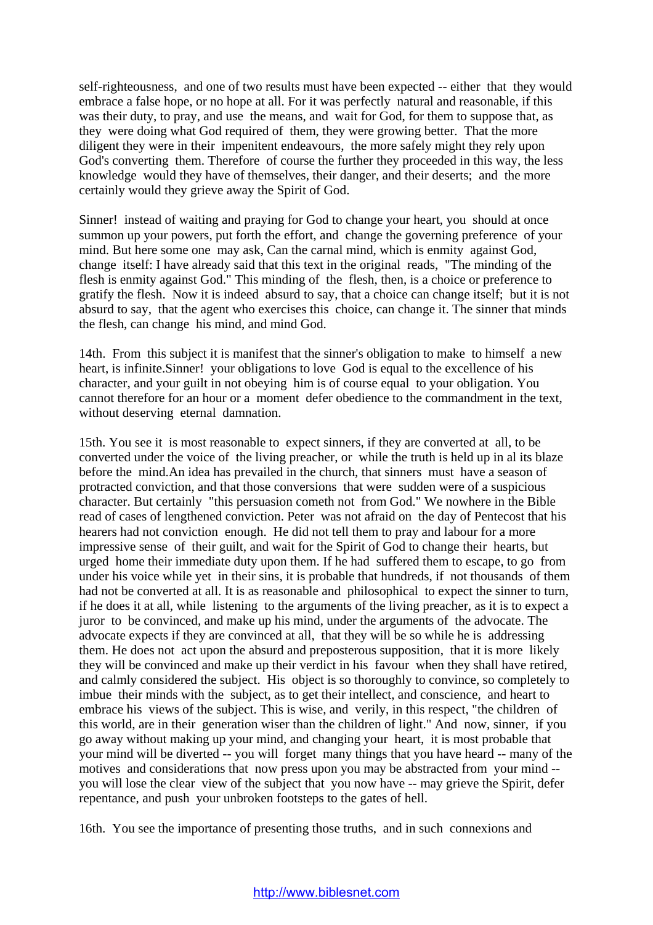self-righteousness, and one of two results must have been expected -- either that they would embrace a false hope, or no hope at all. For it was perfectly natural and reasonable, if this was their duty, to pray, and use the means, and wait for God, for them to suppose that, as they were doing what God required of them, they were growing better. That the more diligent they were in their impenitent endeavours, the more safely might they rely upon God's converting them. Therefore of course the further they proceeded in this way, the less knowledge would they have of themselves, their danger, and their deserts; and the more certainly would they grieve away the Spirit of God.

Sinner! instead of waiting and praying for God to change your heart, you should at once summon up your powers, put forth the effort, and change the governing preference of your mind. But here some one may ask, Can the carnal mind, which is enmity against God, change itself: I have already said that this text in the original reads, "The minding of the flesh is enmity against God." This minding of the flesh, then, is a choice or preference to gratify the flesh. Now it is indeed absurd to say, that a choice can change itself; but it is not absurd to say, that the agent who exercises this choice, can change it. The sinner that minds the flesh, can change his mind, and mind God.

14th. From this subject it is manifest that the sinner's obligation to make to himself a new heart, is infinite.Sinner! your obligations to love God is equal to the excellence of his character, and your guilt in not obeying him is of course equal to your obligation. You cannot therefore for an hour or a moment defer obedience to the commandment in the text, without deserving eternal damnation.

15th. You see it is most reasonable to expect sinners, if they are converted at all, to be converted under the voice of the living preacher, or while the truth is held up in al its blaze before the mind.An idea has prevailed in the church, that sinners must have a season of protracted conviction, and that those conversions that were sudden were of a suspicious character. But certainly "this persuasion cometh not from God." We nowhere in the Bible read of cases of lengthened conviction. Peter was not afraid on the day of Pentecost that his hearers had not conviction enough. He did not tell them to pray and labour for a more impressive sense of their guilt, and wait for the Spirit of God to change their hearts, but urged home their immediate duty upon them. If he had suffered them to escape, to go from under his voice while yet in their sins, it is probable that hundreds, if not thousands of them had not be converted at all. It is as reasonable and philosophical to expect the sinner to turn, if he does it at all, while listening to the arguments of the living preacher, as it is to expect a juror to be convinced, and make up his mind, under the arguments of the advocate. The advocate expects if they are convinced at all, that they will be so while he is addressing them. He does not act upon the absurd and preposterous supposition, that it is more likely they will be convinced and make up their verdict in his favour when they shall have retired, and calmly considered the subject. His object is so thoroughly to convince, so completely to imbue their minds with the subject, as to get their intellect, and conscience, and heart to embrace his views of the subject. This is wise, and verily, in this respect, "the children of this world, are in their generation wiser than the children of light." And now, sinner, if you go away without making up your mind, and changing your heart, it is most probable that your mind will be diverted -- you will forget many things that you have heard -- many of the motives and considerations that now press upon you may be abstracted from your mind - you will lose the clear view of the subject that you now have -- may grieve the Spirit, defer repentance, and push your unbroken footsteps to the gates of hell.

16th. You see the importance of presenting those truths, and in such connexions and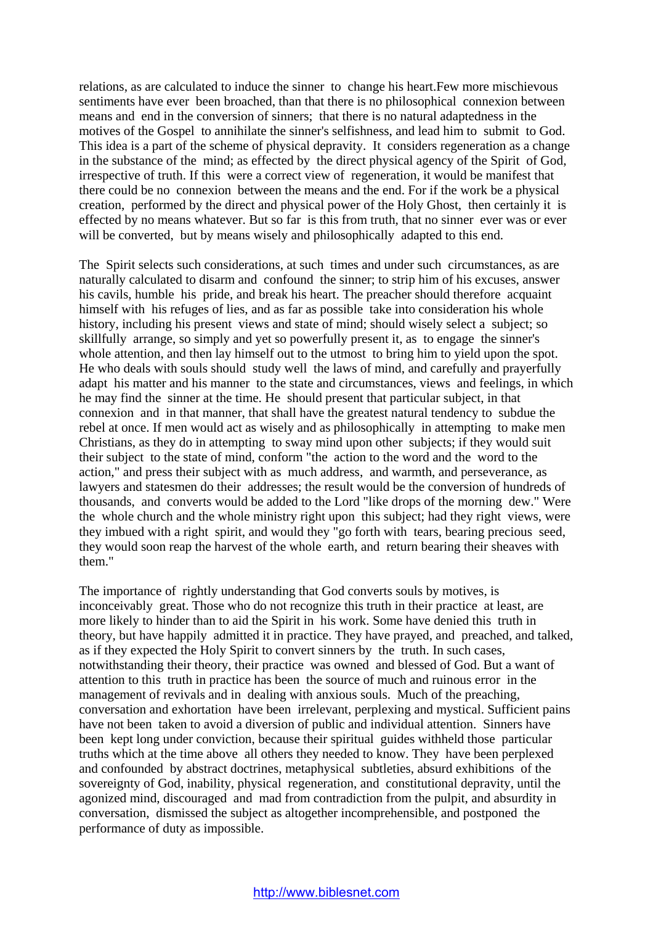relations, as are calculated to induce the sinner to change his heart.Few more mischievous sentiments have ever been broached, than that there is no philosophical connexion between means and end in the conversion of sinners; that there is no natural adaptedness in the motives of the Gospel to annihilate the sinner's selfishness, and lead him to submit to God. This idea is a part of the scheme of physical depravity. It considers regeneration as a change in the substance of the mind; as effected by the direct physical agency of the Spirit of God, irrespective of truth. If this were a correct view of regeneration, it would be manifest that there could be no connexion between the means and the end. For if the work be a physical creation, performed by the direct and physical power of the Holy Ghost, then certainly it is effected by no means whatever. But so far is this from truth, that no sinner ever was or ever will be converted, but by means wisely and philosophically adapted to this end.

The Spirit selects such considerations, at such times and under such circumstances, as are naturally calculated to disarm and confound the sinner; to strip him of his excuses, answer his cavils, humble his pride, and break his heart. The preacher should therefore acquaint himself with his refuges of lies, and as far as possible take into consideration his whole history, including his present views and state of mind; should wisely select a subject; so skillfully arrange, so simply and yet so powerfully present it, as to engage the sinner's whole attention, and then lay himself out to the utmost to bring him to yield upon the spot. He who deals with souls should study well the laws of mind, and carefully and prayerfully adapt his matter and his manner to the state and circumstances, views and feelings, in which he may find the sinner at the time. He should present that particular subject, in that connexion and in that manner, that shall have the greatest natural tendency to subdue the rebel at once. If men would act as wisely and as philosophically in attempting to make men Christians, as they do in attempting to sway mind upon other subjects; if they would suit their subject to the state of mind, conform "the action to the word and the word to the action," and press their subject with as much address, and warmth, and perseverance, as lawyers and statesmen do their addresses; the result would be the conversion of hundreds of thousands, and converts would be added to the Lord "like drops of the morning dew." Were the whole church and the whole ministry right upon this subject; had they right views, were they imbued with a right spirit, and would they "go forth with tears, bearing precious seed, they would soon reap the harvest of the whole earth, and return bearing their sheaves with them."

The importance of rightly understanding that God converts souls by motives, is inconceivably great. Those who do not recognize this truth in their practice at least, are more likely to hinder than to aid the Spirit in his work. Some have denied this truth in theory, but have happily admitted it in practice. They have prayed, and preached, and talked, as if they expected the Holy Spirit to convert sinners by the truth. In such cases, notwithstanding their theory, their practice was owned and blessed of God. But a want of attention to this truth in practice has been the source of much and ruinous error in the management of revivals and in dealing with anxious souls. Much of the preaching, conversation and exhortation have been irrelevant, perplexing and mystical. Sufficient pains have not been taken to avoid a diversion of public and individual attention. Sinners have been kept long under conviction, because their spiritual guides withheld those particular truths which at the time above all others they needed to know. They have been perplexed and confounded by abstract doctrines, metaphysical subtleties, absurd exhibitions of the sovereignty of God, inability, physical regeneration, and constitutional depravity, until the agonized mind, discouraged and mad from contradiction from the pulpit, and absurdity in conversation, dismissed the subject as altogether incomprehensible, and postponed the performance of duty as impossible.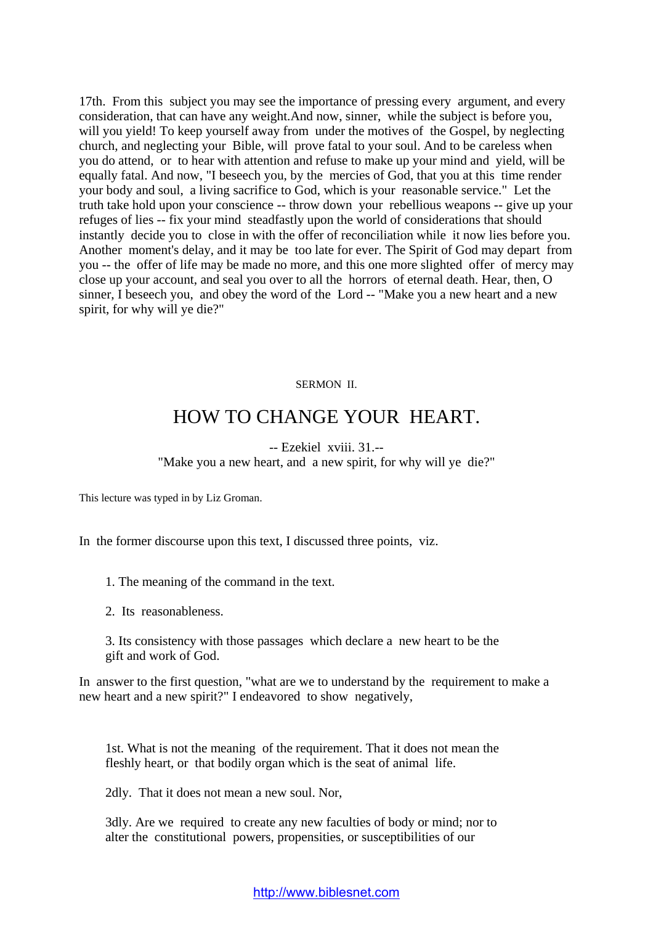17th. From this subject you may see the importance of pressing every argument, and every consideration, that can have any weight.And now, sinner, while the subject is before you, will you yield! To keep yourself away from under the motives of the Gospel, by neglecting church, and neglecting your Bible, will prove fatal to your soul. And to be careless when you do attend, or to hear with attention and refuse to make up your mind and yield, will be equally fatal. And now, "I beseech you, by the mercies of God, that you at this time render your body and soul, a living sacrifice to God, which is your reasonable service." Let the truth take hold upon your conscience -- throw down your rebellious weapons -- give up your refuges of lies -- fix your mind steadfastly upon the world of considerations that should instantly decide you to close in with the offer of reconciliation while it now lies before you. Another moment's delay, and it may be too late for ever. The Spirit of God may depart from you -- the offer of life may be made no more, and this one more slighted offer of mercy may close up your account, and seal you over to all the horrors of eternal death. Hear, then, O sinner, I beseech you, and obey the word of the Lord -- "Make you a new heart and a new spirit, for why will ye die?"

#### SERMON II.

# HOW TO CHANGE YOUR HEART.

-- Ezekiel xviii. 31.-- "Make you a new heart, and a new spirit, for why will ye die?"

This lecture was typed in by Liz Groman.

In the former discourse upon this text, I discussed three points, viz.

- 1. The meaning of the command in the text.
- 2. Its reasonableness.

3. Its consistency with those passages which declare a new heart to be the gift and work of God.

In answer to the first question, "what are we to understand by the requirement to make a new heart and a new spirit?" I endeavored to show negatively,

1st. What is not the meaning of the requirement. That it does not mean the fleshly heart, or that bodily organ which is the seat of animal life.

2dly. That it does not mean a new soul. Nor,

3dly. Are we required to create any new faculties of body or mind; nor to alter the constitutional powers, propensities, or susceptibilities of our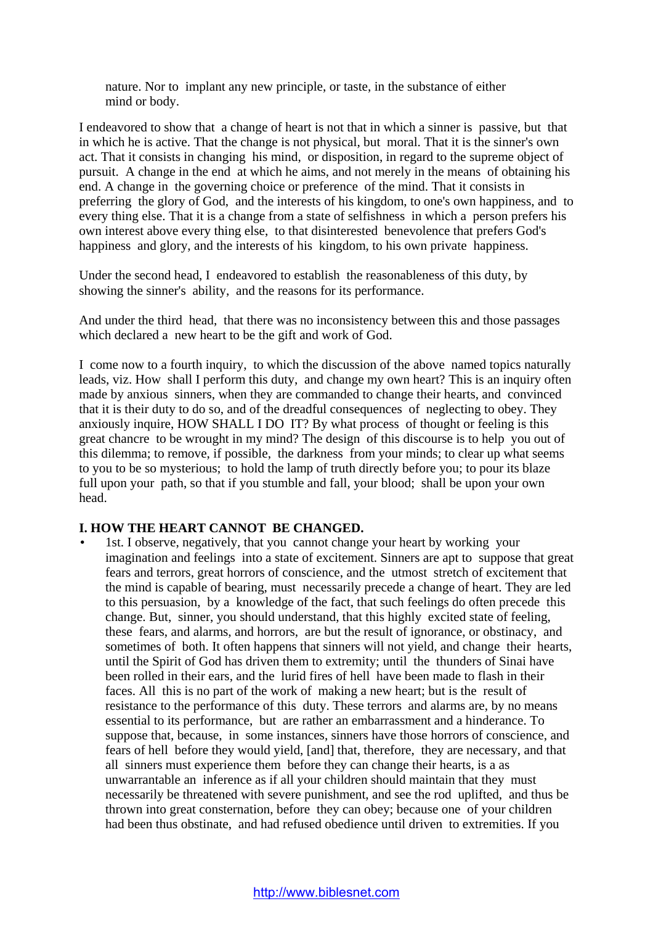nature. Nor to implant any new principle, or taste, in the substance of either mind or body.

I endeavored to show that a change of heart is not that in which a sinner is passive, but that in which he is active. That the change is not physical, but moral. That it is the sinner's own act. That it consists in changing his mind, or disposition, in regard to the supreme object of pursuit. A change in the end at which he aims, and not merely in the means of obtaining his end. A change in the governing choice or preference of the mind. That it consists in preferring the glory of God, and the interests of his kingdom, to one's own happiness, and to every thing else. That it is a change from a state of selfishness in which a person prefers his own interest above every thing else, to that disinterested benevolence that prefers God's happiness and glory, and the interests of his kingdom, to his own private happiness.

Under the second head, I endeavored to establish the reasonableness of this duty, by showing the sinner's ability, and the reasons for its performance.

And under the third head, that there was no inconsistency between this and those passages which declared a new heart to be the gift and work of God.

I come now to a fourth inquiry, to which the discussion of the above named topics naturally leads, viz. How shall I perform this duty, and change my own heart? This is an inquiry often made by anxious sinners, when they are commanded to change their hearts, and convinced that it is their duty to do so, and of the dreadful consequences of neglecting to obey. They anxiously inquire, HOW SHALL I DO IT? By what process of thought or feeling is this great chancre to be wrought in my mind? The design of this discourse is to help you out of this dilemma; to remove, if possible, the darkness from your minds; to clear up what seems to you to be so mysterious; to hold the lamp of truth directly before you; to pour its blaze full upon your path, so that if you stumble and fall, your blood; shall be upon your own head.

#### **I. HOW THE HEART CANNOT BE CHANGED.**

• 1st. I observe, negatively, that you cannot change your heart by working your imagination and feelings into a state of excitement. Sinners are apt to suppose that great fears and terrors, great horrors of conscience, and the utmost stretch of excitement that the mind is capable of bearing, must necessarily precede a change of heart. They are led to this persuasion, by a knowledge of the fact, that such feelings do often precede this change. But, sinner, you should understand, that this highly excited state of feeling, these fears, and alarms, and horrors, are but the result of ignorance, or obstinacy, and sometimes of both. It often happens that sinners will not yield, and change their hearts, until the Spirit of God has driven them to extremity; until the thunders of Sinai have been rolled in their ears, and the lurid fires of hell have been made to flash in their faces. All this is no part of the work of making a new heart; but is the result of resistance to the performance of this duty. These terrors and alarms are, by no means essential to its performance, but are rather an embarrassment and a hinderance. To suppose that, because, in some instances, sinners have those horrors of conscience, and fears of hell before they would yield, [and] that, therefore, they are necessary, and that all sinners must experience them before they can change their hearts, is a as unwarrantable an inference as if all your children should maintain that they must necessarily be threatened with severe punishment, and see the rod uplifted, and thus be thrown into great consternation, before they can obey; because one of your children had been thus obstinate, and had refused obedience until driven to extremities. If you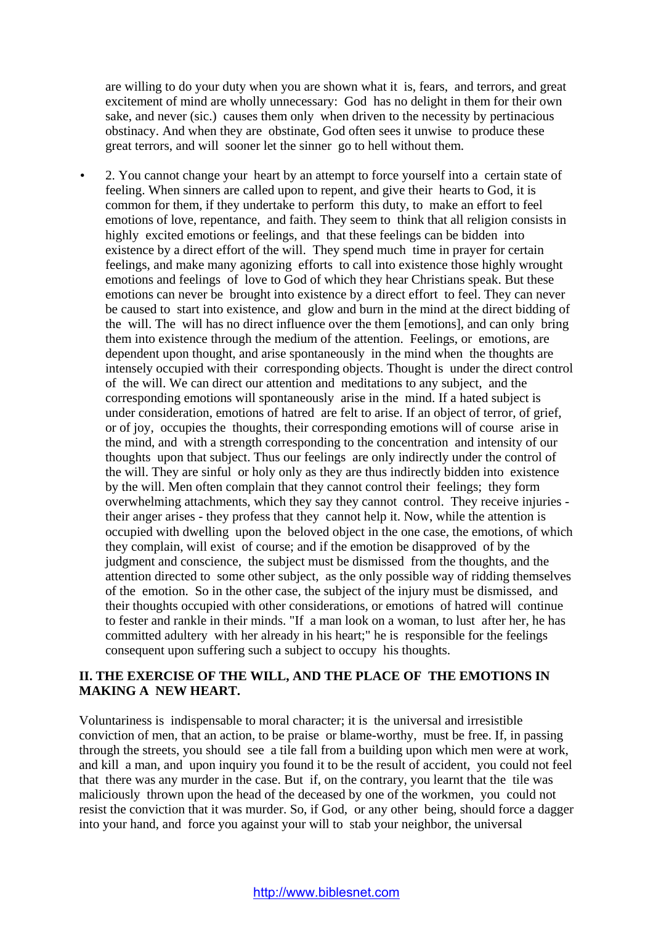are willing to do your duty when you are shown what it is, fears, and terrors, and great excitement of mind are wholly unnecessary: God has no delight in them for their own sake, and never (sic.) causes them only when driven to the necessity by pertinacious obstinacy. And when they are obstinate, God often sees it unwise to produce these great terrors, and will sooner let the sinner go to hell without them.

• 2. You cannot change your heart by an attempt to force yourself into a certain state of feeling. When sinners are called upon to repent, and give their hearts to God, it is common for them, if they undertake to perform this duty, to make an effort to feel emotions of love, repentance, and faith. They seem to think that all religion consists in highly excited emotions or feelings, and that these feelings can be bidden into existence by a direct effort of the will. They spend much time in prayer for certain feelings, and make many agonizing efforts to call into existence those highly wrought emotions and feelings of love to God of which they hear Christians speak. But these emotions can never be brought into existence by a direct effort to feel. They can never be caused to start into existence, and glow and burn in the mind at the direct bidding of the will. The will has no direct influence over the them [emotions], and can only bring them into existence through the medium of the attention. Feelings, or emotions, are dependent upon thought, and arise spontaneously in the mind when the thoughts are intensely occupied with their corresponding objects. Thought is under the direct control of the will. We can direct our attention and meditations to any subject, and the corresponding emotions will spontaneously arise in the mind. If a hated subject is under consideration, emotions of hatred are felt to arise. If an object of terror, of grief, or of joy, occupies the thoughts, their corresponding emotions will of course arise in the mind, and with a strength corresponding to the concentration and intensity of our thoughts upon that subject. Thus our feelings are only indirectly under the control of the will. They are sinful or holy only as they are thus indirectly bidden into existence by the will. Men often complain that they cannot control their feelings; they form overwhelming attachments, which they say they cannot control. They receive injuries their anger arises - they profess that they cannot help it. Now, while the attention is occupied with dwelling upon the beloved object in the one case, the emotions, of which they complain, will exist of course; and if the emotion be disapproved of by the judgment and conscience, the subject must be dismissed from the thoughts, and the attention directed to some other subject, as the only possible way of ridding themselves of the emotion. So in the other case, the subject of the injury must be dismissed, and their thoughts occupied with other considerations, or emotions of hatred will continue to fester and rankle in their minds. "If a man look on a woman, to lust after her, he has committed adultery with her already in his heart;" he is responsible for the feelings consequent upon suffering such a subject to occupy his thoughts.

#### **II. THE EXERCISE OF THE WILL, AND THE PLACE OF THE EMOTIONS IN MAKING A NEW HEART.**

Voluntariness is indispensable to moral character; it is the universal and irresistible conviction of men, that an action, to be praise or blame-worthy, must be free. If, in passing through the streets, you should see a tile fall from a building upon which men were at work, and kill a man, and upon inquiry you found it to be the result of accident, you could not feel that there was any murder in the case. But if, on the contrary, you learnt that the tile was maliciously thrown upon the head of the deceased by one of the workmen, you could not resist the conviction that it was murder. So, if God, or any other being, should force a dagger into your hand, and force you against your will to stab your neighbor, the universal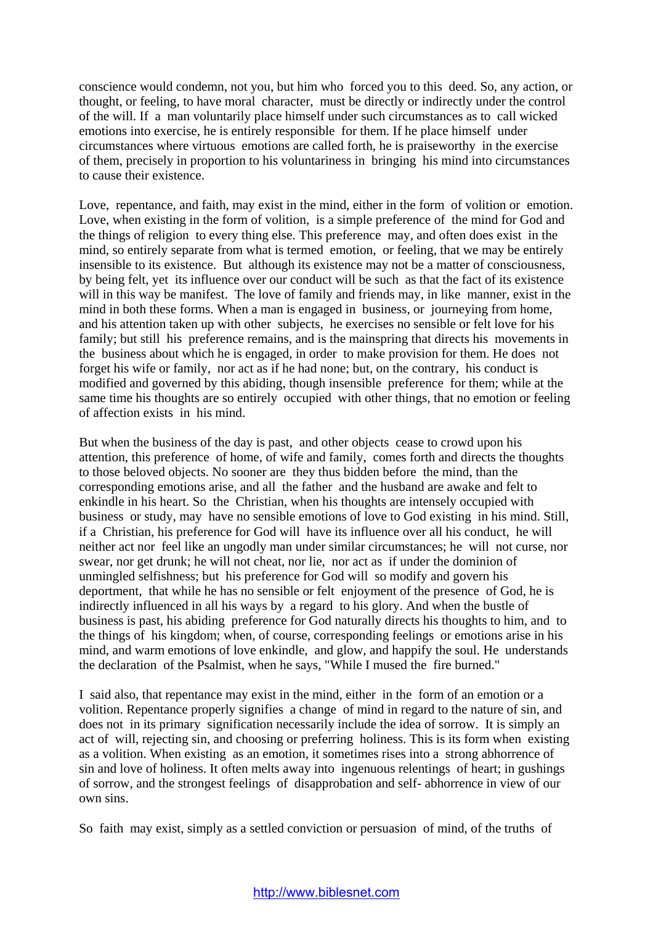conscience would condemn, not you, but him who forced you to this deed. So, any action, or thought, or feeling, to have moral character, must be directly or indirectly under the control of the will. If a man voluntarily place himself under such circumstances as to call wicked emotions into exercise, he is entirely responsible for them. If he place himself under circumstances where virtuous emotions are called forth, he is praiseworthy in the exercise of them, precisely in proportion to his voluntariness in bringing his mind into circumstances to cause their existence.

Love, repentance, and faith, may exist in the mind, either in the form of volition or emotion. Love, when existing in the form of volition, is a simple preference of the mind for God and the things of religion to every thing else. This preference may, and often does exist in the mind, so entirely separate from what is termed emotion, or feeling, that we may be entirely insensible to its existence. But although its existence may not be a matter of consciousness, by being felt, yet its influence over our conduct will be such as that the fact of its existence will in this way be manifest. The love of family and friends may, in like manner, exist in the mind in both these forms. When a man is engaged in business, or journeying from home, and his attention taken up with other subjects, he exercises no sensible or felt love for his family; but still his preference remains, and is the mainspring that directs his movements in the business about which he is engaged, in order to make provision for them. He does not forget his wife or family, nor act as if he had none; but, on the contrary, his conduct is modified and governed by this abiding, though insensible preference for them; while at the same time his thoughts are so entirely occupied with other things, that no emotion or feeling of affection exists in his mind.

But when the business of the day is past, and other objects cease to crowd upon his attention, this preference of home, of wife and family, comes forth and directs the thoughts to those beloved objects. No sooner are they thus bidden before the mind, than the corresponding emotions arise, and all the father and the husband are awake and felt to enkindle in his heart. So the Christian, when his thoughts are intensely occupied with business or study, may have no sensible emotions of love to God existing in his mind. Still, if a Christian, his preference for God will have its influence over all his conduct, he will neither act nor feel like an ungodly man under similar circumstances; he will not curse, nor swear, nor get drunk; he will not cheat, nor lie, nor act as if under the dominion of unmingled selfishness; but his preference for God will so modify and govern his deportment, that while he has no sensible or felt enjoyment of the presence of God, he is indirectly influenced in all his ways by a regard to his glory. And when the bustle of business is past, his abiding preference for God naturally directs his thoughts to him, and to the things of his kingdom; when, of course, corresponding feelings or emotions arise in his mind, and warm emotions of love enkindle, and glow, and happify the soul. He understands the declaration of the Psalmist, when he says, "While I mused the fire burned."

I said also, that repentance may exist in the mind, either in the form of an emotion or a volition. Repentance properly signifies a change of mind in regard to the nature of sin, and does not in its primary signification necessarily include the idea of sorrow. It is simply an act of will, rejecting sin, and choosing or preferring holiness. This is its form when existing as a volition. When existing as an emotion, it sometimes rises into a strong abhorrence of sin and love of holiness. It often melts away into ingenuous relentings of heart; in gushings of sorrow, and the strongest feelings of disapprobation and self- abhorrence in view of our own sins.

So faith may exist, simply as a settled conviction or persuasion of mind, of the truths of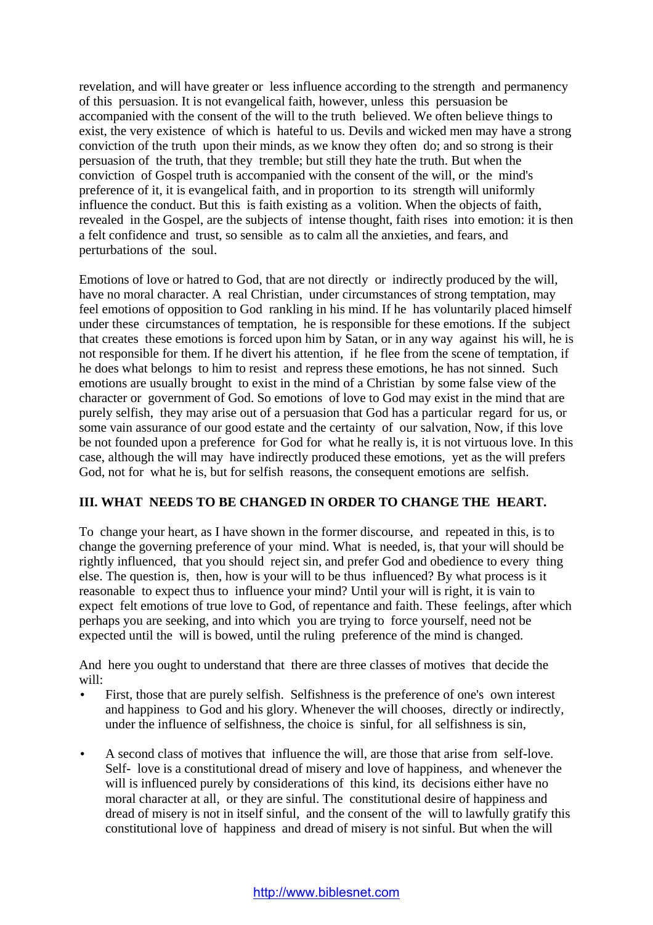revelation, and will have greater or less influence according to the strength and permanency of this persuasion. It is not evangelical faith, however, unless this persuasion be accompanied with the consent of the will to the truth believed. We often believe things to exist, the very existence of which is hateful to us. Devils and wicked men may have a strong conviction of the truth upon their minds, as we know they often do; and so strong is their persuasion of the truth, that they tremble; but still they hate the truth. But when the conviction of Gospel truth is accompanied with the consent of the will, or the mind's preference of it, it is evangelical faith, and in proportion to its strength will uniformly influence the conduct. But this is faith existing as a volition. When the objects of faith, revealed in the Gospel, are the subjects of intense thought, faith rises into emotion: it is then a felt confidence and trust, so sensible as to calm all the anxieties, and fears, and perturbations of the soul.

Emotions of love or hatred to God, that are not directly or indirectly produced by the will, have no moral character. A real Christian, under circumstances of strong temptation, may feel emotions of opposition to God rankling in his mind. If he has voluntarily placed himself under these circumstances of temptation, he is responsible for these emotions. If the subject that creates these emotions is forced upon him by Satan, or in any way against his will, he is not responsible for them. If he divert his attention, if he flee from the scene of temptation, if he does what belongs to him to resist and repress these emotions, he has not sinned. Such emotions are usually brought to exist in the mind of a Christian by some false view of the character or government of God. So emotions of love to God may exist in the mind that are purely selfish, they may arise out of a persuasion that God has a particular regard for us, or some vain assurance of our good estate and the certainty of our salvation, Now, if this love be not founded upon a preference for God for what he really is, it is not virtuous love. In this case, although the will may have indirectly produced these emotions, yet as the will prefers God, not for what he is, but for selfish reasons, the consequent emotions are selfish.

## **III. WHAT NEEDS TO BE CHANGED IN ORDER TO CHANGE THE HEART.**

To change your heart, as I have shown in the former discourse, and repeated in this, is to change the governing preference of your mind. What is needed, is, that your will should be rightly influenced, that you should reject sin, and prefer God and obedience to every thing else. The question is, then, how is your will to be thus influenced? By what process is it reasonable to expect thus to influence your mind? Until your will is right, it is vain to expect felt emotions of true love to God, of repentance and faith. These feelings, after which perhaps you are seeking, and into which you are trying to force yourself, need not be expected until the will is bowed, until the ruling preference of the mind is changed.

And here you ought to understand that there are three classes of motives that decide the will:

- First, those that are purely selfish. Selfishness is the preference of one's own interest and happiness to God and his glory. Whenever the will chooses, directly or indirectly, under the influence of selfishness, the choice is sinful, for all selfishness is sin,
- A second class of motives that influence the will, are those that arise from self-love. Self- love is a constitutional dread of misery and love of happiness, and whenever the will is influenced purely by considerations of this kind, its decisions either have no moral character at all, or they are sinful. The constitutional desire of happiness and dread of misery is not in itself sinful, and the consent of the will to lawfully gratify this constitutional love of happiness and dread of misery is not sinful. But when the will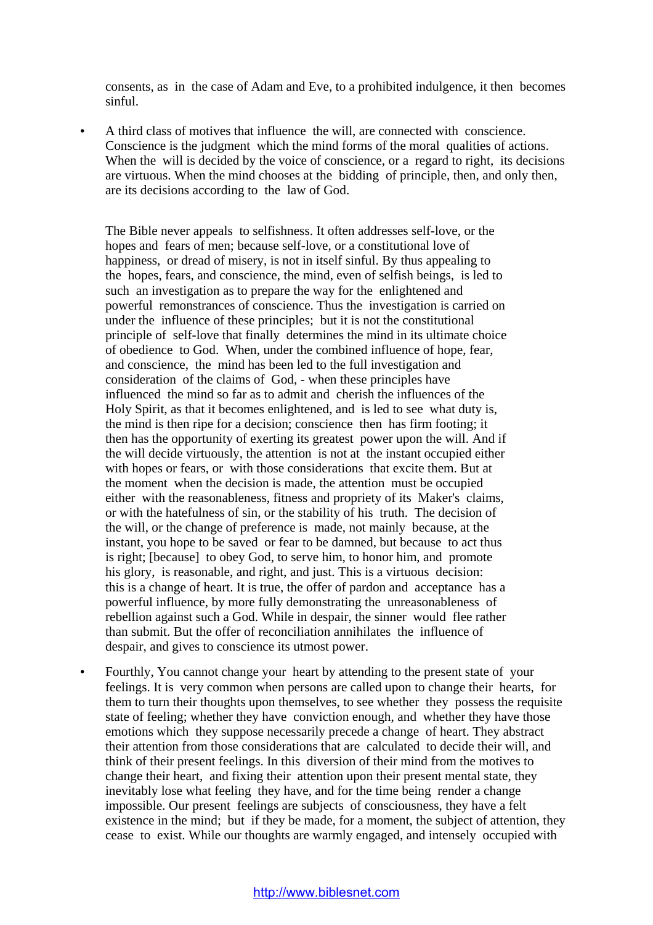consents, as in the case of Adam and Eve, to a prohibited indulgence, it then becomes sinful.

• A third class of motives that influence the will, are connected with conscience. Conscience is the judgment which the mind forms of the moral qualities of actions. When the will is decided by the voice of conscience, or a regard to right, its decisions are virtuous. When the mind chooses at the bidding of principle, then, and only then, are its decisions according to the law of God.

The Bible never appeals to selfishness. It often addresses self-love, or the hopes and fears of men; because self-love, or a constitutional love of happiness, or dread of misery, is not in itself sinful. By thus appealing to the hopes, fears, and conscience, the mind, even of selfish beings, is led to such an investigation as to prepare the way for the enlightened and powerful remonstrances of conscience. Thus the investigation is carried on under the influence of these principles; but it is not the constitutional principle of self-love that finally determines the mind in its ultimate choice of obedience to God. When, under the combined influence of hope, fear, and conscience, the mind has been led to the full investigation and consideration of the claims of God, - when these principles have influenced the mind so far as to admit and cherish the influences of the Holy Spirit, as that it becomes enlightened, and is led to see what duty is, the mind is then ripe for a decision; conscience then has firm footing; it then has the opportunity of exerting its greatest power upon the will. And if the will decide virtuously, the attention is not at the instant occupied either with hopes or fears, or with those considerations that excite them. But at the moment when the decision is made, the attention must be occupied either with the reasonableness, fitness and propriety of its Maker's claims, or with the hatefulness of sin, or the stability of his truth. The decision of the will, or the change of preference is made, not mainly because, at the instant, you hope to be saved or fear to be damned, but because to act thus is right; [because] to obey God, to serve him, to honor him, and promote his glory, is reasonable, and right, and just. This is a virtuous decision: this is a change of heart. It is true, the offer of pardon and acceptance has a powerful influence, by more fully demonstrating the unreasonableness of rebellion against such a God. While in despair, the sinner would flee rather than submit. But the offer of reconciliation annihilates the influence of despair, and gives to conscience its utmost power.

• Fourthly, You cannot change your heart by attending to the present state of your feelings. It is very common when persons are called upon to change their hearts, for them to turn their thoughts upon themselves, to see whether they possess the requisite state of feeling; whether they have conviction enough, and whether they have those emotions which they suppose necessarily precede a change of heart. They abstract their attention from those considerations that are calculated to decide their will, and think of their present feelings. In this diversion of their mind from the motives to change their heart, and fixing their attention upon their present mental state, they inevitably lose what feeling they have, and for the time being render a change impossible. Our present feelings are subjects of consciousness, they have a felt existence in the mind; but if they be made, for a moment, the subject of attention, they cease to exist. While our thoughts are warmly engaged, and intensely occupied with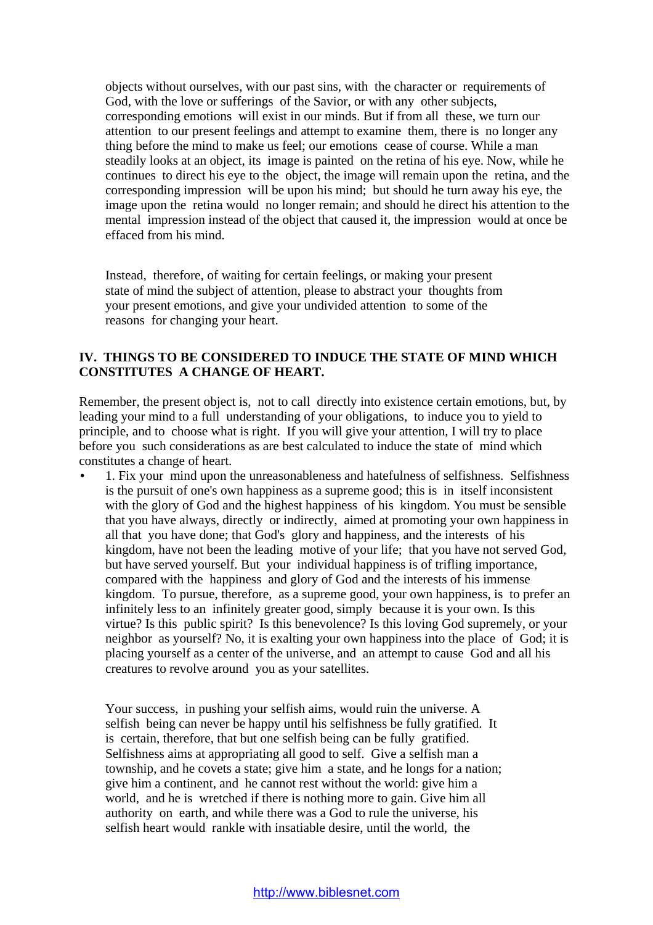objects without ourselves, with our past sins, with the character or requirements of God, with the love or sufferings of the Savior, or with any other subjects, corresponding emotions will exist in our minds. But if from all these, we turn our attention to our present feelings and attempt to examine them, there is no longer any thing before the mind to make us feel; our emotions cease of course. While a man steadily looks at an object, its image is painted on the retina of his eye. Now, while he continues to direct his eye to the object, the image will remain upon the retina, and the corresponding impression will be upon his mind; but should he turn away his eye, the image upon the retina would no longer remain; and should he direct his attention to the mental impression instead of the object that caused it, the impression would at once be effaced from his mind.

Instead, therefore, of waiting for certain feelings, or making your present state of mind the subject of attention, please to abstract your thoughts from your present emotions, and give your undivided attention to some of the reasons for changing your heart.

#### **IV. THINGS TO BE CONSIDERED TO INDUCE THE STATE OF MIND WHICH CONSTITUTES A CHANGE OF HEART.**

Remember, the present object is, not to call directly into existence certain emotions, but, by leading your mind to a full understanding of your obligations, to induce you to yield to principle, and to choose what is right. If you will give your attention, I will try to place before you such considerations as are best calculated to induce the state of mind which constitutes a change of heart.

• 1. Fix your mind upon the unreasonableness and hatefulness of selfishness. Selfishness is the pursuit of one's own happiness as a supreme good; this is in itself inconsistent with the glory of God and the highest happiness of his kingdom. You must be sensible that you have always, directly or indirectly, aimed at promoting your own happiness in all that you have done; that God's glory and happiness, and the interests of his kingdom, have not been the leading motive of your life; that you have not served God, but have served yourself. But your individual happiness is of trifling importance, compared with the happiness and glory of God and the interests of his immense kingdom. To pursue, therefore, as a supreme good, your own happiness, is to prefer an infinitely less to an infinitely greater good, simply because it is your own. Is this virtue? Is this public spirit? Is this benevolence? Is this loving God supremely, or your neighbor as yourself? No, it is exalting your own happiness into the place of God; it is placing yourself as a center of the universe, and an attempt to cause God and all his creatures to revolve around you as your satellites.

Your success, in pushing your selfish aims, would ruin the universe. A selfish being can never be happy until his selfishness be fully gratified. It is certain, therefore, that but one selfish being can be fully gratified. Selfishness aims at appropriating all good to self. Give a selfish man a township, and he covets a state; give him a state, and he longs for a nation; give him a continent, and he cannot rest without the world: give him a world, and he is wretched if there is nothing more to gain. Give him all authority on earth, and while there was a God to rule the universe, his selfish heart would rankle with insatiable desire, until the world, the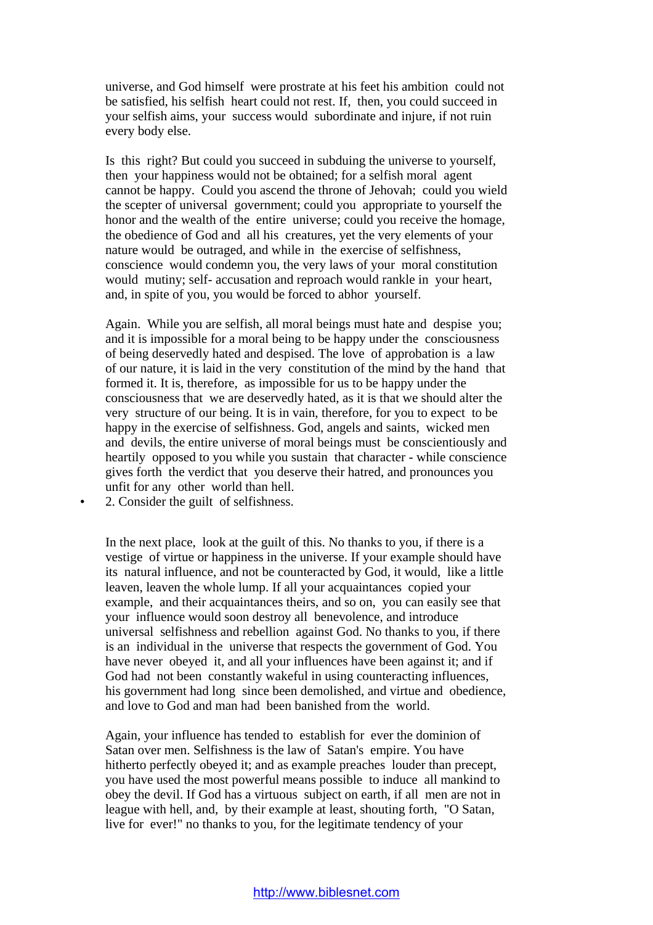universe, and God himself were prostrate at his feet his ambition could not be satisfied, his selfish heart could not rest. If, then, you could succeed in your selfish aims, your success would subordinate and injure, if not ruin every body else.

Is this right? But could you succeed in subduing the universe to yourself, then your happiness would not be obtained; for a selfish moral agent cannot be happy. Could you ascend the throne of Jehovah; could you wield the scepter of universal government; could you appropriate to yourself the honor and the wealth of the entire universe; could you receive the homage, the obedience of God and all his creatures, yet the very elements of your nature would be outraged, and while in the exercise of selfishness, conscience would condemn you, the very laws of your moral constitution would mutiny; self- accusation and reproach would rankle in your heart, and, in spite of you, you would be forced to abhor yourself.

Again. While you are selfish, all moral beings must hate and despise you; and it is impossible for a moral being to be happy under the consciousness of being deservedly hated and despised. The love of approbation is a law of our nature, it is laid in the very constitution of the mind by the hand that formed it. It is, therefore, as impossible for us to be happy under the consciousness that we are deservedly hated, as it is that we should alter the very structure of our being. It is in vain, therefore, for you to expect to be happy in the exercise of selfishness. God, angels and saints, wicked men and devils, the entire universe of moral beings must be conscientiously and heartily opposed to you while you sustain that character - while conscience gives forth the verdict that you deserve their hatred, and pronounces you unfit for any other world than hell.

• 2. Consider the guilt of selfishness.

In the next place, look at the guilt of this. No thanks to you, if there is a vestige of virtue or happiness in the universe. If your example should have its natural influence, and not be counteracted by God, it would, like a little leaven, leaven the whole lump. If all your acquaintances copied your example, and their acquaintances theirs, and so on, you can easily see that your influence would soon destroy all benevolence, and introduce universal selfishness and rebellion against God. No thanks to you, if there is an individual in the universe that respects the government of God. You have never obeyed it, and all your influences have been against it; and if God had not been constantly wakeful in using counteracting influences, his government had long since been demolished, and virtue and obedience, and love to God and man had been banished from the world.

Again, your influence has tended to establish for ever the dominion of Satan over men. Selfishness is the law of Satan's empire. You have hitherto perfectly obeyed it; and as example preaches louder than precept, you have used the most powerful means possible to induce all mankind to obey the devil. If God has a virtuous subject on earth, if all men are not in league with hell, and, by their example at least, shouting forth, "O Satan, live for ever!" no thanks to you, for the legitimate tendency of your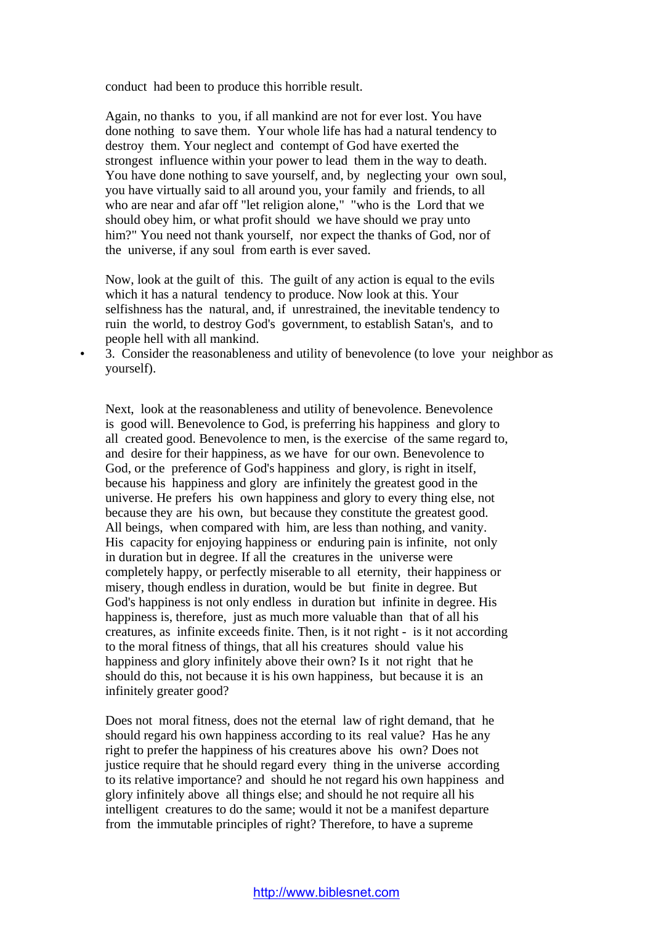conduct had been to produce this horrible result.

Again, no thanks to you, if all mankind are not for ever lost. You have done nothing to save them. Your whole life has had a natural tendency to destroy them. Your neglect and contempt of God have exerted the strongest influence within your power to lead them in the way to death. You have done nothing to save yourself, and, by neglecting your own soul, you have virtually said to all around you, your family and friends, to all who are near and afar off "let religion alone," "who is the Lord that we should obey him, or what profit should we have should we pray unto him?" You need not thank yourself, nor expect the thanks of God, nor of the universe, if any soul from earth is ever saved.

Now, look at the guilt of this. The guilt of any action is equal to the evils which it has a natural tendency to produce. Now look at this. Your selfishness has the natural, and, if unrestrained, the inevitable tendency to ruin the world, to destroy God's government, to establish Satan's, and to people hell with all mankind.

• 3. Consider the reasonableness and utility of benevolence (to love your neighbor as yourself).

Next, look at the reasonableness and utility of benevolence. Benevolence is good will. Benevolence to God, is preferring his happiness and glory to all created good. Benevolence to men, is the exercise of the same regard to, and desire for their happiness, as we have for our own. Benevolence to God, or the preference of God's happiness and glory, is right in itself, because his happiness and glory are infinitely the greatest good in the universe. He prefers his own happiness and glory to every thing else, not because they are his own, but because they constitute the greatest good. All beings, when compared with him, are less than nothing, and vanity. His capacity for enjoying happiness or enduring pain is infinite, not only in duration but in degree. If all the creatures in the universe were completely happy, or perfectly miserable to all eternity, their happiness or misery, though endless in duration, would be but finite in degree. But God's happiness is not only endless in duration but infinite in degree. His happiness is, therefore, just as much more valuable than that of all his creatures, as infinite exceeds finite. Then, is it not right - is it not according to the moral fitness of things, that all his creatures should value his happiness and glory infinitely above their own? Is it not right that he should do this, not because it is his own happiness, but because it is an infinitely greater good?

Does not moral fitness, does not the eternal law of right demand, that he should regard his own happiness according to its real value? Has he any right to prefer the happiness of his creatures above his own? Does not justice require that he should regard every thing in the universe according to its relative importance? and should he not regard his own happiness and glory infinitely above all things else; and should he not require all his intelligent creatures to do the same; would it not be a manifest departure from the immutable principles of right? Therefore, to have a supreme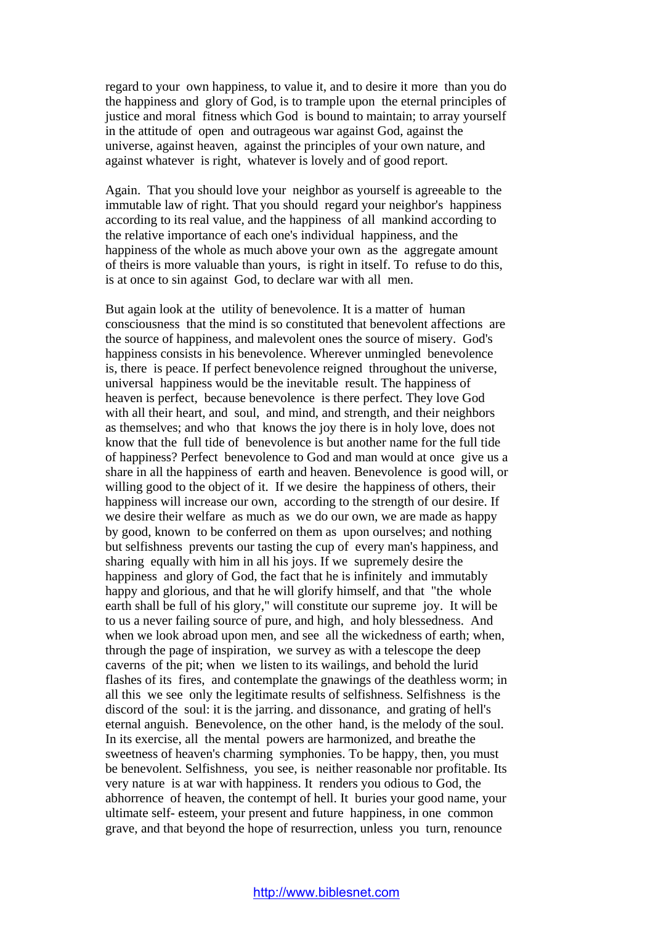regard to your own happiness, to value it, and to desire it more than you do the happiness and glory of God, is to trample upon the eternal principles of justice and moral fitness which God is bound to maintain; to array yourself in the attitude of open and outrageous war against God, against the universe, against heaven, against the principles of your own nature, and against whatever is right, whatever is lovely and of good report.

Again. That you should love your neighbor as yourself is agreeable to the immutable law of right. That you should regard your neighbor's happiness according to its real value, and the happiness of all mankind according to the relative importance of each one's individual happiness, and the happiness of the whole as much above your own as the aggregate amount of theirs is more valuable than yours, is right in itself. To refuse to do this, is at once to sin against God, to declare war with all men.

But again look at the utility of benevolence. It is a matter of human consciousness that the mind is so constituted that benevolent affections are the source of happiness, and malevolent ones the source of misery. God's happiness consists in his benevolence. Wherever unmingled benevolence is, there is peace. If perfect benevolence reigned throughout the universe, universal happiness would be the inevitable result. The happiness of heaven is perfect, because benevolence is there perfect. They love God with all their heart, and soul, and mind, and strength, and their neighbors as themselves; and who that knows the joy there is in holy love, does not know that the full tide of benevolence is but another name for the full tide of happiness? Perfect benevolence to God and man would at once give us a share in all the happiness of earth and heaven. Benevolence is good will, or willing good to the object of it. If we desire the happiness of others, their happiness will increase our own, according to the strength of our desire. If we desire their welfare as much as we do our own, we are made as happy by good, known to be conferred on them as upon ourselves; and nothing but selfishness prevents our tasting the cup of every man's happiness, and sharing equally with him in all his joys. If we supremely desire the happiness and glory of God, the fact that he is infinitely and immutably happy and glorious, and that he will glorify himself, and that "the whole earth shall be full of his glory," will constitute our supreme joy. It will be to us a never failing source of pure, and high, and holy blessedness. And when we look abroad upon men, and see all the wickedness of earth; when, through the page of inspiration, we survey as with a telescope the deep caverns of the pit; when we listen to its wailings, and behold the lurid flashes of its fires, and contemplate the gnawings of the deathless worm; in all this we see only the legitimate results of selfishness. Selfishness is the discord of the soul: it is the jarring. and dissonance, and grating of hell's eternal anguish. Benevolence, on the other hand, is the melody of the soul. In its exercise, all the mental powers are harmonized, and breathe the sweetness of heaven's charming symphonies. To be happy, then, you must be benevolent. Selfishness, you see, is neither reasonable nor profitable. Its very nature is at war with happiness. It renders you odious to God, the abhorrence of heaven, the contempt of hell. It buries your good name, your ultimate self- esteem, your present and future happiness, in one common grave, and that beyond the hope of resurrection, unless you turn, renounce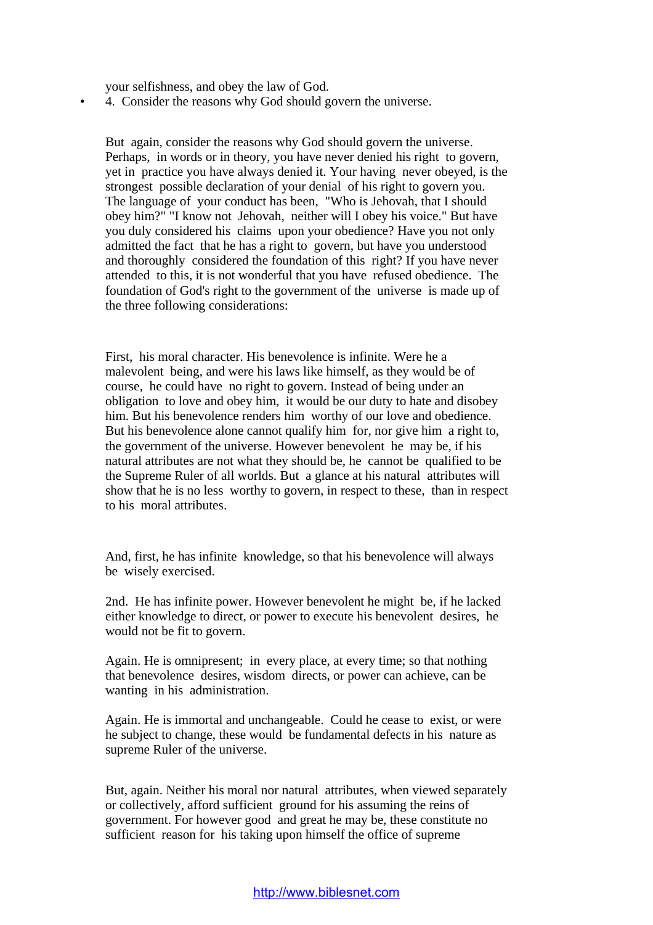your selfishness, and obey the law of God.

4. Consider the reasons why God should govern the universe.

But again, consider the reasons why God should govern the universe. Perhaps, in words or in theory, you have never denied his right to govern, yet in practice you have always denied it. Your having never obeyed, is the strongest possible declaration of your denial of his right to govern you. The language of your conduct has been, "Who is Jehovah, that I should obey him?" "I know not Jehovah, neither will I obey his voice." But have you duly considered his claims upon your obedience? Have you not only admitted the fact that he has a right to govern, but have you understood and thoroughly considered the foundation of this right? If you have never attended to this, it is not wonderful that you have refused obedience. The foundation of God's right to the government of the universe is made up of the three following considerations:

First, his moral character. His benevolence is infinite. Were he a malevolent being, and were his laws like himself, as they would be of course, he could have no right to govern. Instead of being under an obligation to love and obey him, it would be our duty to hate and disobey him. But his benevolence renders him worthy of our love and obedience. But his benevolence alone cannot qualify him for, nor give him a right to, the government of the universe. However benevolent he may be, if his natural attributes are not what they should be, he cannot be qualified to be the Supreme Ruler of all worlds. But a glance at his natural attributes will show that he is no less worthy to govern, in respect to these, than in respect to his moral attributes.

And, first, he has infinite knowledge, so that his benevolence will always be wisely exercised.

2nd. He has infinite power. However benevolent he might be, if he lacked either knowledge to direct, or power to execute his benevolent desires, he would not be fit to govern.

Again. He is omnipresent; in every place, at every time; so that nothing that benevolence desires, wisdom directs, or power can achieve, can be wanting in his administration.

Again. He is immortal and unchangeable. Could he cease to exist, or were he subject to change, these would be fundamental defects in his nature as supreme Ruler of the universe.

But, again. Neither his moral nor natural attributes, when viewed separately or collectively, afford sufficient ground for his assuming the reins of government. For however good and great he may be, these constitute no sufficient reason for his taking upon himself the office of supreme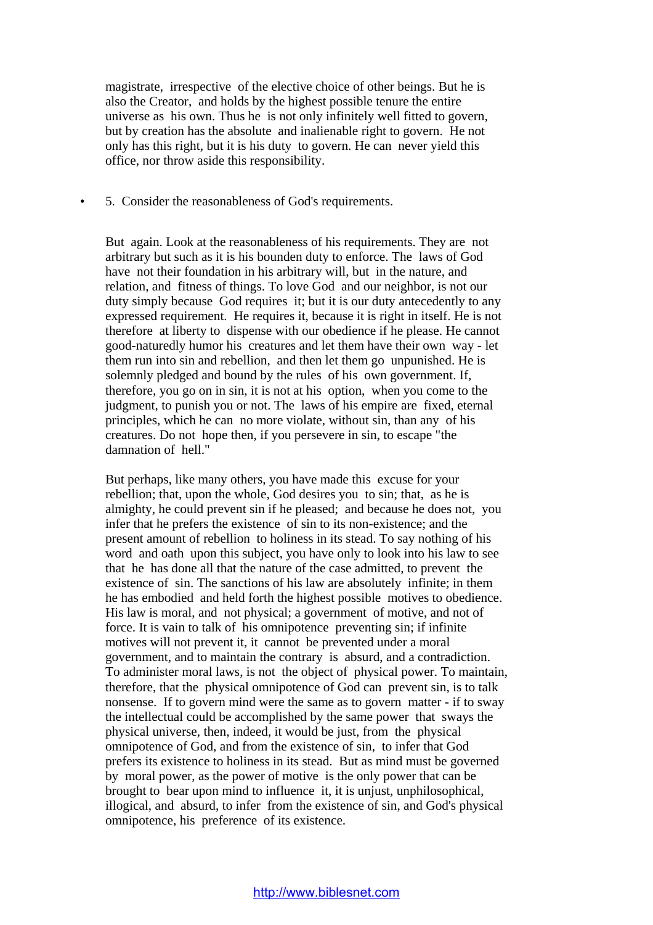magistrate, irrespective of the elective choice of other beings. But he is also the Creator, and holds by the highest possible tenure the entire universe as his own. Thus he is not only infinitely well fitted to govern, but by creation has the absolute and inalienable right to govern. He not only has this right, but it is his duty to govern. He can never yield this office, nor throw aside this responsibility.

• 5. Consider the reasonableness of God's requirements.

But again. Look at the reasonableness of his requirements. They are not arbitrary but such as it is his bounden duty to enforce. The laws of God have not their foundation in his arbitrary will, but in the nature, and relation, and fitness of things. To love God and our neighbor, is not our duty simply because God requires it; but it is our duty antecedently to any expressed requirement. He requires it, because it is right in itself. He is not therefore at liberty to dispense with our obedience if he please. He cannot good-naturedly humor his creatures and let them have their own way - let them run into sin and rebellion, and then let them go unpunished. He is solemnly pledged and bound by the rules of his own government. If, therefore, you go on in sin, it is not at his option, when you come to the judgment, to punish you or not. The laws of his empire are fixed, eternal principles, which he can no more violate, without sin, than any of his creatures. Do not hope then, if you persevere in sin, to escape "the damnation of hell."

But perhaps, like many others, you have made this excuse for your rebellion; that, upon the whole, God desires you to sin; that, as he is almighty, he could prevent sin if he pleased; and because he does not, you infer that he prefers the existence of sin to its non-existence; and the present amount of rebellion to holiness in its stead. To say nothing of his word and oath upon this subject, you have only to look into his law to see that he has done all that the nature of the case admitted, to prevent the existence of sin. The sanctions of his law are absolutely infinite; in them he has embodied and held forth the highest possible motives to obedience. His law is moral, and not physical; a government of motive, and not of force. It is vain to talk of his omnipotence preventing sin; if infinite motives will not prevent it, it cannot be prevented under a moral government, and to maintain the contrary is absurd, and a contradiction. To administer moral laws, is not the object of physical power. To maintain, therefore, that the physical omnipotence of God can prevent sin, is to talk nonsense. If to govern mind were the same as to govern matter - if to sway the intellectual could be accomplished by the same power that sways the physical universe, then, indeed, it would be just, from the physical omnipotence of God, and from the existence of sin, to infer that God prefers its existence to holiness in its stead. But as mind must be governed by moral power, as the power of motive is the only power that can be brought to bear upon mind to influence it, it is unjust, unphilosophical, illogical, and absurd, to infer from the existence of sin, and God's physical omnipotence, his preference of its existence.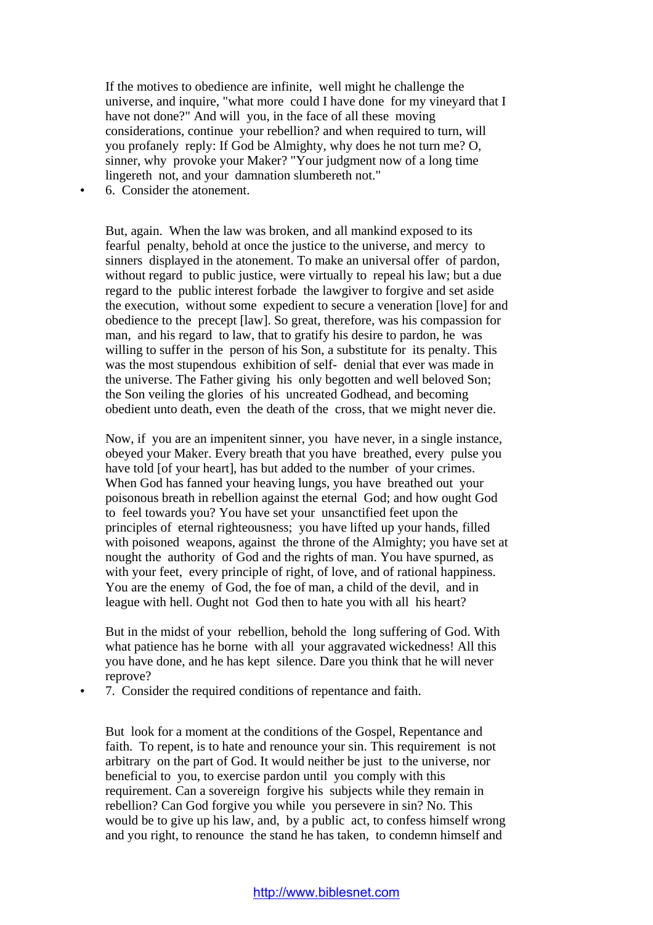If the motives to obedience are infinite, well might he challenge the universe, and inquire, "what more could I have done for my vineyard that I have not done?" And will you, in the face of all these moving considerations, continue your rebellion? and when required to turn, will you profanely reply: If God be Almighty, why does he not turn me? O, sinner, why provoke your Maker? "Your judgment now of a long time lingereth not, and your damnation slumbereth not."

• 6. Consider the atonement.

But, again. When the law was broken, and all mankind exposed to its fearful penalty, behold at once the justice to the universe, and mercy to sinners displayed in the atonement. To make an universal offer of pardon, without regard to public justice, were virtually to repeal his law; but a due regard to the public interest forbade the lawgiver to forgive and set aside the execution, without some expedient to secure a veneration [love] for and obedience to the precept [law]. So great, therefore, was his compassion for man, and his regard to law, that to gratify his desire to pardon, he was willing to suffer in the person of his Son, a substitute for its penalty. This was the most stupendous exhibition of self- denial that ever was made in the universe. The Father giving his only begotten and well beloved Son; the Son veiling the glories of his uncreated Godhead, and becoming obedient unto death, even the death of the cross, that we might never die.

Now, if you are an impenitent sinner, you have never, in a single instance, obeyed your Maker. Every breath that you have breathed, every pulse you have told [of your heart], has but added to the number of your crimes. When God has fanned your heaving lungs, you have breathed out your poisonous breath in rebellion against the eternal God; and how ought God to feel towards you? You have set your unsanctified feet upon the principles of eternal righteousness; you have lifted up your hands, filled with poisoned weapons, against the throne of the Almighty; you have set at nought the authority of God and the rights of man. You have spurned, as with your feet, every principle of right, of love, and of rational happiness. You are the enemy of God, the foe of man, a child of the devil, and in league with hell. Ought not God then to hate you with all his heart?

But in the midst of your rebellion, behold the long suffering of God. With what patience has he borne with all your aggravated wickedness! All this you have done, and he has kept silence. Dare you think that he will never reprove?

• 7. Consider the required conditions of repentance and faith.

But look for a moment at the conditions of the Gospel, Repentance and faith. To repent, is to hate and renounce your sin. This requirement is not arbitrary on the part of God. It would neither be just to the universe, nor beneficial to you, to exercise pardon until you comply with this requirement. Can a sovereign forgive his subjects while they remain in rebellion? Can God forgive you while you persevere in sin? No. This would be to give up his law, and, by a public act, to confess himself wrong and you right, to renounce the stand he has taken, to condemn himself and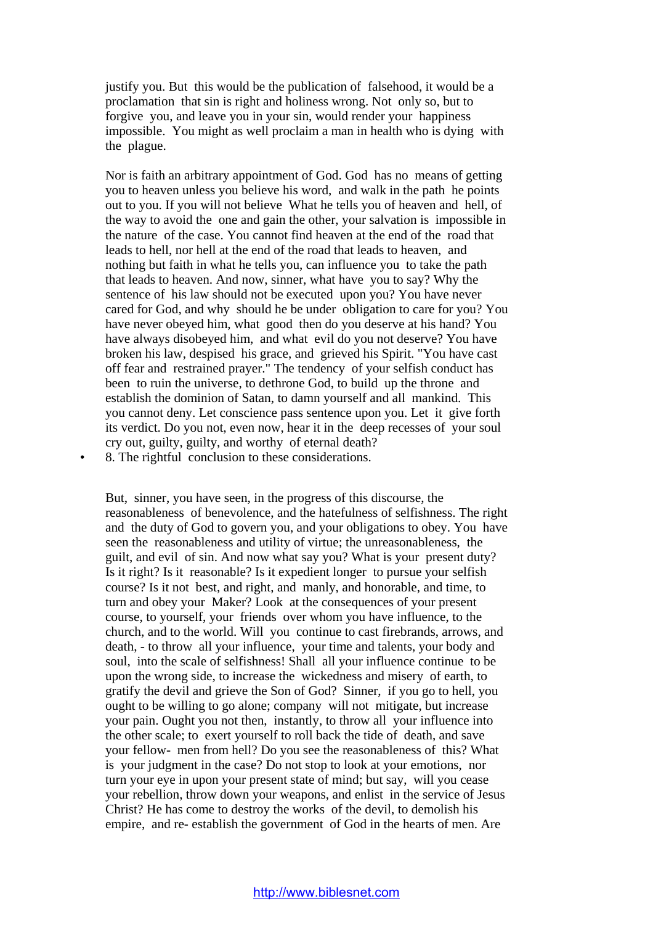justify you. But this would be the publication of falsehood, it would be a proclamation that sin is right and holiness wrong. Not only so, but to forgive you, and leave you in your sin, would render your happiness impossible. You might as well proclaim a man in health who is dying with the plague.

Nor is faith an arbitrary appointment of God. God has no means of getting you to heaven unless you believe his word, and walk in the path he points out to you. If you will not believe What he tells you of heaven and hell, of the way to avoid the one and gain the other, your salvation is impossible in the nature of the case. You cannot find heaven at the end of the road that leads to hell, nor hell at the end of the road that leads to heaven, and nothing but faith in what he tells you, can influence you to take the path that leads to heaven. And now, sinner, what have you to say? Why the sentence of his law should not be executed upon you? You have never cared for God, and why should he be under obligation to care for you? You have never obeyed him, what good then do you deserve at his hand? You have always disobeyed him, and what evil do you not deserve? You have broken his law, despised his grace, and grieved his Spirit. "You have cast off fear and restrained prayer." The tendency of your selfish conduct has been to ruin the universe, to dethrone God, to build up the throne and establish the dominion of Satan, to damn yourself and all mankind. This you cannot deny. Let conscience pass sentence upon you. Let it give forth its verdict. Do you not, even now, hear it in the deep recesses of your soul cry out, guilty, guilty, and worthy of eternal death?

8. The rightful conclusion to these considerations.

But, sinner, you have seen, in the progress of this discourse, the reasonableness of benevolence, and the hatefulness of selfishness. The right and the duty of God to govern you, and your obligations to obey. You have seen the reasonableness and utility of virtue; the unreasonableness, the guilt, and evil of sin. And now what say you? What is your present duty? Is it right? Is it reasonable? Is it expedient longer to pursue your selfish course? Is it not best, and right, and manly, and honorable, and time, to turn and obey your Maker? Look at the consequences of your present course, to yourself, your friends over whom you have influence, to the church, and to the world. Will you continue to cast firebrands, arrows, and death, - to throw all your influence, your time and talents, your body and soul, into the scale of selfishness! Shall all your influence continue to be upon the wrong side, to increase the wickedness and misery of earth, to gratify the devil and grieve the Son of God? Sinner, if you go to hell, you ought to be willing to go alone; company will not mitigate, but increase your pain. Ought you not then, instantly, to throw all your influence into the other scale; to exert yourself to roll back the tide of death, and save your fellow- men from hell? Do you see the reasonableness of this? What is your judgment in the case? Do not stop to look at your emotions, nor turn your eye in upon your present state of mind; but say, will you cease your rebellion, throw down your weapons, and enlist in the service of Jesus Christ? He has come to destroy the works of the devil, to demolish his empire, and re- establish the government of God in the hearts of men. Are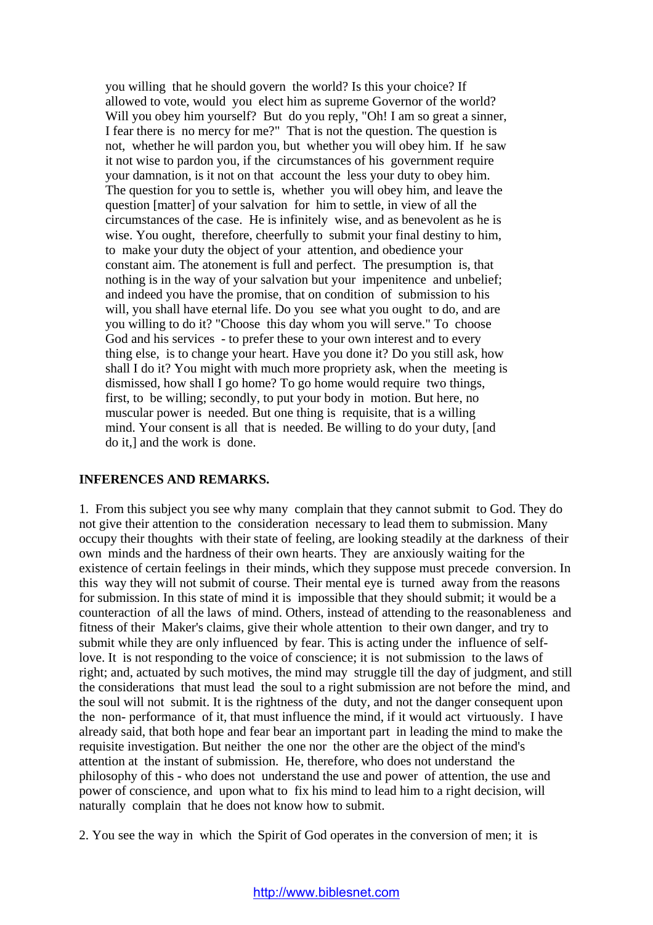you willing that he should govern the world? Is this your choice? If allowed to vote, would you elect him as supreme Governor of the world? Will you obey him yourself? But do you reply, "Oh! I am so great a sinner, I fear there is no mercy for me?" That is not the question. The question is not, whether he will pardon you, but whether you will obey him. If he saw it not wise to pardon you, if the circumstances of his government require your damnation, is it not on that account the less your duty to obey him. The question for you to settle is, whether you will obey him, and leave the question [matter] of your salvation for him to settle, in view of all the circumstances of the case. He is infinitely wise, and as benevolent as he is wise. You ought, therefore, cheerfully to submit your final destiny to him. to make your duty the object of your attention, and obedience your constant aim. The atonement is full and perfect. The presumption is, that nothing is in the way of your salvation but your impenitence and unbelief; and indeed you have the promise, that on condition of submission to his will, you shall have eternal life. Do you see what you ought to do, and are you willing to do it? "Choose this day whom you will serve." To choose God and his services - to prefer these to your own interest and to every thing else, is to change your heart. Have you done it? Do you still ask, how shall I do it? You might with much more propriety ask, when the meeting is dismissed, how shall I go home? To go home would require two things, first, to be willing; secondly, to put your body in motion. But here, no muscular power is needed. But one thing is requisite, that is a willing mind. Your consent is all that is needed. Be willing to do your duty, [and do it,] and the work is done.

#### **INFERENCES AND REMARKS.**

1. From this subject you see why many complain that they cannot submit to God. They do not give their attention to the consideration necessary to lead them to submission. Many occupy their thoughts with their state of feeling, are looking steadily at the darkness of their own minds and the hardness of their own hearts. They are anxiously waiting for the existence of certain feelings in their minds, which they suppose must precede conversion. In this way they will not submit of course. Their mental eye is turned away from the reasons for submission. In this state of mind it is impossible that they should submit; it would be a counteraction of all the laws of mind. Others, instead of attending to the reasonableness and fitness of their Maker's claims, give their whole attention to their own danger, and try to submit while they are only influenced by fear. This is acting under the influence of selflove. It is not responding to the voice of conscience; it is not submission to the laws of right; and, actuated by such motives, the mind may struggle till the day of judgment, and still the considerations that must lead the soul to a right submission are not before the mind, and the soul will not submit. It is the rightness of the duty, and not the danger consequent upon the non- performance of it, that must influence the mind, if it would act virtuously. I have already said, that both hope and fear bear an important part in leading the mind to make the requisite investigation. But neither the one nor the other are the object of the mind's attention at the instant of submission. He, therefore, who does not understand the philosophy of this - who does not understand the use and power of attention, the use and power of conscience, and upon what to fix his mind to lead him to a right decision, will naturally complain that he does not know how to submit.

2. You see the way in which the Spirit of God operates in the conversion of men; it is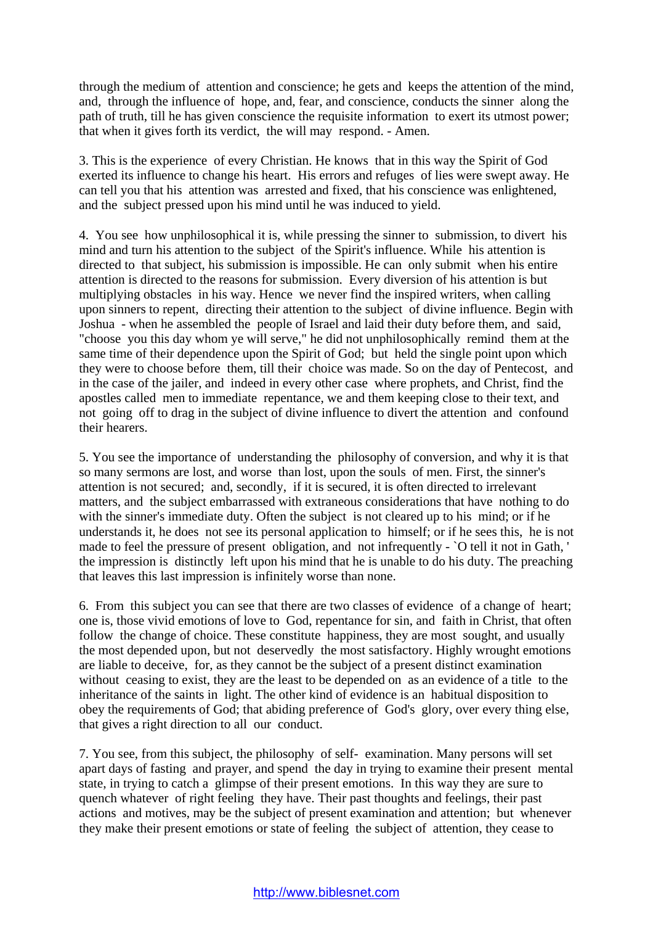through the medium of attention and conscience; he gets and keeps the attention of the mind, and, through the influence of hope, and, fear, and conscience, conducts the sinner along the path of truth, till he has given conscience the requisite information to exert its utmost power; that when it gives forth its verdict, the will may respond. - Amen.

3. This is the experience of every Christian. He knows that in this way the Spirit of God exerted its influence to change his heart. His errors and refuges of lies were swept away. He can tell you that his attention was arrested and fixed, that his conscience was enlightened, and the subject pressed upon his mind until he was induced to yield.

4. You see how unphilosophical it is, while pressing the sinner to submission, to divert his mind and turn his attention to the subject of the Spirit's influence. While his attention is directed to that subject, his submission is impossible. He can only submit when his entire attention is directed to the reasons for submission. Every diversion of his attention is but multiplying obstacles in his way. Hence we never find the inspired writers, when calling upon sinners to repent, directing their attention to the subject of divine influence. Begin with Joshua - when he assembled the people of Israel and laid their duty before them, and said, "choose you this day whom ye will serve," he did not unphilosophically remind them at the same time of their dependence upon the Spirit of God; but held the single point upon which they were to choose before them, till their choice was made. So on the day of Pentecost, and in the case of the jailer, and indeed in every other case where prophets, and Christ, find the apostles called men to immediate repentance, we and them keeping close to their text, and not going off to drag in the subject of divine influence to divert the attention and confound their hearers.

5. You see the importance of understanding the philosophy of conversion, and why it is that so many sermons are lost, and worse than lost, upon the souls of men. First, the sinner's attention is not secured; and, secondly, if it is secured, it is often directed to irrelevant matters, and the subject embarrassed with extraneous considerations that have nothing to do with the sinner's immediate duty. Often the subject is not cleared up to his mind; or if he understands it, he does not see its personal application to himself; or if he sees this, he is not made to feel the pressure of present obligation, and not infrequently - `O tell it not in Gath, ' the impression is distinctly left upon his mind that he is unable to do his duty. The preaching that leaves this last impression is infinitely worse than none.

6. From this subject you can see that there are two classes of evidence of a change of heart; one is, those vivid emotions of love to God, repentance for sin, and faith in Christ, that often follow the change of choice. These constitute happiness, they are most sought, and usually the most depended upon, but not deservedly the most satisfactory. Highly wrought emotions are liable to deceive, for, as they cannot be the subject of a present distinct examination without ceasing to exist, they are the least to be depended on as an evidence of a title to the inheritance of the saints in light. The other kind of evidence is an habitual disposition to obey the requirements of God; that abiding preference of God's glory, over every thing else, that gives a right direction to all our conduct.

7. You see, from this subject, the philosophy of self- examination. Many persons will set apart days of fasting and prayer, and spend the day in trying to examine their present mental state, in trying to catch a glimpse of their present emotions. In this way they are sure to quench whatever of right feeling they have. Their past thoughts and feelings, their past actions and motives, may be the subject of present examination and attention; but whenever they make their present emotions or state of feeling the subject of attention, they cease to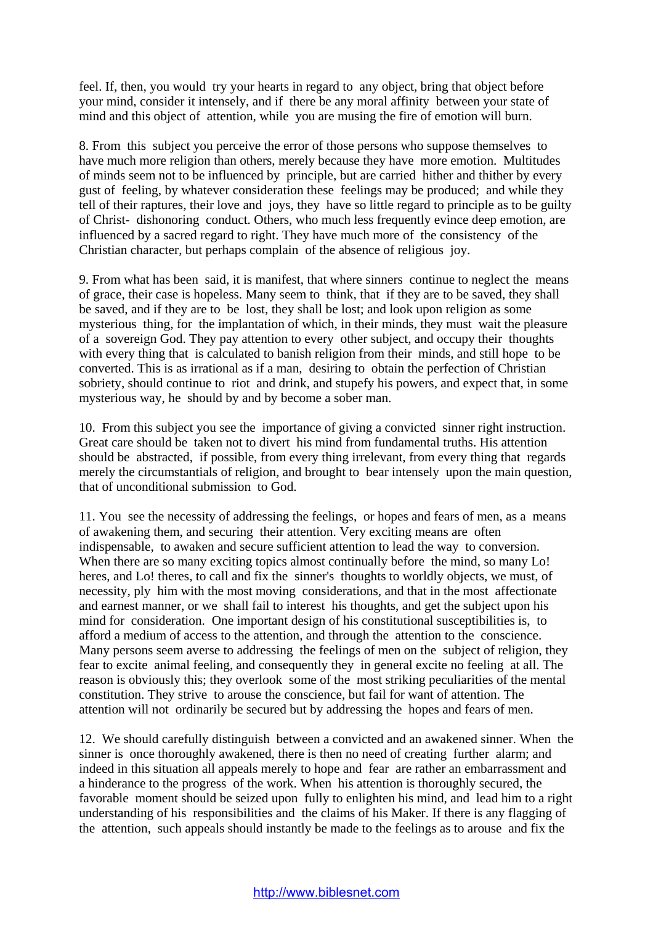feel. If, then, you would try your hearts in regard to any object, bring that object before your mind, consider it intensely, and if there be any moral affinity between your state of mind and this object of attention, while you are musing the fire of emotion will burn.

8. From this subject you perceive the error of those persons who suppose themselves to have much more religion than others, merely because they have more emotion. Multitudes of minds seem not to be influenced by principle, but are carried hither and thither by every gust of feeling, by whatever consideration these feelings may be produced; and while they tell of their raptures, their love and joys, they have so little regard to principle as to be guilty of Christ- dishonoring conduct. Others, who much less frequently evince deep emotion, are influenced by a sacred regard to right. They have much more of the consistency of the Christian character, but perhaps complain of the absence of religious joy.

9. From what has been said, it is manifest, that where sinners continue to neglect the means of grace, their case is hopeless. Many seem to think, that if they are to be saved, they shall be saved, and if they are to be lost, they shall be lost; and look upon religion as some mysterious thing, for the implantation of which, in their minds, they must wait the pleasure of a sovereign God. They pay attention to every other subject, and occupy their thoughts with every thing that is calculated to banish religion from their minds, and still hope to be converted. This is as irrational as if a man, desiring to obtain the perfection of Christian sobriety, should continue to riot and drink, and stupefy his powers, and expect that, in some mysterious way, he should by and by become a sober man.

10. From this subject you see the importance of giving a convicted sinner right instruction. Great care should be taken not to divert his mind from fundamental truths. His attention should be abstracted, if possible, from every thing irrelevant, from every thing that regards merely the circumstantials of religion, and brought to bear intensely upon the main question, that of unconditional submission to God.

11. You see the necessity of addressing the feelings, or hopes and fears of men, as a means of awakening them, and securing their attention. Very exciting means are often indispensable, to awaken and secure sufficient attention to lead the way to conversion. When there are so many exciting topics almost continually before the mind, so many Lo! heres, and Lo! theres, to call and fix the sinner's thoughts to worldly objects, we must, of necessity, ply him with the most moving considerations, and that in the most affectionate and earnest manner, or we shall fail to interest his thoughts, and get the subject upon his mind for consideration. One important design of his constitutional susceptibilities is, to afford a medium of access to the attention, and through the attention to the conscience. Many persons seem averse to addressing the feelings of men on the subject of religion, they fear to excite animal feeling, and consequently they in general excite no feeling at all. The reason is obviously this; they overlook some of the most striking peculiarities of the mental constitution. They strive to arouse the conscience, but fail for want of attention. The attention will not ordinarily be secured but by addressing the hopes and fears of men.

12. We should carefully distinguish between a convicted and an awakened sinner. When the sinner is once thoroughly awakened, there is then no need of creating further alarm; and indeed in this situation all appeals merely to hope and fear are rather an embarrassment and a hinderance to the progress of the work. When his attention is thoroughly secured, the favorable moment should be seized upon fully to enlighten his mind, and lead him to a right understanding of his responsibilities and the claims of his Maker. If there is any flagging of the attention, such appeals should instantly be made to the feelings as to arouse and fix the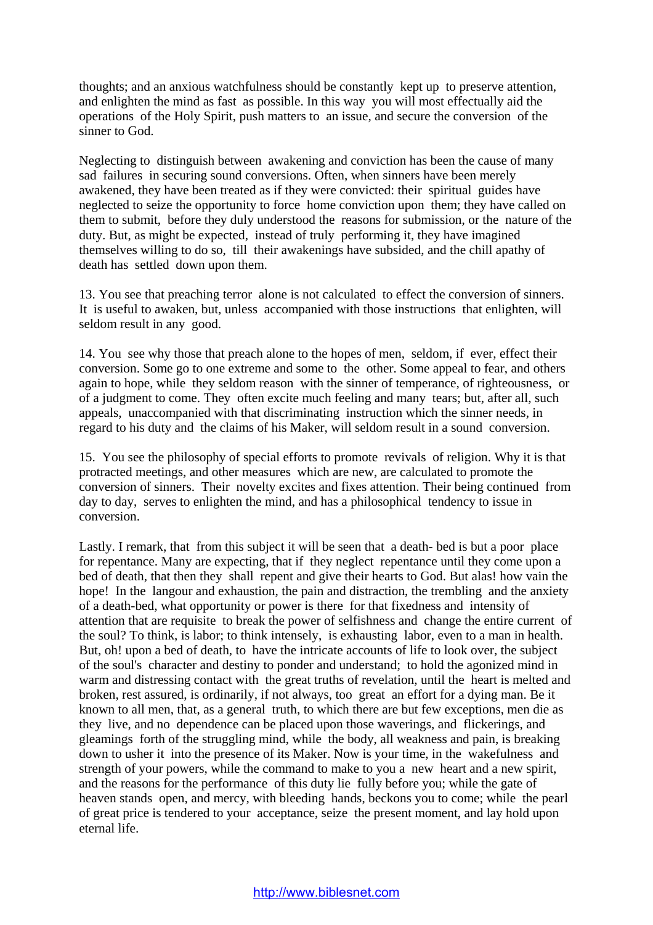thoughts; and an anxious watchfulness should be constantly kept up to preserve attention, and enlighten the mind as fast as possible. In this way you will most effectually aid the operations of the Holy Spirit, push matters to an issue, and secure the conversion of the sinner to God.

Neglecting to distinguish between awakening and conviction has been the cause of many sad failures in securing sound conversions. Often, when sinners have been merely awakened, they have been treated as if they were convicted: their spiritual guides have neglected to seize the opportunity to force home conviction upon them; they have called on them to submit, before they duly understood the reasons for submission, or the nature of the duty. But, as might be expected, instead of truly performing it, they have imagined themselves willing to do so, till their awakenings have subsided, and the chill apathy of death has settled down upon them.

13. You see that preaching terror alone is not calculated to effect the conversion of sinners. It is useful to awaken, but, unless accompanied with those instructions that enlighten, will seldom result in any good.

14. You see why those that preach alone to the hopes of men, seldom, if ever, effect their conversion. Some go to one extreme and some to the other. Some appeal to fear, and others again to hope, while they seldom reason with the sinner of temperance, of righteousness, or of a judgment to come. They often excite much feeling and many tears; but, after all, such appeals, unaccompanied with that discriminating instruction which the sinner needs, in regard to his duty and the claims of his Maker, will seldom result in a sound conversion.

15. You see the philosophy of special efforts to promote revivals of religion. Why it is that protracted meetings, and other measures which are new, are calculated to promote the conversion of sinners. Their novelty excites and fixes attention. Their being continued from day to day, serves to enlighten the mind, and has a philosophical tendency to issue in conversion.

Lastly. I remark, that from this subject it will be seen that a death- bed is but a poor place for repentance. Many are expecting, that if they neglect repentance until they come upon a bed of death, that then they shall repent and give their hearts to God. But alas! how vain the hope! In the langour and exhaustion, the pain and distraction, the trembling and the anxiety of a death-bed, what opportunity or power is there for that fixedness and intensity of attention that are requisite to break the power of selfishness and change the entire current of the soul? To think, is labor; to think intensely, is exhausting labor, even to a man in health. But, oh! upon a bed of death, to have the intricate accounts of life to look over, the subject of the soul's character and destiny to ponder and understand; to hold the agonized mind in warm and distressing contact with the great truths of revelation, until the heart is melted and broken, rest assured, is ordinarily, if not always, too great an effort for a dying man. Be it known to all men, that, as a general truth, to which there are but few exceptions, men die as they live, and no dependence can be placed upon those waverings, and flickerings, and gleamings forth of the struggling mind, while the body, all weakness and pain, is breaking down to usher it into the presence of its Maker. Now is your time, in the wakefulness and strength of your powers, while the command to make to you a new heart and a new spirit, and the reasons for the performance of this duty lie fully before you; while the gate of heaven stands open, and mercy, with bleeding hands, beckons you to come; while the pearl of great price is tendered to your acceptance, seize the present moment, and lay hold upon eternal life.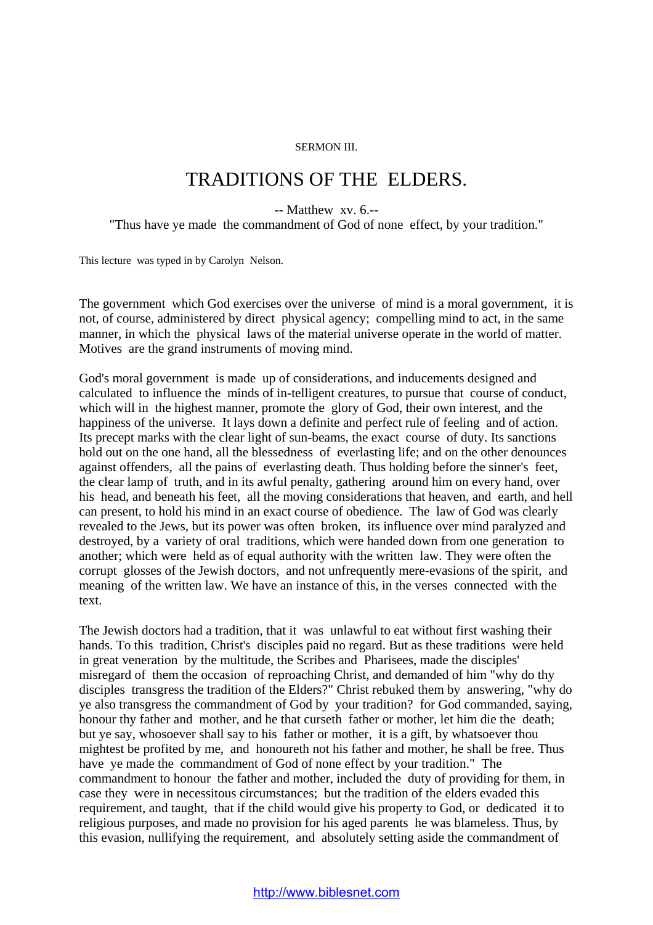#### SERMON III.

# TRADITIONS OF THE ELDERS.

-- Matthew xv. 6.--

"Thus have ye made the commandment of God of none effect, by your tradition."

This lecture was typed in by Carolyn Nelson.

The government which God exercises over the universe of mind is a moral government, it is not, of course, administered by direct physical agency; compelling mind to act, in the same manner, in which the physical laws of the material universe operate in the world of matter. Motives are the grand instruments of moving mind.

God's moral government is made up of considerations, and inducements designed and calculated to influence the minds of in-telligent creatures, to pursue that course of conduct, which will in the highest manner, promote the glory of God, their own interest, and the happiness of the universe. It lays down a definite and perfect rule of feeling and of action. Its precept marks with the clear light of sun-beams, the exact course of duty. Its sanctions hold out on the one hand, all the blessedness of everlasting life; and on the other denounces against offenders, all the pains of everlasting death. Thus holding before the sinner's feet, the clear lamp of truth, and in its awful penalty, gathering around him on every hand, over his head, and beneath his feet, all the moving considerations that heaven, and earth, and hell can present, to hold his mind in an exact course of obedience. The law of God was clearly revealed to the Jews, but its power was often broken, its influence over mind paralyzed and destroyed, by a variety of oral traditions, which were handed down from one generation to another; which were held as of equal authority with the written law. They were often the corrupt glosses of the Jewish doctors, and not unfrequently mere-evasions of the spirit, and meaning of the written law. We have an instance of this, in the verses connected with the text.

The Jewish doctors had a tradition, that it was unlawful to eat without first washing their hands. To this tradition, Christ's disciples paid no regard. But as these traditions were held in great veneration by the multitude, the Scribes and Pharisees, made the disciples' misregard of them the occasion of reproaching Christ, and demanded of him "why do thy disciples transgress the tradition of the Elders?" Christ rebuked them by answering, "why do ye also transgress the commandment of God by your tradition? for God commanded, saying, honour thy father and mother, and he that curseth father or mother, let him die the death; but ye say, whosoever shall say to his father or mother, it is a gift, by whatsoever thou mightest be profited by me, and honoureth not his father and mother, he shall be free. Thus have ye made the commandment of God of none effect by your tradition." The commandment to honour the father and mother, included the duty of providing for them, in case they were in necessitous circumstances; but the tradition of the elders evaded this requirement, and taught, that if the child would give his property to God, or dedicated it to religious purposes, and made no provision for his aged parents he was blameless. Thus, by this evasion, nullifying the requirement, and absolutely setting aside the commandment of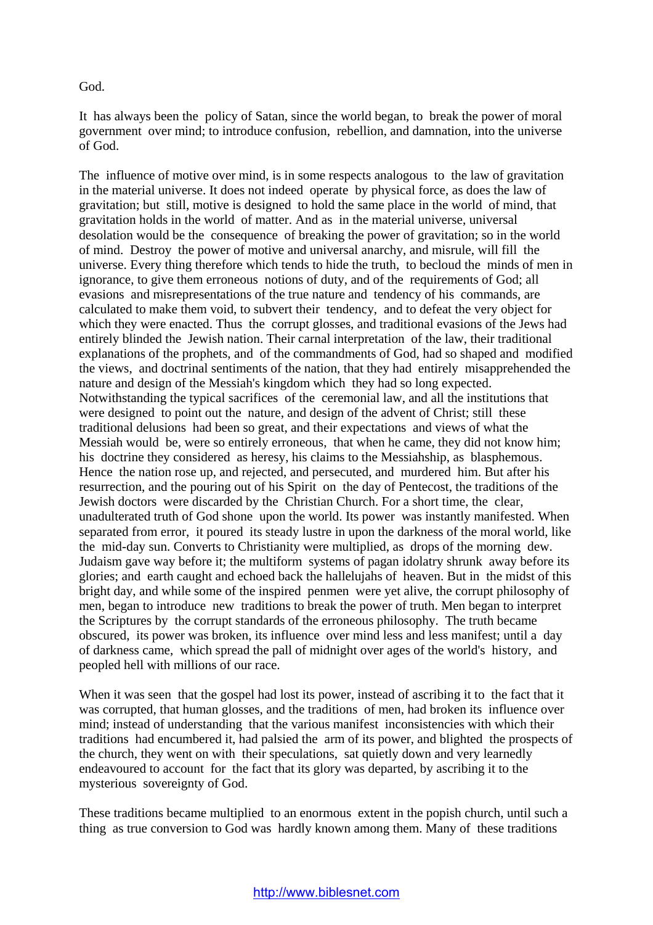#### God.

It has always been the policy of Satan, since the world began, to break the power of moral government over mind; to introduce confusion, rebellion, and damnation, into the universe of God.

The influence of motive over mind, is in some respects analogous to the law of gravitation in the material universe. It does not indeed operate by physical force, as does the law of gravitation; but still, motive is designed to hold the same place in the world of mind, that gravitation holds in the world of matter. And as in the material universe, universal desolation would be the consequence of breaking the power of gravitation; so in the world of mind. Destroy the power of motive and universal anarchy, and misrule, will fill the universe. Every thing therefore which tends to hide the truth, to becloud the minds of men in ignorance, to give them erroneous notions of duty, and of the requirements of God; all evasions and misrepresentations of the true nature and tendency of his commands, are calculated to make them void, to subvert their tendency, and to defeat the very object for which they were enacted. Thus the corrupt glosses, and traditional evasions of the Jews had entirely blinded the Jewish nation. Their carnal interpretation of the law, their traditional explanations of the prophets, and of the commandments of God, had so shaped and modified the views, and doctrinal sentiments of the nation, that they had entirely misapprehended the nature and design of the Messiah's kingdom which they had so long expected. Notwithstanding the typical sacrifices of the ceremonial law, and all the institutions that were designed to point out the nature, and design of the advent of Christ; still these traditional delusions had been so great, and their expectations and views of what the Messiah would be, were so entirely erroneous, that when he came, they did not know him; his doctrine they considered as heresy, his claims to the Messiahship, as blasphemous. Hence the nation rose up, and rejected, and persecuted, and murdered him. But after his resurrection, and the pouring out of his Spirit on the day of Pentecost, the traditions of the Jewish doctors were discarded by the Christian Church. For a short time, the clear, unadulterated truth of God shone upon the world. Its power was instantly manifested. When separated from error, it poured its steady lustre in upon the darkness of the moral world, like the mid-day sun. Converts to Christianity were multiplied, as drops of the morning dew. Judaism gave way before it; the multiform systems of pagan idolatry shrunk away before its glories; and earth caught and echoed back the hallelujahs of heaven. But in the midst of this bright day, and while some of the inspired penmen were yet alive, the corrupt philosophy of men, began to introduce new traditions to break the power of truth. Men began to interpret the Scriptures by the corrupt standards of the erroneous philosophy. The truth became obscured, its power was broken, its influence over mind less and less manifest; until a day of darkness came, which spread the pall of midnight over ages of the world's history, and peopled hell with millions of our race.

When it was seen that the gospel had lost its power, instead of ascribing it to the fact that it was corrupted, that human glosses, and the traditions of men, had broken its influence over mind; instead of understanding that the various manifest inconsistencies with which their traditions had encumbered it, had palsied the arm of its power, and blighted the prospects of the church, they went on with their speculations, sat quietly down and very learnedly endeavoured to account for the fact that its glory was departed, by ascribing it to the mysterious sovereignty of God.

These traditions became multiplied to an enormous extent in the popish church, until such a thing as true conversion to God was hardly known among them. Many of these traditions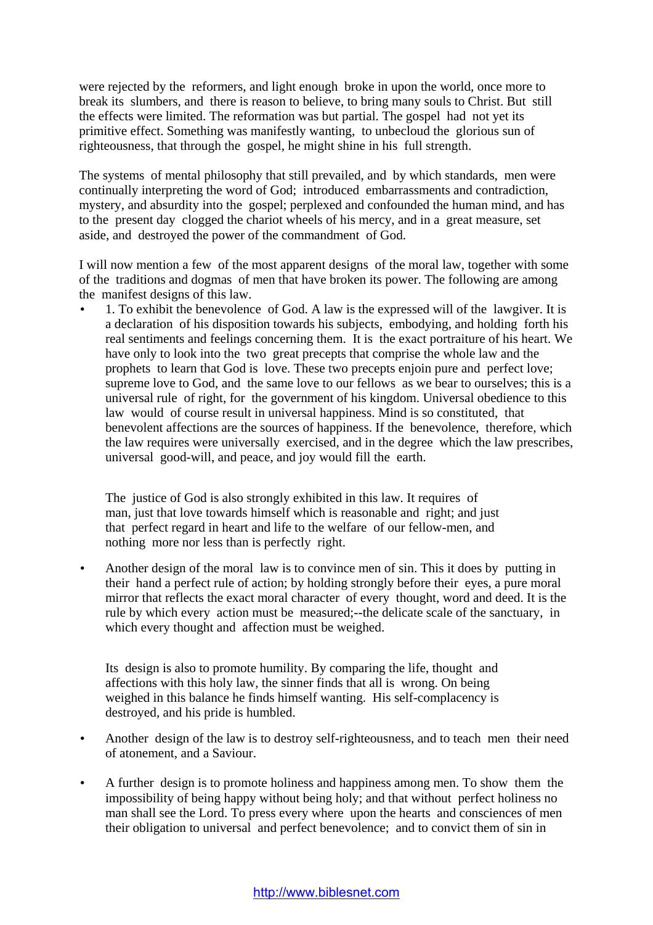were rejected by the reformers, and light enough broke in upon the world, once more to break its slumbers, and there is reason to believe, to bring many souls to Christ. But still the effects were limited. The reformation was but partial. The gospel had not yet its primitive effect. Something was manifestly wanting, to unbecloud the glorious sun of righteousness, that through the gospel, he might shine in his full strength.

The systems of mental philosophy that still prevailed, and by which standards, men were continually interpreting the word of God; introduced embarrassments and contradiction, mystery, and absurdity into the gospel; perplexed and confounded the human mind, and has to the present day clogged the chariot wheels of his mercy, and in a great measure, set aside, and destroyed the power of the commandment of God.

I will now mention a few of the most apparent designs of the moral law, together with some of the traditions and dogmas of men that have broken its power. The following are among the manifest designs of this law.

• 1. To exhibit the benevolence of God. A law is the expressed will of the lawgiver. It is a declaration of his disposition towards his subjects, embodying, and holding forth his real sentiments and feelings concerning them. It is the exact portraiture of his heart. We have only to look into the two great precepts that comprise the whole law and the prophets to learn that God is love. These two precepts enjoin pure and perfect love; supreme love to God, and the same love to our fellows as we bear to ourselves; this is a universal rule of right, for the government of his kingdom. Universal obedience to this law would of course result in universal happiness. Mind is so constituted, that benevolent affections are the sources of happiness. If the benevolence, therefore, which the law requires were universally exercised, and in the degree which the law prescribes, universal good-will, and peace, and joy would fill the earth.

The justice of God is also strongly exhibited in this law. It requires of man, just that love towards himself which is reasonable and right; and just that perfect regard in heart and life to the welfare of our fellow-men, and nothing more nor less than is perfectly right.

• Another design of the moral law is to convince men of sin. This it does by putting in their hand a perfect rule of action; by holding strongly before their eyes, a pure moral mirror that reflects the exact moral character of every thought, word and deed. It is the rule by which every action must be measured;--the delicate scale of the sanctuary, in which every thought and affection must be weighed.

Its design is also to promote humility. By comparing the life, thought and affections with this holy law, the sinner finds that all is wrong. On being weighed in this balance he finds himself wanting. His self-complacency is destroyed, and his pride is humbled.

- Another design of the law is to destroy self-righteousness, and to teach men their need of atonement, and a Saviour.
- A further design is to promote holiness and happiness among men. To show them the impossibility of being happy without being holy; and that without perfect holiness no man shall see the Lord. To press every where upon the hearts and consciences of men their obligation to universal and perfect benevolence; and to convict them of sin in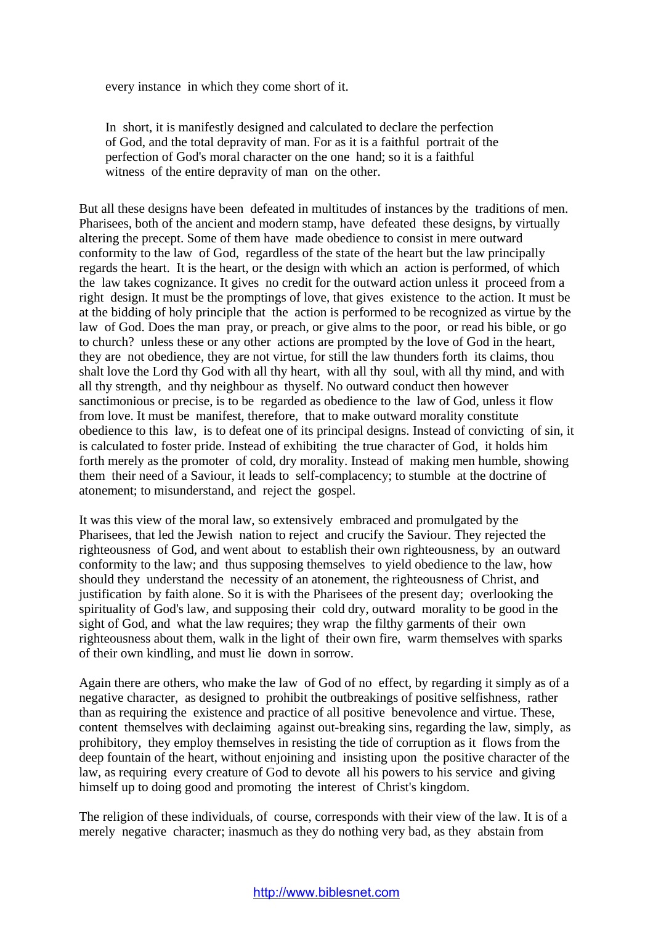every instance in which they come short of it.

In short, it is manifestly designed and calculated to declare the perfection of God, and the total depravity of man. For as it is a faithful portrait of the perfection of God's moral character on the one hand; so it is a faithful witness of the entire depravity of man on the other.

But all these designs have been defeated in multitudes of instances by the traditions of men. Pharisees, both of the ancient and modern stamp, have defeated these designs, by virtually altering the precept. Some of them have made obedience to consist in mere outward conformity to the law of God, regardless of the state of the heart but the law principally regards the heart. It is the heart, or the design with which an action is performed, of which the law takes cognizance. It gives no credit for the outward action unless it proceed from a right design. It must be the promptings of love, that gives existence to the action. It must be at the bidding of holy principle that the action is performed to be recognized as virtue by the law of God. Does the man pray, or preach, or give alms to the poor, or read his bible, or go to church? unless these or any other actions are prompted by the love of God in the heart, they are not obedience, they are not virtue, for still the law thunders forth its claims, thou shalt love the Lord thy God with all thy heart, with all thy soul, with all thy mind, and with all thy strength, and thy neighbour as thyself. No outward conduct then however sanctimonious or precise, is to be regarded as obedience to the law of God, unless it flow from love. It must be manifest, therefore, that to make outward morality constitute obedience to this law, is to defeat one of its principal designs. Instead of convicting of sin, it is calculated to foster pride. Instead of exhibiting the true character of God, it holds him forth merely as the promoter of cold, dry morality. Instead of making men humble, showing them their need of a Saviour, it leads to self-complacency; to stumble at the doctrine of atonement; to misunderstand, and reject the gospel.

It was this view of the moral law, so extensively embraced and promulgated by the Pharisees, that led the Jewish nation to reject and crucify the Saviour. They rejected the righteousness of God, and went about to establish their own righteousness, by an outward conformity to the law; and thus supposing themselves to yield obedience to the law, how should they understand the necessity of an atonement, the righteousness of Christ, and justification by faith alone. So it is with the Pharisees of the present day; overlooking the spirituality of God's law, and supposing their cold dry, outward morality to be good in the sight of God, and what the law requires; they wrap the filthy garments of their own righteousness about them, walk in the light of their own fire, warm themselves with sparks of their own kindling, and must lie down in sorrow.

Again there are others, who make the law of God of no effect, by regarding it simply as of a negative character, as designed to prohibit the outbreakings of positive selfishness, rather than as requiring the existence and practice of all positive benevolence and virtue. These, content themselves with declaiming against out-breaking sins, regarding the law, simply, as prohibitory, they employ themselves in resisting the tide of corruption as it flows from the deep fountain of the heart, without enjoining and insisting upon the positive character of the law, as requiring every creature of God to devote all his powers to his service and giving himself up to doing good and promoting the interest of Christ's kingdom.

The religion of these individuals, of course, corresponds with their view of the law. It is of a merely negative character; inasmuch as they do nothing very bad, as they abstain from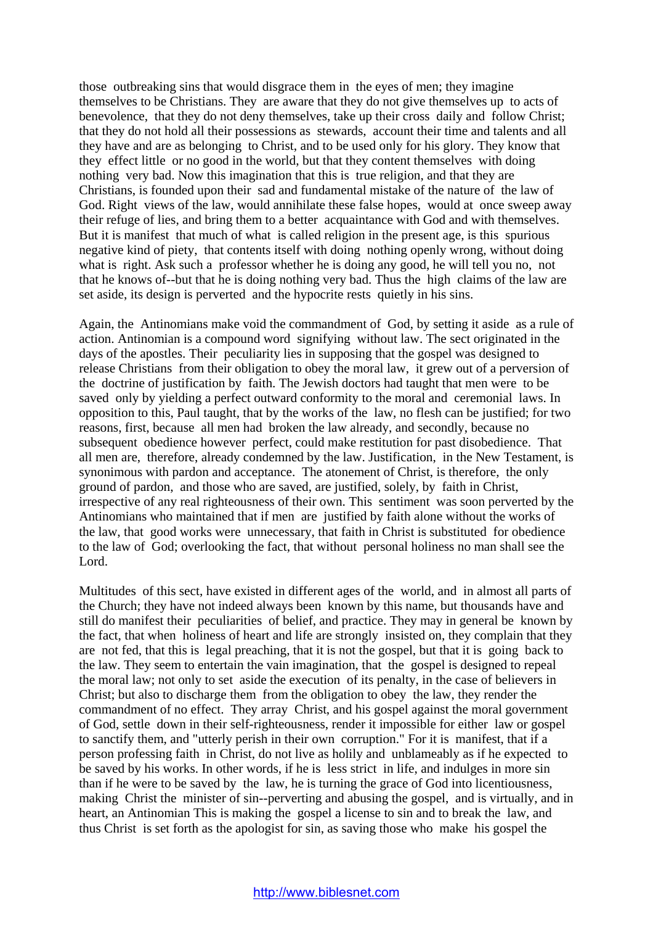those outbreaking sins that would disgrace them in the eyes of men; they imagine themselves to be Christians. They are aware that they do not give themselves up to acts of benevolence, that they do not deny themselves, take up their cross daily and follow Christ; that they do not hold all their possessions as stewards, account their time and talents and all they have and are as belonging to Christ, and to be used only for his glory. They know that they effect little or no good in the world, but that they content themselves with doing nothing very bad. Now this imagination that this is true religion, and that they are Christians, is founded upon their sad and fundamental mistake of the nature of the law of God. Right views of the law, would annihilate these false hopes, would at once sweep away their refuge of lies, and bring them to a better acquaintance with God and with themselves. But it is manifest that much of what is called religion in the present age, is this spurious negative kind of piety, that contents itself with doing nothing openly wrong, without doing what is right. Ask such a professor whether he is doing any good, he will tell you no, not that he knows of--but that he is doing nothing very bad. Thus the high claims of the law are set aside, its design is perverted and the hypocrite rests quietly in his sins.

Again, the Antinomians make void the commandment of God, by setting it aside as a rule of action. Antinomian is a compound word signifying without law. The sect originated in the days of the apostles. Their peculiarity lies in supposing that the gospel was designed to release Christians from their obligation to obey the moral law, it grew out of a perversion of the doctrine of justification by faith. The Jewish doctors had taught that men were to be saved only by yielding a perfect outward conformity to the moral and ceremonial laws. In opposition to this, Paul taught, that by the works of the law, no flesh can be justified; for two reasons, first, because all men had broken the law already, and secondly, because no subsequent obedience however perfect, could make restitution for past disobedience. That all men are, therefore, already condemned by the law. Justification, in the New Testament, is synonimous with pardon and acceptance. The atonement of Christ, is therefore, the only ground of pardon, and those who are saved, are justified, solely, by faith in Christ, irrespective of any real righteousness of their own. This sentiment was soon perverted by the Antinomians who maintained that if men are justified by faith alone without the works of the law, that good works were unnecessary, that faith in Christ is substituted for obedience to the law of God; overlooking the fact, that without personal holiness no man shall see the Lord.

Multitudes of this sect, have existed in different ages of the world, and in almost all parts of the Church; they have not indeed always been known by this name, but thousands have and still do manifest their peculiarities of belief, and practice. They may in general be known by the fact, that when holiness of heart and life are strongly insisted on, they complain that they are not fed, that this is legal preaching, that it is not the gospel, but that it is going back to the law. They seem to entertain the vain imagination, that the gospel is designed to repeal the moral law; not only to set aside the execution of its penalty, in the case of believers in Christ; but also to discharge them from the obligation to obey the law, they render the commandment of no effect. They array Christ, and his gospel against the moral government of God, settle down in their self-righteousness, render it impossible for either law or gospel to sanctify them, and "utterly perish in their own corruption." For it is manifest, that if a person professing faith in Christ, do not live as holily and unblameably as if he expected to be saved by his works. In other words, if he is less strict in life, and indulges in more sin than if he were to be saved by the law, he is turning the grace of God into licentiousness, making Christ the minister of sin--perverting and abusing the gospel, and is virtually, and in heart, an Antinomian This is making the gospel a license to sin and to break the law, and thus Christ is set forth as the apologist for sin, as saving those who make his gospel the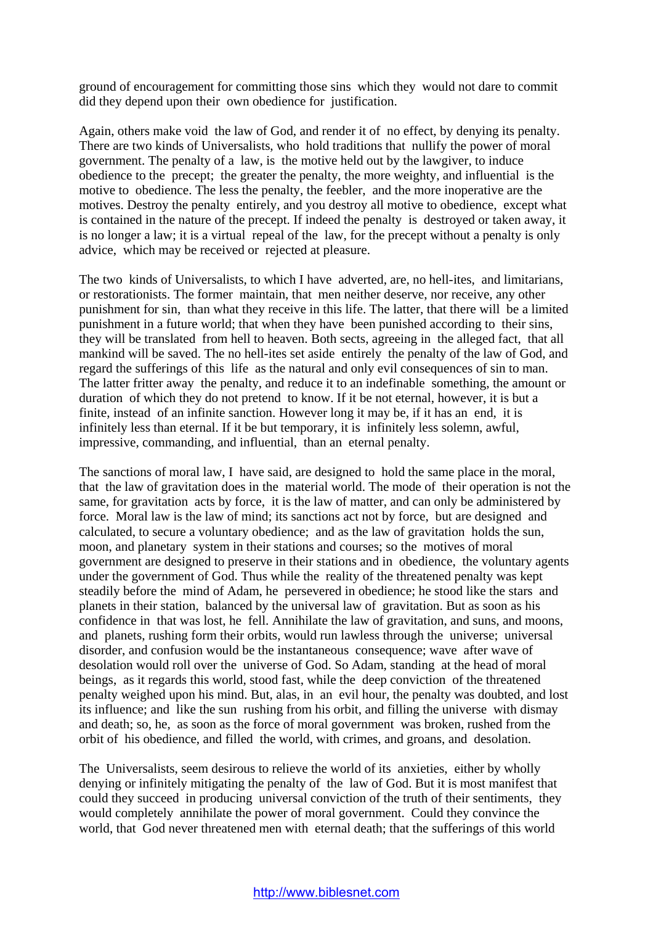ground of encouragement for committing those sins which they would not dare to commit did they depend upon their own obedience for justification.

Again, others make void the law of God, and render it of no effect, by denying its penalty. There are two kinds of Universalists, who hold traditions that nullify the power of moral government. The penalty of a law, is the motive held out by the lawgiver, to induce obedience to the precept; the greater the penalty, the more weighty, and influential is the motive to obedience. The less the penalty, the feebler, and the more inoperative are the motives. Destroy the penalty entirely, and you destroy all motive to obedience, except what is contained in the nature of the precept. If indeed the penalty is destroyed or taken away, it is no longer a law; it is a virtual repeal of the law, for the precept without a penalty is only advice, which may be received or rejected at pleasure.

The two kinds of Universalists, to which I have adverted, are, no hell-ites, and limitarians, or restorationists. The former maintain, that men neither deserve, nor receive, any other punishment for sin, than what they receive in this life. The latter, that there will be a limited punishment in a future world; that when they have been punished according to their sins, they will be translated from hell to heaven. Both sects, agreeing in the alleged fact, that all mankind will be saved. The no hell-ites set aside entirely the penalty of the law of God, and regard the sufferings of this life as the natural and only evil consequences of sin to man. The latter fritter away the penalty, and reduce it to an indefinable something, the amount or duration of which they do not pretend to know. If it be not eternal, however, it is but a finite, instead of an infinite sanction. However long it may be, if it has an end, it is infinitely less than eternal. If it be but temporary, it is infinitely less solemn, awful, impressive, commanding, and influential, than an eternal penalty.

The sanctions of moral law, I have said, are designed to hold the same place in the moral, that the law of gravitation does in the material world. The mode of their operation is not the same, for gravitation acts by force, it is the law of matter, and can only be administered by force. Moral law is the law of mind; its sanctions act not by force, but are designed and calculated, to secure a voluntary obedience; and as the law of gravitation holds the sun, moon, and planetary system in their stations and courses; so the motives of moral government are designed to preserve in their stations and in obedience, the voluntary agents under the government of God. Thus while the reality of the threatened penalty was kept steadily before the mind of Adam, he persevered in obedience; he stood like the stars and planets in their station, balanced by the universal law of gravitation. But as soon as his confidence in that was lost, he fell. Annihilate the law of gravitation, and suns, and moons, and planets, rushing form their orbits, would run lawless through the universe; universal disorder, and confusion would be the instantaneous consequence; wave after wave of desolation would roll over the universe of God. So Adam, standing at the head of moral beings, as it regards this world, stood fast, while the deep conviction of the threatened penalty weighed upon his mind. But, alas, in an evil hour, the penalty was doubted, and lost its influence; and like the sun rushing from his orbit, and filling the universe with dismay and death; so, he, as soon as the force of moral government was broken, rushed from the orbit of his obedience, and filled the world, with crimes, and groans, and desolation.

The Universalists, seem desirous to relieve the world of its anxieties, either by wholly denying or infinitely mitigating the penalty of the law of God. But it is most manifest that could they succeed in producing universal conviction of the truth of their sentiments, they would completely annihilate the power of moral government. Could they convince the world, that God never threatened men with eternal death; that the sufferings of this world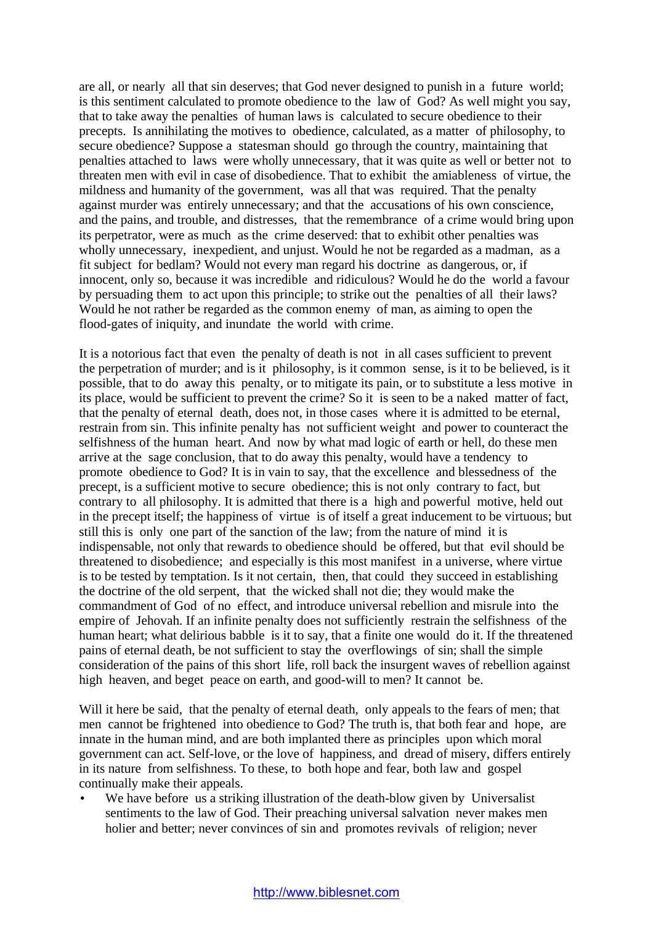are all, or nearly all that sin deserves; that God never designed to punish in a future world; is this sentiment calculated to promote obedience to the law of God? As well might you say, that to take away the penalties of human laws is calculated to secure obedience to their precepts. Is annihilating the motives to obedience, calculated, as a matter of philosophy, to secure obedience? Suppose a statesman should go through the country, maintaining that penalties attached to laws were wholly unnecessary, that it was quite as well or better not to threaten men with evil in case of disobedience. That to exhibit the amiableness of virtue, the mildness and humanity of the government, was all that was required. That the penalty against murder was entirely unnecessary; and that the accusations of his own conscience, and the pains, and trouble, and distresses, that the remembrance of a crime would bring upon its perpetrator, were as much as the crime deserved: that to exhibit other penalties was wholly unnecessary, inexpedient, and unjust. Would he not be regarded as a madman, as a fit subject for bedlam? Would not every man regard his doctrine as dangerous, or, if innocent, only so, because it was incredible and ridiculous? Would he do the world a favour by persuading them to act upon this principle; to strike out the penalties of all their laws? Would he not rather be regarded as the common enemy of man, as aiming to open the flood-gates of iniquity, and inundate the world with crime.

It is a notorious fact that even the penalty of death is not in all cases sufficient to prevent the perpetration of murder; and is it philosophy, is it common sense, is it to be believed, is it possible, that to do away this penalty, or to mitigate its pain, or to substitute a less motive in its place, would be sufficient to prevent the crime? So it is seen to be a naked matter of fact, that the penalty of eternal death, does not, in those cases where it is admitted to be eternal, restrain from sin. This infinite penalty has not sufficient weight and power to counteract the selfishness of the human heart. And now by what mad logic of earth or hell, do these men arrive at the sage conclusion, that to do away this penalty, would have a tendency to promote obedience to God? It is in vain to say, that the excellence and blessedness of the precept, is a sufficient motive to secure obedience; this is not only contrary to fact, but contrary to all philosophy. It is admitted that there is a high and powerful motive, held out in the precept itself; the happiness of virtue is of itself a great inducement to be virtuous; but still this is only one part of the sanction of the law; from the nature of mind it is indispensable, not only that rewards to obedience should be offered, but that evil should be threatened to disobedience; and especially is this most manifest in a universe, where virtue is to be tested by temptation. Is it not certain, then, that could they succeed in establishing the doctrine of the old serpent, that the wicked shall not die; they would make the commandment of God of no effect, and introduce universal rebellion and misrule into the empire of Jehovah. If an infinite penalty does not sufficiently restrain the selfishness of the human heart; what delirious babble is it to say, that a finite one would do it. If the threatened pains of eternal death, be not sufficient to stay the overflowings of sin; shall the simple consideration of the pains of this short life, roll back the insurgent waves of rebellion against high heaven, and beget peace on earth, and good-will to men? It cannot be.

Will it here be said, that the penalty of eternal death, only appeals to the fears of men; that men cannot be frightened into obedience to God? The truth is, that both fear and hope, are innate in the human mind, and are both implanted there as principles upon which moral government can act. Self-love, or the love of happiness, and dread of misery, differs entirely in its nature from selfishness. To these, to both hope and fear, both law and gospel continually make their appeals.

We have before us a striking illustration of the death-blow given by Universalist sentiments to the law of God. Their preaching universal salvation never makes men holier and better; never convinces of sin and promotes revivals of religion; never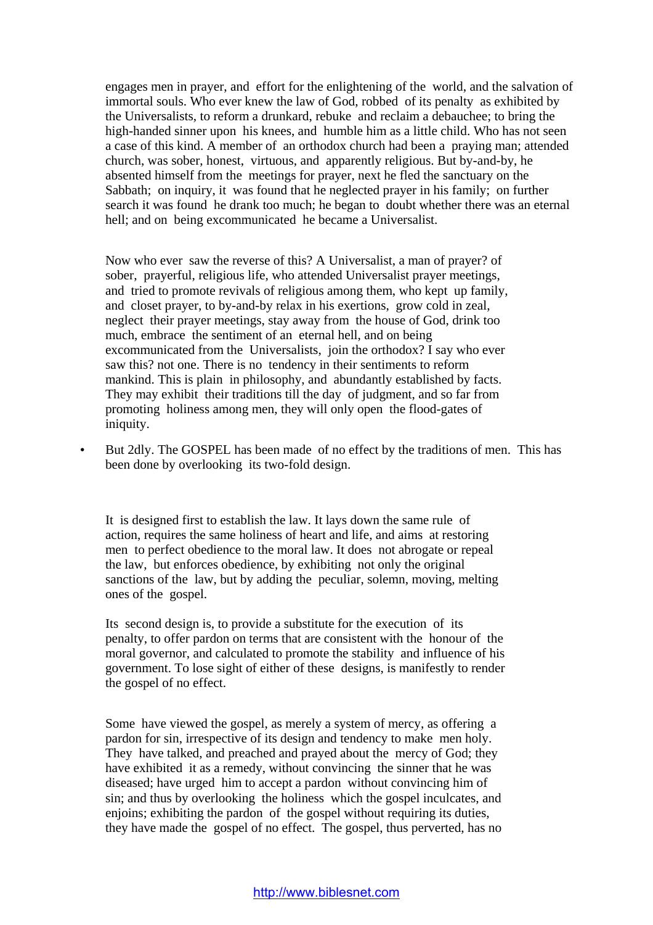engages men in prayer, and effort for the enlightening of the world, and the salvation of immortal souls. Who ever knew the law of God, robbed of its penalty as exhibited by the Universalists, to reform a drunkard, rebuke and reclaim a debauchee; to bring the high-handed sinner upon his knees, and humble him as a little child. Who has not seen a case of this kind. A member of an orthodox church had been a praying man; attended church, was sober, honest, virtuous, and apparently religious. But by-and-by, he absented himself from the meetings for prayer, next he fled the sanctuary on the Sabbath; on inquiry, it was found that he neglected prayer in his family; on further search it was found he drank too much; he began to doubt whether there was an eternal hell; and on being excommunicated he became a Universalist.

Now who ever saw the reverse of this? A Universalist, a man of prayer? of sober, prayerful, religious life, who attended Universalist prayer meetings, and tried to promote revivals of religious among them, who kept up family, and closet prayer, to by-and-by relax in his exertions, grow cold in zeal, neglect their prayer meetings, stay away from the house of God, drink too much, embrace the sentiment of an eternal hell, and on being excommunicated from the Universalists, join the orthodox? I say who ever saw this? not one. There is no tendency in their sentiments to reform mankind. This is plain in philosophy, and abundantly established by facts. They may exhibit their traditions till the day of judgment, and so far from promoting holiness among men, they will only open the flood-gates of iniquity.

• But 2dly. The GOSPEL has been made of no effect by the traditions of men. This has been done by overlooking its two-fold design.

It is designed first to establish the law. It lays down the same rule of action, requires the same holiness of heart and life, and aims at restoring men to perfect obedience to the moral law. It does not abrogate or repeal the law, but enforces obedience, by exhibiting not only the original sanctions of the law, but by adding the peculiar, solemn, moving, melting ones of the gospel.

Its second design is, to provide a substitute for the execution of its penalty, to offer pardon on terms that are consistent with the honour of the moral governor, and calculated to promote the stability and influence of his government. To lose sight of either of these designs, is manifestly to render the gospel of no effect.

Some have viewed the gospel, as merely a system of mercy, as offering a pardon for sin, irrespective of its design and tendency to make men holy. They have talked, and preached and prayed about the mercy of God; they have exhibited it as a remedy, without convincing the sinner that he was diseased; have urged him to accept a pardon without convincing him of sin; and thus by overlooking the holiness which the gospel inculcates, and enjoins; exhibiting the pardon of the gospel without requiring its duties, they have made the gospel of no effect. The gospel, thus perverted, has no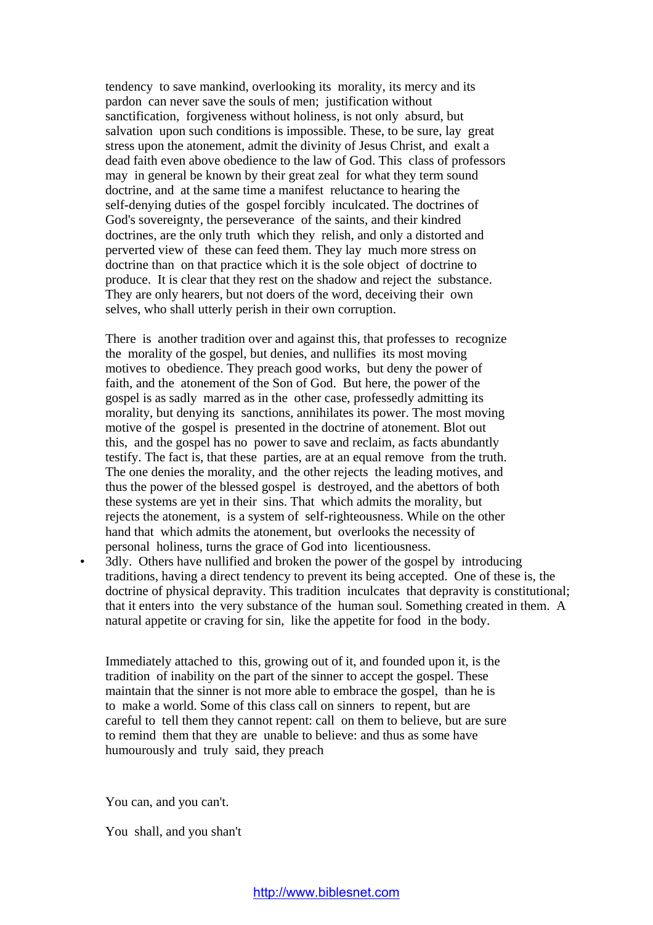tendency to save mankind, overlooking its morality, its mercy and its pardon can never save the souls of men; justification without sanctification, forgiveness without holiness, is not only absurd, but salvation upon such conditions is impossible. These, to be sure, lay great stress upon the atonement, admit the divinity of Jesus Christ, and exalt a dead faith even above obedience to the law of God. This class of professors may in general be known by their great zeal for what they term sound doctrine, and at the same time a manifest reluctance to hearing the self-denying duties of the gospel forcibly inculcated. The doctrines of God's sovereignty, the perseverance of the saints, and their kindred doctrines, are the only truth which they relish, and only a distorted and perverted view of these can feed them. They lay much more stress on doctrine than on that practice which it is the sole object of doctrine to produce. It is clear that they rest on the shadow and reject the substance. They are only hearers, but not doers of the word, deceiving their own selves, who shall utterly perish in their own corruption.

There is another tradition over and against this, that professes to recognize the morality of the gospel, but denies, and nullifies its most moving motives to obedience. They preach good works, but deny the power of faith, and the atonement of the Son of God. But here, the power of the gospel is as sadly marred as in the other case, professedly admitting its morality, but denying its sanctions, annihilates its power. The most moving motive of the gospel is presented in the doctrine of atonement. Blot out this, and the gospel has no power to save and reclaim, as facts abundantly testify. The fact is, that these parties, are at an equal remove from the truth. The one denies the morality, and the other rejects the leading motives, and thus the power of the blessed gospel is destroyed, and the abettors of both these systems are yet in their sins. That which admits the morality, but rejects the atonement, is a system of self-righteousness. While on the other hand that which admits the atonement, but overlooks the necessity of personal holiness, turns the grace of God into licentiousness.

• 3dly. Others have nullified and broken the power of the gospel by introducing traditions, having a direct tendency to prevent its being accepted. One of these is, the doctrine of physical depravity. This tradition inculcates that depravity is constitutional; that it enters into the very substance of the human soul. Something created in them. A natural appetite or craving for sin, like the appetite for food in the body.

Immediately attached to this, growing out of it, and founded upon it, is the tradition of inability on the part of the sinner to accept the gospel. These maintain that the sinner is not more able to embrace the gospel, than he is to make a world. Some of this class call on sinners to repent, but are careful to tell them they cannot repent: call on them to believe, but are sure to remind them that they are unable to believe: and thus as some have humourously and truly said, they preach

You can, and you can't.

You shall, and you shan't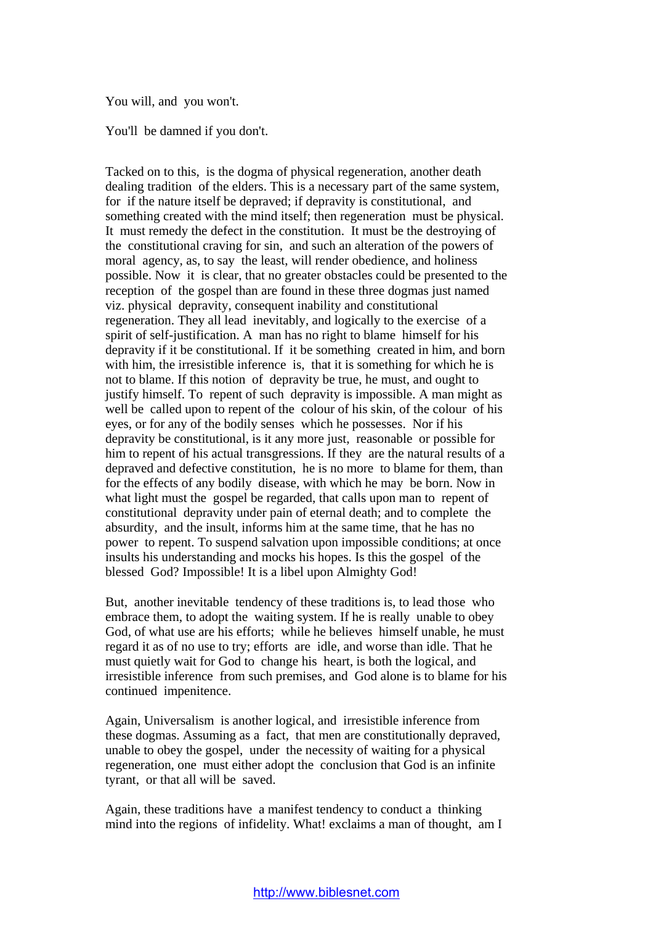You will, and you won't.

You'll be damned if you don't.

Tacked on to this, is the dogma of physical regeneration, another death dealing tradition of the elders. This is a necessary part of the same system, for if the nature itself be depraved; if depravity is constitutional, and something created with the mind itself; then regeneration must be physical. It must remedy the defect in the constitution. It must be the destroying of the constitutional craving for sin, and such an alteration of the powers of moral agency, as, to say the least, will render obedience, and holiness possible. Now it is clear, that no greater obstacles could be presented to the reception of the gospel than are found in these three dogmas just named viz. physical depravity, consequent inability and constitutional regeneration. They all lead inevitably, and logically to the exercise of a spirit of self-justification. A man has no right to blame himself for his depravity if it be constitutional. If it be something created in him, and born with him, the irresistible inference is, that it is something for which he is not to blame. If this notion of depravity be true, he must, and ought to justify himself. To repent of such depravity is impossible. A man might as well be called upon to repent of the colour of his skin, of the colour of his eyes, or for any of the bodily senses which he possesses. Nor if his depravity be constitutional, is it any more just, reasonable or possible for him to repent of his actual transgressions. If they are the natural results of a depraved and defective constitution, he is no more to blame for them, than for the effects of any bodily disease, with which he may be born. Now in what light must the gospel be regarded, that calls upon man to repent of constitutional depravity under pain of eternal death; and to complete the absurdity, and the insult, informs him at the same time, that he has no power to repent. To suspend salvation upon impossible conditions; at once insults his understanding and mocks his hopes. Is this the gospel of the blessed God? Impossible! It is a libel upon Almighty God!

But, another inevitable tendency of these traditions is, to lead those who embrace them, to adopt the waiting system. If he is really unable to obey God, of what use are his efforts; while he believes himself unable, he must regard it as of no use to try; efforts are idle, and worse than idle. That he must quietly wait for God to change his heart, is both the logical, and irresistible inference from such premises, and God alone is to blame for his continued impenitence.

Again, Universalism is another logical, and irresistible inference from these dogmas. Assuming as a fact, that men are constitutionally depraved, unable to obey the gospel, under the necessity of waiting for a physical regeneration, one must either adopt the conclusion that God is an infinite tyrant, or that all will be saved.

Again, these traditions have a manifest tendency to conduct a thinking mind into the regions of infidelity. What! exclaims a man of thought, am I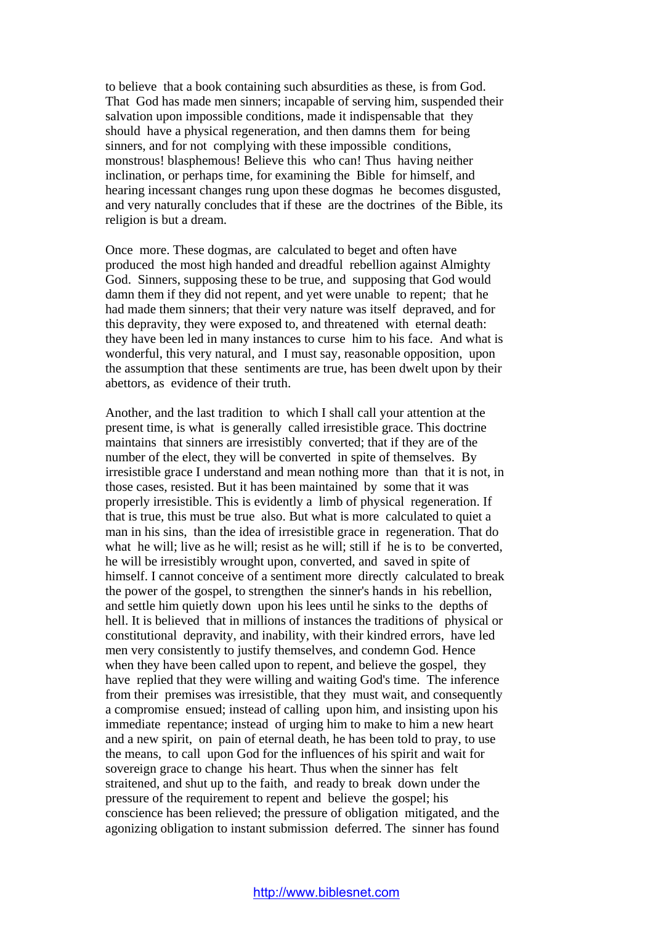to believe that a book containing such absurdities as these, is from God. That God has made men sinners; incapable of serving him, suspended their salvation upon impossible conditions, made it indispensable that they should have a physical regeneration, and then damns them for being sinners, and for not complying with these impossible conditions, monstrous! blasphemous! Believe this who can! Thus having neither inclination, or perhaps time, for examining the Bible for himself, and hearing incessant changes rung upon these dogmas he becomes disgusted, and very naturally concludes that if these are the doctrines of the Bible, its religion is but a dream.

Once more. These dogmas, are calculated to beget and often have produced the most high handed and dreadful rebellion against Almighty God. Sinners, supposing these to be true, and supposing that God would damn them if they did not repent, and yet were unable to repent; that he had made them sinners; that their very nature was itself depraved, and for this depravity, they were exposed to, and threatened with eternal death: they have been led in many instances to curse him to his face. And what is wonderful, this very natural, and I must say, reasonable opposition, upon the assumption that these sentiments are true, has been dwelt upon by their abettors, as evidence of their truth.

Another, and the last tradition to which I shall call your attention at the present time, is what is generally called irresistible grace. This doctrine maintains that sinners are irresistibly converted; that if they are of the number of the elect, they will be converted in spite of themselves. By irresistible grace I understand and mean nothing more than that it is not, in those cases, resisted. But it has been maintained by some that it was properly irresistible. This is evidently a limb of physical regeneration. If that is true, this must be true also. But what is more calculated to quiet a man in his sins, than the idea of irresistible grace in regeneration. That do what he will; live as he will; resist as he will; still if he is to be converted, he will be irresistibly wrought upon, converted, and saved in spite of himself. I cannot conceive of a sentiment more directly calculated to break the power of the gospel, to strengthen the sinner's hands in his rebellion, and settle him quietly down upon his lees until he sinks to the depths of hell. It is believed that in millions of instances the traditions of physical or constitutional depravity, and inability, with their kindred errors, have led men very consistently to justify themselves, and condemn God. Hence when they have been called upon to repent, and believe the gospel, they have replied that they were willing and waiting God's time. The inference from their premises was irresistible, that they must wait, and consequently a compromise ensued; instead of calling upon him, and insisting upon his immediate repentance; instead of urging him to make to him a new heart and a new spirit, on pain of eternal death, he has been told to pray, to use the means, to call upon God for the influences of his spirit and wait for sovereign grace to change his heart. Thus when the sinner has felt straitened, and shut up to the faith, and ready to break down under the pressure of the requirement to repent and believe the gospel; his conscience has been relieved; the pressure of obligation mitigated, and the agonizing obligation to instant submission deferred. The sinner has found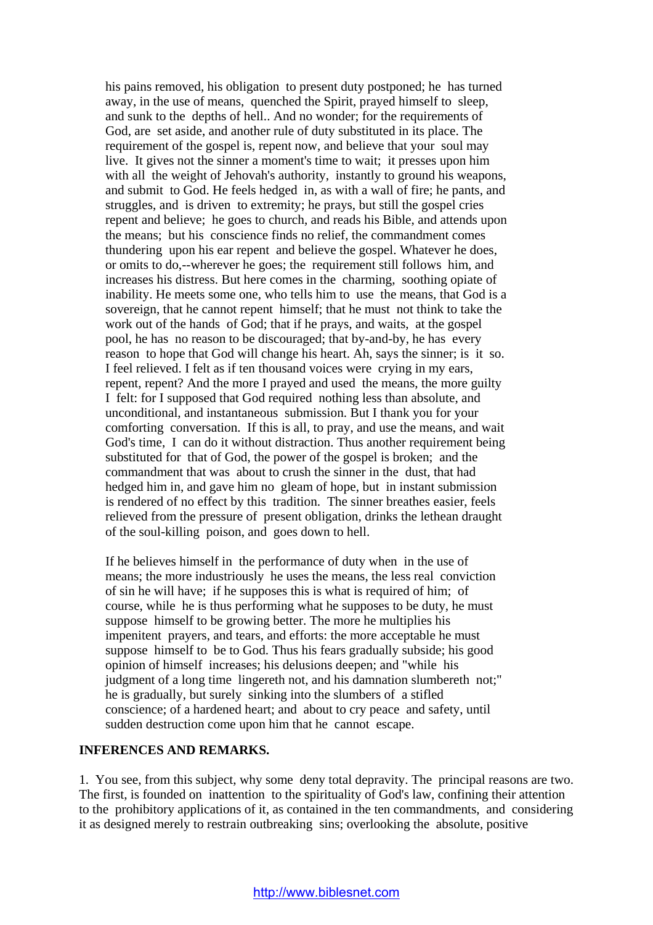his pains removed, his obligation to present duty postponed; he has turned away, in the use of means, quenched the Spirit, prayed himself to sleep, and sunk to the depths of hell.. And no wonder; for the requirements of God, are set aside, and another rule of duty substituted in its place. The requirement of the gospel is, repent now, and believe that your soul may live. It gives not the sinner a moment's time to wait; it presses upon him with all the weight of Jehovah's authority, instantly to ground his weapons, and submit to God. He feels hedged in, as with a wall of fire; he pants, and struggles, and is driven to extremity; he prays, but still the gospel cries repent and believe; he goes to church, and reads his Bible, and attends upon the means; but his conscience finds no relief, the commandment comes thundering upon his ear repent and believe the gospel. Whatever he does, or omits to do,--wherever he goes; the requirement still follows him, and increases his distress. But here comes in the charming, soothing opiate of inability. He meets some one, who tells him to use the means, that God is a sovereign, that he cannot repent himself; that he must not think to take the work out of the hands of God; that if he prays, and waits, at the gospel pool, he has no reason to be discouraged; that by-and-by, he has every reason to hope that God will change his heart. Ah, says the sinner; is it so. I feel relieved. I felt as if ten thousand voices were crying in my ears, repent, repent? And the more I prayed and used the means, the more guilty I felt: for I supposed that God required nothing less than absolute, and unconditional, and instantaneous submission. But I thank you for your comforting conversation. If this is all, to pray, and use the means, and wait God's time, I can do it without distraction. Thus another requirement being substituted for that of God, the power of the gospel is broken; and the commandment that was about to crush the sinner in the dust, that had hedged him in, and gave him no gleam of hope, but in instant submission is rendered of no effect by this tradition. The sinner breathes easier, feels relieved from the pressure of present obligation, drinks the lethean draught of the soul-killing poison, and goes down to hell.

If he believes himself in the performance of duty when in the use of means; the more industriously he uses the means, the less real conviction of sin he will have; if he supposes this is what is required of him; of course, while he is thus performing what he supposes to be duty, he must suppose himself to be growing better. The more he multiplies his impenitent prayers, and tears, and efforts: the more acceptable he must suppose himself to be to God. Thus his fears gradually subside; his good opinion of himself increases; his delusions deepen; and "while his judgment of a long time lingereth not, and his damnation slumbereth not;" he is gradually, but surely sinking into the slumbers of a stifled conscience; of a hardened heart; and about to cry peace and safety, until sudden destruction come upon him that he cannot escape.

#### **INFERENCES AND REMARKS.**

1. You see, from this subject, why some deny total depravity. The principal reasons are two. The first, is founded on inattention to the spirituality of God's law, confining their attention to the prohibitory applications of it, as contained in the ten commandments, and considering it as designed merely to restrain outbreaking sins; overlooking the absolute, positive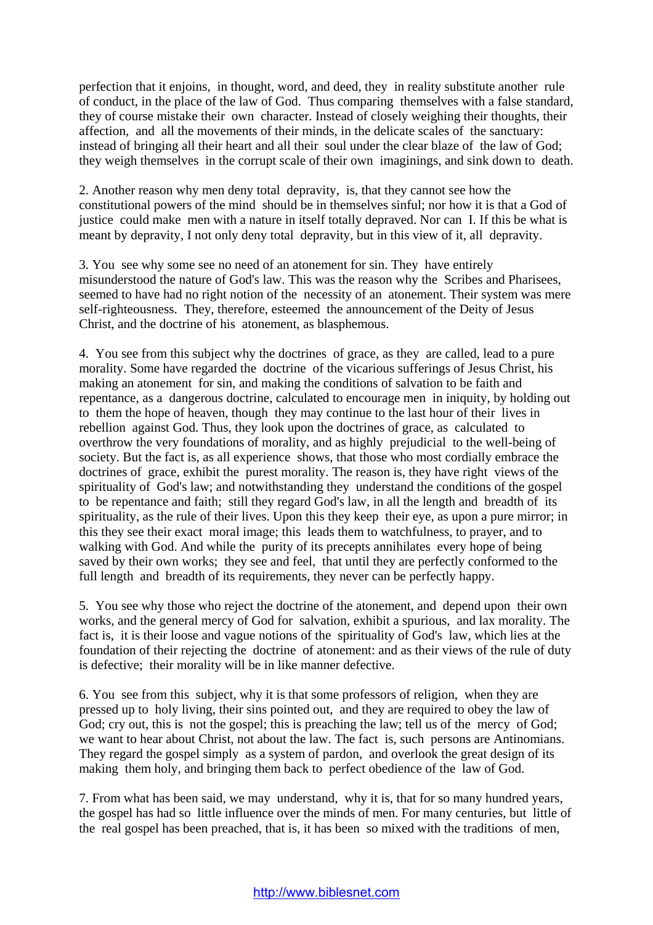perfection that it enjoins, in thought, word, and deed, they in reality substitute another rule of conduct, in the place of the law of God. Thus comparing themselves with a false standard, they of course mistake their own character. Instead of closely weighing their thoughts, their affection, and all the movements of their minds, in the delicate scales of the sanctuary: instead of bringing all their heart and all their soul under the clear blaze of the law of God; they weigh themselves in the corrupt scale of their own imaginings, and sink down to death.

2. Another reason why men deny total depravity, is, that they cannot see how the constitutional powers of the mind should be in themselves sinful; nor how it is that a God of justice could make men with a nature in itself totally depraved. Nor can I. If this be what is meant by depravity, I not only deny total depravity, but in this view of it, all depravity.

3. You see why some see no need of an atonement for sin. They have entirely misunderstood the nature of God's law. This was the reason why the Scribes and Pharisees, seemed to have had no right notion of the necessity of an atonement. Their system was mere self-righteousness. They, therefore, esteemed the announcement of the Deity of Jesus Christ, and the doctrine of his atonement, as blasphemous.

4. You see from this subject why the doctrines of grace, as they are called, lead to a pure morality. Some have regarded the doctrine of the vicarious sufferings of Jesus Christ, his making an atonement for sin, and making the conditions of salvation to be faith and repentance, as a dangerous doctrine, calculated to encourage men in iniquity, by holding out to them the hope of heaven, though they may continue to the last hour of their lives in rebellion against God. Thus, they look upon the doctrines of grace, as calculated to overthrow the very foundations of morality, and as highly prejudicial to the well-being of society. But the fact is, as all experience shows, that those who most cordially embrace the doctrines of grace, exhibit the purest morality. The reason is, they have right views of the spirituality of God's law; and notwithstanding they understand the conditions of the gospel to be repentance and faith; still they regard God's law, in all the length and breadth of its spirituality, as the rule of their lives. Upon this they keep their eye, as upon a pure mirror; in this they see their exact moral image; this leads them to watchfulness, to prayer, and to walking with God. And while the purity of its precepts annihilates every hope of being saved by their own works; they see and feel, that until they are perfectly conformed to the full length and breadth of its requirements, they never can be perfectly happy.

5. You see why those who reject the doctrine of the atonement, and depend upon their own works, and the general mercy of God for salvation, exhibit a spurious, and lax morality. The fact is, it is their loose and vague notions of the spirituality of God's law, which lies at the foundation of their rejecting the doctrine of atonement: and as their views of the rule of duty is defective; their morality will be in like manner defective.

6. You see from this subject, why it is that some professors of religion, when they are pressed up to holy living, their sins pointed out, and they are required to obey the law of God; cry out, this is not the gospel; this is preaching the law; tell us of the mercy of God; we want to hear about Christ, not about the law. The fact is, such persons are Antinomians. They regard the gospel simply as a system of pardon, and overlook the great design of its making them holy, and bringing them back to perfect obedience of the law of God.

7. From what has been said, we may understand, why it is, that for so many hundred years, the gospel has had so little influence over the minds of men. For many centuries, but little of the real gospel has been preached, that is, it has been so mixed with the traditions of men,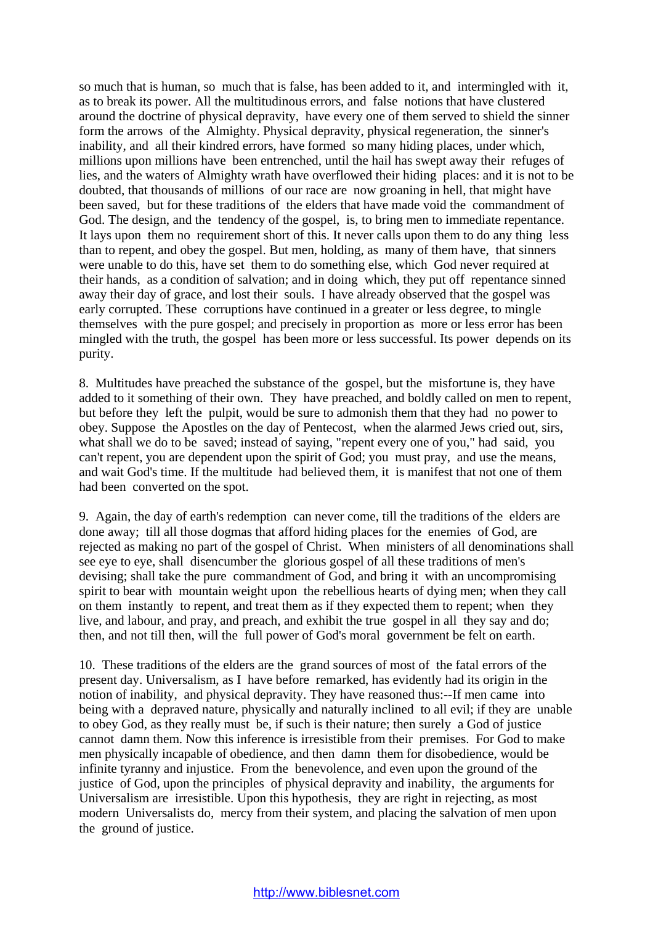so much that is human, so much that is false, has been added to it, and intermingled with it, as to break its power. All the multitudinous errors, and false notions that have clustered around the doctrine of physical depravity, have every one of them served to shield the sinner form the arrows of the Almighty. Physical depravity, physical regeneration, the sinner's inability, and all their kindred errors, have formed so many hiding places, under which, millions upon millions have been entrenched, until the hail has swept away their refuges of lies, and the waters of Almighty wrath have overflowed their hiding places: and it is not to be doubted, that thousands of millions of our race are now groaning in hell, that might have been saved, but for these traditions of the elders that have made void the commandment of God. The design, and the tendency of the gospel, is, to bring men to immediate repentance. It lays upon them no requirement short of this. It never calls upon them to do any thing less than to repent, and obey the gospel. But men, holding, as many of them have, that sinners were unable to do this, have set them to do something else, which God never required at their hands, as a condition of salvation; and in doing which, they put off repentance sinned away their day of grace, and lost their souls. I have already observed that the gospel was early corrupted. These corruptions have continued in a greater or less degree, to mingle themselves with the pure gospel; and precisely in proportion as more or less error has been mingled with the truth, the gospel has been more or less successful. Its power depends on its purity.

8. Multitudes have preached the substance of the gospel, but the misfortune is, they have added to it something of their own. They have preached, and boldly called on men to repent, but before they left the pulpit, would be sure to admonish them that they had no power to obey. Suppose the Apostles on the day of Pentecost, when the alarmed Jews cried out, sirs, what shall we do to be saved; instead of saying, "repent every one of you," had said, you can't repent, you are dependent upon the spirit of God; you must pray, and use the means, and wait God's time. If the multitude had believed them, it is manifest that not one of them had been converted on the spot.

9. Again, the day of earth's redemption can never come, till the traditions of the elders are done away; till all those dogmas that afford hiding places for the enemies of God, are rejected as making no part of the gospel of Christ. When ministers of all denominations shall see eye to eye, shall disencumber the glorious gospel of all these traditions of men's devising; shall take the pure commandment of God, and bring it with an uncompromising spirit to bear with mountain weight upon the rebellious hearts of dying men; when they call on them instantly to repent, and treat them as if they expected them to repent; when they live, and labour, and pray, and preach, and exhibit the true gospel in all they say and do; then, and not till then, will the full power of God's moral government be felt on earth.

10. These traditions of the elders are the grand sources of most of the fatal errors of the present day. Universalism, as I have before remarked, has evidently had its origin in the notion of inability, and physical depravity. They have reasoned thus:--If men came into being with a depraved nature, physically and naturally inclined to all evil; if they are unable to obey God, as they really must be, if such is their nature; then surely a God of justice cannot damn them. Now this inference is irresistible from their premises. For God to make men physically incapable of obedience, and then damn them for disobedience, would be infinite tyranny and injustice. From the benevolence, and even upon the ground of the justice of God, upon the principles of physical depravity and inability, the arguments for Universalism are irresistible. Upon this hypothesis, they are right in rejecting, as most modern Universalists do, mercy from their system, and placing the salvation of men upon the ground of justice.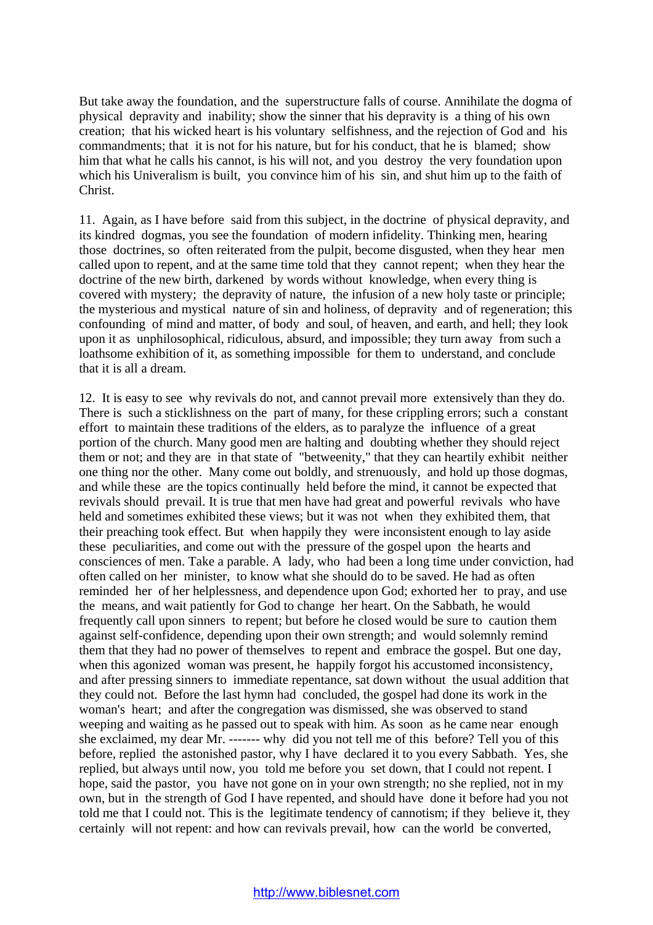But take away the foundation, and the superstructure falls of course. Annihilate the dogma of physical depravity and inability; show the sinner that his depravity is a thing of his own creation; that his wicked heart is his voluntary selfishness, and the rejection of God and his commandments; that it is not for his nature, but for his conduct, that he is blamed; show him that what he calls his cannot, is his will not, and you destroy the very foundation upon which his Univeralism is built, you convince him of his sin, and shut him up to the faith of Christ.

11. Again, as I have before said from this subject, in the doctrine of physical depravity, and its kindred dogmas, you see the foundation of modern infidelity. Thinking men, hearing those doctrines, so often reiterated from the pulpit, become disgusted, when they hear men called upon to repent, and at the same time told that they cannot repent; when they hear the doctrine of the new birth, darkened by words without knowledge, when every thing is covered with mystery; the depravity of nature, the infusion of a new holy taste or principle; the mysterious and mystical nature of sin and holiness, of depravity and of regeneration; this confounding of mind and matter, of body and soul, of heaven, and earth, and hell; they look upon it as unphilosophical, ridiculous, absurd, and impossible; they turn away from such a loathsome exhibition of it, as something impossible for them to understand, and conclude that it is all a dream.

12. It is easy to see why revivals do not, and cannot prevail more extensively than they do. There is such a sticklishness on the part of many, for these crippling errors; such a constant effort to maintain these traditions of the elders, as to paralyze the influence of a great portion of the church. Many good men are halting and doubting whether they should reject them or not; and they are in that state of "betweenity," that they can heartily exhibit neither one thing nor the other. Many come out boldly, and strenuously, and hold up those dogmas, and while these are the topics continually held before the mind, it cannot be expected that revivals should prevail. It is true that men have had great and powerful revivals who have held and sometimes exhibited these views; but it was not when they exhibited them, that their preaching took effect. But when happily they were inconsistent enough to lay aside these peculiarities, and come out with the pressure of the gospel upon the hearts and consciences of men. Take a parable. A lady, who had been a long time under conviction, had often called on her minister, to know what she should do to be saved. He had as often reminded her of her helplessness, and dependence upon God; exhorted her to pray, and use the means, and wait patiently for God to change her heart. On the Sabbath, he would frequently call upon sinners to repent; but before he closed would be sure to caution them against self-confidence, depending upon their own strength; and would solemnly remind them that they had no power of themselves to repent and embrace the gospel. But one day, when this agonized woman was present, he happily forgot his accustomed inconsistency, and after pressing sinners to immediate repentance, sat down without the usual addition that they could not. Before the last hymn had concluded, the gospel had done its work in the woman's heart; and after the congregation was dismissed, she was observed to stand weeping and waiting as he passed out to speak with him. As soon as he came near enough she exclaimed, my dear Mr. ------- why did you not tell me of this before? Tell you of this before, replied the astonished pastor, why I have declared it to you every Sabbath. Yes, she replied, but always until now, you told me before you set down, that I could not repent. I hope, said the pastor, you have not gone on in your own strength; no she replied, not in my own, but in the strength of God I have repented, and should have done it before had you not told me that I could not. This is the legitimate tendency of cannotism; if they believe it, they certainly will not repent: and how can revivals prevail, how can the world be converted,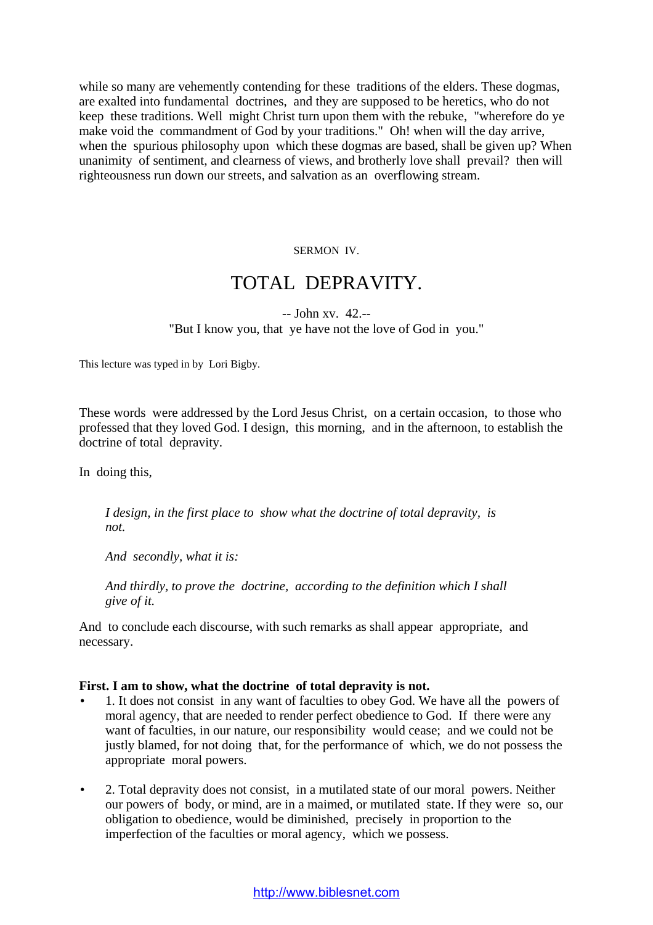while so many are vehemently contending for these traditions of the elders. These dogmas, are exalted into fundamental doctrines, and they are supposed to be heretics, who do not keep these traditions. Well might Christ turn upon them with the rebuke, "wherefore do ye make void the commandment of God by your traditions." Oh! when will the day arrive, when the spurious philosophy upon which these dogmas are based, shall be given up? When unanimity of sentiment, and clearness of views, and brotherly love shall prevail? then will righteousness run down our streets, and salvation as an overflowing stream.

#### SERMON IV

## TOTAL DEPRAVITY.

-- John xv. 42.-- "But I know you, that ye have not the love of God in you."

This lecture was typed in by Lori Bigby.

These words were addressed by the Lord Jesus Christ, on a certain occasion, to those who professed that they loved God. I design, this morning, and in the afternoon, to establish the doctrine of total depravity.

In doing this,

*I design, in the first place to show what the doctrine of total depravity, is not.*

*And secondly, what it is:*

*And thirdly, to prove the doctrine, according to the definition which I shall give of it.*

And to conclude each discourse, with such remarks as shall appear appropriate, and necessary.

#### **First. I am to show, what the doctrine of total depravity is not.**

- 1. It does not consist in any want of faculties to obey God. We have all the powers of moral agency, that are needed to render perfect obedience to God. If there were any want of faculties, in our nature, our responsibility would cease; and we could not be justly blamed, for not doing that, for the performance of which, we do not possess the appropriate moral powers.
- 2. Total depravity does not consist, in a mutilated state of our moral powers. Neither our powers of body, or mind, are in a maimed, or mutilated state. If they were so, our obligation to obedience, would be diminished, precisely in proportion to the imperfection of the faculties or moral agency, which we possess.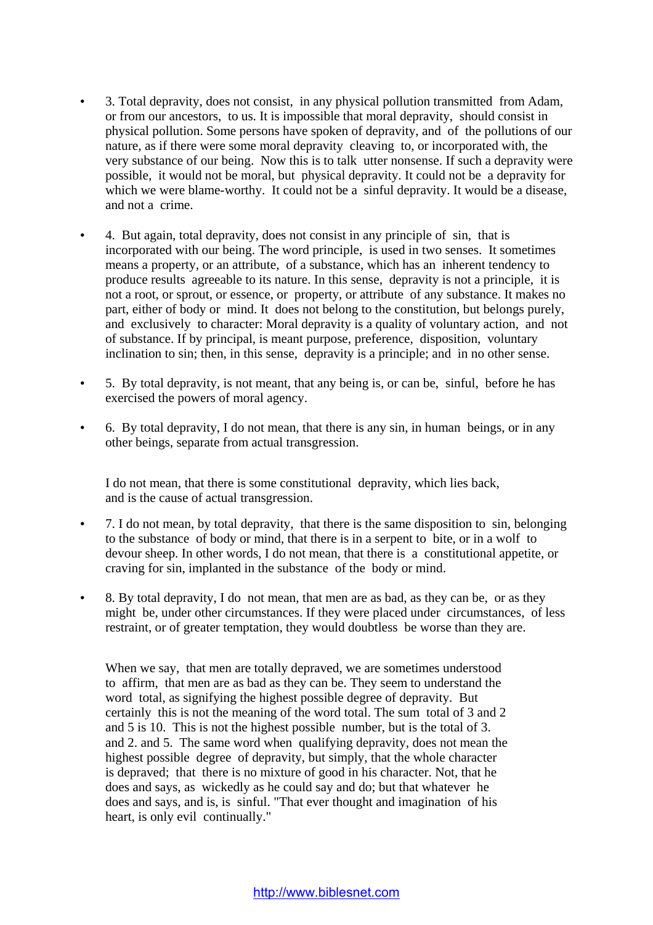- 3. Total depravity, does not consist, in any physical pollution transmitted from Adam, or from our ancestors, to us. It is impossible that moral depravity, should consist in physical pollution. Some persons have spoken of depravity, and of the pollutions of our nature, as if there were some moral depravity cleaving to, or incorporated with, the very substance of our being. Now this is to talk utter nonsense. If such a depravity were possible, it would not be moral, but physical depravity. It could not be a depravity for which we were blame-worthy. It could not be a sinful depravity. It would be a disease, and not a crime.
- 4. But again, total depravity, does not consist in any principle of sin, that is incorporated with our being. The word principle, is used in two senses. It sometimes means a property, or an attribute, of a substance, which has an inherent tendency to produce results agreeable to its nature. In this sense, depravity is not a principle, it is not a root, or sprout, or essence, or property, or attribute of any substance. It makes no part, either of body or mind. It does not belong to the constitution, but belongs purely, and exclusively to character: Moral depravity is a quality of voluntary action, and not of substance. If by principal, is meant purpose, preference, disposition, voluntary inclination to sin; then, in this sense, depravity is a principle; and in no other sense.
- 5. By total depravity, is not meant, that any being is, or can be, sinful, before he has exercised the powers of moral agency.
- 6. By total depravity, I do not mean, that there is any sin, in human beings, or in any other beings, separate from actual transgression.

I do not mean, that there is some constitutional depravity, which lies back, and is the cause of actual transgression.

- 7. I do not mean, by total depravity, that there is the same disposition to sin, belonging to the substance of body or mind, that there is in a serpent to bite, or in a wolf to devour sheep. In other words, I do not mean, that there is a constitutional appetite, or craving for sin, implanted in the substance of the body or mind.
- 8. By total depravity, I do not mean, that men are as bad, as they can be, or as they might be, under other circumstances. If they were placed under circumstances, of less restraint, or of greater temptation, they would doubtless be worse than they are.

When we say, that men are totally depraved, we are sometimes understood to affirm, that men are as bad as they can be. They seem to understand the word total, as signifying the highest possible degree of depravity. But certainly this is not the meaning of the word total. The sum total of 3 and 2 and 5 is 10. This is not the highest possible number, but is the total of 3. and 2. and 5. The same word when qualifying depravity, does not mean the highest possible degree of depravity, but simply, that the whole character is depraved; that there is no mixture of good in his character. Not, that he does and says, as wickedly as he could say and do; but that whatever he does and says, and is, is sinful. "That ever thought and imagination of his heart, is only evil continually."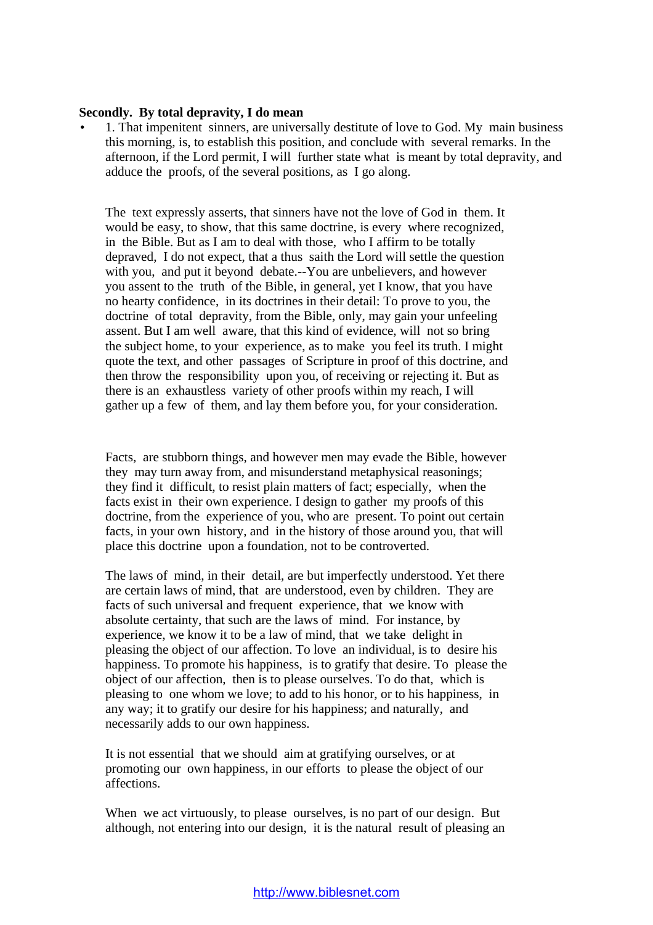#### **Secondly. By total depravity, I do mean**

• 1. That impenitent sinners, are universally destitute of love to God. My main business this morning, is, to establish this position, and conclude with several remarks. In the afternoon, if the Lord permit, I will further state what is meant by total depravity, and adduce the proofs, of the several positions, as I go along.

The text expressly asserts, that sinners have not the love of God in them. It would be easy, to show, that this same doctrine, is every where recognized, in the Bible. But as I am to deal with those, who I affirm to be totally depraved, I do not expect, that a thus saith the Lord will settle the question with you, and put it beyond debate.--You are unbelievers, and however you assent to the truth of the Bible, in general, yet I know, that you have no hearty confidence, in its doctrines in their detail: To prove to you, the doctrine of total depravity, from the Bible, only, may gain your unfeeling assent. But I am well aware, that this kind of evidence, will not so bring the subject home, to your experience, as to make you feel its truth. I might quote the text, and other passages of Scripture in proof of this doctrine, and then throw the responsibility upon you, of receiving or rejecting it. But as there is an exhaustless variety of other proofs within my reach, I will gather up a few of them, and lay them before you, for your consideration.

Facts, are stubborn things, and however men may evade the Bible, however they may turn away from, and misunderstand metaphysical reasonings; they find it difficult, to resist plain matters of fact; especially, when the facts exist in their own experience. I design to gather my proofs of this doctrine, from the experience of you, who are present. To point out certain facts, in your own history, and in the history of those around you, that will place this doctrine upon a foundation, not to be controverted.

The laws of mind, in their detail, are but imperfectly understood. Yet there are certain laws of mind, that are understood, even by children. They are facts of such universal and frequent experience, that we know with absolute certainty, that such are the laws of mind. For instance, by experience, we know it to be a law of mind, that we take delight in pleasing the object of our affection. To love an individual, is to desire his happiness. To promote his happiness, is to gratify that desire. To please the object of our affection, then is to please ourselves. To do that, which is pleasing to one whom we love; to add to his honor, or to his happiness, in any way; it to gratify our desire for his happiness; and naturally, and necessarily adds to our own happiness.

It is not essential that we should aim at gratifying ourselves, or at promoting our own happiness, in our efforts to please the object of our affections.

When we act virtuously, to please ourselves, is no part of our design. But although, not entering into our design, it is the natural result of pleasing an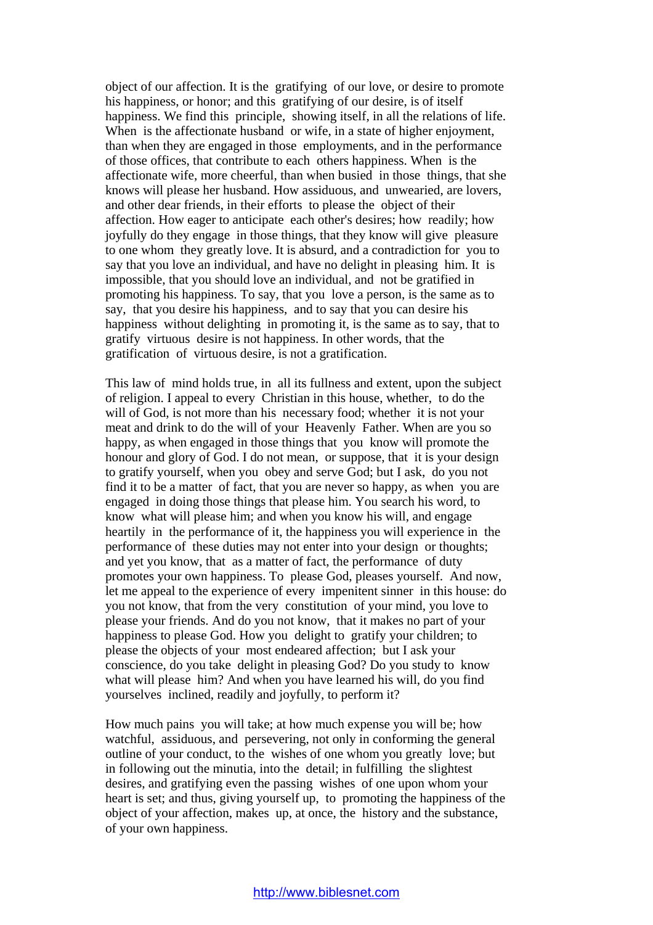object of our affection. It is the gratifying of our love, or desire to promote his happiness, or honor; and this gratifying of our desire, is of itself happiness. We find this principle, showing itself, in all the relations of life. When is the affectionate husband or wife, in a state of higher enjoyment, than when they are engaged in those employments, and in the performance of those offices, that contribute to each others happiness. When is the affectionate wife, more cheerful, than when busied in those things, that she knows will please her husband. How assiduous, and unwearied, are lovers, and other dear friends, in their efforts to please the object of their affection. How eager to anticipate each other's desires; how readily; how joyfully do they engage in those things, that they know will give pleasure to one whom they greatly love. It is absurd, and a contradiction for you to say that you love an individual, and have no delight in pleasing him. It is impossible, that you should love an individual, and not be gratified in promoting his happiness. To say, that you love a person, is the same as to say, that you desire his happiness, and to say that you can desire his happiness without delighting in promoting it, is the same as to say, that to gratify virtuous desire is not happiness. In other words, that the gratification of virtuous desire, is not a gratification.

This law of mind holds true, in all its fullness and extent, upon the subject of religion. I appeal to every Christian in this house, whether, to do the will of God, is not more than his necessary food; whether it is not your meat and drink to do the will of your Heavenly Father. When are you so happy, as when engaged in those things that you know will promote the honour and glory of God. I do not mean, or suppose, that it is your design to gratify yourself, when you obey and serve God; but I ask, do you not find it to be a matter of fact, that you are never so happy, as when you are engaged in doing those things that please him. You search his word, to know what will please him; and when you know his will, and engage heartily in the performance of it, the happiness you will experience in the performance of these duties may not enter into your design or thoughts; and yet you know, that as a matter of fact, the performance of duty promotes your own happiness. To please God, pleases yourself. And now, let me appeal to the experience of every impenitent sinner in this house: do you not know, that from the very constitution of your mind, you love to please your friends. And do you not know, that it makes no part of your happiness to please God. How you delight to gratify your children; to please the objects of your most endeared affection; but I ask your conscience, do you take delight in pleasing God? Do you study to know what will please him? And when you have learned his will, do you find yourselves inclined, readily and joyfully, to perform it?

How much pains you will take; at how much expense you will be; how watchful, assiduous, and persevering, not only in conforming the general outline of your conduct, to the wishes of one whom you greatly love; but in following out the minutia, into the detail; in fulfilling the slightest desires, and gratifying even the passing wishes of one upon whom your heart is set; and thus, giving yourself up, to promoting the happiness of the object of your affection, makes up, at once, the history and the substance, of your own happiness.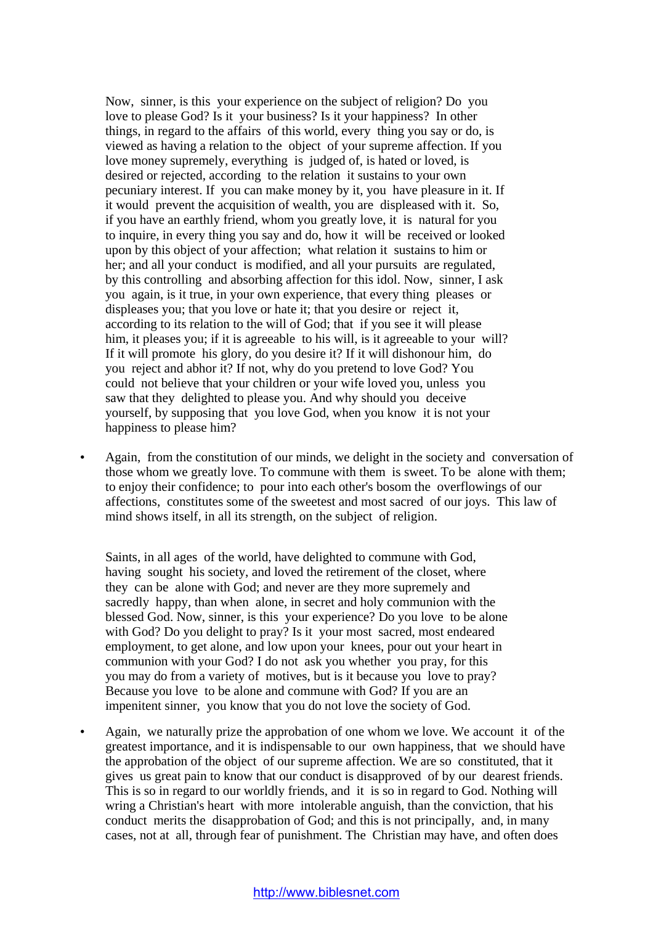Now, sinner, is this your experience on the subject of religion? Do you love to please God? Is it your business? Is it your happiness? In other things, in regard to the affairs of this world, every thing you say or do, is viewed as having a relation to the object of your supreme affection. If you love money supremely, everything is judged of, is hated or loved, is desired or rejected, according to the relation it sustains to your own pecuniary interest. If you can make money by it, you have pleasure in it. If it would prevent the acquisition of wealth, you are displeased with it. So, if you have an earthly friend, whom you greatly love, it is natural for you to inquire, in every thing you say and do, how it will be received or looked upon by this object of your affection; what relation it sustains to him or her; and all your conduct is modified, and all your pursuits are regulated, by this controlling and absorbing affection for this idol. Now, sinner, I ask you again, is it true, in your own experience, that every thing pleases or displeases you; that you love or hate it; that you desire or reject it, according to its relation to the will of God; that if you see it will please him, it pleases you; if it is agreeable to his will, is it agreeable to your will? If it will promote his glory, do you desire it? If it will dishonour him, do you reject and abhor it? If not, why do you pretend to love God? You could not believe that your children or your wife loved you, unless you saw that they delighted to please you. And why should you deceive yourself, by supposing that you love God, when you know it is not your happiness to please him?

• Again, from the constitution of our minds, we delight in the society and conversation of those whom we greatly love. To commune with them is sweet. To be alone with them; to enjoy their confidence; to pour into each other's bosom the overflowings of our affections, constitutes some of the sweetest and most sacred of our joys. This law of mind shows itself, in all its strength, on the subject of religion.

Saints, in all ages of the world, have delighted to commune with God, having sought his society, and loved the retirement of the closet, where they can be alone with God; and never are they more supremely and sacredly happy, than when alone, in secret and holy communion with the blessed God. Now, sinner, is this your experience? Do you love to be alone with God? Do you delight to pray? Is it your most sacred, most endeared employment, to get alone, and low upon your knees, pour out your heart in communion with your God? I do not ask you whether you pray, for this you may do from a variety of motives, but is it because you love to pray? Because you love to be alone and commune with God? If you are an impenitent sinner, you know that you do not love the society of God.

• Again, we naturally prize the approbation of one whom we love. We account it of the greatest importance, and it is indispensable to our own happiness, that we should have the approbation of the object of our supreme affection. We are so constituted, that it gives us great pain to know that our conduct is disapproved of by our dearest friends. This is so in regard to our worldly friends, and it is so in regard to God. Nothing will wring a Christian's heart with more intolerable anguish, than the conviction, that his conduct merits the disapprobation of God; and this is not principally, and, in many cases, not at all, through fear of punishment. The Christian may have, and often does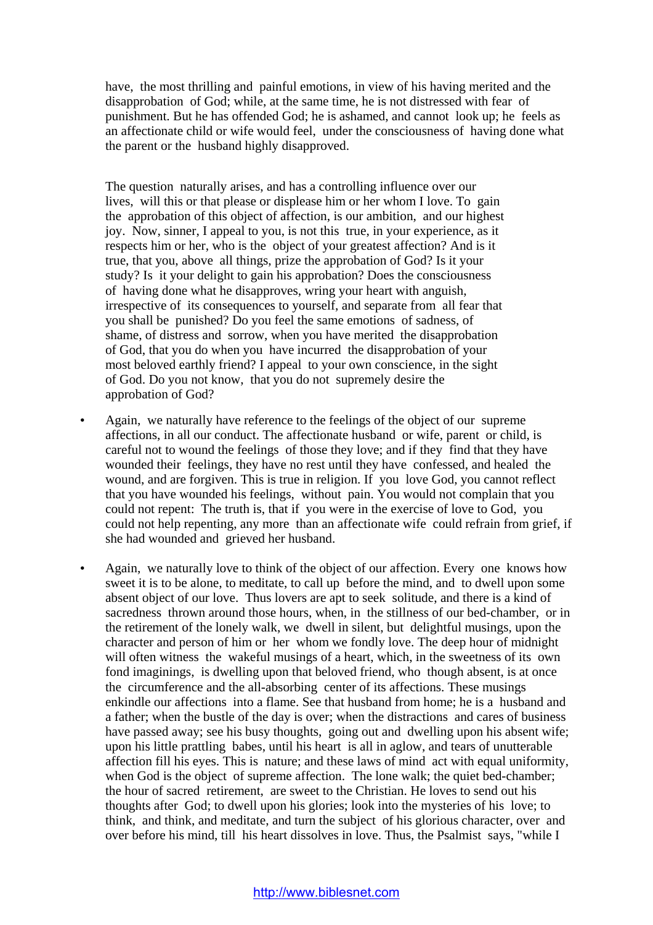have, the most thrilling and painful emotions, in view of his having merited and the disapprobation of God; while, at the same time, he is not distressed with fear of punishment. But he has offended God; he is ashamed, and cannot look up; he feels as an affectionate child or wife would feel, under the consciousness of having done what the parent or the husband highly disapproved.

The question naturally arises, and has a controlling influence over our lives, will this or that please or displease him or her whom I love. To gain the approbation of this object of affection, is our ambition, and our highest joy. Now, sinner, I appeal to you, is not this true, in your experience, as it respects him or her, who is the object of your greatest affection? And is it true, that you, above all things, prize the approbation of God? Is it your study? Is it your delight to gain his approbation? Does the consciousness of having done what he disapproves, wring your heart with anguish, irrespective of its consequences to yourself, and separate from all fear that you shall be punished? Do you feel the same emotions of sadness, of shame, of distress and sorrow, when you have merited the disapprobation of God, that you do when you have incurred the disapprobation of your most beloved earthly friend? I appeal to your own conscience, in the sight of God. Do you not know, that you do not supremely desire the approbation of God?

- Again, we naturally have reference to the feelings of the object of our supreme affections, in all our conduct. The affectionate husband or wife, parent or child, is careful not to wound the feelings of those they love; and if they find that they have wounded their feelings, they have no rest until they have confessed, and healed the wound, and are forgiven. This is true in religion. If you love God, you cannot reflect that you have wounded his feelings, without pain. You would not complain that you could not repent: The truth is, that if you were in the exercise of love to God, you could not help repenting, any more than an affectionate wife could refrain from grief, if she had wounded and grieved her husband.
- Again, we naturally love to think of the object of our affection. Every one knows how sweet it is to be alone, to meditate, to call up before the mind, and to dwell upon some absent object of our love. Thus lovers are apt to seek solitude, and there is a kind of sacredness thrown around those hours, when, in the stillness of our bed-chamber, or in the retirement of the lonely walk, we dwell in silent, but delightful musings, upon the character and person of him or her whom we fondly love. The deep hour of midnight will often witness the wakeful musings of a heart, which, in the sweetness of its own fond imaginings, is dwelling upon that beloved friend, who though absent, is at once the circumference and the all-absorbing center of its affections. These musings enkindle our affections into a flame. See that husband from home; he is a husband and a father; when the bustle of the day is over; when the distractions and cares of business have passed away; see his busy thoughts, going out and dwelling upon his absent wife; upon his little prattling babes, until his heart is all in aglow, and tears of unutterable affection fill his eyes. This is nature; and these laws of mind act with equal uniformity, when God is the object of supreme affection. The lone walk; the quiet bed-chamber; the hour of sacred retirement, are sweet to the Christian. He loves to send out his thoughts after God; to dwell upon his glories; look into the mysteries of his love; to think, and think, and meditate, and turn the subject of his glorious character, over and over before his mind, till his heart dissolves in love. Thus, the Psalmist says, "while I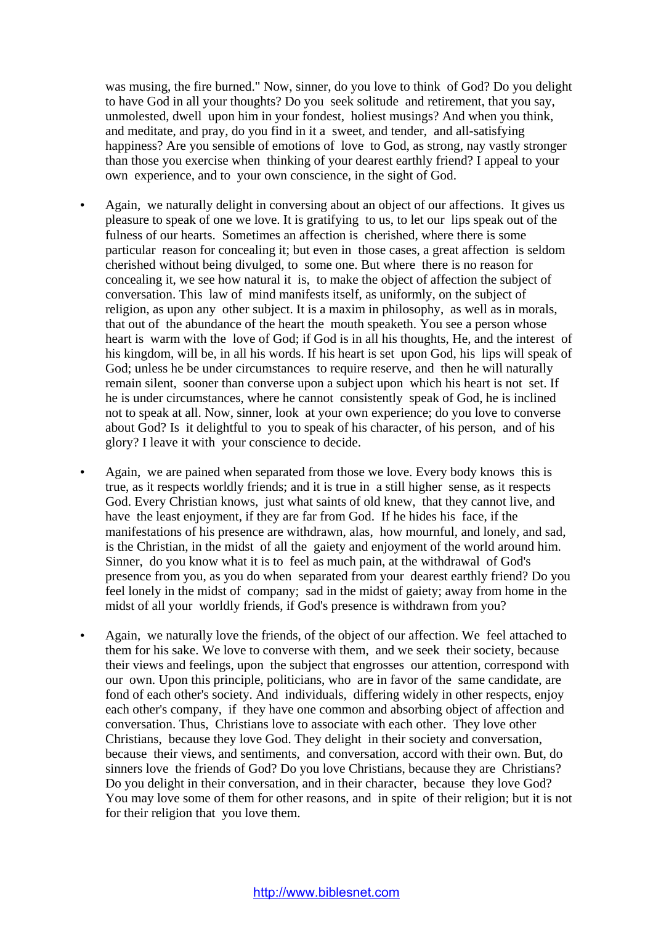was musing, the fire burned." Now, sinner, do you love to think of God? Do you delight to have God in all your thoughts? Do you seek solitude and retirement, that you say, unmolested, dwell upon him in your fondest, holiest musings? And when you think, and meditate, and pray, do you find in it a sweet, and tender, and all-satisfying happiness? Are you sensible of emotions of love to God, as strong, nay vastly stronger than those you exercise when thinking of your dearest earthly friend? I appeal to your own experience, and to your own conscience, in the sight of God.

- Again, we naturally delight in conversing about an object of our affections. It gives us pleasure to speak of one we love. It is gratifying to us, to let our lips speak out of the fulness of our hearts. Sometimes an affection is cherished, where there is some particular reason for concealing it; but even in those cases, a great affection is seldom cherished without being divulged, to some one. But where there is no reason for concealing it, we see how natural it is, to make the object of affection the subject of conversation. This law of mind manifests itself, as uniformly, on the subject of religion, as upon any other subject. It is a maxim in philosophy, as well as in morals, that out of the abundance of the heart the mouth speaketh. You see a person whose heart is warm with the love of God; if God is in all his thoughts, He, and the interest of his kingdom, will be, in all his words. If his heart is set upon God, his lips will speak of God; unless he be under circumstances to require reserve, and then he will naturally remain silent, sooner than converse upon a subject upon which his heart is not set. If he is under circumstances, where he cannot consistently speak of God, he is inclined not to speak at all. Now, sinner, look at your own experience; do you love to converse about God? Is it delightful to you to speak of his character, of his person, and of his glory? I leave it with your conscience to decide.
- Again, we are pained when separated from those we love. Every body knows this is true, as it respects worldly friends; and it is true in a still higher sense, as it respects God. Every Christian knows, just what saints of old knew, that they cannot live, and have the least enjoyment, if they are far from God. If he hides his face, if the manifestations of his presence are withdrawn, alas, how mournful, and lonely, and sad, is the Christian, in the midst of all the gaiety and enjoyment of the world around him. Sinner, do you know what it is to feel as much pain, at the withdrawal of God's presence from you, as you do when separated from your dearest earthly friend? Do you feel lonely in the midst of company; sad in the midst of gaiety; away from home in the midst of all your worldly friends, if God's presence is withdrawn from you?
- Again, we naturally love the friends, of the object of our affection. We feel attached to them for his sake. We love to converse with them, and we seek their society, because their views and feelings, upon the subject that engrosses our attention, correspond with our own. Upon this principle, politicians, who are in favor of the same candidate, are fond of each other's society. And individuals, differing widely in other respects, enjoy each other's company, if they have one common and absorbing object of affection and conversation. Thus, Christians love to associate with each other. They love other Christians, because they love God. They delight in their society and conversation, because their views, and sentiments, and conversation, accord with their own. But, do sinners love the friends of God? Do you love Christians, because they are Christians? Do you delight in their conversation, and in their character, because they love God? You may love some of them for other reasons, and in spite of their religion; but it is not for their religion that you love them.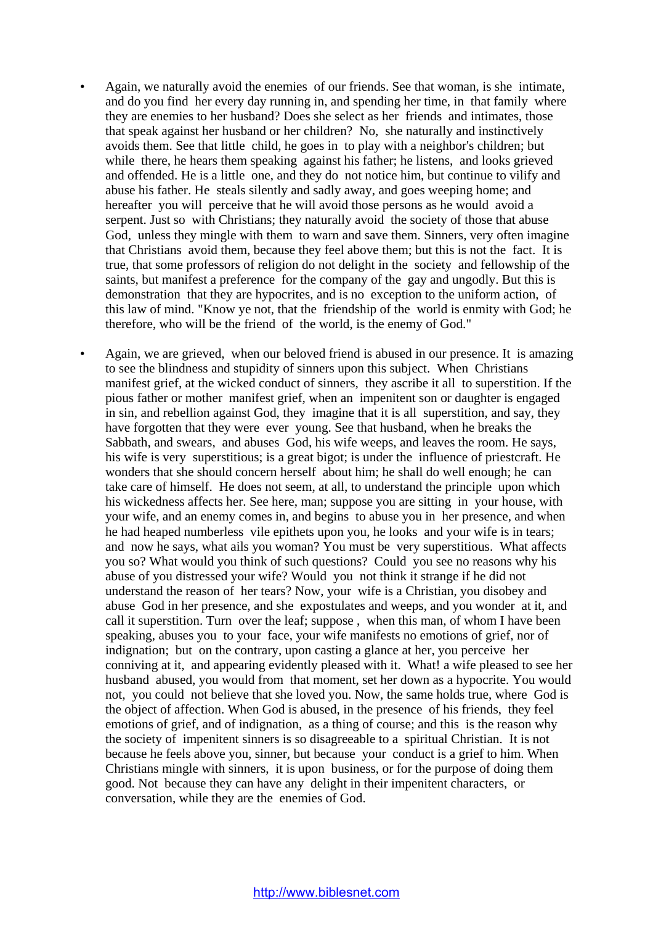- Again, we naturally avoid the enemies of our friends. See that woman, is she intimate, and do you find her every day running in, and spending her time, in that family where they are enemies to her husband? Does she select as her friends and intimates, those that speak against her husband or her children? No, she naturally and instinctively avoids them. See that little child, he goes in to play with a neighbor's children; but while there, he hears them speaking against his father; he listens, and looks grieved and offended. He is a little one, and they do not notice him, but continue to vilify and abuse his father. He steals silently and sadly away, and goes weeping home; and hereafter you will perceive that he will avoid those persons as he would avoid a serpent. Just so with Christians; they naturally avoid the society of those that abuse God, unless they mingle with them to warn and save them. Sinners, very often imagine that Christians avoid them, because they feel above them; but this is not the fact. It is true, that some professors of religion do not delight in the society and fellowship of the saints, but manifest a preference for the company of the gay and ungodly. But this is demonstration that they are hypocrites, and is no exception to the uniform action, of this law of mind. "Know ye not, that the friendship of the world is enmity with God; he therefore, who will be the friend of the world, is the enemy of God."
- Again, we are grieved, when our beloved friend is abused in our presence. It is amazing to see the blindness and stupidity of sinners upon this subject. When Christians manifest grief, at the wicked conduct of sinners, they ascribe it all to superstition. If the pious father or mother manifest grief, when an impenitent son or daughter is engaged in sin, and rebellion against God, they imagine that it is all superstition, and say, they have forgotten that they were ever young. See that husband, when he breaks the Sabbath, and swears, and abuses God, his wife weeps, and leaves the room. He says, his wife is very superstitious; is a great bigot; is under the influence of priestcraft. He wonders that she should concern herself about him; he shall do well enough; he can take care of himself. He does not seem, at all, to understand the principle upon which his wickedness affects her. See here, man; suppose you are sitting in your house, with your wife, and an enemy comes in, and begins to abuse you in her presence, and when he had heaped numberless vile epithets upon you, he looks and your wife is in tears; and now he says, what ails you woman? You must be very superstitious. What affects you so? What would you think of such questions? Could you see no reasons why his abuse of you distressed your wife? Would you not think it strange if he did not understand the reason of her tears? Now, your wife is a Christian, you disobey and abuse God in her presence, and she expostulates and weeps, and you wonder at it, and call it superstition. Turn over the leaf; suppose , when this man, of whom I have been speaking, abuses you to your face, your wife manifests no emotions of grief, nor of indignation; but on the contrary, upon casting a glance at her, you perceive her conniving at it, and appearing evidently pleased with it. What! a wife pleased to see her husband abused, you would from that moment, set her down as a hypocrite. You would not, you could not believe that she loved you. Now, the same holds true, where God is the object of affection. When God is abused, in the presence of his friends, they feel emotions of grief, and of indignation, as a thing of course; and this is the reason why the society of impenitent sinners is so disagreeable to a spiritual Christian. It is not because he feels above you, sinner, but because your conduct is a grief to him. When Christians mingle with sinners, it is upon business, or for the purpose of doing them good. Not because they can have any delight in their impenitent characters, or conversation, while they are the enemies of God.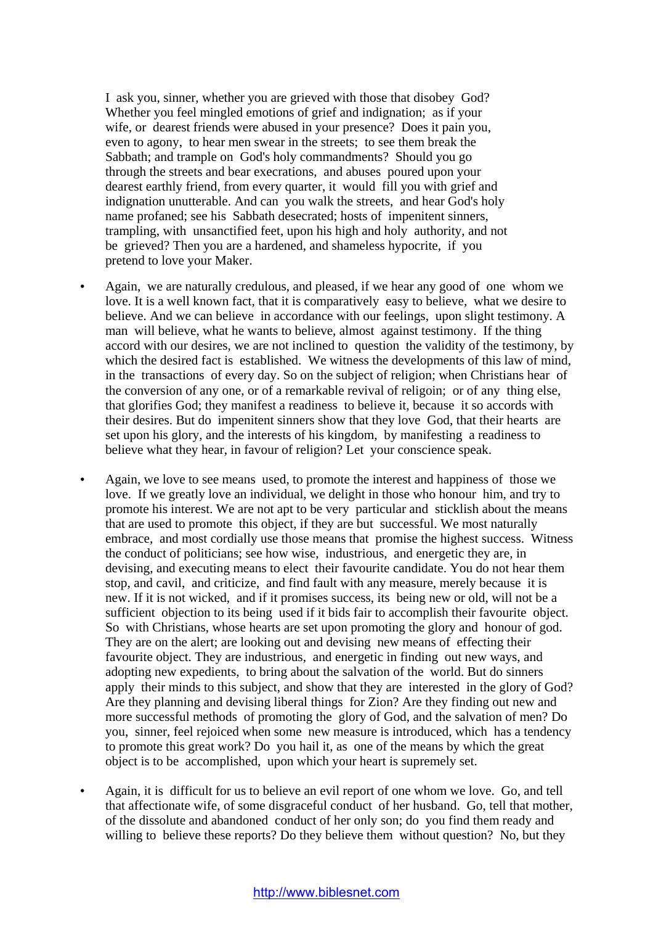I ask you, sinner, whether you are grieved with those that disobey God? Whether you feel mingled emotions of grief and indignation; as if your wife, or dearest friends were abused in your presence? Does it pain you, even to agony, to hear men swear in the streets; to see them break the Sabbath; and trample on God's holy commandments? Should you go through the streets and bear execrations, and abuses poured upon your dearest earthly friend, from every quarter, it would fill you with grief and indignation unutterable. And can you walk the streets, and hear God's holy name profaned; see his Sabbath desecrated; hosts of impenitent sinners, trampling, with unsanctified feet, upon his high and holy authority, and not be grieved? Then you are a hardened, and shameless hypocrite, if you pretend to love your Maker.

- Again, we are naturally credulous, and pleased, if we hear any good of one whom we love. It is a well known fact, that it is comparatively easy to believe, what we desire to believe. And we can believe in accordance with our feelings, upon slight testimony. A man will believe, what he wants to believe, almost against testimony. If the thing accord with our desires, we are not inclined to question the validity of the testimony, by which the desired fact is established. We witness the developments of this law of mind, in the transactions of every day. So on the subject of religion; when Christians hear of the conversion of any one, or of a remarkable revival of religoin; or of any thing else, that glorifies God; they manifest a readiness to believe it, because it so accords with their desires. But do impenitent sinners show that they love God, that their hearts are set upon his glory, and the interests of his kingdom, by manifesting a readiness to believe what they hear, in favour of religion? Let your conscience speak.
- Again, we love to see means used, to promote the interest and happiness of those we love. If we greatly love an individual, we delight in those who honour him, and try to promote his interest. We are not apt to be very particular and sticklish about the means that are used to promote this object, if they are but successful. We most naturally embrace, and most cordially use those means that promise the highest success. Witness the conduct of politicians; see how wise, industrious, and energetic they are, in devising, and executing means to elect their favourite candidate. You do not hear them stop, and cavil, and criticize, and find fault with any measure, merely because it is new. If it is not wicked, and if it promises success, its being new or old, will not be a sufficient objection to its being used if it bids fair to accomplish their favourite object. So with Christians, whose hearts are set upon promoting the glory and honour of god. They are on the alert; are looking out and devising new means of effecting their favourite object. They are industrious, and energetic in finding out new ways, and adopting new expedients, to bring about the salvation of the world. But do sinners apply their minds to this subject, and show that they are interested in the glory of God? Are they planning and devising liberal things for Zion? Are they finding out new and more successful methods of promoting the glory of God, and the salvation of men? Do you, sinner, feel rejoiced when some new measure is introduced, which has a tendency to promote this great work? Do you hail it, as one of the means by which the great object is to be accomplished, upon which your heart is supremely set.
- Again, it is difficult for us to believe an evil report of one whom we love. Go, and tell that affectionate wife, of some disgraceful conduct of her husband. Go, tell that mother, of the dissolute and abandoned conduct of her only son; do you find them ready and willing to believe these reports? Do they believe them without question? No, but they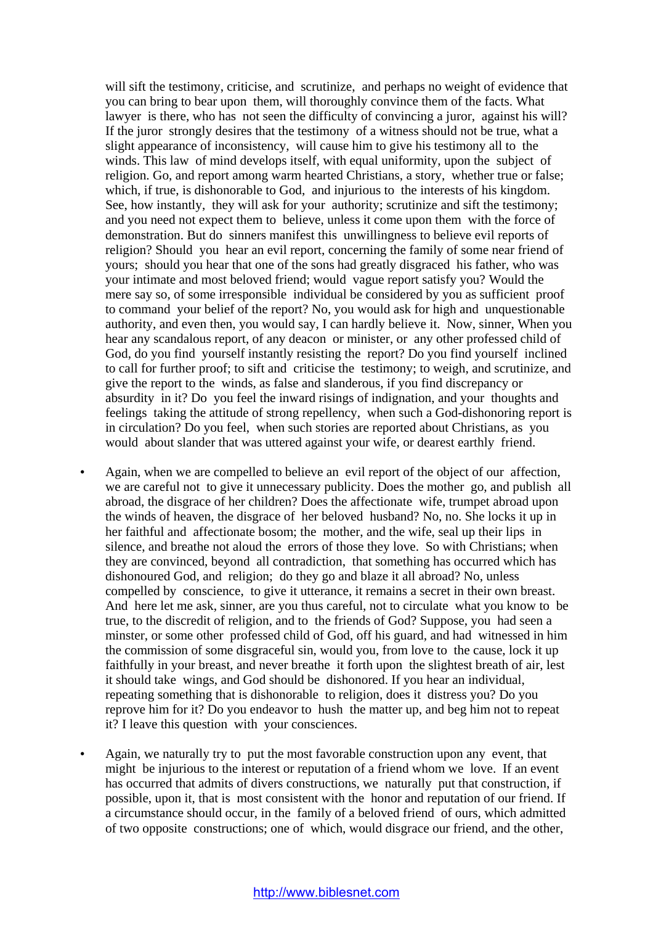will sift the testimony, criticise, and scrutinize, and perhaps no weight of evidence that you can bring to bear upon them, will thoroughly convince them of the facts. What lawyer is there, who has not seen the difficulty of convincing a juror, against his will? If the juror strongly desires that the testimony of a witness should not be true, what a slight appearance of inconsistency, will cause him to give his testimony all to the winds. This law of mind develops itself, with equal uniformity, upon the subject of religion. Go, and report among warm hearted Christians, a story, whether true or false; which, if true, is dishonorable to God, and injurious to the interests of his kingdom. See, how instantly, they will ask for your authority; scrutinize and sift the testimony; and you need not expect them to believe, unless it come upon them with the force of demonstration. But do sinners manifest this unwillingness to believe evil reports of religion? Should you hear an evil report, concerning the family of some near friend of yours; should you hear that one of the sons had greatly disgraced his father, who was your intimate and most beloved friend; would vague report satisfy you? Would the mere say so, of some irresponsible individual be considered by you as sufficient proof to command your belief of the report? No, you would ask for high and unquestionable authority, and even then, you would say, I can hardly believe it. Now, sinner, When you hear any scandalous report, of any deacon or minister, or any other professed child of God, do you find yourself instantly resisting the report? Do you find yourself inclined to call for further proof; to sift and criticise the testimony; to weigh, and scrutinize, and give the report to the winds, as false and slanderous, if you find discrepancy or absurdity in it? Do you feel the inward risings of indignation, and your thoughts and feelings taking the attitude of strong repellency, when such a God-dishonoring report is in circulation? Do you feel, when such stories are reported about Christians, as you would about slander that was uttered against your wife, or dearest earthly friend.

- Again, when we are compelled to believe an evil report of the object of our affection, we are careful not to give it unnecessary publicity. Does the mother go, and publish all abroad, the disgrace of her children? Does the affectionate wife, trumpet abroad upon the winds of heaven, the disgrace of her beloved husband? No, no. She locks it up in her faithful and affectionate bosom; the mother, and the wife, seal up their lips in silence, and breathe not aloud the errors of those they love. So with Christians; when they are convinced, beyond all contradiction, that something has occurred which has dishonoured God, and religion; do they go and blaze it all abroad? No, unless compelled by conscience, to give it utterance, it remains a secret in their own breast. And here let me ask, sinner, are you thus careful, not to circulate what you know to be true, to the discredit of religion, and to the friends of God? Suppose, you had seen a minster, or some other professed child of God, off his guard, and had witnessed in him the commission of some disgraceful sin, would you, from love to the cause, lock it up faithfully in your breast, and never breathe it forth upon the slightest breath of air, lest it should take wings, and God should be dishonored. If you hear an individual, repeating something that is dishonorable to religion, does it distress you? Do you reprove him for it? Do you endeavor to hush the matter up, and beg him not to repeat it? I leave this question with your consciences.
- Again, we naturally try to put the most favorable construction upon any event, that might be injurious to the interest or reputation of a friend whom we love. If an event has occurred that admits of divers constructions, we naturally put that construction, if possible, upon it, that is most consistent with the honor and reputation of our friend. If a circumstance should occur, in the family of a beloved friend of ours, which admitted of two opposite constructions; one of which, would disgrace our friend, and the other,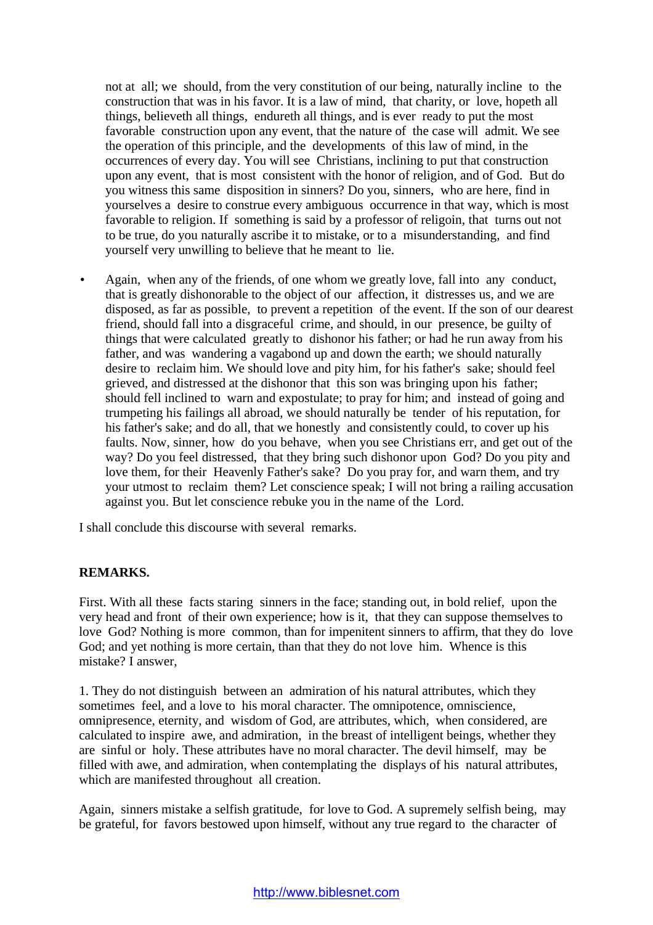not at all; we should, from the very constitution of our being, naturally incline to the construction that was in his favor. It is a law of mind, that charity, or love, hopeth all things, believeth all things, endureth all things, and is ever ready to put the most favorable construction upon any event, that the nature of the case will admit. We see the operation of this principle, and the developments of this law of mind, in the occurrences of every day. You will see Christians, inclining to put that construction upon any event, that is most consistent with the honor of religion, and of God. But do you witness this same disposition in sinners? Do you, sinners, who are here, find in yourselves a desire to construe every ambiguous occurrence in that way, which is most favorable to religion. If something is said by a professor of religoin, that turns out not to be true, do you naturally ascribe it to mistake, or to a misunderstanding, and find yourself very unwilling to believe that he meant to lie.

• Again, when any of the friends, of one whom we greatly love, fall into any conduct, that is greatly dishonorable to the object of our affection, it distresses us, and we are disposed, as far as possible, to prevent a repetition of the event. If the son of our dearest friend, should fall into a disgraceful crime, and should, in our presence, be guilty of things that were calculated greatly to dishonor his father; or had he run away from his father, and was wandering a vagabond up and down the earth; we should naturally desire to reclaim him. We should love and pity him, for his father's sake; should feel grieved, and distressed at the dishonor that this son was bringing upon his father; should fell inclined to warn and expostulate; to pray for him; and instead of going and trumpeting his failings all abroad, we should naturally be tender of his reputation, for his father's sake; and do all, that we honestly and consistently could, to cover up his faults. Now, sinner, how do you behave, when you see Christians err, and get out of the way? Do you feel distressed, that they bring such dishonor upon God? Do you pity and love them, for their Heavenly Father's sake? Do you pray for, and warn them, and try your utmost to reclaim them? Let conscience speak; I will not bring a railing accusation against you. But let conscience rebuke you in the name of the Lord.

I shall conclude this discourse with several remarks.

### **REMARKS.**

First. With all these facts staring sinners in the face; standing out, in bold relief, upon the very head and front of their own experience; how is it, that they can suppose themselves to love God? Nothing is more common, than for impenitent sinners to affirm, that they do love God; and yet nothing is more certain, than that they do not love him. Whence is this mistake? I answer,

1. They do not distinguish between an admiration of his natural attributes, which they sometimes feel, and a love to his moral character. The omnipotence, omniscience, omnipresence, eternity, and wisdom of God, are attributes, which, when considered, are calculated to inspire awe, and admiration, in the breast of intelligent beings, whether they are sinful or holy. These attributes have no moral character. The devil himself, may be filled with awe, and admiration, when contemplating the displays of his natural attributes, which are manifested throughout all creation.

Again, sinners mistake a selfish gratitude, for love to God. A supremely selfish being, may be grateful, for favors bestowed upon himself, without any true regard to the character of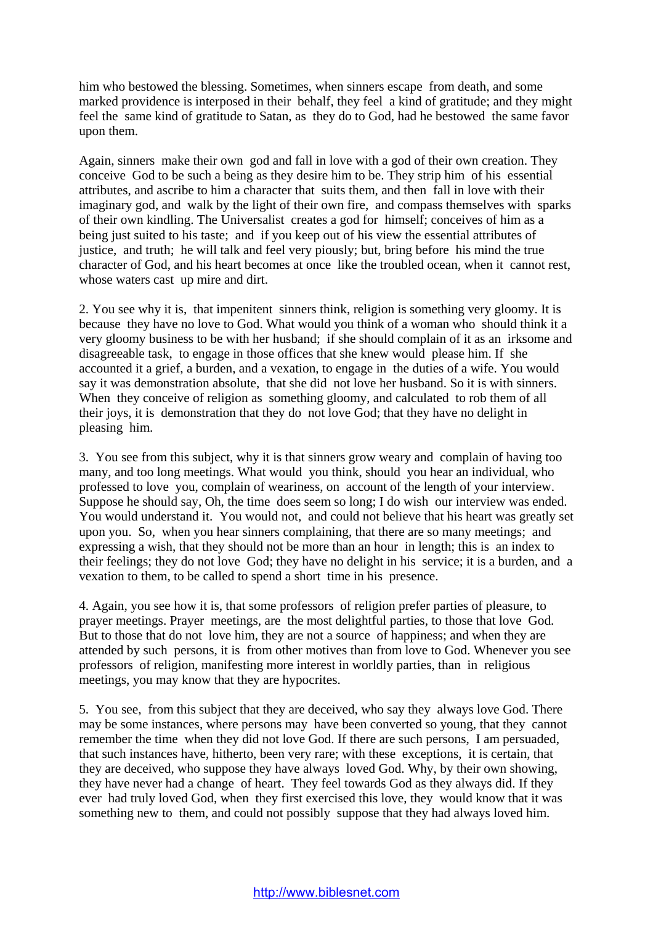him who bestowed the blessing. Sometimes, when sinners escape from death, and some marked providence is interposed in their behalf, they feel a kind of gratitude; and they might feel the same kind of gratitude to Satan, as they do to God, had he bestowed the same favor upon them.

Again, sinners make their own god and fall in love with a god of their own creation. They conceive God to be such a being as they desire him to be. They strip him of his essential attributes, and ascribe to him a character that suits them, and then fall in love with their imaginary god, and walk by the light of their own fire, and compass themselves with sparks of their own kindling. The Universalist creates a god for himself; conceives of him as a being just suited to his taste; and if you keep out of his view the essential attributes of justice, and truth; he will talk and feel very piously; but, bring before his mind the true character of God, and his heart becomes at once like the troubled ocean, when it cannot rest, whose waters cast up mire and dirt.

2. You see why it is, that impenitent sinners think, religion is something very gloomy. It is because they have no love to God. What would you think of a woman who should think it a very gloomy business to be with her husband; if she should complain of it as an irksome and disagreeable task, to engage in those offices that she knew would please him. If she accounted it a grief, a burden, and a vexation, to engage in the duties of a wife. You would say it was demonstration absolute, that she did not love her husband. So it is with sinners. When they conceive of religion as something gloomy, and calculated to rob them of all their joys, it is demonstration that they do not love God; that they have no delight in pleasing him.

3. You see from this subject, why it is that sinners grow weary and complain of having too many, and too long meetings. What would you think, should you hear an individual, who professed to love you, complain of weariness, on account of the length of your interview. Suppose he should say, Oh, the time does seem so long; I do wish our interview was ended. You would understand it. You would not, and could not believe that his heart was greatly set upon you. So, when you hear sinners complaining, that there are so many meetings; and expressing a wish, that they should not be more than an hour in length; this is an index to their feelings; they do not love God; they have no delight in his service; it is a burden, and a vexation to them, to be called to spend a short time in his presence.

4. Again, you see how it is, that some professors of religion prefer parties of pleasure, to prayer meetings. Prayer meetings, are the most delightful parties, to those that love God. But to those that do not love him, they are not a source of happiness; and when they are attended by such persons, it is from other motives than from love to God. Whenever you see professors of religion, manifesting more interest in worldly parties, than in religious meetings, you may know that they are hypocrites.

5. You see, from this subject that they are deceived, who say they always love God. There may be some instances, where persons may have been converted so young, that they cannot remember the time when they did not love God. If there are such persons, I am persuaded, that such instances have, hitherto, been very rare; with these exceptions, it is certain, that they are deceived, who suppose they have always loved God. Why, by their own showing, they have never had a change of heart. They feel towards God as they always did. If they ever had truly loved God, when they first exercised this love, they would know that it was something new to them, and could not possibly suppose that they had always loved him.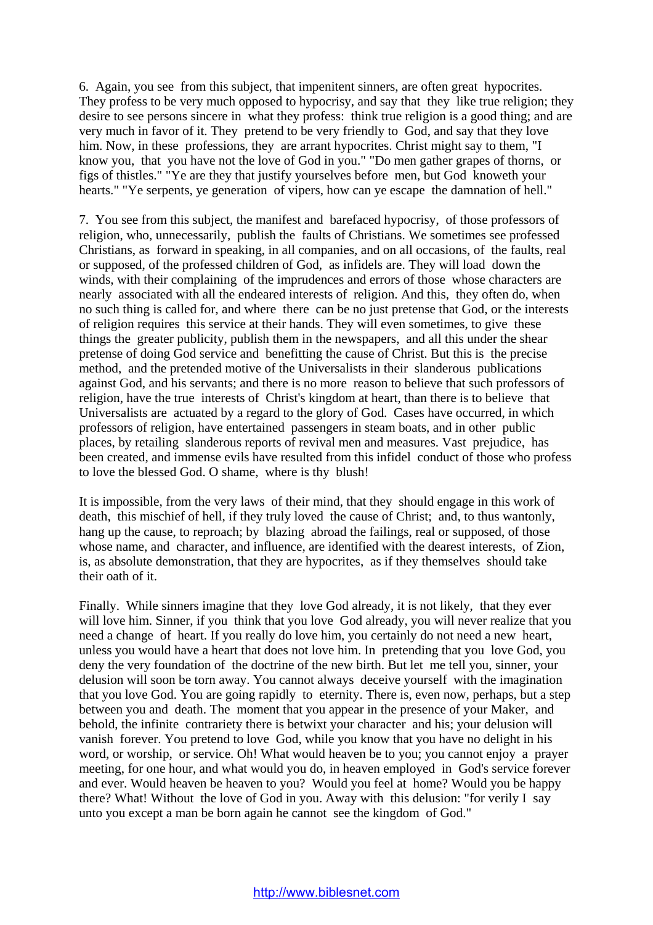6. Again, you see from this subject, that impenitent sinners, are often great hypocrites. They profess to be very much opposed to hypocrisy, and say that they like true religion; they desire to see persons sincere in what they profess: think true religion is a good thing; and are very much in favor of it. They pretend to be very friendly to God, and say that they love him. Now, in these professions, they are arrant hypocrites. Christ might say to them, "I know you, that you have not the love of God in you." "Do men gather grapes of thorns, or figs of thistles." "Ye are they that justify yourselves before men, but God knoweth your hearts." "Ye serpents, ve generation of vipers, how can ve escape the damnation of hell."

7. You see from this subject, the manifest and barefaced hypocrisy, of those professors of religion, who, unnecessarily, publish the faults of Christians. We sometimes see professed Christians, as forward in speaking, in all companies, and on all occasions, of the faults, real or supposed, of the professed children of God, as infidels are. They will load down the winds, with their complaining of the imprudences and errors of those whose characters are nearly associated with all the endeared interests of religion. And this, they often do, when no such thing is called for, and where there can be no just pretense that God, or the interests of religion requires this service at their hands. They will even sometimes, to give these things the greater publicity, publish them in the newspapers, and all this under the shear pretense of doing God service and benefitting the cause of Christ. But this is the precise method, and the pretended motive of the Universalists in their slanderous publications against God, and his servants; and there is no more reason to believe that such professors of religion, have the true interests of Christ's kingdom at heart, than there is to believe that Universalists are actuated by a regard to the glory of God. Cases have occurred, in which professors of religion, have entertained passengers in steam boats, and in other public places, by retailing slanderous reports of revival men and measures. Vast prejudice, has been created, and immense evils have resulted from this infidel conduct of those who profess to love the blessed God. O shame, where is thy blush!

It is impossible, from the very laws of their mind, that they should engage in this work of death, this mischief of hell, if they truly loved the cause of Christ; and, to thus wantonly, hang up the cause, to reproach; by blazing abroad the failings, real or supposed, of those whose name, and character, and influence, are identified with the dearest interests, of Zion, is, as absolute demonstration, that they are hypocrites, as if they themselves should take their oath of it.

Finally. While sinners imagine that they love God already, it is not likely, that they ever will love him. Sinner, if you think that you love God already, you will never realize that you need a change of heart. If you really do love him, you certainly do not need a new heart, unless you would have a heart that does not love him. In pretending that you love God, you deny the very foundation of the doctrine of the new birth. But let me tell you, sinner, your delusion will soon be torn away. You cannot always deceive yourself with the imagination that you love God. You are going rapidly to eternity. There is, even now, perhaps, but a step between you and death. The moment that you appear in the presence of your Maker, and behold, the infinite contrariety there is betwixt your character and his; your delusion will vanish forever. You pretend to love God, while you know that you have no delight in his word, or worship, or service. Oh! What would heaven be to you; you cannot enjoy a prayer meeting, for one hour, and what would you do, in heaven employed in God's service forever and ever. Would heaven be heaven to you? Would you feel at home? Would you be happy there? What! Without the love of God in you. Away with this delusion: "for verily I say unto you except a man be born again he cannot see the kingdom of God."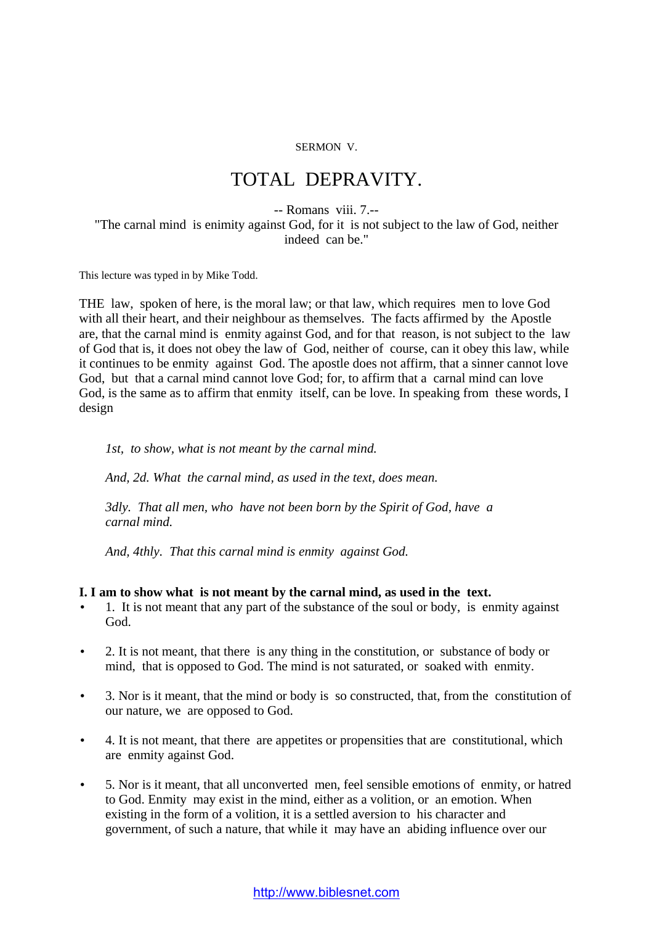#### SERMON V.

# TOTAL DEPRAVITY.

-- Romans viii. 7.-- "The carnal mind is enimity against God, for it is not subject to the law of God, neither

indeed can be."

This lecture was typed in by Mike Todd.

THE law, spoken of here, is the moral law; or that law, which requires men to love God with all their heart, and their neighbour as themselves. The facts affirmed by the Apostle are, that the carnal mind is enmity against God, and for that reason, is not subject to the law of God that is, it does not obey the law of God, neither of course, can it obey this law, while it continues to be enmity against God. The apostle does not affirm, that a sinner cannot love God, but that a carnal mind cannot love God; for, to affirm that a carnal mind can love God, is the same as to affirm that enmity itself, can be love. In speaking from these words, I design

*1st, to show, what is not meant by the carnal mind.*

*And, 2d. What the carnal mind, as used in the text, does mean.*

*3dly. That all men, who have not been born by the Spirit of God, have a carnal mind.*

*And, 4thly. That this carnal mind is enmity against God.*

#### **I. I am to show what is not meant by the carnal mind, as used in the text.**

- 1. It is not meant that any part of the substance of the soul or body, is enmity against God.
- 2. It is not meant, that there is any thing in the constitution, or substance of body or mind, that is opposed to God. The mind is not saturated, or soaked with enmity.
- 3. Nor is it meant, that the mind or body is so constructed, that, from the constitution of our nature, we are opposed to God.
- 4. It is not meant, that there are appetites or propensities that are constitutional, which are enmity against God.
- 5. Nor is it meant, that all unconverted men, feel sensible emotions of enmity, or hatred to God. Enmity may exist in the mind, either as a volition, or an emotion. When existing in the form of a volition, it is a settled aversion to his character and government, of such a nature, that while it may have an abiding influence over our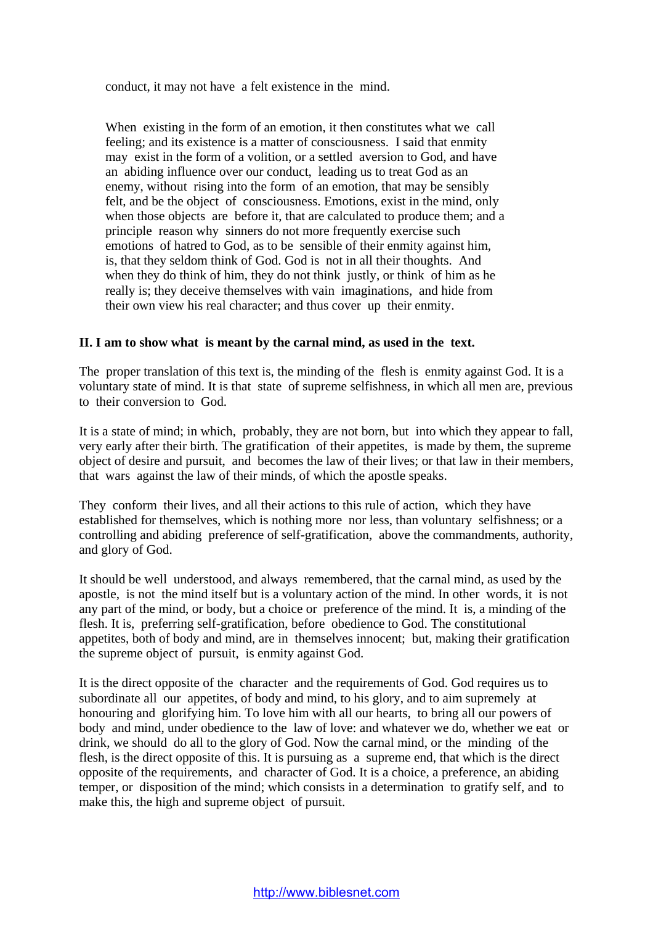conduct, it may not have a felt existence in the mind.

When existing in the form of an emotion, it then constitutes what we call feeling; and its existence is a matter of consciousness. I said that enmity may exist in the form of a volition, or a settled aversion to God, and have an abiding influence over our conduct, leading us to treat God as an enemy, without rising into the form of an emotion, that may be sensibly felt, and be the object of consciousness. Emotions, exist in the mind, only when those objects are before it, that are calculated to produce them; and a principle reason why sinners do not more frequently exercise such emotions of hatred to God, as to be sensible of their enmity against him, is, that they seldom think of God. God is not in all their thoughts. And when they do think of him, they do not think justly, or think of him as he really is; they deceive themselves with vain imaginations, and hide from their own view his real character; and thus cover up their enmity.

### **II. I am to show what is meant by the carnal mind, as used in the text.**

The proper translation of this text is, the minding of the flesh is enmity against God. It is a voluntary state of mind. It is that state of supreme selfishness, in which all men are, previous to their conversion to God.

It is a state of mind; in which, probably, they are not born, but into which they appear to fall, very early after their birth. The gratification of their appetites, is made by them, the supreme object of desire and pursuit, and becomes the law of their lives; or that law in their members, that wars against the law of their minds, of which the apostle speaks.

They conform their lives, and all their actions to this rule of action, which they have established for themselves, which is nothing more nor less, than voluntary selfishness; or a controlling and abiding preference of self-gratification, above the commandments, authority, and glory of God.

It should be well understood, and always remembered, that the carnal mind, as used by the apostle, is not the mind itself but is a voluntary action of the mind. In other words, it is not any part of the mind, or body, but a choice or preference of the mind. It is, a minding of the flesh. It is, preferring self-gratification, before obedience to God. The constitutional appetites, both of body and mind, are in themselves innocent; but, making their gratification the supreme object of pursuit, is enmity against God.

It is the direct opposite of the character and the requirements of God. God requires us to subordinate all our appetites, of body and mind, to his glory, and to aim supremely at honouring and glorifying him. To love him with all our hearts, to bring all our powers of body and mind, under obedience to the law of love: and whatever we do, whether we eat or drink, we should do all to the glory of God. Now the carnal mind, or the minding of the flesh, is the direct opposite of this. It is pursuing as a supreme end, that which is the direct opposite of the requirements, and character of God. It is a choice, a preference, an abiding temper, or disposition of the mind; which consists in a determination to gratify self, and to make this, the high and supreme object of pursuit.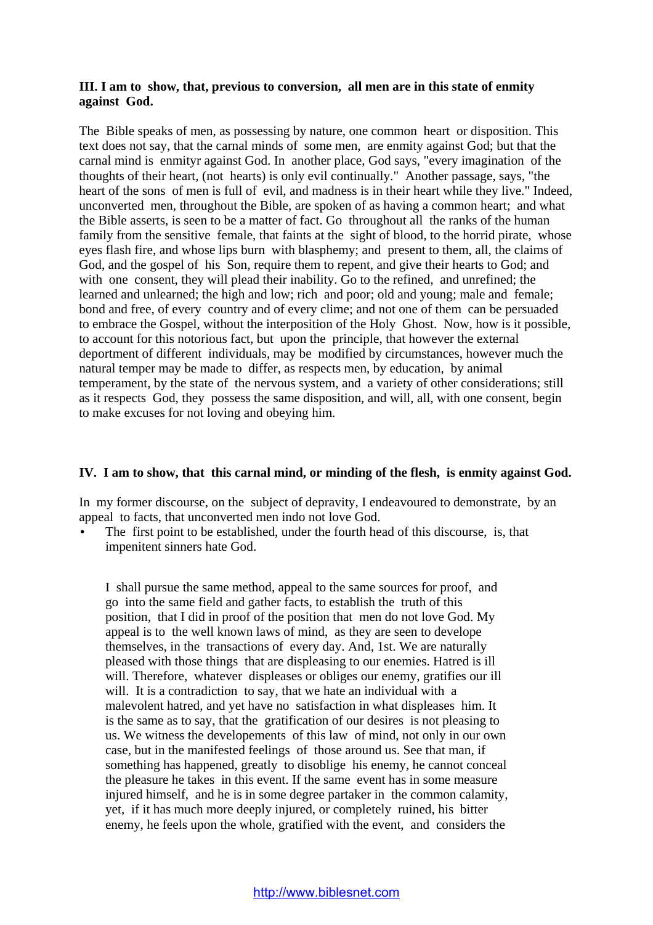### **III. I am to show, that, previous to conversion, all men are in this state of enmity against God.**

The Bible speaks of men, as possessing by nature, one common heart or disposition. This text does not say, that the carnal minds of some men, are enmity against God; but that the carnal mind is enmityr against God. In another place, God says, "every imagination of the thoughts of their heart, (not hearts) is only evil continually." Another passage, says, "the heart of the sons of men is full of evil, and madness is in their heart while they live." Indeed, unconverted men, throughout the Bible, are spoken of as having a common heart; and what the Bible asserts, is seen to be a matter of fact. Go throughout all the ranks of the human family from the sensitive female, that faints at the sight of blood, to the horrid pirate, whose eyes flash fire, and whose lips burn with blasphemy; and present to them, all, the claims of God, and the gospel of his Son, require them to repent, and give their hearts to God; and with one consent, they will plead their inability. Go to the refined, and unrefined; the learned and unlearned; the high and low; rich and poor; old and young; male and female; bond and free, of every country and of every clime; and not one of them can be persuaded to embrace the Gospel, without the interposition of the Holy Ghost. Now, how is it possible, to account for this notorious fact, but upon the principle, that however the external deportment of different individuals, may be modified by circumstances, however much the natural temper may be made to differ, as respects men, by education, by animal temperament, by the state of the nervous system, and a variety of other considerations; still as it respects God, they possess the same disposition, and will, all, with one consent, begin to make excuses for not loving and obeying him.

#### **IV. I am to show, that this carnal mind, or minding of the flesh, is enmity against God.**

In my former discourse, on the subject of depravity, I endeavoured to demonstrate, by an appeal to facts, that unconverted men indo not love God.

The first point to be established, under the fourth head of this discourse, is, that impenitent sinners hate God.

I shall pursue the same method, appeal to the same sources for proof, and go into the same field and gather facts, to establish the truth of this position, that I did in proof of the position that men do not love God. My appeal is to the well known laws of mind, as they are seen to develope themselves, in the transactions of every day. And, 1st. We are naturally pleased with those things that are displeasing to our enemies. Hatred is ill will. Therefore, whatever displeases or obliges our enemy, gratifies our ill will. It is a contradiction to say, that we hate an individual with a malevolent hatred, and yet have no satisfaction in what displeases him. It is the same as to say, that the gratification of our desires is not pleasing to us. We witness the developements of this law of mind, not only in our own case, but in the manifested feelings of those around us. See that man, if something has happened, greatly to disoblige his enemy, he cannot conceal the pleasure he takes in this event. If the same event has in some measure injured himself, and he is in some degree partaker in the common calamity, yet, if it has much more deeply injured, or completely ruined, his bitter enemy, he feels upon the whole, gratified with the event, and considers the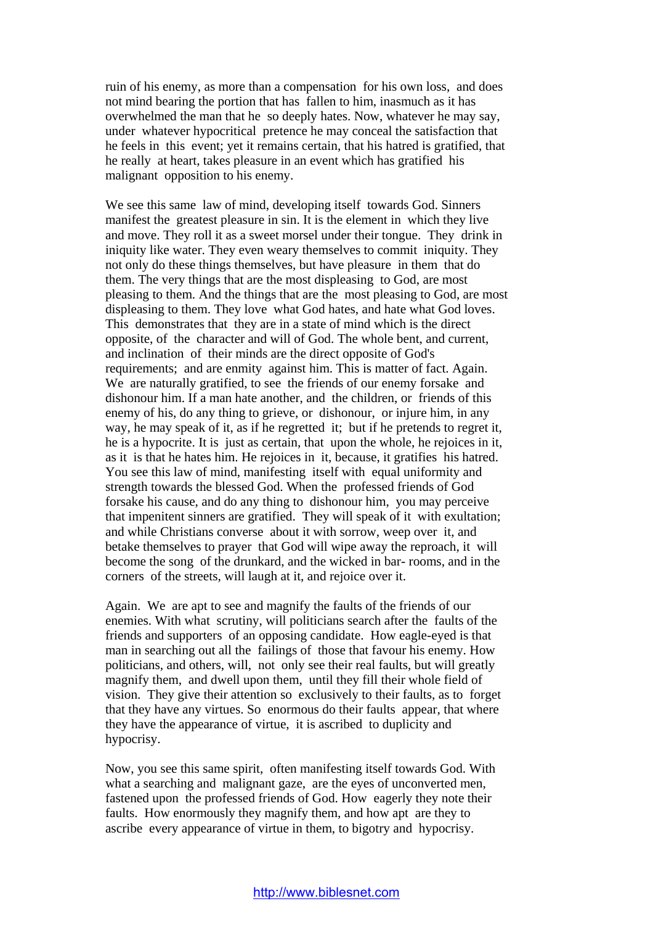ruin of his enemy, as more than a compensation for his own loss, and does not mind bearing the portion that has fallen to him, inasmuch as it has overwhelmed the man that he so deeply hates. Now, whatever he may say, under whatever hypocritical pretence he may conceal the satisfaction that he feels in this event; yet it remains certain, that his hatred is gratified, that he really at heart, takes pleasure in an event which has gratified his malignant opposition to his enemy.

We see this same law of mind, developing itself towards God. Sinners manifest the greatest pleasure in sin. It is the element in which they live and move. They roll it as a sweet morsel under their tongue. They drink in iniquity like water. They even weary themselves to commit iniquity. They not only do these things themselves, but have pleasure in them that do them. The very things that are the most displeasing to God, are most pleasing to them. And the things that are the most pleasing to God, are most displeasing to them. They love what God hates, and hate what God loves. This demonstrates that they are in a state of mind which is the direct opposite, of the character and will of God. The whole bent, and current, and inclination of their minds are the direct opposite of God's requirements; and are enmity against him. This is matter of fact. Again. We are naturally gratified, to see the friends of our enemy forsake and dishonour him. If a man hate another, and the children, or friends of this enemy of his, do any thing to grieve, or dishonour, or injure him, in any way, he may speak of it, as if he regretted it; but if he pretends to regret it, he is a hypocrite. It is just as certain, that upon the whole, he rejoices in it, as it is that he hates him. He rejoices in it, because, it gratifies his hatred. You see this law of mind, manifesting itself with equal uniformity and strength towards the blessed God. When the professed friends of God forsake his cause, and do any thing to dishonour him, you may perceive that impenitent sinners are gratified. They will speak of it with exultation; and while Christians converse about it with sorrow, weep over it, and betake themselves to prayer that God will wipe away the reproach, it will become the song of the drunkard, and the wicked in bar- rooms, and in the corners of the streets, will laugh at it, and rejoice over it.

Again. We are apt to see and magnify the faults of the friends of our enemies. With what scrutiny, will politicians search after the faults of the friends and supporters of an opposing candidate. How eagle-eyed is that man in searching out all the failings of those that favour his enemy. How politicians, and others, will, not only see their real faults, but will greatly magnify them, and dwell upon them, until they fill their whole field of vision. They give their attention so exclusively to their faults, as to forget that they have any virtues. So enormous do their faults appear, that where they have the appearance of virtue, it is ascribed to duplicity and hypocrisy.

Now, you see this same spirit, often manifesting itself towards God. With what a searching and malignant gaze, are the eyes of unconverted men, fastened upon the professed friends of God. How eagerly they note their faults. How enormously they magnify them, and how apt are they to ascribe every appearance of virtue in them, to bigotry and hypocrisy.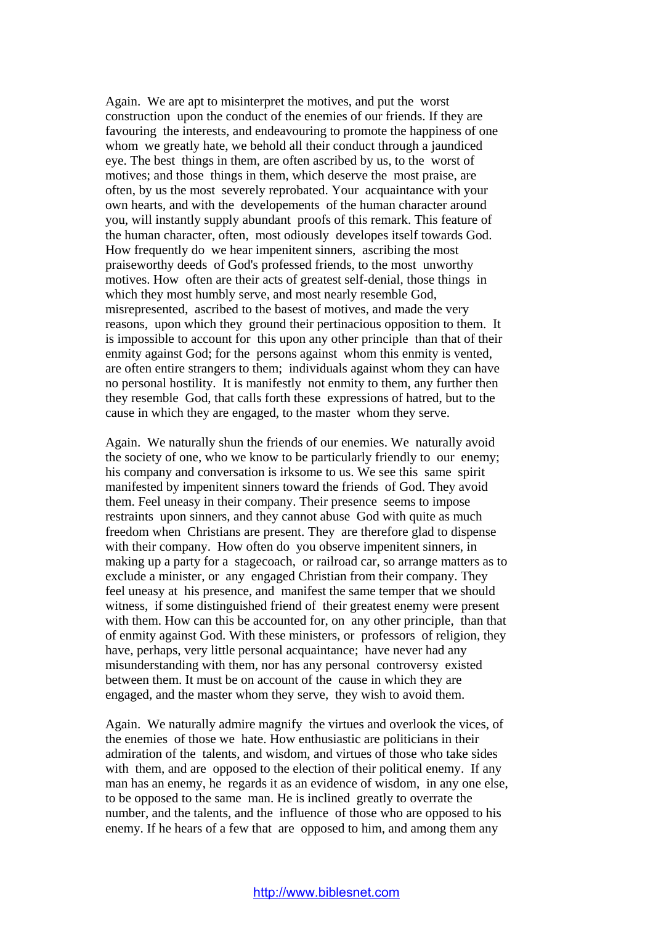Again. We are apt to misinterpret the motives, and put the worst construction upon the conduct of the enemies of our friends. If they are favouring the interests, and endeavouring to promote the happiness of one whom we greatly hate, we behold all their conduct through a jaundiced eye. The best things in them, are often ascribed by us, to the worst of motives; and those things in them, which deserve the most praise, are often, by us the most severely reprobated. Your acquaintance with your own hearts, and with the developements of the human character around you, will instantly supply abundant proofs of this remark. This feature of the human character, often, most odiously developes itself towards God. How frequently do we hear impenitent sinners, ascribing the most praiseworthy deeds of God's professed friends, to the most unworthy motives. How often are their acts of greatest self-denial, those things in which they most humbly serve, and most nearly resemble God, misrepresented, ascribed to the basest of motives, and made the very reasons, upon which they ground their pertinacious opposition to them. It is impossible to account for this upon any other principle than that of their enmity against God; for the persons against whom this enmity is vented, are often entire strangers to them; individuals against whom they can have no personal hostility. It is manifestly not enmity to them, any further then they resemble God, that calls forth these expressions of hatred, but to the cause in which they are engaged, to the master whom they serve.

Again. We naturally shun the friends of our enemies. We naturally avoid the society of one, who we know to be particularly friendly to our enemy; his company and conversation is irksome to us. We see this same spirit manifested by impenitent sinners toward the friends of God. They avoid them. Feel uneasy in their company. Their presence seems to impose restraints upon sinners, and they cannot abuse God with quite as much freedom when Christians are present. They are therefore glad to dispense with their company. How often do you observe impenitent sinners, in making up a party for a stagecoach, or railroad car, so arrange matters as to exclude a minister, or any engaged Christian from their company. They feel uneasy at his presence, and manifest the same temper that we should witness, if some distinguished friend of their greatest enemy were present with them. How can this be accounted for, on any other principle, than that of enmity against God. With these ministers, or professors of religion, they have, perhaps, very little personal acquaintance; have never had any misunderstanding with them, nor has any personal controversy existed between them. It must be on account of the cause in which they are engaged, and the master whom they serve, they wish to avoid them.

Again. We naturally admire magnify the virtues and overlook the vices, of the enemies of those we hate. How enthusiastic are politicians in their admiration of the talents, and wisdom, and virtues of those who take sides with them, and are opposed to the election of their political enemy. If any man has an enemy, he regards it as an evidence of wisdom, in any one else, to be opposed to the same man. He is inclined greatly to overrate the number, and the talents, and the influence of those who are opposed to his enemy. If he hears of a few that are opposed to him, and among them any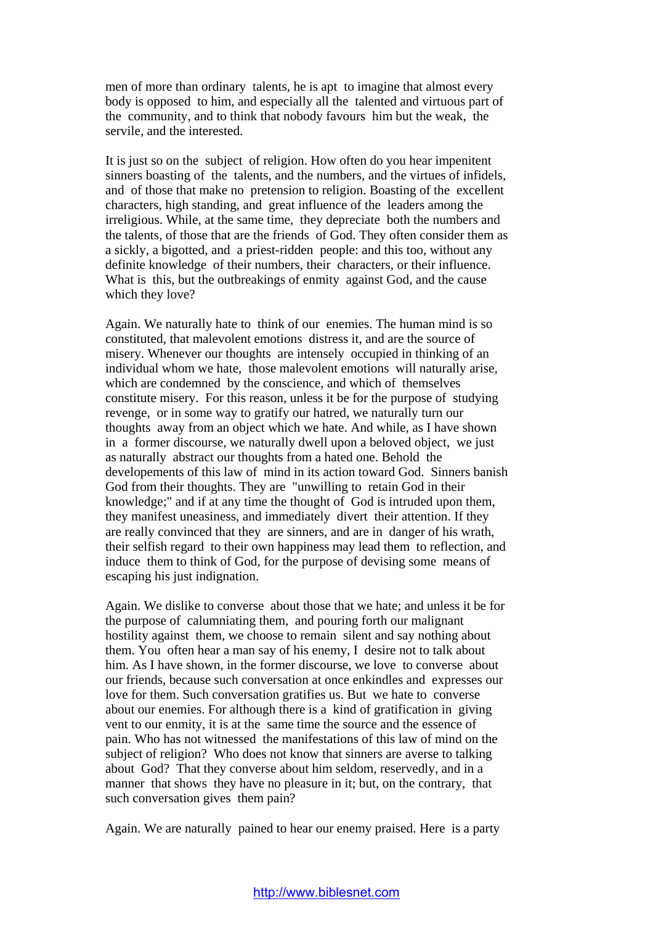men of more than ordinary talents, he is apt to imagine that almost every body is opposed to him, and especially all the talented and virtuous part of the community, and to think that nobody favours him but the weak, the servile, and the interested.

It is just so on the subject of religion. How often do you hear impenitent sinners boasting of the talents, and the numbers, and the virtues of infidels, and of those that make no pretension to religion. Boasting of the excellent characters, high standing, and great influence of the leaders among the irreligious. While, at the same time, they depreciate both the numbers and the talents, of those that are the friends of God. They often consider them as a sickly, a bigotted, and a priest-ridden people: and this too, without any definite knowledge of their numbers, their characters, or their influence. What is this, but the outbreakings of enmity against God, and the cause which they love?

Again. We naturally hate to think of our enemies. The human mind is so constituted, that malevolent emotions distress it, and are the source of misery. Whenever our thoughts are intensely occupied in thinking of an individual whom we hate, those malevolent emotions will naturally arise, which are condemned by the conscience, and which of themselves constitute misery. For this reason, unless it be for the purpose of studying revenge, or in some way to gratify our hatred, we naturally turn our thoughts away from an object which we hate. And while, as I have shown in a former discourse, we naturally dwell upon a beloved object, we just as naturally abstract our thoughts from a hated one. Behold the developements of this law of mind in its action toward God. Sinners banish God from their thoughts. They are "unwilling to retain God in their knowledge;" and if at any time the thought of God is intruded upon them, they manifest uneasiness, and immediately divert their attention. If they are really convinced that they are sinners, and are in danger of his wrath, their selfish regard to their own happiness may lead them to reflection, and induce them to think of God, for the purpose of devising some means of escaping his just indignation.

Again. We dislike to converse about those that we hate; and unless it be for the purpose of calumniating them, and pouring forth our malignant hostility against them, we choose to remain silent and say nothing about them. You often hear a man say of his enemy, I desire not to talk about him. As I have shown, in the former discourse, we love to converse about our friends, because such conversation at once enkindles and expresses our love for them. Such conversation gratifies us. But we hate to converse about our enemies. For although there is a kind of gratification in giving vent to our enmity, it is at the same time the source and the essence of pain. Who has not witnessed the manifestations of this law of mind on the subject of religion? Who does not know that sinners are averse to talking about God? That they converse about him seldom, reservedly, and in a manner that shows they have no pleasure in it; but, on the contrary, that such conversation gives them pain?

Again. We are naturally pained to hear our enemy praised. Here is a party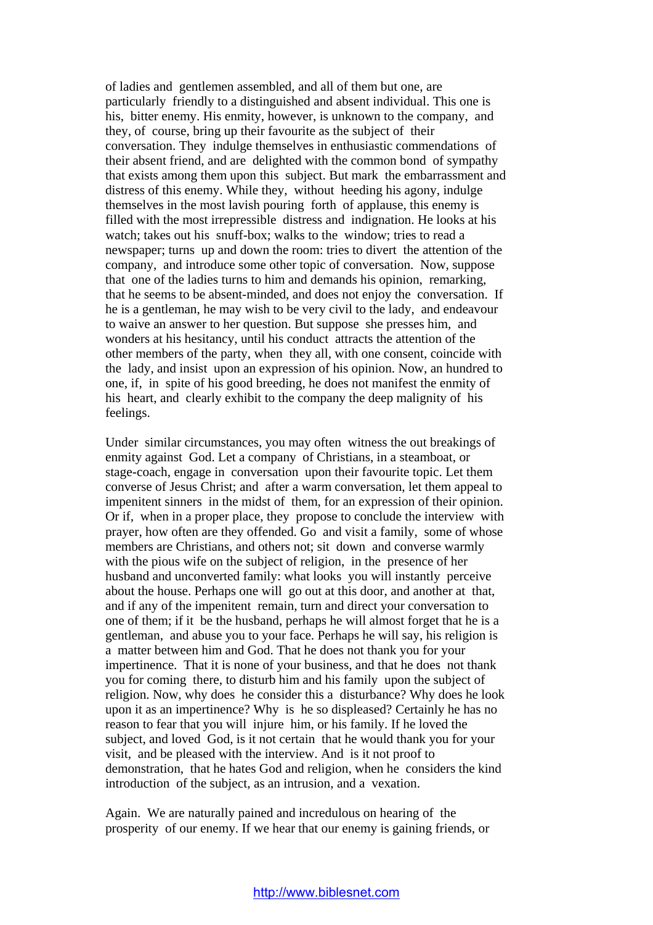of ladies and gentlemen assembled, and all of them but one, are particularly friendly to a distinguished and absent individual. This one is his, bitter enemy. His enmity, however, is unknown to the company, and they, of course, bring up their favourite as the subject of their conversation. They indulge themselves in enthusiastic commendations of their absent friend, and are delighted with the common bond of sympathy that exists among them upon this subject. But mark the embarrassment and distress of this enemy. While they, without heeding his agony, indulge themselves in the most lavish pouring forth of applause, this enemy is filled with the most irrepressible distress and indignation. He looks at his watch; takes out his snuff-box; walks to the window; tries to read a newspaper; turns up and down the room: tries to divert the attention of the company, and introduce some other topic of conversation. Now, suppose that one of the ladies turns to him and demands his opinion, remarking, that he seems to be absent-minded, and does not enjoy the conversation. If he is a gentleman, he may wish to be very civil to the lady, and endeavour to waive an answer to her question. But suppose she presses him, and wonders at his hesitancy, until his conduct attracts the attention of the other members of the party, when they all, with one consent, coincide with the lady, and insist upon an expression of his opinion. Now, an hundred to one, if, in spite of his good breeding, he does not manifest the enmity of his heart, and clearly exhibit to the company the deep malignity of his feelings.

Under similar circumstances, you may often witness the out breakings of enmity against God. Let a company of Christians, in a steamboat, or stage-coach, engage in conversation upon their favourite topic. Let them converse of Jesus Christ; and after a warm conversation, let them appeal to impenitent sinners in the midst of them, for an expression of their opinion. Or if, when in a proper place, they propose to conclude the interview with prayer, how often are they offended. Go and visit a family, some of whose members are Christians, and others not; sit down and converse warmly with the pious wife on the subject of religion, in the presence of her husband and unconverted family: what looks you will instantly perceive about the house. Perhaps one will go out at this door, and another at that, and if any of the impenitent remain, turn and direct your conversation to one of them; if it be the husband, perhaps he will almost forget that he is a gentleman, and abuse you to your face. Perhaps he will say, his religion is a matter between him and God. That he does not thank you for your impertinence. That it is none of your business, and that he does not thank you for coming there, to disturb him and his family upon the subject of religion. Now, why does he consider this a disturbance? Why does he look upon it as an impertinence? Why is he so displeased? Certainly he has no reason to fear that you will injure him, or his family. If he loved the subject, and loved God, is it not certain that he would thank you for your visit, and be pleased with the interview. And is it not proof to demonstration, that he hates God and religion, when he considers the kind introduction of the subject, as an intrusion, and a vexation.

Again. We are naturally pained and incredulous on hearing of the prosperity of our enemy. If we hear that our enemy is gaining friends, or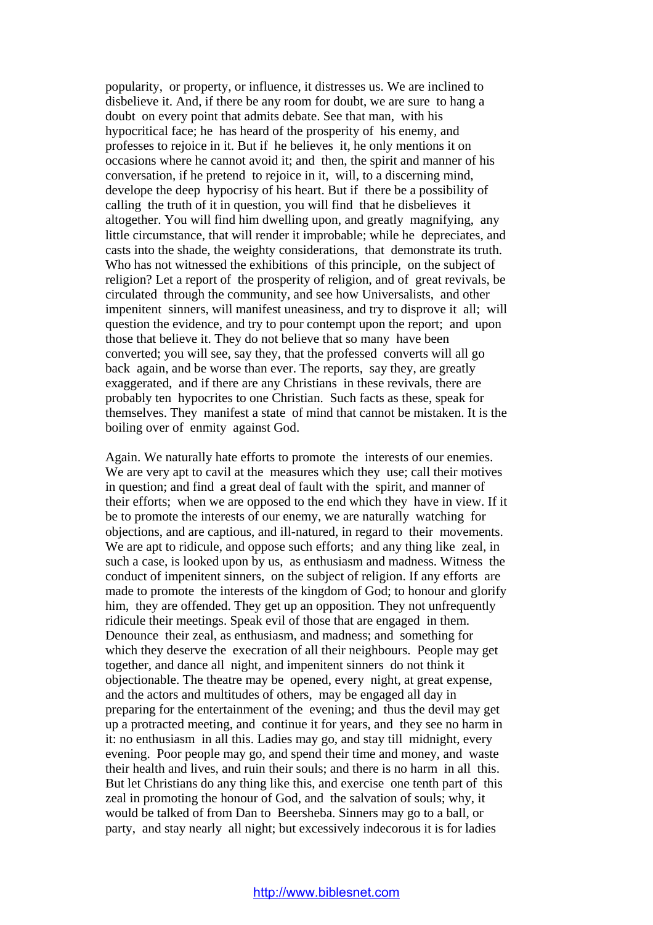popularity, or property, or influence, it distresses us. We are inclined to disbelieve it. And, if there be any room for doubt, we are sure to hang a doubt on every point that admits debate. See that man, with his hypocritical face; he has heard of the prosperity of his enemy, and professes to rejoice in it. But if he believes it, he only mentions it on occasions where he cannot avoid it; and then, the spirit and manner of his conversation, if he pretend to rejoice in it, will, to a discerning mind, develope the deep hypocrisy of his heart. But if there be a possibility of calling the truth of it in question, you will find that he disbelieves it altogether. You will find him dwelling upon, and greatly magnifying, any little circumstance, that will render it improbable; while he depreciates, and casts into the shade, the weighty considerations, that demonstrate its truth. Who has not witnessed the exhibitions of this principle, on the subject of religion? Let a report of the prosperity of religion, and of great revivals, be circulated through the community, and see how Universalists, and other impenitent sinners, will manifest uneasiness, and try to disprove it all; will question the evidence, and try to pour contempt upon the report; and upon those that believe it. They do not believe that so many have been converted; you will see, say they, that the professed converts will all go back again, and be worse than ever. The reports, say they, are greatly exaggerated, and if there are any Christians in these revivals, there are probably ten hypocrites to one Christian. Such facts as these, speak for themselves. They manifest a state of mind that cannot be mistaken. It is the boiling over of enmity against God.

Again. We naturally hate efforts to promote the interests of our enemies. We are very apt to cavil at the measures which they use; call their motives in question; and find a great deal of fault with the spirit, and manner of their efforts; when we are opposed to the end which they have in view. If it be to promote the interests of our enemy, we are naturally watching for objections, and are captious, and ill-natured, in regard to their movements. We are apt to ridicule, and oppose such efforts; and any thing like zeal, in such a case, is looked upon by us, as enthusiasm and madness. Witness the conduct of impenitent sinners, on the subject of religion. If any efforts are made to promote the interests of the kingdom of God; to honour and glorify him, they are offended. They get up an opposition. They not unfrequently ridicule their meetings. Speak evil of those that are engaged in them. Denounce their zeal, as enthusiasm, and madness; and something for which they deserve the execration of all their neighbours. People may get together, and dance all night, and impenitent sinners do not think it objectionable. The theatre may be opened, every night, at great expense, and the actors and multitudes of others, may be engaged all day in preparing for the entertainment of the evening; and thus the devil may get up a protracted meeting, and continue it for years, and they see no harm in it: no enthusiasm in all this. Ladies may go, and stay till midnight, every evening. Poor people may go, and spend their time and money, and waste their health and lives, and ruin their souls; and there is no harm in all this. But let Christians do any thing like this, and exercise one tenth part of this zeal in promoting the honour of God, and the salvation of souls; why, it would be talked of from Dan to Beersheba. Sinners may go to a ball, or party, and stay nearly all night; but excessively indecorous it is for ladies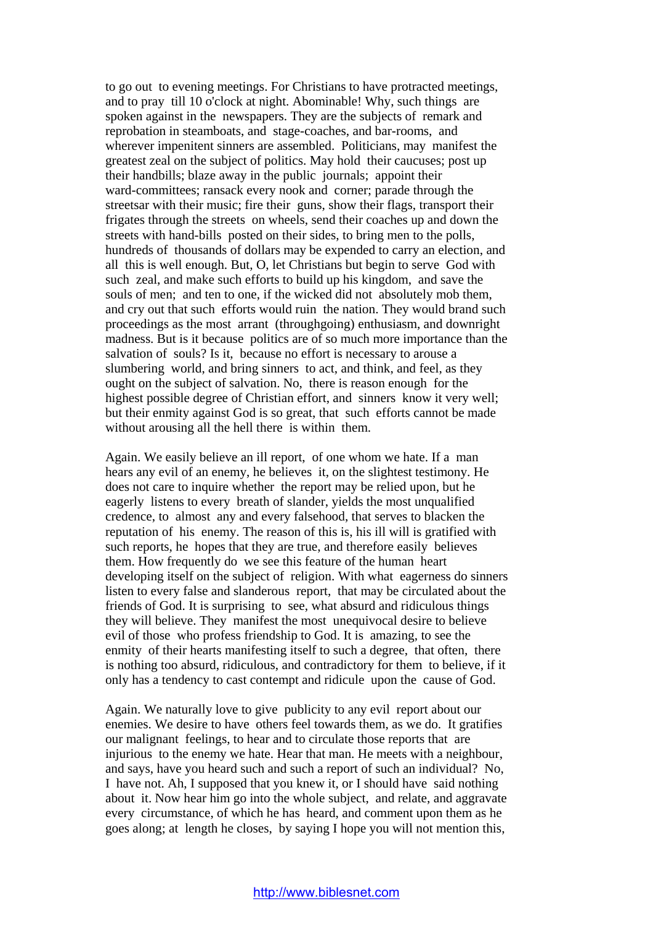to go out to evening meetings. For Christians to have protracted meetings, and to pray till 10 o'clock at night. Abominable! Why, such things are spoken against in the newspapers. They are the subjects of remark and reprobation in steamboats, and stage-coaches, and bar-rooms, and wherever impenitent sinners are assembled. Politicians, may manifest the greatest zeal on the subject of politics. May hold their caucuses; post up their handbills; blaze away in the public journals; appoint their ward-committees; ransack every nook and corner; parade through the streetsar with their music; fire their guns, show their flags, transport their frigates through the streets on wheels, send their coaches up and down the streets with hand-bills posted on their sides, to bring men to the polls, hundreds of thousands of dollars may be expended to carry an election, and all this is well enough. But, O, let Christians but begin to serve God with such zeal, and make such efforts to build up his kingdom, and save the souls of men; and ten to one, if the wicked did not absolutely mob them, and cry out that such efforts would ruin the nation. They would brand such proceedings as the most arrant (throughgoing) enthusiasm, and downright madness. But is it because politics are of so much more importance than the salvation of souls? Is it, because no effort is necessary to arouse a slumbering world, and bring sinners to act, and think, and feel, as they ought on the subject of salvation. No, there is reason enough for the highest possible degree of Christian effort, and sinners know it very well; but their enmity against God is so great, that such efforts cannot be made without arousing all the hell there is within them.

Again. We easily believe an ill report, of one whom we hate. If a man hears any evil of an enemy, he believes it, on the slightest testimony. He does not care to inquire whether the report may be relied upon, but he eagerly listens to every breath of slander, yields the most unqualified credence, to almost any and every falsehood, that serves to blacken the reputation of his enemy. The reason of this is, his ill will is gratified with such reports, he hopes that they are true, and therefore easily believes them. How frequently do we see this feature of the human heart developing itself on the subject of religion. With what eagerness do sinners listen to every false and slanderous report, that may be circulated about the friends of God. It is surprising to see, what absurd and ridiculous things they will believe. They manifest the most unequivocal desire to believe evil of those who profess friendship to God. It is amazing, to see the enmity of their hearts manifesting itself to such a degree, that often, there is nothing too absurd, ridiculous, and contradictory for them to believe, if it only has a tendency to cast contempt and ridicule upon the cause of God.

Again. We naturally love to give publicity to any evil report about our enemies. We desire to have others feel towards them, as we do. It gratifies our malignant feelings, to hear and to circulate those reports that are injurious to the enemy we hate. Hear that man. He meets with a neighbour, and says, have you heard such and such a report of such an individual? No, I have not. Ah, I supposed that you knew it, or I should have said nothing about it. Now hear him go into the whole subject, and relate, and aggravate every circumstance, of which he has heard, and comment upon them as he goes along; at length he closes, by saying I hope you will not mention this,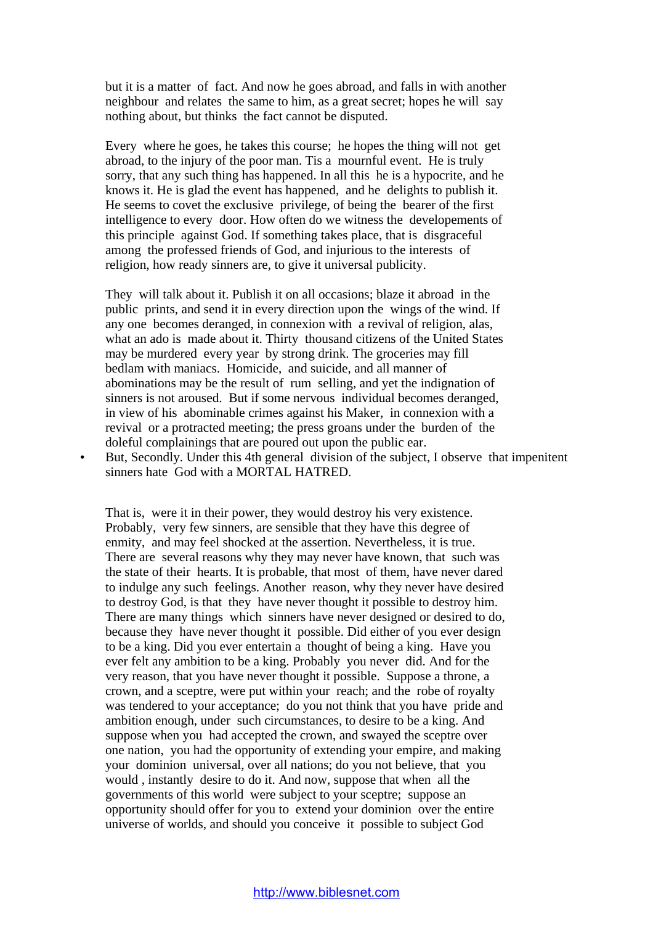but it is a matter of fact. And now he goes abroad, and falls in with another neighbour and relates the same to him, as a great secret; hopes he will say nothing about, but thinks the fact cannot be disputed.

Every where he goes, he takes this course; he hopes the thing will not get abroad, to the injury of the poor man. Tis a mournful event. He is truly sorry, that any such thing has happened. In all this he is a hypocrite, and he knows it. He is glad the event has happened, and he delights to publish it. He seems to covet the exclusive privilege, of being the bearer of the first intelligence to every door. How often do we witness the developements of this principle against God. If something takes place, that is disgraceful among the professed friends of God, and injurious to the interests of religion, how ready sinners are, to give it universal publicity.

They will talk about it. Publish it on all occasions; blaze it abroad in the public prints, and send it in every direction upon the wings of the wind. If any one becomes deranged, in connexion with a revival of religion, alas, what an ado is made about it. Thirty thousand citizens of the United States may be murdered every year by strong drink. The groceries may fill bedlam with maniacs. Homicide, and suicide, and all manner of abominations may be the result of rum selling, and yet the indignation of sinners is not aroused. But if some nervous individual becomes deranged, in view of his abominable crimes against his Maker, in connexion with a revival or a protracted meeting; the press groans under the burden of the doleful complainings that are poured out upon the public ear.

• But, Secondly. Under this 4th general division of the subject, I observe that impenitent sinners hate God with a MORTAL HATRED.

That is, were it in their power, they would destroy his very existence. Probably, very few sinners, are sensible that they have this degree of enmity, and may feel shocked at the assertion. Nevertheless, it is true. There are several reasons why they may never have known, that such was the state of their hearts. It is probable, that most of them, have never dared to indulge any such feelings. Another reason, why they never have desired to destroy God, is that they have never thought it possible to destroy him. There are many things which sinners have never designed or desired to do, because they have never thought it possible. Did either of you ever design to be a king. Did you ever entertain a thought of being a king. Have you ever felt any ambition to be a king. Probably you never did. And for the very reason, that you have never thought it possible. Suppose a throne, a crown, and a sceptre, were put within your reach; and the robe of royalty was tendered to your acceptance; do you not think that you have pride and ambition enough, under such circumstances, to desire to be a king. And suppose when you had accepted the crown, and swayed the sceptre over one nation, you had the opportunity of extending your empire, and making your dominion universal, over all nations; do you not believe, that you would , instantly desire to do it. And now, suppose that when all the governments of this world were subject to your sceptre; suppose an opportunity should offer for you to extend your dominion over the entire universe of worlds, and should you conceive it possible to subject God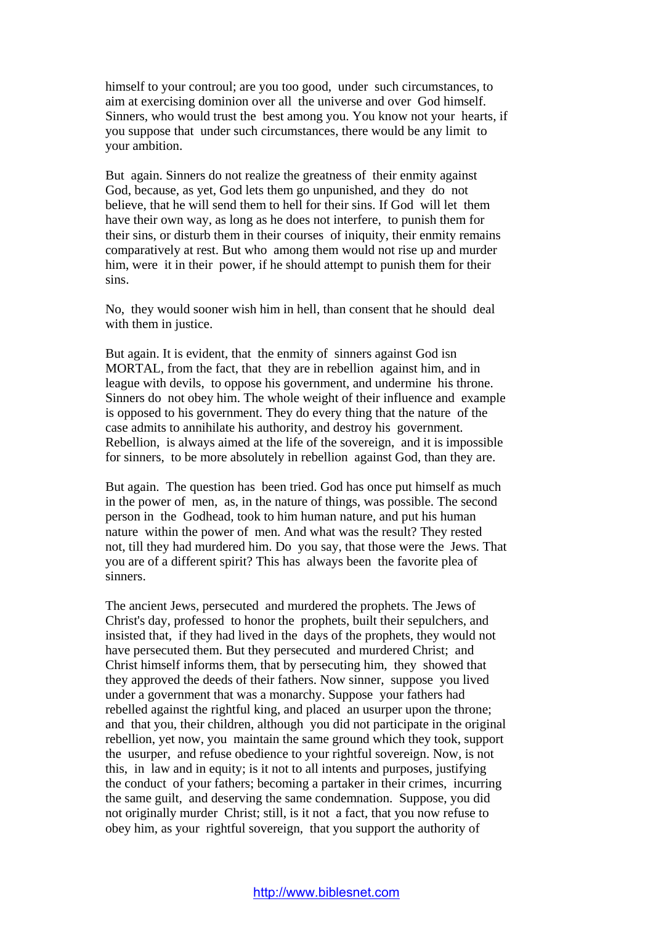himself to your controul; are you too good, under such circumstances, to aim at exercising dominion over all the universe and over God himself. Sinners, who would trust the best among you. You know not your hearts, if you suppose that under such circumstances, there would be any limit to your ambition.

But again. Sinners do not realize the greatness of their enmity against God, because, as yet, God lets them go unpunished, and they do not believe, that he will send them to hell for their sins. If God will let them have their own way, as long as he does not interfere, to punish them for their sins, or disturb them in their courses of iniquity, their enmity remains comparatively at rest. But who among them would not rise up and murder him, were it in their power, if he should attempt to punish them for their sins.

No, they would sooner wish him in hell, than consent that he should deal with them in justice.

But again. It is evident, that the enmity of sinners against God isn MORTAL, from the fact, that they are in rebellion against him, and in league with devils, to oppose his government, and undermine his throne. Sinners do not obey him. The whole weight of their influence and example is opposed to his government. They do every thing that the nature of the case admits to annihilate his authority, and destroy his government. Rebellion, is always aimed at the life of the sovereign, and it is impossible for sinners, to be more absolutely in rebellion against God, than they are.

But again. The question has been tried. God has once put himself as much in the power of men, as, in the nature of things, was possible. The second person in the Godhead, took to him human nature, and put his human nature within the power of men. And what was the result? They rested not, till they had murdered him. Do you say, that those were the Jews. That you are of a different spirit? This has always been the favorite plea of sinners.

The ancient Jews, persecuted and murdered the prophets. The Jews of Christ's day, professed to honor the prophets, built their sepulchers, and insisted that, if they had lived in the days of the prophets, they would not have persecuted them. But they persecuted and murdered Christ; and Christ himself informs them, that by persecuting him, they showed that they approved the deeds of their fathers. Now sinner, suppose you lived under a government that was a monarchy. Suppose your fathers had rebelled against the rightful king, and placed an usurper upon the throne; and that you, their children, although you did not participate in the original rebellion, yet now, you maintain the same ground which they took, support the usurper, and refuse obedience to your rightful sovereign. Now, is not this, in law and in equity; is it not to all intents and purposes, justifying the conduct of your fathers; becoming a partaker in their crimes, incurring the same guilt, and deserving the same condemnation. Suppose, you did not originally murder Christ; still, is it not a fact, that you now refuse to obey him, as your rightful sovereign, that you support the authority of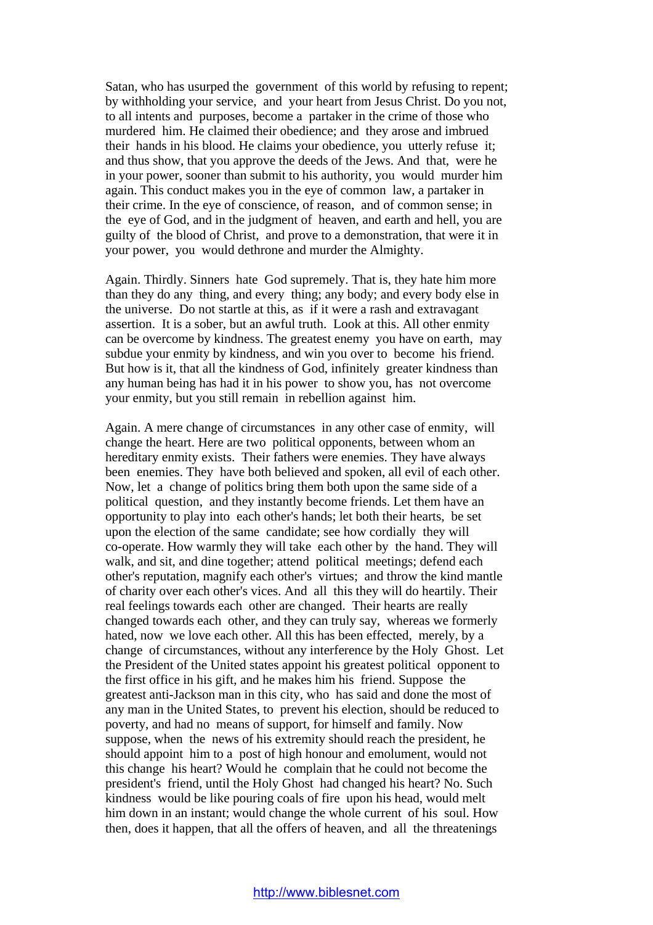Satan, who has usurped the government of this world by refusing to repent; by withholding your service, and your heart from Jesus Christ. Do you not, to all intents and purposes, become a partaker in the crime of those who murdered him. He claimed their obedience; and they arose and imbrued their hands in his blood. He claims your obedience, you utterly refuse it; and thus show, that you approve the deeds of the Jews. And that, were he in your power, sooner than submit to his authority, you would murder him again. This conduct makes you in the eye of common law, a partaker in their crime. In the eye of conscience, of reason, and of common sense; in the eye of God, and in the judgment of heaven, and earth and hell, you are guilty of the blood of Christ, and prove to a demonstration, that were it in your power, you would dethrone and murder the Almighty.

Again. Thirdly. Sinners hate God supremely. That is, they hate him more than they do any thing, and every thing; any body; and every body else in the universe. Do not startle at this, as if it were a rash and extravagant assertion. It is a sober, but an awful truth. Look at this. All other enmity can be overcome by kindness. The greatest enemy you have on earth, may subdue your enmity by kindness, and win you over to become his friend. But how is it, that all the kindness of God, infinitely greater kindness than any human being has had it in his power to show you, has not overcome your enmity, but you still remain in rebellion against him.

Again. A mere change of circumstances in any other case of enmity, will change the heart. Here are two political opponents, between whom an hereditary enmity exists. Their fathers were enemies. They have always been enemies. They have both believed and spoken, all evil of each other. Now, let a change of politics bring them both upon the same side of a political question, and they instantly become friends. Let them have an opportunity to play into each other's hands; let both their hearts, be set upon the election of the same candidate; see how cordially they will co-operate. How warmly they will take each other by the hand. They will walk, and sit, and dine together; attend political meetings; defend each other's reputation, magnify each other's virtues; and throw the kind mantle of charity over each other's vices. And all this they will do heartily. Their real feelings towards each other are changed. Their hearts are really changed towards each other, and they can truly say, whereas we formerly hated, now we love each other. All this has been effected, merely, by a change of circumstances, without any interference by the Holy Ghost. Let the President of the United states appoint his greatest political opponent to the first office in his gift, and he makes him his friend. Suppose the greatest anti-Jackson man in this city, who has said and done the most of any man in the United States, to prevent his election, should be reduced to poverty, and had no means of support, for himself and family. Now suppose, when the news of his extremity should reach the president, he should appoint him to a post of high honour and emolument, would not this change his heart? Would he complain that he could not become the president's friend, until the Holy Ghost had changed his heart? No. Such kindness would be like pouring coals of fire upon his head, would melt him down in an instant; would change the whole current of his soul. How then, does it happen, that all the offers of heaven, and all the threatenings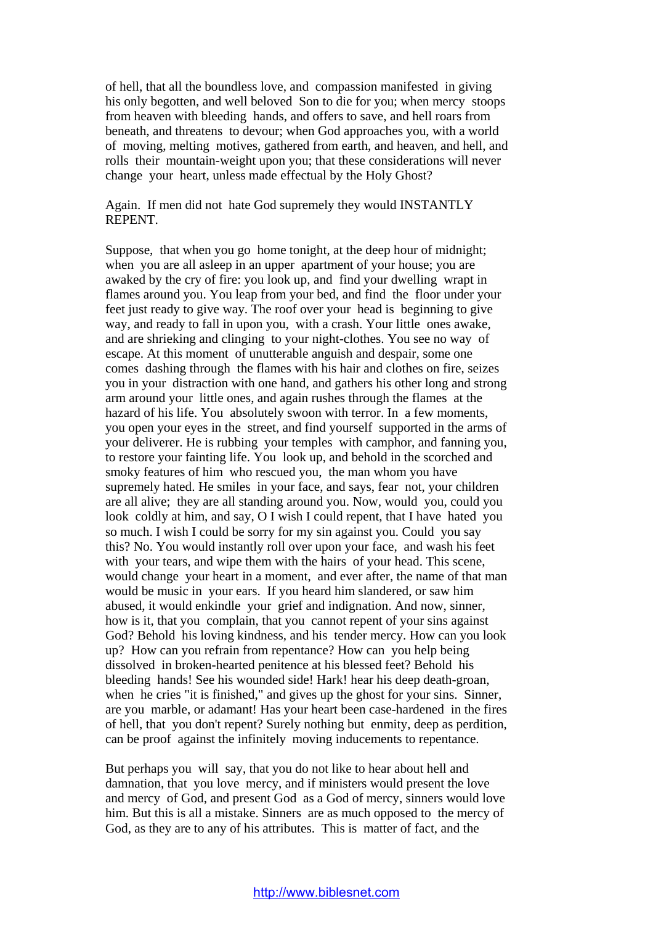of hell, that all the boundless love, and compassion manifested in giving his only begotten, and well beloved Son to die for you; when mercy stoops from heaven with bleeding hands, and offers to save, and hell roars from beneath, and threatens to devour; when God approaches you, with a world of moving, melting motives, gathered from earth, and heaven, and hell, and rolls their mountain-weight upon you; that these considerations will never change your heart, unless made effectual by the Holy Ghost?

Again. If men did not hate God supremely they would INSTANTLY **REPENT.** 

Suppose, that when you go home tonight, at the deep hour of midnight; when you are all asleep in an upper apartment of your house; you are awaked by the cry of fire: you look up, and find your dwelling wrapt in flames around you. You leap from your bed, and find the floor under your feet just ready to give way. The roof over your head is beginning to give way, and ready to fall in upon you, with a crash. Your little ones awake, and are shrieking and clinging to your night-clothes. You see no way of escape. At this moment of unutterable anguish and despair, some one comes dashing through the flames with his hair and clothes on fire, seizes you in your distraction with one hand, and gathers his other long and strong arm around your little ones, and again rushes through the flames at the hazard of his life. You absolutely swoon with terror. In a few moments, you open your eyes in the street, and find yourself supported in the arms of your deliverer. He is rubbing your temples with camphor, and fanning you, to restore your fainting life. You look up, and behold in the scorched and smoky features of him who rescued you, the man whom you have supremely hated. He smiles in your face, and says, fear not, your children are all alive; they are all standing around you. Now, would you, could you look coldly at him, and say, O I wish I could repent, that I have hated you so much. I wish I could be sorry for my sin against you. Could you say this? No. You would instantly roll over upon your face, and wash his feet with your tears, and wipe them with the hairs of your head. This scene, would change your heart in a moment, and ever after, the name of that man would be music in your ears. If you heard him slandered, or saw him abused, it would enkindle your grief and indignation. And now, sinner, how is it, that you complain, that you cannot repent of your sins against God? Behold his loving kindness, and his tender mercy. How can you look up? How can you refrain from repentance? How can you help being dissolved in broken-hearted penitence at his blessed feet? Behold his bleeding hands! See his wounded side! Hark! hear his deep death-groan, when he cries "it is finished," and gives up the ghost for your sins. Sinner, are you marble, or adamant! Has your heart been case-hardened in the fires of hell, that you don't repent? Surely nothing but enmity, deep as perdition, can be proof against the infinitely moving inducements to repentance.

But perhaps you will say, that you do not like to hear about hell and damnation, that you love mercy, and if ministers would present the love and mercy of God, and present God as a God of mercy, sinners would love him. But this is all a mistake. Sinners are as much opposed to the mercy of God, as they are to any of his attributes. This is matter of fact, and the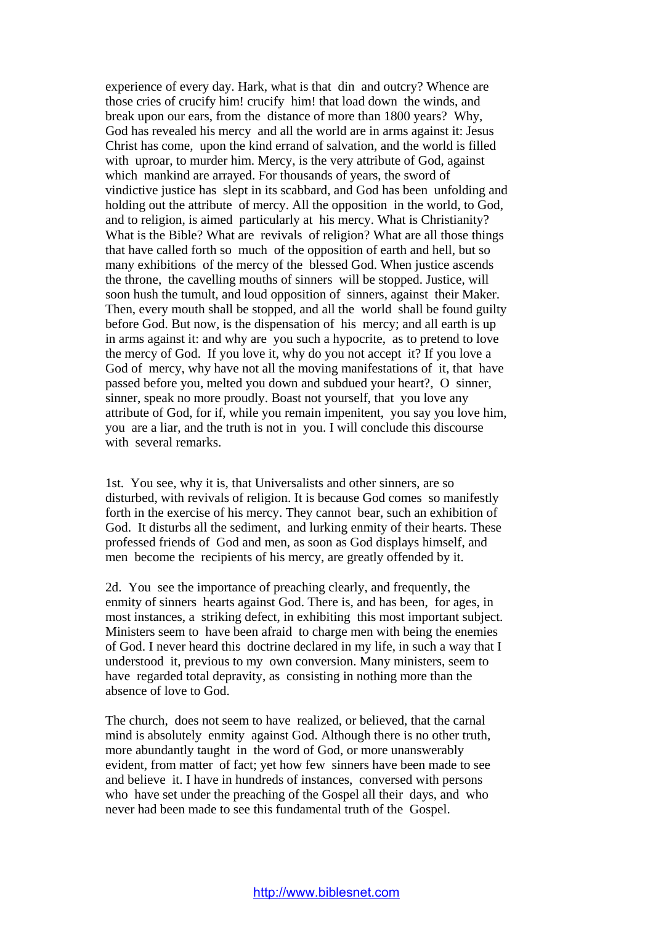experience of every day. Hark, what is that din and outcry? Whence are those cries of crucify him! crucify him! that load down the winds, and break upon our ears, from the distance of more than 1800 years? Why, God has revealed his mercy and all the world are in arms against it: Jesus Christ has come, upon the kind errand of salvation, and the world is filled with uproar, to murder him. Mercy, is the very attribute of God, against which mankind are arrayed. For thousands of years, the sword of vindictive justice has slept in its scabbard, and God has been unfolding and holding out the attribute of mercy. All the opposition in the world, to God, and to religion, is aimed particularly at his mercy. What is Christianity? What is the Bible? What are revivals of religion? What are all those things that have called forth so much of the opposition of earth and hell, but so many exhibitions of the mercy of the blessed God. When justice ascends the throne, the cavelling mouths of sinners will be stopped. Justice, will soon hush the tumult, and loud opposition of sinners, against their Maker. Then, every mouth shall be stopped, and all the world shall be found guilty before God. But now, is the dispensation of his mercy; and all earth is up in arms against it: and why are you such a hypocrite, as to pretend to love the mercy of God. If you love it, why do you not accept it? If you love a God of mercy, why have not all the moving manifestations of it, that have passed before you, melted you down and subdued your heart?, O sinner, sinner, speak no more proudly. Boast not yourself, that you love any attribute of God, for if, while you remain impenitent, you say you love him, you are a liar, and the truth is not in you. I will conclude this discourse with several remarks.

1st. You see, why it is, that Universalists and other sinners, are so disturbed, with revivals of religion. It is because God comes so manifestly forth in the exercise of his mercy. They cannot bear, such an exhibition of God. It disturbs all the sediment, and lurking enmity of their hearts. These professed friends of God and men, as soon as God displays himself, and men become the recipients of his mercy, are greatly offended by it.

2d. You see the importance of preaching clearly, and frequently, the enmity of sinners hearts against God. There is, and has been, for ages, in most instances, a striking defect, in exhibiting this most important subject. Ministers seem to have been afraid to charge men with being the enemies of God. I never heard this doctrine declared in my life, in such a way that I understood it, previous to my own conversion. Many ministers, seem to have regarded total depravity, as consisting in nothing more than the absence of love to God.

The church, does not seem to have realized, or believed, that the carnal mind is absolutely enmity against God. Although there is no other truth, more abundantly taught in the word of God, or more unanswerably evident, from matter of fact; yet how few sinners have been made to see and believe it. I have in hundreds of instances, conversed with persons who have set under the preaching of the Gospel all their days, and who never had been made to see this fundamental truth of the Gospel.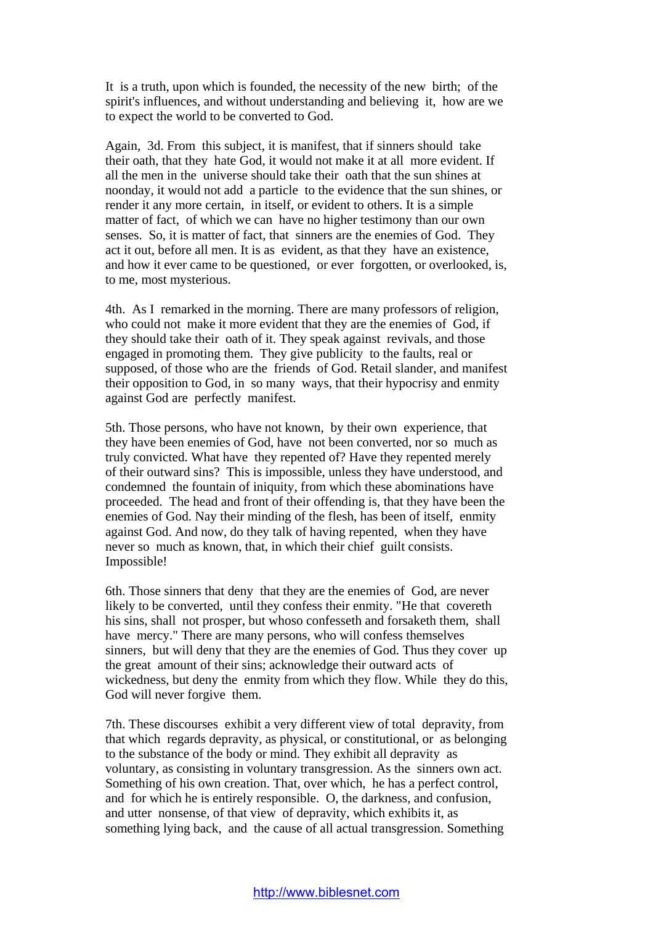It is a truth, upon which is founded, the necessity of the new birth; of the spirit's influences, and without understanding and believing it, how are we to expect the world to be converted to God.

Again, 3d. From this subject, it is manifest, that if sinners should take their oath, that they hate God, it would not make it at all more evident. If all the men in the universe should take their oath that the sun shines at noonday, it would not add a particle to the evidence that the sun shines, or render it any more certain, in itself, or evident to others. It is a simple matter of fact, of which we can have no higher testimony than our own senses. So, it is matter of fact, that sinners are the enemies of God. They act it out, before all men. It is as evident, as that they have an existence, and how it ever came to be questioned, or ever forgotten, or overlooked, is, to me, most mysterious.

4th. As I remarked in the morning. There are many professors of religion, who could not make it more evident that they are the enemies of God, if they should take their oath of it. They speak against revivals, and those engaged in promoting them. They give publicity to the faults, real or supposed, of those who are the friends of God. Retail slander, and manifest their opposition to God, in so many ways, that their hypocrisy and enmity against God are perfectly manifest.

5th. Those persons, who have not known, by their own experience, that they have been enemies of God, have not been converted, nor so much as truly convicted. What have they repented of? Have they repented merely of their outward sins? This is impossible, unless they have understood, and condemned the fountain of iniquity, from which these abominations have proceeded. The head and front of their offending is, that they have been the enemies of God. Nay their minding of the flesh, has been of itself, enmity against God. And now, do they talk of having repented, when they have never so much as known, that, in which their chief guilt consists. Impossible!

6th. Those sinners that deny that they are the enemies of God, are never likely to be converted, until they confess their enmity. "He that covereth his sins, shall not prosper, but whoso confesseth and forsaketh them, shall have mercy." There are many persons, who will confess themselves sinners, but will deny that they are the enemies of God. Thus they cover up the great amount of their sins; acknowledge their outward acts of wickedness, but deny the enmity from which they flow. While they do this, God will never forgive them.

7th. These discourses exhibit a very different view of total depravity, from that which regards depravity, as physical, or constitutional, or as belonging to the substance of the body or mind. They exhibit all depravity as voluntary, as consisting in voluntary transgression. As the sinners own act. Something of his own creation. That, over which, he has a perfect control, and for which he is entirely responsible. O, the darkness, and confusion, and utter nonsense, of that view of depravity, which exhibits it, as something lying back, and the cause of all actual transgression. Something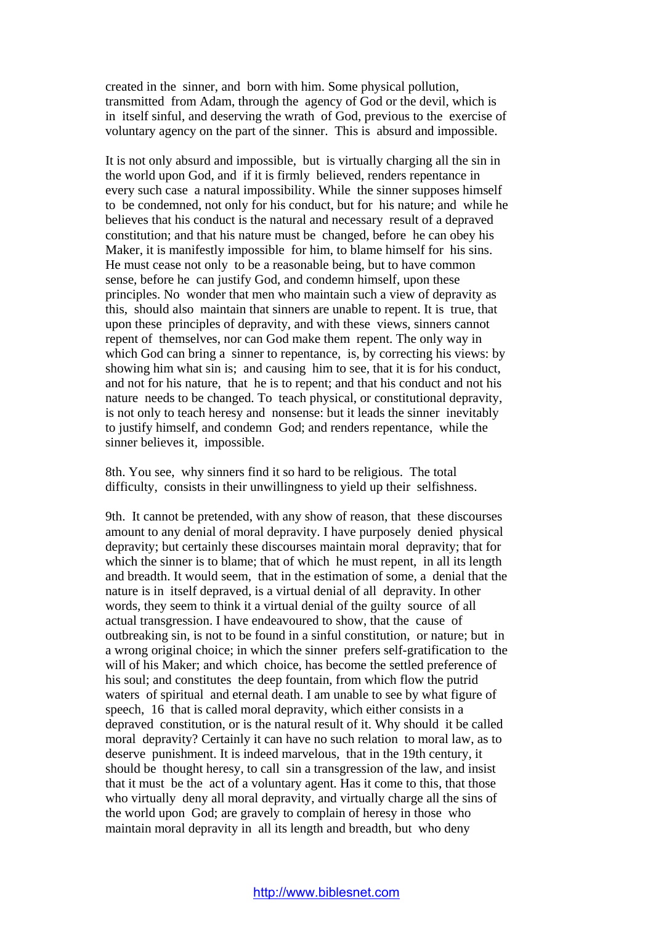created in the sinner, and born with him. Some physical pollution, transmitted from Adam, through the agency of God or the devil, which is in itself sinful, and deserving the wrath of God, previous to the exercise of voluntary agency on the part of the sinner. This is absurd and impossible.

It is not only absurd and impossible, but is virtually charging all the sin in the world upon God, and if it is firmly believed, renders repentance in every such case a natural impossibility. While the sinner supposes himself to be condemned, not only for his conduct, but for his nature; and while he believes that his conduct is the natural and necessary result of a depraved constitution; and that his nature must be changed, before he can obey his Maker, it is manifestly impossible for him, to blame himself for his sins. He must cease not only to be a reasonable being, but to have common sense, before he can justify God, and condemn himself, upon these principles. No wonder that men who maintain such a view of depravity as this, should also maintain that sinners are unable to repent. It is true, that upon these principles of depravity, and with these views, sinners cannot repent of themselves, nor can God make them repent. The only way in which God can bring a sinner to repentance, is, by correcting his views: by showing him what sin is; and causing him to see, that it is for his conduct, and not for his nature, that he is to repent; and that his conduct and not his nature needs to be changed. To teach physical, or constitutional depravity, is not only to teach heresy and nonsense: but it leads the sinner inevitably to justify himself, and condemn God; and renders repentance, while the sinner believes it, impossible.

8th. You see, why sinners find it so hard to be religious. The total difficulty, consists in their unwillingness to yield up their selfishness.

9th. It cannot be pretended, with any show of reason, that these discourses amount to any denial of moral depravity. I have purposely denied physical depravity; but certainly these discourses maintain moral depravity; that for which the sinner is to blame; that of which he must repent, in all its length and breadth. It would seem, that in the estimation of some, a denial that the nature is in itself depraved, is a virtual denial of all depravity. In other words, they seem to think it a virtual denial of the guilty source of all actual transgression. I have endeavoured to show, that the cause of outbreaking sin, is not to be found in a sinful constitution, or nature; but in a wrong original choice; in which the sinner prefers self-gratification to the will of his Maker; and which choice, has become the settled preference of his soul; and constitutes the deep fountain, from which flow the putrid waters of spiritual and eternal death. I am unable to see by what figure of speech, 16 that is called moral depravity, which either consists in a depraved constitution, or is the natural result of it. Why should it be called moral depravity? Certainly it can have no such relation to moral law, as to deserve punishment. It is indeed marvelous, that in the 19th century, it should be thought heresy, to call sin a transgression of the law, and insist that it must be the act of a voluntary agent. Has it come to this, that those who virtually deny all moral depravity, and virtually charge all the sins of the world upon God; are gravely to complain of heresy in those who maintain moral depravity in all its length and breadth, but who deny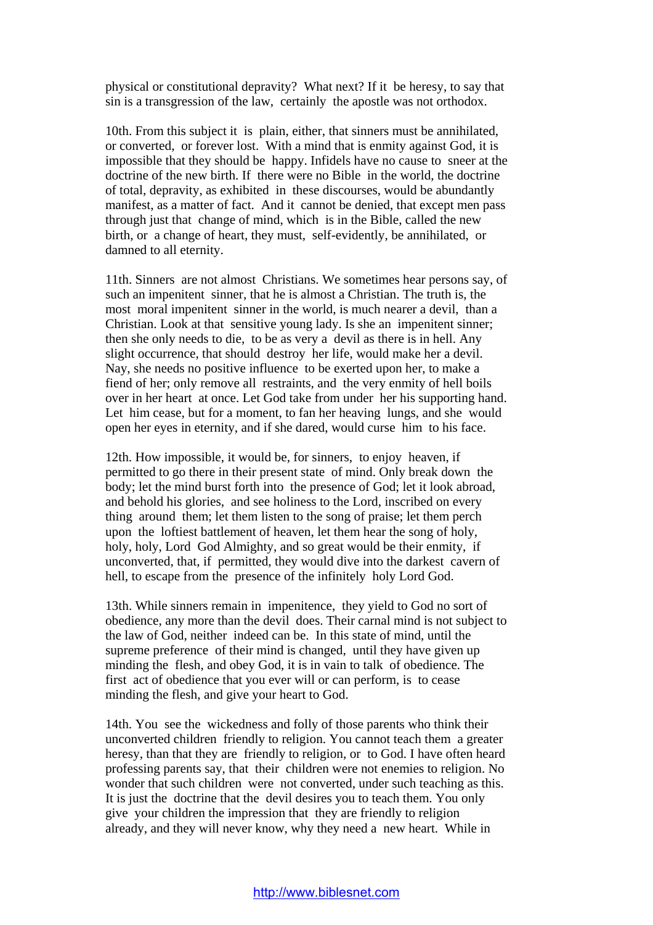physical or constitutional depravity? What next? If it be heresy, to say that sin is a transgression of the law, certainly the apostle was not orthodox.

10th. From this subject it is plain, either, that sinners must be annihilated, or converted, or forever lost. With a mind that is enmity against God, it is impossible that they should be happy. Infidels have no cause to sneer at the doctrine of the new birth. If there were no Bible in the world, the doctrine of total, depravity, as exhibited in these discourses, would be abundantly manifest, as a matter of fact. And it cannot be denied, that except men pass through just that change of mind, which is in the Bible, called the new birth, or a change of heart, they must, self-evidently, be annihilated, or damned to all eternity.

11th. Sinners are not almost Christians. We sometimes hear persons say, of such an impenitent sinner, that he is almost a Christian. The truth is, the most moral impenitent sinner in the world, is much nearer a devil, than a Christian. Look at that sensitive young lady. Is she an impenitent sinner; then she only needs to die, to be as very a devil as there is in hell. Any slight occurrence, that should destroy her life, would make her a devil. Nay, she needs no positive influence to be exerted upon her, to make a fiend of her; only remove all restraints, and the very enmity of hell boils over in her heart at once. Let God take from under her his supporting hand. Let him cease, but for a moment, to fan her heaving lungs, and she would open her eyes in eternity, and if she dared, would curse him to his face.

12th. How impossible, it would be, for sinners, to enjoy heaven, if permitted to go there in their present state of mind. Only break down the body; let the mind burst forth into the presence of God; let it look abroad, and behold his glories, and see holiness to the Lord, inscribed on every thing around them; let them listen to the song of praise; let them perch upon the loftiest battlement of heaven, let them hear the song of holy, holy, holy, Lord God Almighty, and so great would be their enmity, if unconverted, that, if permitted, they would dive into the darkest cavern of hell, to escape from the presence of the infinitely holy Lord God.

13th. While sinners remain in impenitence, they yield to God no sort of obedience, any more than the devil does. Their carnal mind is not subject to the law of God, neither indeed can be. In this state of mind, until the supreme preference of their mind is changed, until they have given up minding the flesh, and obey God, it is in vain to talk of obedience. The first act of obedience that you ever will or can perform, is to cease minding the flesh, and give your heart to God.

14th. You see the wickedness and folly of those parents who think their unconverted children friendly to religion. You cannot teach them a greater heresy, than that they are friendly to religion, or to God. I have often heard professing parents say, that their children were not enemies to religion. No wonder that such children were not converted, under such teaching as this. It is just the doctrine that the devil desires you to teach them. You only give your children the impression that they are friendly to religion already, and they will never know, why they need a new heart. While in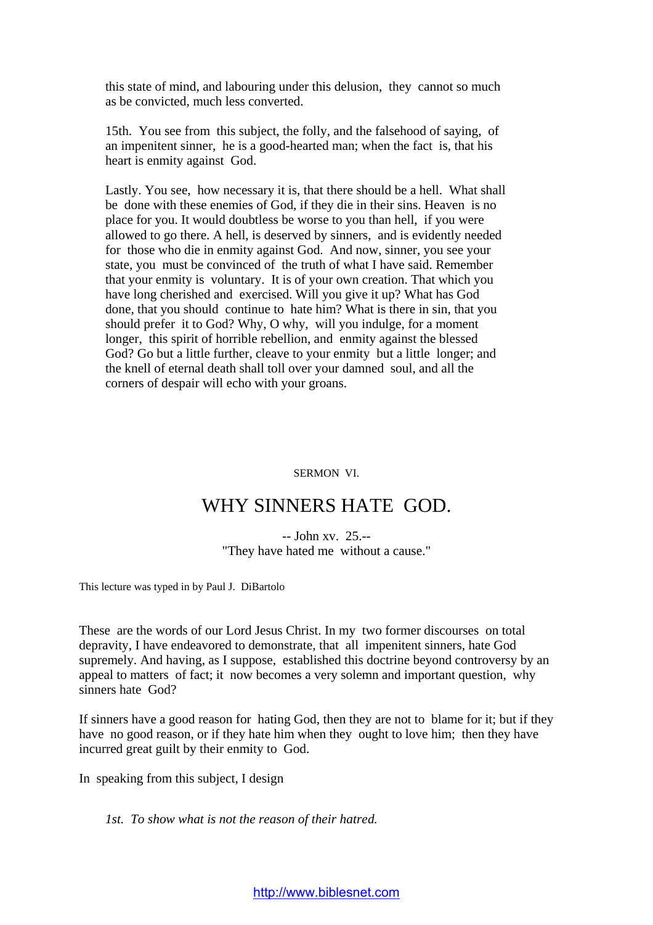this state of mind, and labouring under this delusion, they cannot so much as be convicted, much less converted.

15th. You see from this subject, the folly, and the falsehood of saying, of an impenitent sinner, he is a good-hearted man; when the fact is, that his heart is enmity against God.

Lastly. You see, how necessary it is, that there should be a hell. What shall be done with these enemies of God, if they die in their sins. Heaven is no place for you. It would doubtless be worse to you than hell, if you were allowed to go there. A hell, is deserved by sinners, and is evidently needed for those who die in enmity against God. And now, sinner, you see your state, you must be convinced of the truth of what I have said. Remember that your enmity is voluntary. It is of your own creation. That which you have long cherished and exercised. Will you give it up? What has God done, that you should continue to hate him? What is there in sin, that you should prefer it to God? Why, O why, will you indulge, for a moment longer, this spirit of horrible rebellion, and enmity against the blessed God? Go but a little further, cleave to your enmity but a little longer; and the knell of eternal death shall toll over your damned soul, and all the corners of despair will echo with your groans.

#### SERMON VI.

## WHY SINNERS HATE GOD.

-- John xv. 25.-- "They have hated me without a cause."

This lecture was typed in by Paul J. DiBartolo

These are the words of our Lord Jesus Christ. In my two former discourses on total depravity, I have endeavored to demonstrate, that all impenitent sinners, hate God supremely. And having, as I suppose, established this doctrine beyond controversy by an appeal to matters of fact; it now becomes a very solemn and important question, why sinners hate God?

If sinners have a good reason for hating God, then they are not to blame for it; but if they have no good reason, or if they hate him when they ought to love him; then they have incurred great guilt by their enmity to God.

In speaking from this subject, I design

*1st. To show what is not the reason of their hatred.*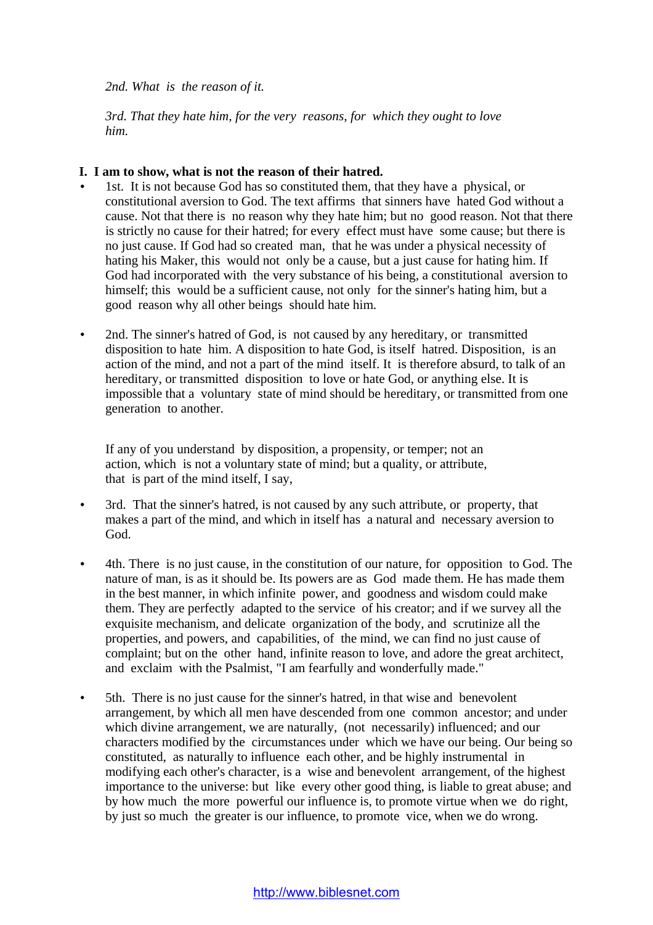*2nd. What is the reason of it.*

*3rd. That they hate him, for the very reasons, for which they ought to love him.*

#### **I. I am to show, what is not the reason of their hatred.**

- 1st. It is not because God has so constituted them, that they have a physical, or constitutional aversion to God. The text affirms that sinners have hated God without a cause. Not that there is no reason why they hate him; but no good reason. Not that there is strictly no cause for their hatred; for every effect must have some cause; but there is no just cause. If God had so created man, that he was under a physical necessity of hating his Maker, this would not only be a cause, but a just cause for hating him. If God had incorporated with the very substance of his being, a constitutional aversion to himself; this would be a sufficient cause, not only for the sinner's hating him, but a good reason why all other beings should hate him.
- 2nd. The sinner's hatred of God, is not caused by any hereditary, or transmitted disposition to hate him. A disposition to hate God, is itself hatred. Disposition, is an action of the mind, and not a part of the mind itself. It is therefore absurd, to talk of an hereditary, or transmitted disposition to love or hate God, or anything else. It is impossible that a voluntary state of mind should be hereditary, or transmitted from one generation to another.

If any of you understand by disposition, a propensity, or temper; not an action, which is not a voluntary state of mind; but a quality, or attribute, that is part of the mind itself, I say,

- 3rd. That the sinner's hatred, is not caused by any such attribute, or property, that makes a part of the mind, and which in itself has a natural and necessary aversion to God.
- 4th. There is no just cause, in the constitution of our nature, for opposition to God. The nature of man, is as it should be. Its powers are as God made them. He has made them in the best manner, in which infinite power, and goodness and wisdom could make them. They are perfectly adapted to the service of his creator; and if we survey all the exquisite mechanism, and delicate organization of the body, and scrutinize all the properties, and powers, and capabilities, of the mind, we can find no just cause of complaint; but on the other hand, infinite reason to love, and adore the great architect, and exclaim with the Psalmist, "I am fearfully and wonderfully made."
- 5th. There is no just cause for the sinner's hatred, in that wise and benevolent arrangement, by which all men have descended from one common ancestor; and under which divine arrangement, we are naturally, (not necessarily) influenced; and our characters modified by the circumstances under which we have our being. Our being so constituted, as naturally to influence each other, and be highly instrumental in modifying each other's character, is a wise and benevolent arrangement, of the highest importance to the universe: but like every other good thing, is liable to great abuse; and by how much the more powerful our influence is, to promote virtue when we do right, by just so much the greater is our influence, to promote vice, when we do wrong.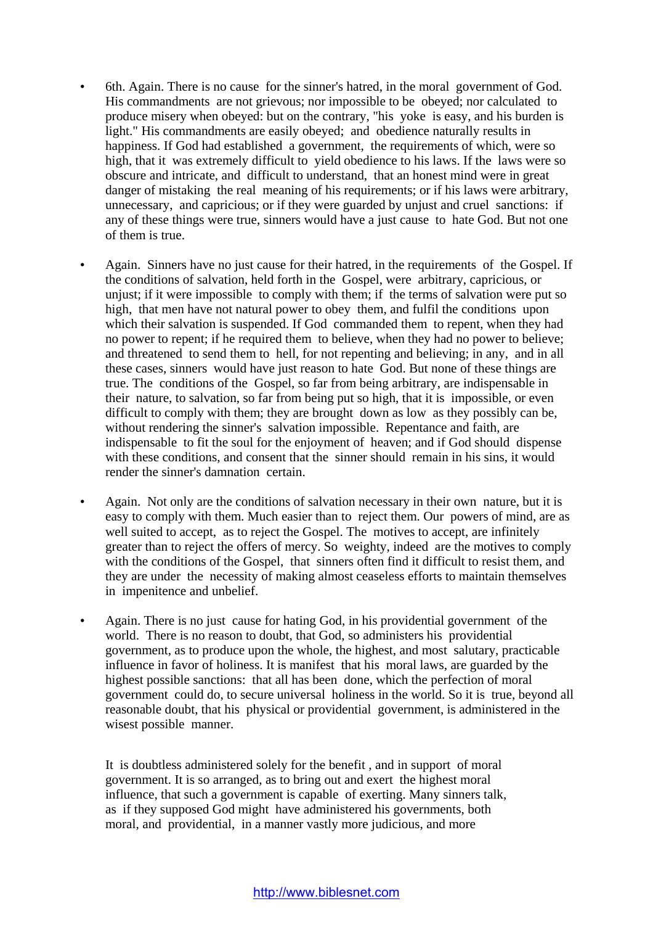- 6th. Again. There is no cause for the sinner's hatred, in the moral government of God. His commandments are not grievous; nor impossible to be obeyed; nor calculated to produce misery when obeyed: but on the contrary, "his yoke is easy, and his burden is light." His commandments are easily obeyed; and obedience naturally results in happiness. If God had established a government, the requirements of which, were so high, that it was extremely difficult to yield obedience to his laws. If the laws were so obscure and intricate, and difficult to understand, that an honest mind were in great danger of mistaking the real meaning of his requirements; or if his laws were arbitrary, unnecessary, and capricious; or if they were guarded by unjust and cruel sanctions: if any of these things were true, sinners would have a just cause to hate God. But not one of them is true.
- Again. Sinners have no just cause for their hatred, in the requirements of the Gospel. If the conditions of salvation, held forth in the Gospel, were arbitrary, capricious, or unjust; if it were impossible to comply with them; if the terms of salvation were put so high, that men have not natural power to obey them, and fulfil the conditions upon which their salvation is suspended. If God commanded them to repent, when they had no power to repent; if he required them to believe, when they had no power to believe; and threatened to send them to hell, for not repenting and believing; in any, and in all these cases, sinners would have just reason to hate God. But none of these things are true. The conditions of the Gospel, so far from being arbitrary, are indispensable in their nature, to salvation, so far from being put so high, that it is impossible, or even difficult to comply with them; they are brought down as low as they possibly can be, without rendering the sinner's salvation impossible. Repentance and faith, are indispensable to fit the soul for the enjoyment of heaven; and if God should dispense with these conditions, and consent that the sinner should remain in his sins, it would render the sinner's damnation certain.
- Again. Not only are the conditions of salvation necessary in their own nature, but it is easy to comply with them. Much easier than to reject them. Our powers of mind, are as well suited to accept, as to reject the Gospel. The motives to accept, are infinitely greater than to reject the offers of mercy. So weighty, indeed are the motives to comply with the conditions of the Gospel, that sinners often find it difficult to resist them, and they are under the necessity of making almost ceaseless efforts to maintain themselves in impenitence and unbelief.
- Again. There is no just cause for hating God, in his providential government of the world. There is no reason to doubt, that God, so administers his providential government, as to produce upon the whole, the highest, and most salutary, practicable influence in favor of holiness. It is manifest that his moral laws, are guarded by the highest possible sanctions: that all has been done, which the perfection of moral government could do, to secure universal holiness in the world. So it is true, beyond all reasonable doubt, that his physical or providential government, is administered in the wisest possible manner.

It is doubtless administered solely for the benefit , and in support of moral government. It is so arranged, as to bring out and exert the highest moral influence, that such a government is capable of exerting. Many sinners talk, as if they supposed God might have administered his governments, both moral, and providential, in a manner vastly more judicious, and more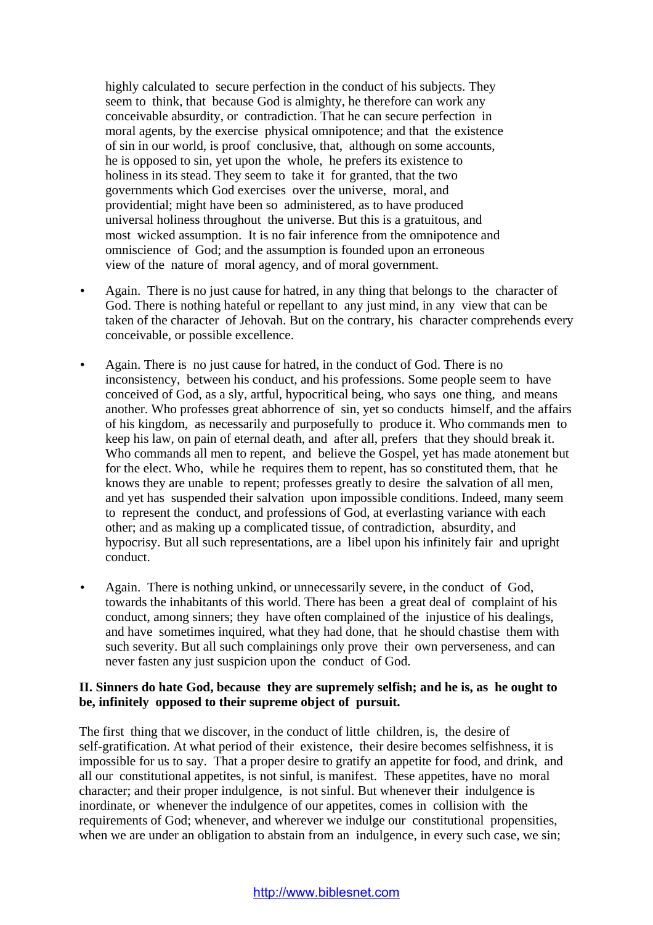highly calculated to secure perfection in the conduct of his subjects. They seem to think, that because God is almighty, he therefore can work any conceivable absurdity, or contradiction. That he can secure perfection in moral agents, by the exercise physical omnipotence; and that the existence of sin in our world, is proof conclusive, that, although on some accounts, he is opposed to sin, yet upon the whole, he prefers its existence to holiness in its stead. They seem to take it for granted, that the two governments which God exercises over the universe, moral, and providential; might have been so administered, as to have produced universal holiness throughout the universe. But this is a gratuitous, and most wicked assumption. It is no fair inference from the omnipotence and omniscience of God; and the assumption is founded upon an erroneous view of the nature of moral agency, and of moral government.

- Again. There is no just cause for hatred, in any thing that belongs to the character of God. There is nothing hateful or repellant to any just mind, in any view that can be taken of the character of Jehovah. But on the contrary, his character comprehends every conceivable, or possible excellence.
- Again. There is no just cause for hatred, in the conduct of God. There is no inconsistency, between his conduct, and his professions. Some people seem to have conceived of God, as a sly, artful, hypocritical being, who says one thing, and means another. Who professes great abhorrence of sin, yet so conducts himself, and the affairs of his kingdom, as necessarily and purposefully to produce it. Who commands men to keep his law, on pain of eternal death, and after all, prefers that they should break it. Who commands all men to repent, and believe the Gospel, yet has made atonement but for the elect. Who, while he requires them to repent, has so constituted them, that he knows they are unable to repent; professes greatly to desire the salvation of all men, and yet has suspended their salvation upon impossible conditions. Indeed, many seem to represent the conduct, and professions of God, at everlasting variance with each other; and as making up a complicated tissue, of contradiction, absurdity, and hypocrisy. But all such representations, are a libel upon his infinitely fair and upright conduct.
- Again. There is nothing unkind, or unnecessarily severe, in the conduct of God, towards the inhabitants of this world. There has been a great deal of complaint of his conduct, among sinners; they have often complained of the injustice of his dealings, and have sometimes inquired, what they had done, that he should chastise them with such severity. But all such complainings only prove their own perverseness, and can never fasten any just suspicion upon the conduct of God.

### **II. Sinners do hate God, because they are supremely selfish; and he is, as he ought to be, infinitely opposed to their supreme object of pursuit.**

The first thing that we discover, in the conduct of little children, is, the desire of self-gratification. At what period of their existence, their desire becomes selfishness, it is impossible for us to say. That a proper desire to gratify an appetite for food, and drink, and all our constitutional appetites, is not sinful, is manifest. These appetites, have no moral character; and their proper indulgence, is not sinful. But whenever their indulgence is inordinate, or whenever the indulgence of our appetites, comes in collision with the requirements of God; whenever, and wherever we indulge our constitutional propensities, when we are under an obligation to abstain from an indulgence, in every such case, we sin;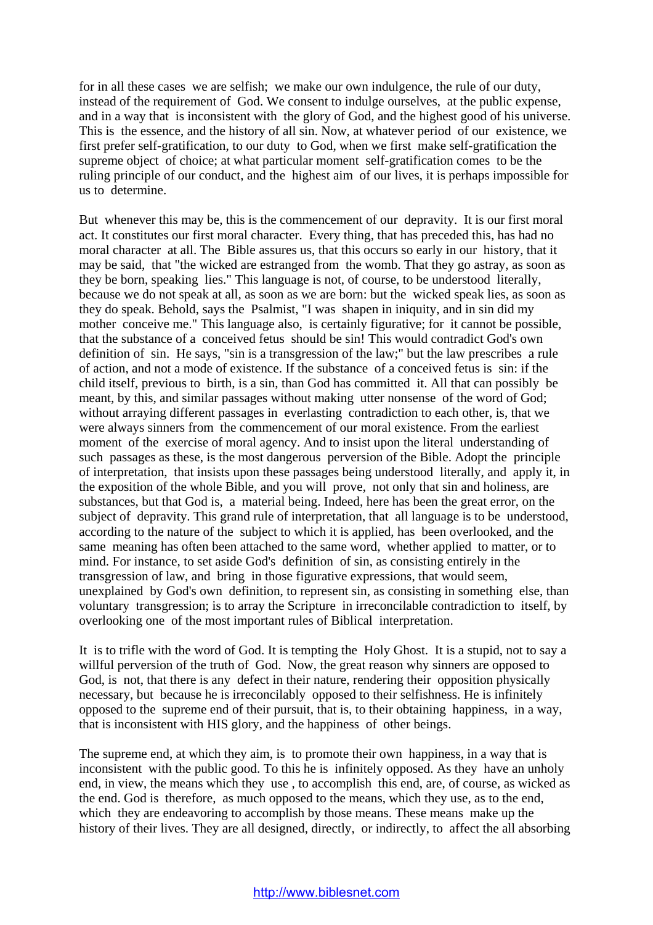for in all these cases we are selfish; we make our own indulgence, the rule of our duty, instead of the requirement of God. We consent to indulge ourselves, at the public expense, and in a way that is inconsistent with the glory of God, and the highest good of his universe. This is the essence, and the history of all sin. Now, at whatever period of our existence, we first prefer self-gratification, to our duty to God, when we first make self-gratification the supreme object of choice; at what particular moment self-gratification comes to be the ruling principle of our conduct, and the highest aim of our lives, it is perhaps impossible for us to determine.

But whenever this may be, this is the commencement of our depravity. It is our first moral act. It constitutes our first moral character. Every thing, that has preceded this, has had no moral character at all. The Bible assures us, that this occurs so early in our history, that it may be said, that "the wicked are estranged from the womb. That they go astray, as soon as they be born, speaking lies." This language is not, of course, to be understood literally, because we do not speak at all, as soon as we are born: but the wicked speak lies, as soon as they do speak. Behold, says the Psalmist, "I was shapen in iniquity, and in sin did my mother conceive me." This language also, is certainly figurative; for it cannot be possible, that the substance of a conceived fetus should be sin! This would contradict God's own definition of sin. He says, "sin is a transgression of the law;" but the law prescribes a rule of action, and not a mode of existence. If the substance of a conceived fetus is sin: if the child itself, previous to birth, is a sin, than God has committed it. All that can possibly be meant, by this, and similar passages without making utter nonsense of the word of God; without arraying different passages in everlasting contradiction to each other, is, that we were always sinners from the commencement of our moral existence. From the earliest moment of the exercise of moral agency. And to insist upon the literal understanding of such passages as these, is the most dangerous perversion of the Bible. Adopt the principle of interpretation, that insists upon these passages being understood literally, and apply it, in the exposition of the whole Bible, and you will prove, not only that sin and holiness, are substances, but that God is, a material being. Indeed, here has been the great error, on the subject of depravity. This grand rule of interpretation, that all language is to be understood, according to the nature of the subject to which it is applied, has been overlooked, and the same meaning has often been attached to the same word, whether applied to matter, or to mind. For instance, to set aside God's definition of sin, as consisting entirely in the transgression of law, and bring in those figurative expressions, that would seem, unexplained by God's own definition, to represent sin, as consisting in something else, than voluntary transgression; is to array the Scripture in irreconcilable contradiction to itself, by overlooking one of the most important rules of Biblical interpretation.

It is to trifle with the word of God. It is tempting the Holy Ghost. It is a stupid, not to say a willful perversion of the truth of God. Now, the great reason why sinners are opposed to God, is not, that there is any defect in their nature, rendering their opposition physically necessary, but because he is irreconcilably opposed to their selfishness. He is infinitely opposed to the supreme end of their pursuit, that is, to their obtaining happiness, in a way, that is inconsistent with HIS glory, and the happiness of other beings.

The supreme end, at which they aim, is to promote their own happiness, in a way that is inconsistent with the public good. To this he is infinitely opposed. As they have an unholy end, in view, the means which they use , to accomplish this end, are, of course, as wicked as the end. God is therefore, as much opposed to the means, which they use, as to the end, which they are endeavoring to accomplish by those means. These means make up the history of their lives. They are all designed, directly, or indirectly, to affect the all absorbing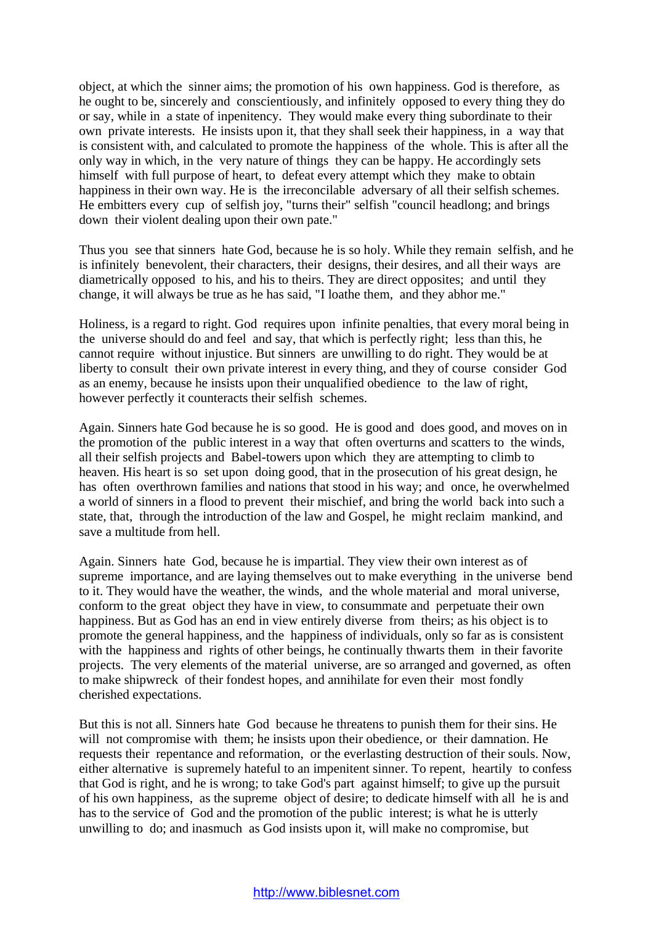object, at which the sinner aims; the promotion of his own happiness. God is therefore, as he ought to be, sincerely and conscientiously, and infinitely opposed to every thing they do or say, while in a state of inpenitency. They would make every thing subordinate to their own private interests. He insists upon it, that they shall seek their happiness, in a way that is consistent with, and calculated to promote the happiness of the whole. This is after all the only way in which, in the very nature of things they can be happy. He accordingly sets himself with full purpose of heart, to defeat every attempt which they make to obtain happiness in their own way. He is the irreconcilable adversary of all their selfish schemes. He embitters every cup of selfish joy, "turns their" selfish "council headlong; and brings down their violent dealing upon their own pate."

Thus you see that sinners hate God, because he is so holy. While they remain selfish, and he is infinitely benevolent, their characters, their designs, their desires, and all their ways are diametrically opposed to his, and his to theirs. They are direct opposites; and until they change, it will always be true as he has said, "I loathe them, and they abhor me."

Holiness, is a regard to right. God requires upon infinite penalties, that every moral being in the universe should do and feel and say, that which is perfectly right; less than this, he cannot require without injustice. But sinners are unwilling to do right. They would be at liberty to consult their own private interest in every thing, and they of course consider God as an enemy, because he insists upon their unqualified obedience to the law of right, however perfectly it counteracts their selfish schemes.

Again. Sinners hate God because he is so good. He is good and does good, and moves on in the promotion of the public interest in a way that often overturns and scatters to the winds, all their selfish projects and Babel-towers upon which they are attempting to climb to heaven. His heart is so set upon doing good, that in the prosecution of his great design, he has often overthrown families and nations that stood in his way; and once, he overwhelmed a world of sinners in a flood to prevent their mischief, and bring the world back into such a state, that, through the introduction of the law and Gospel, he might reclaim mankind, and save a multitude from hell.

Again. Sinners hate God, because he is impartial. They view their own interest as of supreme importance, and are laying themselves out to make everything in the universe bend to it. They would have the weather, the winds, and the whole material and moral universe, conform to the great object they have in view, to consummate and perpetuate their own happiness. But as God has an end in view entirely diverse from theirs; as his object is to promote the general happiness, and the happiness of individuals, only so far as is consistent with the happiness and rights of other beings, he continually thwarts them in their favorite projects. The very elements of the material universe, are so arranged and governed, as often to make shipwreck of their fondest hopes, and annihilate for even their most fondly cherished expectations.

But this is not all. Sinners hate God because he threatens to punish them for their sins. He will not compromise with them; he insists upon their obedience, or their damnation. He requests their repentance and reformation, or the everlasting destruction of their souls. Now, either alternative is supremely hateful to an impenitent sinner. To repent, heartily to confess that God is right, and he is wrong; to take God's part against himself; to give up the pursuit of his own happiness, as the supreme object of desire; to dedicate himself with all he is and has to the service of God and the promotion of the public interest; is what he is utterly unwilling to do; and inasmuch as God insists upon it, will make no compromise, but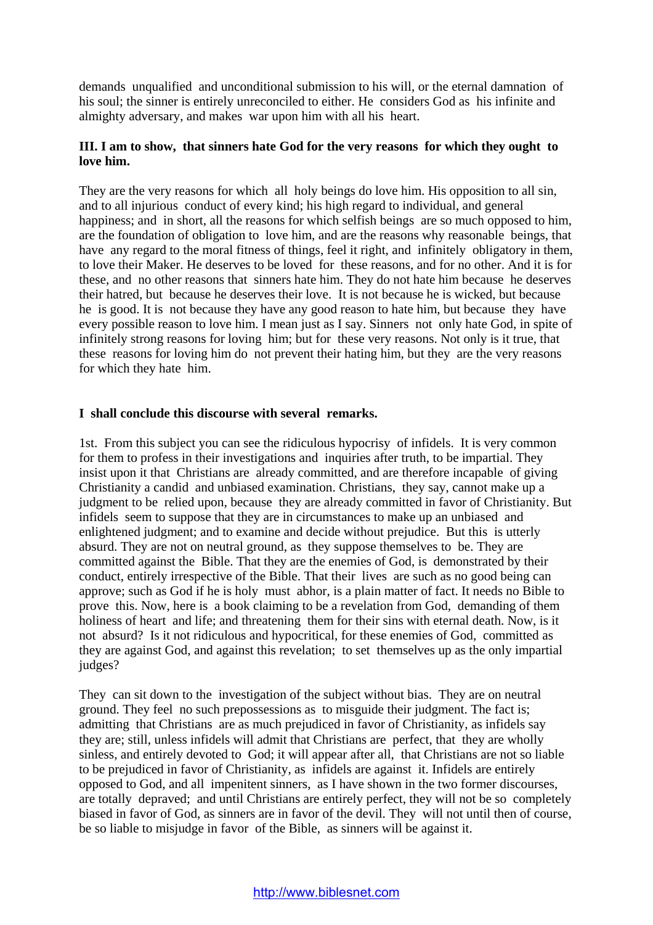demands unqualified and unconditional submission to his will, or the eternal damnation of his soul; the sinner is entirely unreconciled to either. He considers God as his infinite and almighty adversary, and makes war upon him with all his heart.

## **III. I am to show, that sinners hate God for the very reasons for which they ought to love him.**

They are the very reasons for which all holy beings do love him. His opposition to all sin, and to all injurious conduct of every kind; his high regard to individual, and general happiness; and in short, all the reasons for which selfish beings are so much opposed to him, are the foundation of obligation to love him, and are the reasons why reasonable beings, that have any regard to the moral fitness of things, feel it right, and infinitely obligatory in them, to love their Maker. He deserves to be loved for these reasons, and for no other. And it is for these, and no other reasons that sinners hate him. They do not hate him because he deserves their hatred, but because he deserves their love. It is not because he is wicked, but because he is good. It is not because they have any good reason to hate him, but because they have every possible reason to love him. I mean just as I say. Sinners not only hate God, in spite of infinitely strong reasons for loving him; but for these very reasons. Not only is it true, that these reasons for loving him do not prevent their hating him, but they are the very reasons for which they hate him.

## **I shall conclude this discourse with several remarks.**

1st. From this subject you can see the ridiculous hypocrisy of infidels. It is very common for them to profess in their investigations and inquiries after truth, to be impartial. They insist upon it that Christians are already committed, and are therefore incapable of giving Christianity a candid and unbiased examination. Christians, they say, cannot make up a judgment to be relied upon, because they are already committed in favor of Christianity. But infidels seem to suppose that they are in circumstances to make up an unbiased and enlightened judgment; and to examine and decide without prejudice. But this is utterly absurd. They are not on neutral ground, as they suppose themselves to be. They are committed against the Bible. That they are the enemies of God, is demonstrated by their conduct, entirely irrespective of the Bible. That their lives are such as no good being can approve; such as God if he is holy must abhor, is a plain matter of fact. It needs no Bible to prove this. Now, here is a book claiming to be a revelation from God, demanding of them holiness of heart and life; and threatening them for their sins with eternal death. Now, is it not absurd? Is it not ridiculous and hypocritical, for these enemies of God, committed as they are against God, and against this revelation; to set themselves up as the only impartial judges?

They can sit down to the investigation of the subject without bias. They are on neutral ground. They feel no such prepossessions as to misguide their judgment. The fact is; admitting that Christians are as much prejudiced in favor of Christianity, as infidels say they are; still, unless infidels will admit that Christians are perfect, that they are wholly sinless, and entirely devoted to God; it will appear after all, that Christians are not so liable to be prejudiced in favor of Christianity, as infidels are against it. Infidels are entirely opposed to God, and all impenitent sinners, as I have shown in the two former discourses, are totally depraved; and until Christians are entirely perfect, they will not be so completely biased in favor of God, as sinners are in favor of the devil. They will not until then of course, be so liable to misjudge in favor of the Bible, as sinners will be against it.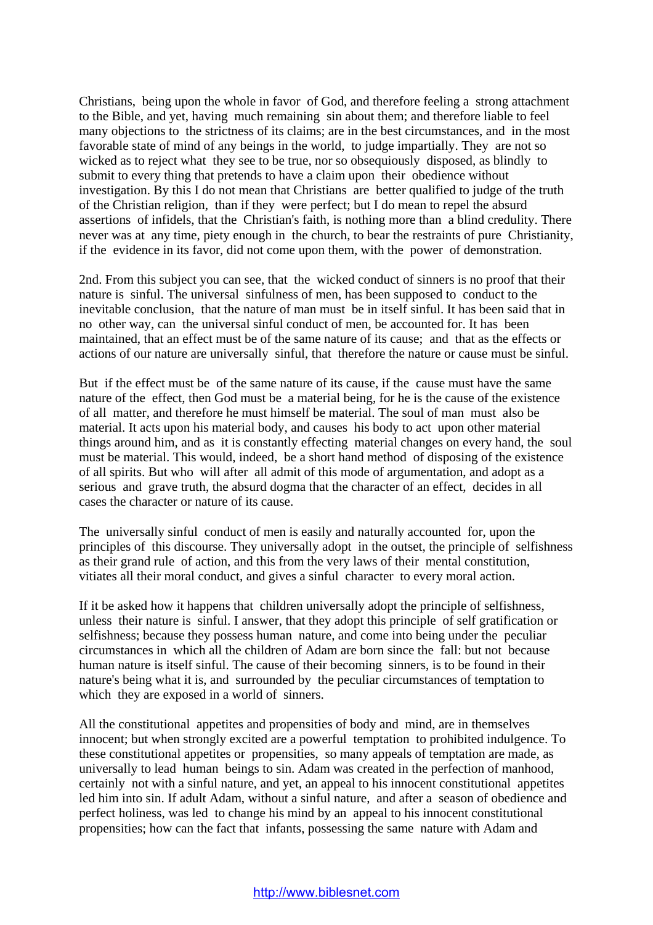Christians, being upon the whole in favor of God, and therefore feeling a strong attachment to the Bible, and yet, having much remaining sin about them; and therefore liable to feel many objections to the strictness of its claims; are in the best circumstances, and in the most favorable state of mind of any beings in the world, to judge impartially. They are not so wicked as to reject what they see to be true, nor so obsequiously disposed, as blindly to submit to every thing that pretends to have a claim upon their obedience without investigation. By this I do not mean that Christians are better qualified to judge of the truth of the Christian religion, than if they were perfect; but I do mean to repel the absurd assertions of infidels, that the Christian's faith, is nothing more than a blind credulity. There never was at any time, piety enough in the church, to bear the restraints of pure Christianity, if the evidence in its favor, did not come upon them, with the power of demonstration.

2nd. From this subject you can see, that the wicked conduct of sinners is no proof that their nature is sinful. The universal sinfulness of men, has been supposed to conduct to the inevitable conclusion, that the nature of man must be in itself sinful. It has been said that in no other way, can the universal sinful conduct of men, be accounted for. It has been maintained, that an effect must be of the same nature of its cause; and that as the effects or actions of our nature are universally sinful, that therefore the nature or cause must be sinful.

But if the effect must be of the same nature of its cause, if the cause must have the same nature of the effect, then God must be a material being, for he is the cause of the existence of all matter, and therefore he must himself be material. The soul of man must also be material. It acts upon his material body, and causes his body to act upon other material things around him, and as it is constantly effecting material changes on every hand, the soul must be material. This would, indeed, be a short hand method of disposing of the existence of all spirits. But who will after all admit of this mode of argumentation, and adopt as a serious and grave truth, the absurd dogma that the character of an effect, decides in all cases the character or nature of its cause.

The universally sinful conduct of men is easily and naturally accounted for, upon the principles of this discourse. They universally adopt in the outset, the principle of selfishness as their grand rule of action, and this from the very laws of their mental constitution, vitiates all their moral conduct, and gives a sinful character to every moral action.

If it be asked how it happens that children universally adopt the principle of selfishness, unless their nature is sinful. I answer, that they adopt this principle of self gratification or selfishness; because they possess human nature, and come into being under the peculiar circumstances in which all the children of Adam are born since the fall: but not because human nature is itself sinful. The cause of their becoming sinners, is to be found in their nature's being what it is, and surrounded by the peculiar circumstances of temptation to which they are exposed in a world of sinners.

All the constitutional appetites and propensities of body and mind, are in themselves innocent; but when strongly excited are a powerful temptation to prohibited indulgence. To these constitutional appetites or propensities, so many appeals of temptation are made, as universally to lead human beings to sin. Adam was created in the perfection of manhood, certainly not with a sinful nature, and yet, an appeal to his innocent constitutional appetites led him into sin. If adult Adam, without a sinful nature, and after a season of obedience and perfect holiness, was led to change his mind by an appeal to his innocent constitutional propensities; how can the fact that infants, possessing the same nature with Adam and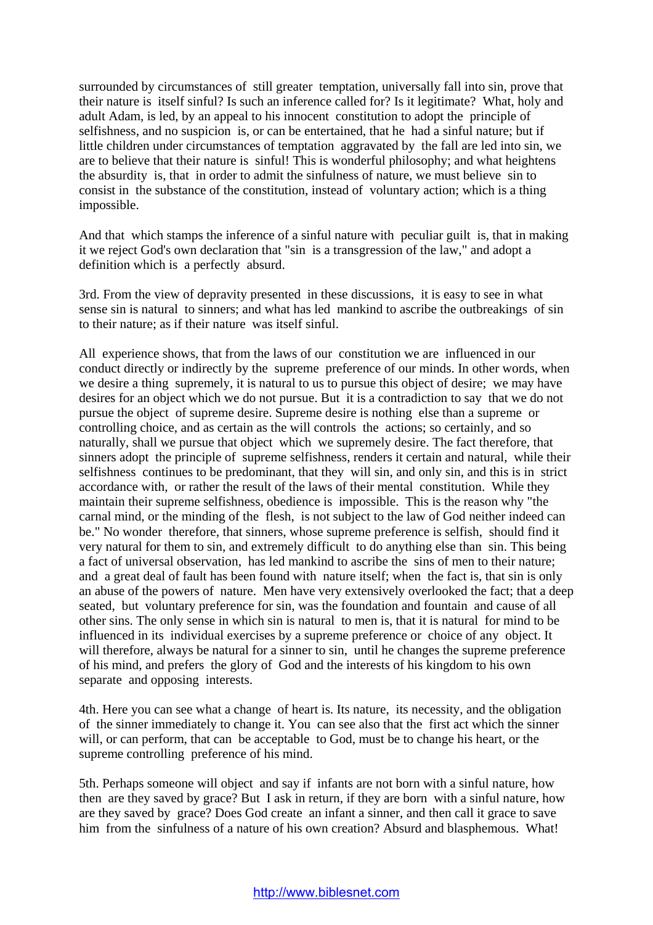surrounded by circumstances of still greater temptation, universally fall into sin, prove that their nature is itself sinful? Is such an inference called for? Is it legitimate? What, holy and adult Adam, is led, by an appeal to his innocent constitution to adopt the principle of selfishness, and no suspicion is, or can be entertained, that he had a sinful nature; but if little children under circumstances of temptation aggravated by the fall are led into sin, we are to believe that their nature is sinful! This is wonderful philosophy; and what heightens the absurdity is, that in order to admit the sinfulness of nature, we must believe sin to consist in the substance of the constitution, instead of voluntary action; which is a thing impossible.

And that which stamps the inference of a sinful nature with peculiar guilt is, that in making it we reject God's own declaration that "sin is a transgression of the law," and adopt a definition which is a perfectly absurd.

3rd. From the view of depravity presented in these discussions, it is easy to see in what sense sin is natural to sinners; and what has led mankind to ascribe the outbreakings of sin to their nature; as if their nature was itself sinful.

All experience shows, that from the laws of our constitution we are influenced in our conduct directly or indirectly by the supreme preference of our minds. In other words, when we desire a thing supremely, it is natural to us to pursue this object of desire; we may have desires for an object which we do not pursue. But it is a contradiction to say that we do not pursue the object of supreme desire. Supreme desire is nothing else than a supreme or controlling choice, and as certain as the will controls the actions; so certainly, and so naturally, shall we pursue that object which we supremely desire. The fact therefore, that sinners adopt the principle of supreme selfishness, renders it certain and natural, while their selfishness continues to be predominant, that they will sin, and only sin, and this is in strict accordance with, or rather the result of the laws of their mental constitution. While they maintain their supreme selfishness, obedience is impossible. This is the reason why "the carnal mind, or the minding of the flesh, is not subject to the law of God neither indeed can be." No wonder therefore, that sinners, whose supreme preference is selfish, should find it very natural for them to sin, and extremely difficult to do anything else than sin. This being a fact of universal observation, has led mankind to ascribe the sins of men to their nature; and a great deal of fault has been found with nature itself; when the fact is, that sin is only an abuse of the powers of nature. Men have very extensively overlooked the fact; that a deep seated, but voluntary preference for sin, was the foundation and fountain and cause of all other sins. The only sense in which sin is natural to men is, that it is natural for mind to be influenced in its individual exercises by a supreme preference or choice of any object. It will therefore, always be natural for a sinner to sin, until he changes the supreme preference of his mind, and prefers the glory of God and the interests of his kingdom to his own separate and opposing interests.

4th. Here you can see what a change of heart is. Its nature, its necessity, and the obligation of the sinner immediately to change it. You can see also that the first act which the sinner will, or can perform, that can be acceptable to God, must be to change his heart, or the supreme controlling preference of his mind.

5th. Perhaps someone will object and say if infants are not born with a sinful nature, how then are they saved by grace? But I ask in return, if they are born with a sinful nature, how are they saved by grace? Does God create an infant a sinner, and then call it grace to save him from the sinfulness of a nature of his own creation? Absurd and blasphemous. What!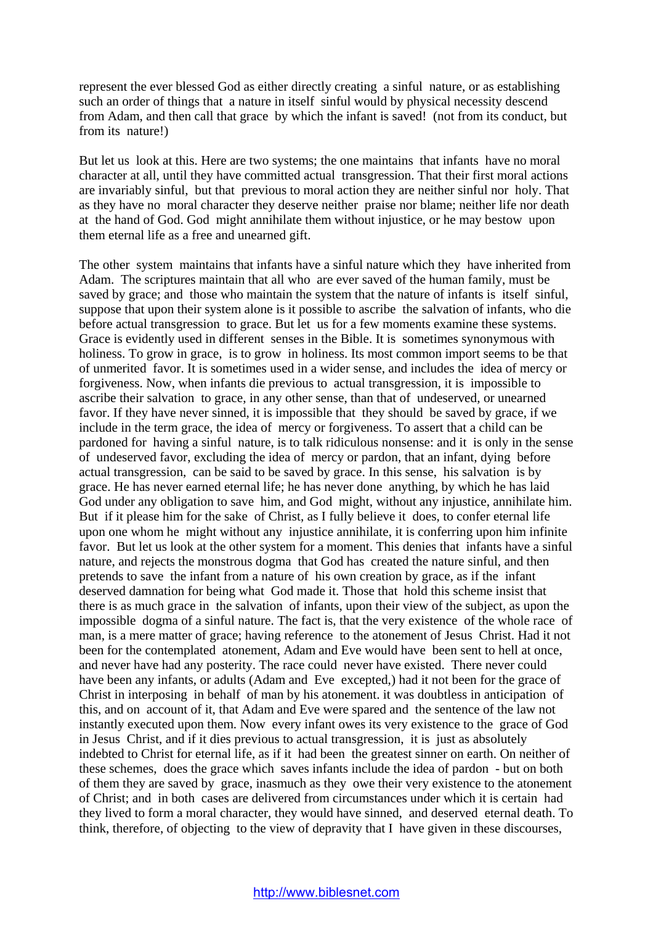represent the ever blessed God as either directly creating a sinful nature, or as establishing such an order of things that a nature in itself sinful would by physical necessity descend from Adam, and then call that grace by which the infant is saved! (not from its conduct, but from its nature!)

But let us look at this. Here are two systems; the one maintains that infants have no moral character at all, until they have committed actual transgression. That their first moral actions are invariably sinful, but that previous to moral action they are neither sinful nor holy. That as they have no moral character they deserve neither praise nor blame; neither life nor death at the hand of God. God might annihilate them without injustice, or he may bestow upon them eternal life as a free and unearned gift.

The other system maintains that infants have a sinful nature which they have inherited from Adam. The scriptures maintain that all who are ever saved of the human family, must be saved by grace; and those who maintain the system that the nature of infants is itself sinful, suppose that upon their system alone is it possible to ascribe the salvation of infants, who die before actual transgression to grace. But let us for a few moments examine these systems. Grace is evidently used in different senses in the Bible. It is sometimes synonymous with holiness. To grow in grace, is to grow in holiness. Its most common import seems to be that of unmerited favor. It is sometimes used in a wider sense, and includes the idea of mercy or forgiveness. Now, when infants die previous to actual transgression, it is impossible to ascribe their salvation to grace, in any other sense, than that of undeserved, or unearned favor. If they have never sinned, it is impossible that they should be saved by grace, if we include in the term grace, the idea of mercy or forgiveness. To assert that a child can be pardoned for having a sinful nature, is to talk ridiculous nonsense: and it is only in the sense of undeserved favor, excluding the idea of mercy or pardon, that an infant, dying before actual transgression, can be said to be saved by grace. In this sense, his salvation is by grace. He has never earned eternal life; he has never done anything, by which he has laid God under any obligation to save him, and God might, without any injustice, annihilate him. But if it please him for the sake of Christ, as I fully believe it does, to confer eternal life upon one whom he might without any injustice annihilate, it is conferring upon him infinite favor. But let us look at the other system for a moment. This denies that infants have a sinful nature, and rejects the monstrous dogma that God has created the nature sinful, and then pretends to save the infant from a nature of his own creation by grace, as if the infant deserved damnation for being what God made it. Those that hold this scheme insist that there is as much grace in the salvation of infants, upon their view of the subject, as upon the impossible dogma of a sinful nature. The fact is, that the very existence of the whole race of man, is a mere matter of grace; having reference to the atonement of Jesus Christ. Had it not been for the contemplated atonement, Adam and Eve would have been sent to hell at once, and never have had any posterity. The race could never have existed. There never could have been any infants, or adults (Adam and Eve excepted,) had it not been for the grace of Christ in interposing in behalf of man by his atonement. it was doubtless in anticipation of this, and on account of it, that Adam and Eve were spared and the sentence of the law not instantly executed upon them. Now every infant owes its very existence to the grace of God in Jesus Christ, and if it dies previous to actual transgression, it is just as absolutely indebted to Christ for eternal life, as if it had been the greatest sinner on earth. On neither of these schemes, does the grace which saves infants include the idea of pardon - but on both of them they are saved by grace, inasmuch as they owe their very existence to the atonement of Christ; and in both cases are delivered from circumstances under which it is certain had they lived to form a moral character, they would have sinned, and deserved eternal death. To think, therefore, of objecting to the view of depravity that I have given in these discourses,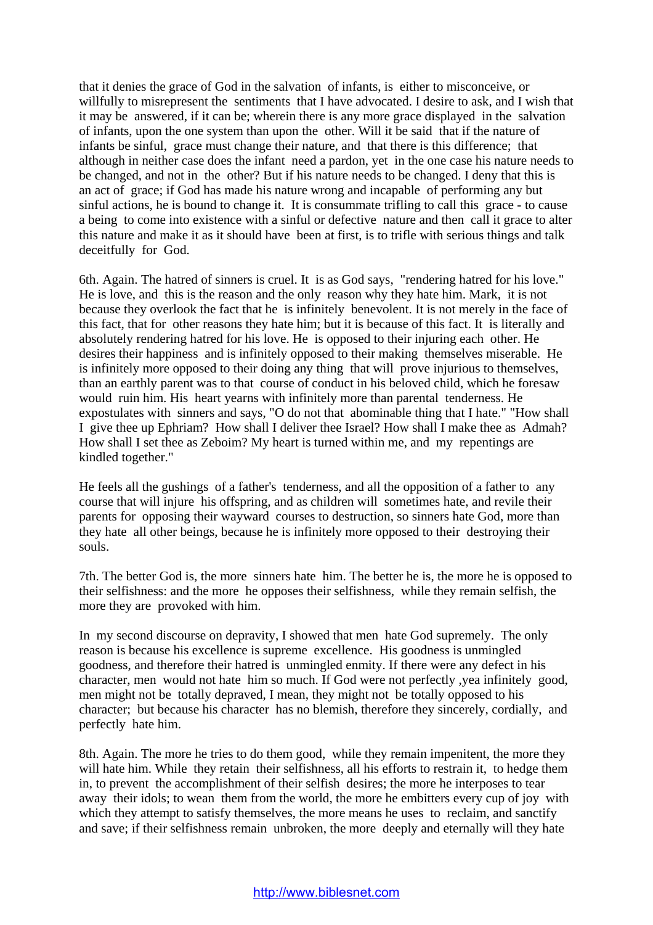that it denies the grace of God in the salvation of infants, is either to misconceive, or willfully to misrepresent the sentiments that I have advocated. I desire to ask, and I wish that it may be answered, if it can be; wherein there is any more grace displayed in the salvation of infants, upon the one system than upon the other. Will it be said that if the nature of infants be sinful, grace must change their nature, and that there is this difference; that although in neither case does the infant need a pardon, yet in the one case his nature needs to be changed, and not in the other? But if his nature needs to be changed. I deny that this is an act of grace; if God has made his nature wrong and incapable of performing any but sinful actions, he is bound to change it. It is consummate trifling to call this grace - to cause a being to come into existence with a sinful or defective nature and then call it grace to alter this nature and make it as it should have been at first, is to trifle with serious things and talk deceitfully for God.

6th. Again. The hatred of sinners is cruel. It is as God says, "rendering hatred for his love." He is love, and this is the reason and the only reason why they hate him. Mark, it is not because they overlook the fact that he is infinitely benevolent. It is not merely in the face of this fact, that for other reasons they hate him; but it is because of this fact. It is literally and absolutely rendering hatred for his love. He is opposed to their injuring each other. He desires their happiness and is infinitely opposed to their making themselves miserable. He is infinitely more opposed to their doing any thing that will prove injurious to themselves, than an earthly parent was to that course of conduct in his beloved child, which he foresaw would ruin him. His heart yearns with infinitely more than parental tenderness. He expostulates with sinners and says, "O do not that abominable thing that I hate." "How shall I give thee up Ephriam? How shall I deliver thee Israel? How shall I make thee as Admah? How shall I set thee as Zeboim? My heart is turned within me, and my repentings are kindled together."

He feels all the gushings of a father's tenderness, and all the opposition of a father to any course that will injure his offspring, and as children will sometimes hate, and revile their parents for opposing their wayward courses to destruction, so sinners hate God, more than they hate all other beings, because he is infinitely more opposed to their destroying their souls.

7th. The better God is, the more sinners hate him. The better he is, the more he is opposed to their selfishness: and the more he opposes their selfishness, while they remain selfish, the more they are provoked with him.

In my second discourse on depravity, I showed that men hate God supremely. The only reason is because his excellence is supreme excellence. His goodness is unmingled goodness, and therefore their hatred is unmingled enmity. If there were any defect in his character, men would not hate him so much. If God were not perfectly ,yea infinitely good, men might not be totally depraved, I mean, they might not be totally opposed to his character; but because his character has no blemish, therefore they sincerely, cordially, and perfectly hate him.

8th. Again. The more he tries to do them good, while they remain impenitent, the more they will hate him. While they retain their selfishness, all his efforts to restrain it, to hedge them in, to prevent the accomplishment of their selfish desires; the more he interposes to tear away their idols; to wean them from the world, the more he embitters every cup of joy with which they attempt to satisfy themselves, the more means he uses to reclaim, and sanctify and save; if their selfishness remain unbroken, the more deeply and eternally will they hate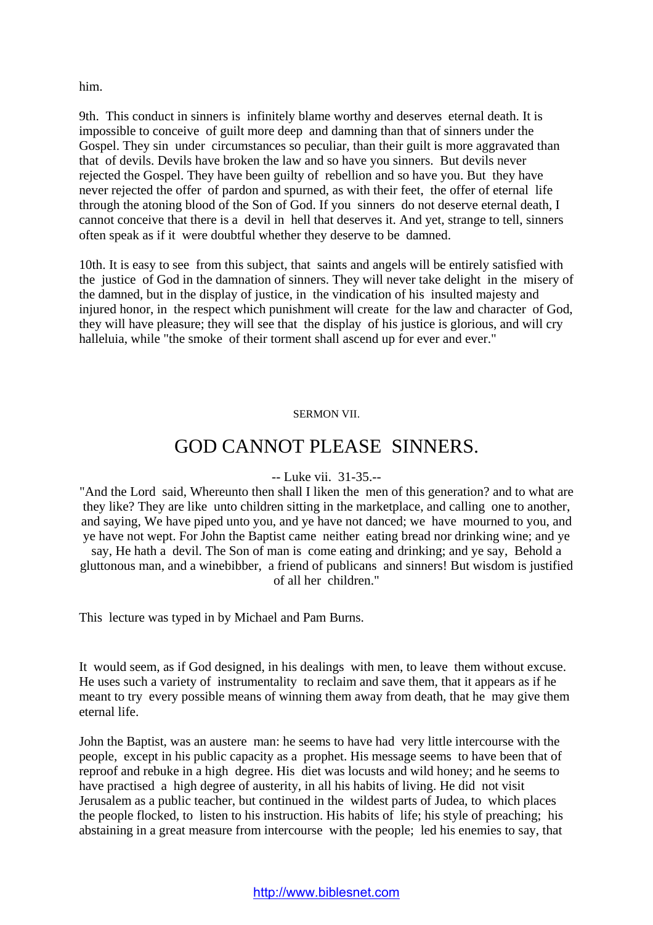him.

9th. This conduct in sinners is infinitely blame worthy and deserves eternal death. It is impossible to conceive of guilt more deep and damning than that of sinners under the Gospel. They sin under circumstances so peculiar, than their guilt is more aggravated than that of devils. Devils have broken the law and so have you sinners. But devils never rejected the Gospel. They have been guilty of rebellion and so have you. But they have never rejected the offer of pardon and spurned, as with their feet, the offer of eternal life through the atoning blood of the Son of God. If you sinners do not deserve eternal death, I cannot conceive that there is a devil in hell that deserves it. And yet, strange to tell, sinners often speak as if it were doubtful whether they deserve to be damned.

10th. It is easy to see from this subject, that saints and angels will be entirely satisfied with the justice of God in the damnation of sinners. They will never take delight in the misery of the damned, but in the display of justice, in the vindication of his insulted majesty and injured honor, in the respect which punishment will create for the law and character of God, they will have pleasure; they will see that the display of his justice is glorious, and will cry halleluia, while "the smoke of their torment shall ascend up for ever and ever."

#### SERMON VII.

# GOD CANNOT PLEASE SINNERS.

## -- Luke vii. 31-35.--

"And the Lord said, Whereunto then shall I liken the men of this generation? and to what are they like? They are like unto children sitting in the marketplace, and calling one to another, and saying, We have piped unto you, and ye have not danced; we have mourned to you, and ye have not wept. For John the Baptist came neither eating bread nor drinking wine; and ye say, He hath a devil. The Son of man is come eating and drinking; and ye say, Behold a gluttonous man, and a winebibber, a friend of publicans and sinners! But wisdom is justified of all her children."

This lecture was typed in by Michael and Pam Burns.

It would seem, as if God designed, in his dealings with men, to leave them without excuse. He uses such a variety of instrumentality to reclaim and save them, that it appears as if he meant to try every possible means of winning them away from death, that he may give them eternal life.

John the Baptist, was an austere man: he seems to have had very little intercourse with the people, except in his public capacity as a prophet. His message seems to have been that of reproof and rebuke in a high degree. His diet was locusts and wild honey; and he seems to have practised a high degree of austerity, in all his habits of living. He did not visit Jerusalem as a public teacher, but continued in the wildest parts of Judea, to which places the people flocked, to listen to his instruction. His habits of life; his style of preaching; his abstaining in a great measure from intercourse with the people; led his enemies to say, that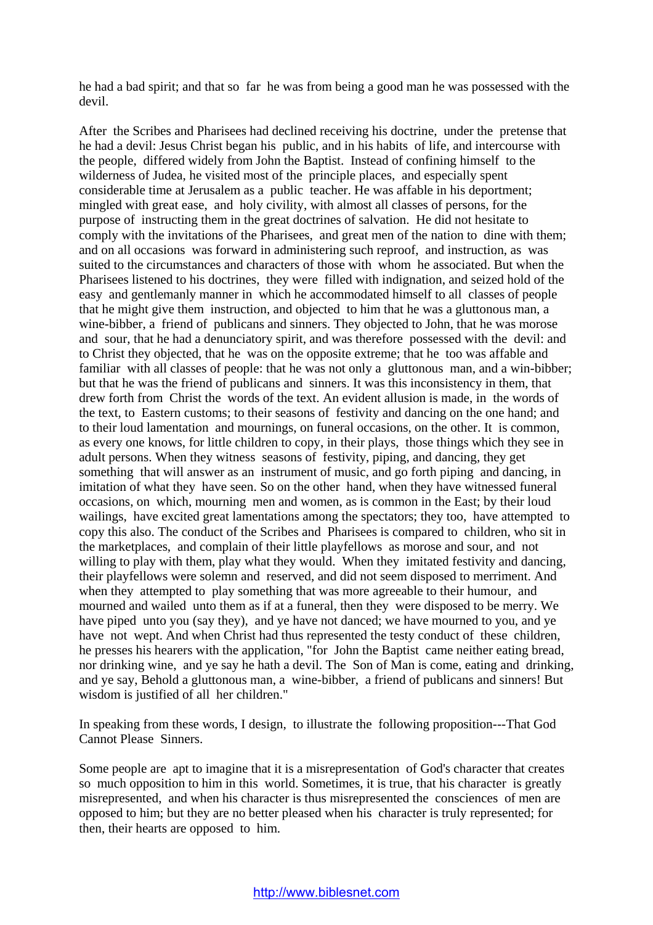he had a bad spirit; and that so far he was from being a good man he was possessed with the devil.

After the Scribes and Pharisees had declined receiving his doctrine, under the pretense that he had a devil: Jesus Christ began his public, and in his habits of life, and intercourse with the people, differed widely from John the Baptist. Instead of confining himself to the wilderness of Judea, he visited most of the principle places, and especially spent considerable time at Jerusalem as a public teacher. He was affable in his deportment; mingled with great ease, and holy civility, with almost all classes of persons, for the purpose of instructing them in the great doctrines of salvation. He did not hesitate to comply with the invitations of the Pharisees, and great men of the nation to dine with them; and on all occasions was forward in administering such reproof, and instruction, as was suited to the circumstances and characters of those with whom he associated. But when the Pharisees listened to his doctrines, they were filled with indignation, and seized hold of the easy and gentlemanly manner in which he accommodated himself to all classes of people that he might give them instruction, and objected to him that he was a gluttonous man, a wine-bibber, a friend of publicans and sinners. They objected to John, that he was morose and sour, that he had a denunciatory spirit, and was therefore possessed with the devil: and to Christ they objected, that he was on the opposite extreme; that he too was affable and familiar with all classes of people: that he was not only a gluttonous man, and a win-bibber; but that he was the friend of publicans and sinners. It was this inconsistency in them, that drew forth from Christ the words of the text. An evident allusion is made, in the words of the text, to Eastern customs; to their seasons of festivity and dancing on the one hand; and to their loud lamentation and mournings, on funeral occasions, on the other. It is common, as every one knows, for little children to copy, in their plays, those things which they see in adult persons. When they witness seasons of festivity, piping, and dancing, they get something that will answer as an instrument of music, and go forth piping and dancing, in imitation of what they have seen. So on the other hand, when they have witnessed funeral occasions, on which, mourning men and women, as is common in the East; by their loud wailings, have excited great lamentations among the spectators; they too, have attempted to copy this also. The conduct of the Scribes and Pharisees is compared to children, who sit in the marketplaces, and complain of their little playfellows as morose and sour, and not willing to play with them, play what they would. When they imitated festivity and dancing, their playfellows were solemn and reserved, and did not seem disposed to merriment. And when they attempted to play something that was more agreeable to their humour, and mourned and wailed unto them as if at a funeral, then they were disposed to be merry. We have piped unto you (say they), and ye have not danced; we have mourned to you, and ye have not wept. And when Christ had thus represented the testy conduct of these children, he presses his hearers with the application, "for John the Baptist came neither eating bread, nor drinking wine, and ye say he hath a devil. The Son of Man is come, eating and drinking, and ye say, Behold a gluttonous man, a wine-bibber, a friend of publicans and sinners! But wisdom is justified of all her children."

In speaking from these words, I design, to illustrate the following proposition---That God Cannot Please Sinners.

Some people are apt to imagine that it is a misrepresentation of God's character that creates so much opposition to him in this world. Sometimes, it is true, that his character is greatly misrepresented, and when his character is thus misrepresented the consciences of men are opposed to him; but they are no better pleased when his character is truly represented; for then, their hearts are opposed to him.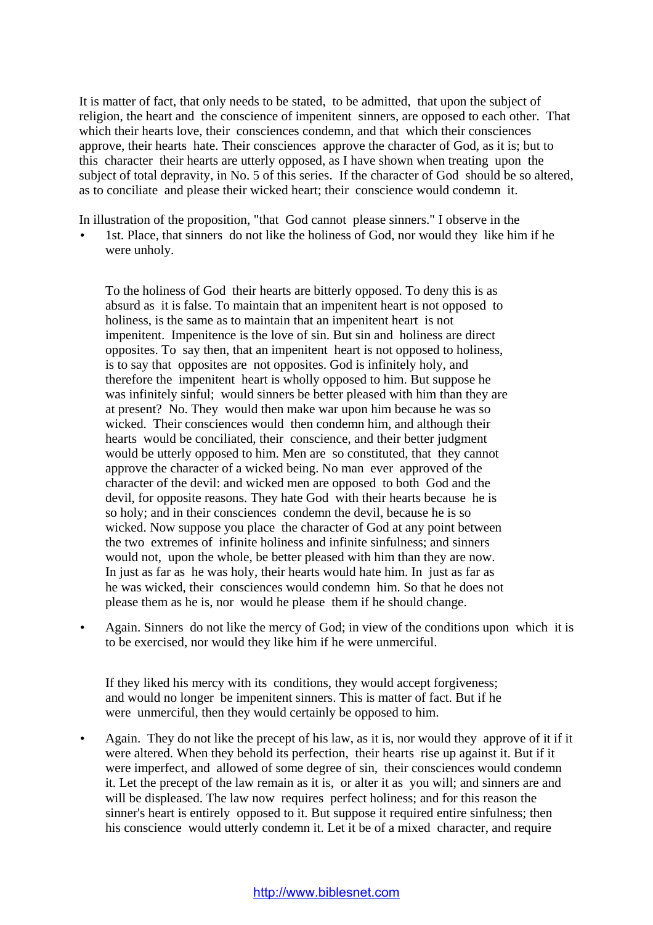It is matter of fact, that only needs to be stated, to be admitted, that upon the subject of religion, the heart and the conscience of impenitent sinners, are opposed to each other. That which their hearts love, their consciences condemn, and that which their consciences approve, their hearts hate. Their consciences approve the character of God, as it is; but to this character their hearts are utterly opposed, as I have shown when treating upon the subject of total depravity, in No. 5 of this series. If the character of God should be so altered, as to conciliate and please their wicked heart; their conscience would condemn it.

In illustration of the proposition, "that God cannot please sinners." I observe in the

• 1st. Place, that sinners do not like the holiness of God, nor would they like him if he were unholy.

To the holiness of God their hearts are bitterly opposed. To deny this is as absurd as it is false. To maintain that an impenitent heart is not opposed to holiness, is the same as to maintain that an impenitent heart is not impenitent. Impenitence is the love of sin. But sin and holiness are direct opposites. To say then, that an impenitent heart is not opposed to holiness, is to say that opposites are not opposites. God is infinitely holy, and therefore the impenitent heart is wholly opposed to him. But suppose he was infinitely sinful; would sinners be better pleased with him than they are at present? No. They would then make war upon him because he was so wicked. Their consciences would then condemn him, and although their hearts would be conciliated, their conscience, and their better judgment would be utterly opposed to him. Men are so constituted, that they cannot approve the character of a wicked being. No man ever approved of the character of the devil: and wicked men are opposed to both God and the devil, for opposite reasons. They hate God with their hearts because he is so holy; and in their consciences condemn the devil, because he is so wicked. Now suppose you place the character of God at any point between the two extremes of infinite holiness and infinite sinfulness; and sinners would not, upon the whole, be better pleased with him than they are now. In just as far as he was holy, their hearts would hate him. In just as far as he was wicked, their consciences would condemn him. So that he does not please them as he is, nor would he please them if he should change.

• Again. Sinners do not like the mercy of God; in view of the conditions upon which it is to be exercised, nor would they like him if he were unmerciful.

If they liked his mercy with its conditions, they would accept forgiveness; and would no longer be impenitent sinners. This is matter of fact. But if he were unmerciful, then they would certainly be opposed to him.

• Again. They do not like the precept of his law, as it is, nor would they approve of it if it were altered. When they behold its perfection, their hearts rise up against it. But if it were imperfect, and allowed of some degree of sin, their consciences would condemn it. Let the precept of the law remain as it is, or alter it as you will; and sinners are and will be displeased. The law now requires perfect holiness; and for this reason the sinner's heart is entirely opposed to it. But suppose it required entire sinfulness; then his conscience would utterly condemn it. Let it be of a mixed character, and require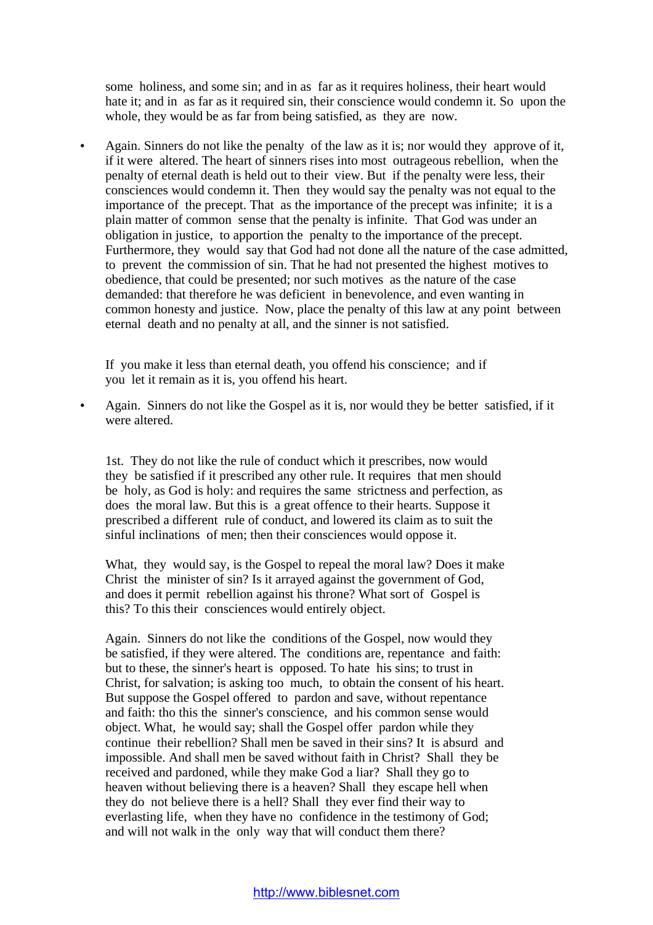some holiness, and some sin; and in as far as it requires holiness, their heart would hate it; and in as far as it required sin, their conscience would condemn it. So upon the whole, they would be as far from being satisfied, as they are now.

• Again. Sinners do not like the penalty of the law as it is; nor would they approve of it, if it were altered. The heart of sinners rises into most outrageous rebellion, when the penalty of eternal death is held out to their view. But if the penalty were less, their consciences would condemn it. Then they would say the penalty was not equal to the importance of the precept. That as the importance of the precept was infinite; it is a plain matter of common sense that the penalty is infinite. That God was under an obligation in justice, to apportion the penalty to the importance of the precept. Furthermore, they would say that God had not done all the nature of the case admitted, to prevent the commission of sin. That he had not presented the highest motives to obedience, that could be presented; nor such motives as the nature of the case demanded: that therefore he was deficient in benevolence, and even wanting in common honesty and justice. Now, place the penalty of this law at any point between eternal death and no penalty at all, and the sinner is not satisfied.

If you make it less than eternal death, you offend his conscience; and if you let it remain as it is, you offend his heart.

• Again. Sinners do not like the Gospel as it is, nor would they be better satisfied, if it were altered.

1st. They do not like the rule of conduct which it prescribes, now would they be satisfied if it prescribed any other rule. It requires that men should be holy, as God is holy: and requires the same strictness and perfection, as does the moral law. But this is a great offence to their hearts. Suppose it prescribed a different rule of conduct, and lowered its claim as to suit the sinful inclinations of men; then their consciences would oppose it.

What, they would say, is the Gospel to repeal the moral law? Does it make Christ the minister of sin? Is it arrayed against the government of God, and does it permit rebellion against his throne? What sort of Gospel is this? To this their consciences would entirely object.

Again. Sinners do not like the conditions of the Gospel, now would they be satisfied, if they were altered. The conditions are, repentance and faith: but to these, the sinner's heart is opposed. To hate his sins; to trust in Christ, for salvation; is asking too much, to obtain the consent of his heart. But suppose the Gospel offered to pardon and save, without repentance and faith: tho this the sinner's conscience, and his common sense would object. What, he would say; shall the Gospel offer pardon while they continue their rebellion? Shall men be saved in their sins? It is absurd and impossible. And shall men be saved without faith in Christ? Shall they be received and pardoned, while they make God a liar? Shall they go to heaven without believing there is a heaven? Shall they escape hell when they do not believe there is a hell? Shall they ever find their way to everlasting life, when they have no confidence in the testimony of God; and will not walk in the only way that will conduct them there?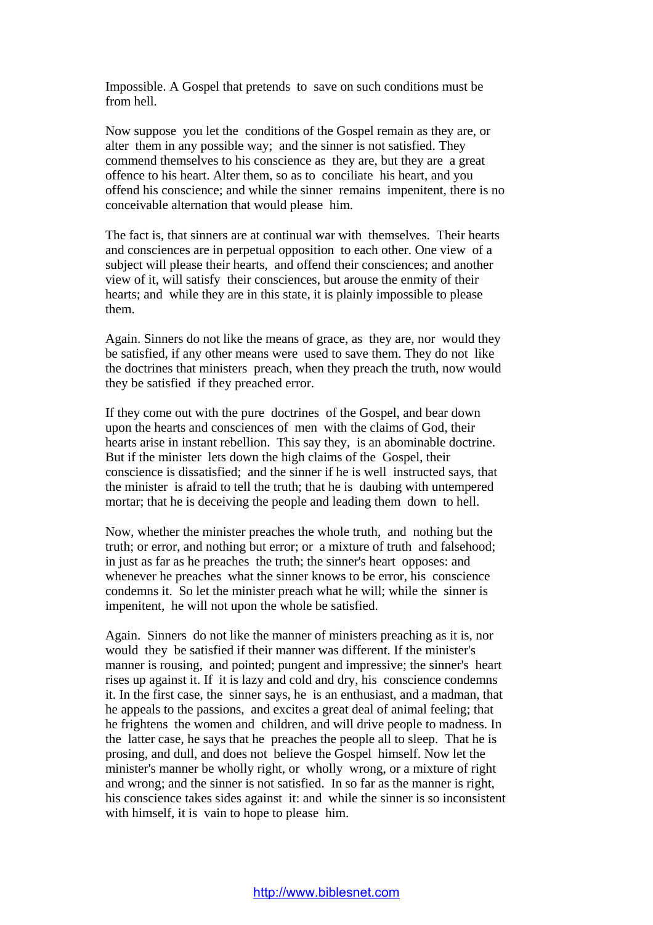Impossible. A Gospel that pretends to save on such conditions must be from hell.

Now suppose you let the conditions of the Gospel remain as they are, or alter them in any possible way; and the sinner is not satisfied. They commend themselves to his conscience as they are, but they are a great offence to his heart. Alter them, so as to conciliate his heart, and you offend his conscience; and while the sinner remains impenitent, there is no conceivable alternation that would please him.

The fact is, that sinners are at continual war with themselves. Their hearts and consciences are in perpetual opposition to each other. One view of a subject will please their hearts, and offend their consciences; and another view of it, will satisfy their consciences, but arouse the enmity of their hearts; and while they are in this state, it is plainly impossible to please them.

Again. Sinners do not like the means of grace, as they are, nor would they be satisfied, if any other means were used to save them. They do not like the doctrines that ministers preach, when they preach the truth, now would they be satisfied if they preached error.

If they come out with the pure doctrines of the Gospel, and bear down upon the hearts and consciences of men with the claims of God, their hearts arise in instant rebellion. This say they, is an abominable doctrine. But if the minister lets down the high claims of the Gospel, their conscience is dissatisfied; and the sinner if he is well instructed says, that the minister is afraid to tell the truth; that he is daubing with untempered mortar; that he is deceiving the people and leading them down to hell.

Now, whether the minister preaches the whole truth, and nothing but the truth; or error, and nothing but error; or a mixture of truth and falsehood; in just as far as he preaches the truth; the sinner's heart opposes: and whenever he preaches what the sinner knows to be error, his conscience condemns it. So let the minister preach what he will; while the sinner is impenitent, he will not upon the whole be satisfied.

Again. Sinners do not like the manner of ministers preaching as it is, nor would they be satisfied if their manner was different. If the minister's manner is rousing, and pointed; pungent and impressive; the sinner's heart rises up against it. If it is lazy and cold and dry, his conscience condemns it. In the first case, the sinner says, he is an enthusiast, and a madman, that he appeals to the passions, and excites a great deal of animal feeling; that he frightens the women and children, and will drive people to madness. In the latter case, he says that he preaches the people all to sleep. That he is prosing, and dull, and does not believe the Gospel himself. Now let the minister's manner be wholly right, or wholly wrong, or a mixture of right and wrong; and the sinner is not satisfied. In so far as the manner is right, his conscience takes sides against it: and while the sinner is so inconsistent with himself, it is vain to hope to please him.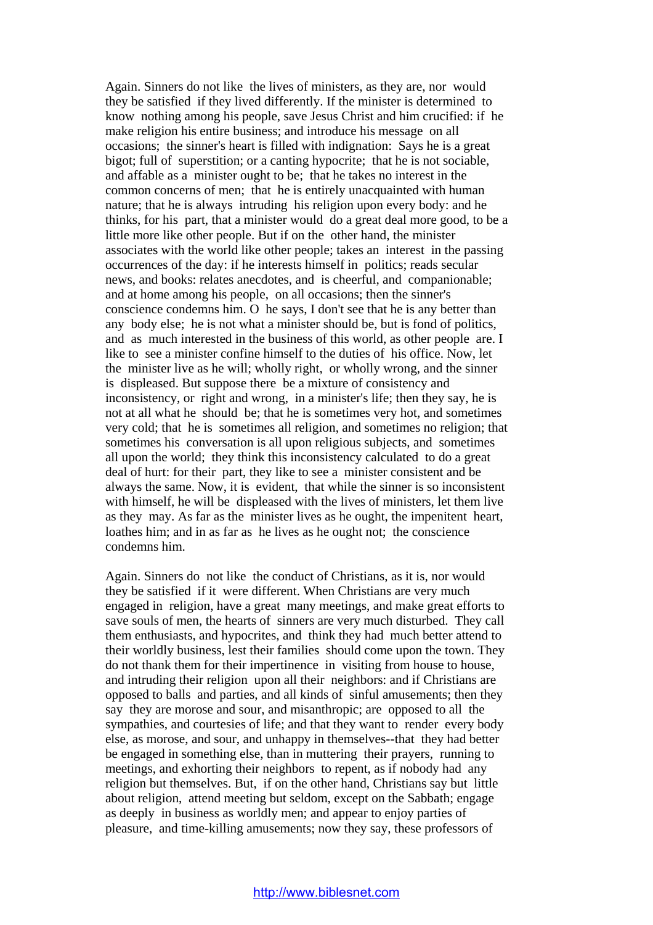Again. Sinners do not like the lives of ministers, as they are, nor would they be satisfied if they lived differently. If the minister is determined to know nothing among his people, save Jesus Christ and him crucified: if he make religion his entire business; and introduce his message on all occasions; the sinner's heart is filled with indignation: Says he is a great bigot; full of superstition; or a canting hypocrite; that he is not sociable, and affable as a minister ought to be; that he takes no interest in the common concerns of men; that he is entirely unacquainted with human nature; that he is always intruding his religion upon every body: and he thinks, for his part, that a minister would do a great deal more good, to be a little more like other people. But if on the other hand, the minister associates with the world like other people; takes an interest in the passing occurrences of the day: if he interests himself in politics; reads secular news, and books: relates anecdotes, and is cheerful, and companionable; and at home among his people, on all occasions; then the sinner's conscience condemns him. O he says, I don't see that he is any better than any body else; he is not what a minister should be, but is fond of politics, and as much interested in the business of this world, as other people are. I like to see a minister confine himself to the duties of his office. Now, let the minister live as he will; wholly right, or wholly wrong, and the sinner is displeased. But suppose there be a mixture of consistency and inconsistency, or right and wrong, in a minister's life; then they say, he is not at all what he should be; that he is sometimes very hot, and sometimes very cold; that he is sometimes all religion, and sometimes no religion; that sometimes his conversation is all upon religious subjects, and sometimes all upon the world; they think this inconsistency calculated to do a great deal of hurt: for their part, they like to see a minister consistent and be always the same. Now, it is evident, that while the sinner is so inconsistent with himself, he will be displeased with the lives of ministers, let them live as they may. As far as the minister lives as he ought, the impenitent heart, loathes him; and in as far as he lives as he ought not; the conscience condemns him.

Again. Sinners do not like the conduct of Christians, as it is, nor would they be satisfied if it were different. When Christians are very much engaged in religion, have a great many meetings, and make great efforts to save souls of men, the hearts of sinners are very much disturbed. They call them enthusiasts, and hypocrites, and think they had much better attend to their worldly business, lest their families should come upon the town. They do not thank them for their impertinence in visiting from house to house, and intruding their religion upon all their neighbors: and if Christians are opposed to balls and parties, and all kinds of sinful amusements; then they say they are morose and sour, and misanthropic; are opposed to all the sympathies, and courtesies of life; and that they want to render every body else, as morose, and sour, and unhappy in themselves--that they had better be engaged in something else, than in muttering their prayers, running to meetings, and exhorting their neighbors to repent, as if nobody had any religion but themselves. But, if on the other hand, Christians say but little about religion, attend meeting but seldom, except on the Sabbath; engage as deeply in business as worldly men; and appear to enjoy parties of pleasure, and time-killing amusements; now they say, these professors of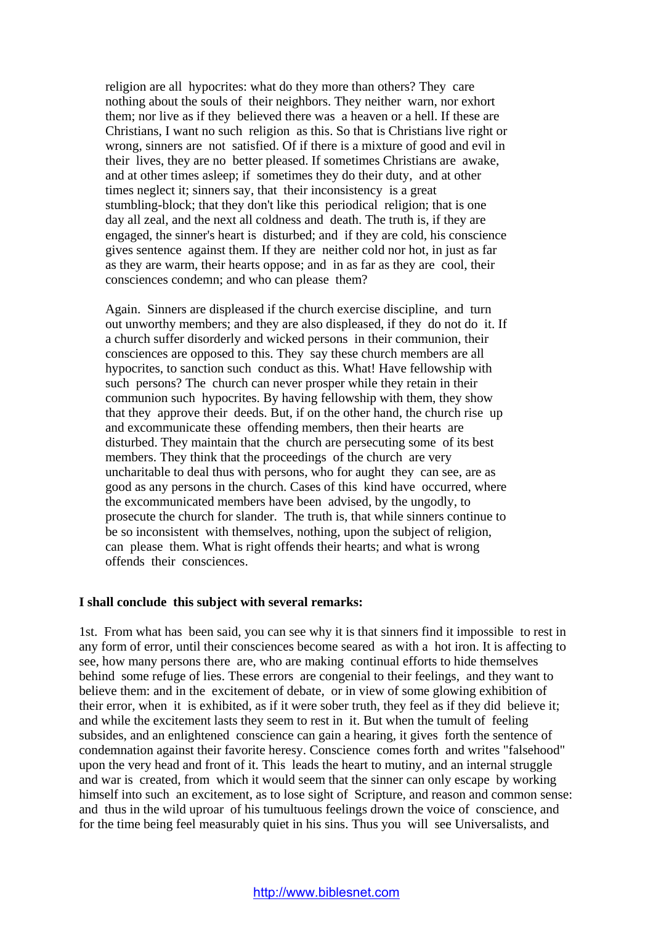religion are all hypocrites: what do they more than others? They care nothing about the souls of their neighbors. They neither warn, nor exhort them; nor live as if they believed there was a heaven or a hell. If these are Christians, I want no such religion as this. So that is Christians live right or wrong, sinners are not satisfied. Of if there is a mixture of good and evil in their lives, they are no better pleased. If sometimes Christians are awake, and at other times asleep; if sometimes they do their duty, and at other times neglect it; sinners say, that their inconsistency is a great stumbling-block; that they don't like this periodical religion; that is one day all zeal, and the next all coldness and death. The truth is, if they are engaged, the sinner's heart is disturbed; and if they are cold, his conscience gives sentence against them. If they are neither cold nor hot, in just as far as they are warm, their hearts oppose; and in as far as they are cool, their consciences condemn; and who can please them?

Again. Sinners are displeased if the church exercise discipline, and turn out unworthy members; and they are also displeased, if they do not do it. If a church suffer disorderly and wicked persons in their communion, their consciences are opposed to this. They say these church members are all hypocrites, to sanction such conduct as this. What! Have fellowship with such persons? The church can never prosper while they retain in their communion such hypocrites. By having fellowship with them, they show that they approve their deeds. But, if on the other hand, the church rise up and excommunicate these offending members, then their hearts are disturbed. They maintain that the church are persecuting some of its best members. They think that the proceedings of the church are very uncharitable to deal thus with persons, who for aught they can see, are as good as any persons in the church. Cases of this kind have occurred, where the excommunicated members have been advised, by the ungodly, to prosecute the church for slander. The truth is, that while sinners continue to be so inconsistent with themselves, nothing, upon the subject of religion, can please them. What is right offends their hearts; and what is wrong offends their consciences.

#### **I shall conclude this subject with several remarks:**

1st. From what has been said, you can see why it is that sinners find it impossible to rest in any form of error, until their consciences become seared as with a hot iron. It is affecting to see, how many persons there are, who are making continual efforts to hide themselves behind some refuge of lies. These errors are congenial to their feelings, and they want to believe them: and in the excitement of debate, or in view of some glowing exhibition of their error, when it is exhibited, as if it were sober truth, they feel as if they did believe it; and while the excitement lasts they seem to rest in it. But when the tumult of feeling subsides, and an enlightened conscience can gain a hearing, it gives forth the sentence of condemnation against their favorite heresy. Conscience comes forth and writes "falsehood" upon the very head and front of it. This leads the heart to mutiny, and an internal struggle and war is created, from which it would seem that the sinner can only escape by working himself into such an excitement, as to lose sight of Scripture, and reason and common sense: and thus in the wild uproar of his tumultuous feelings drown the voice of conscience, and for the time being feel measurably quiet in his sins. Thus you will see Universalists, and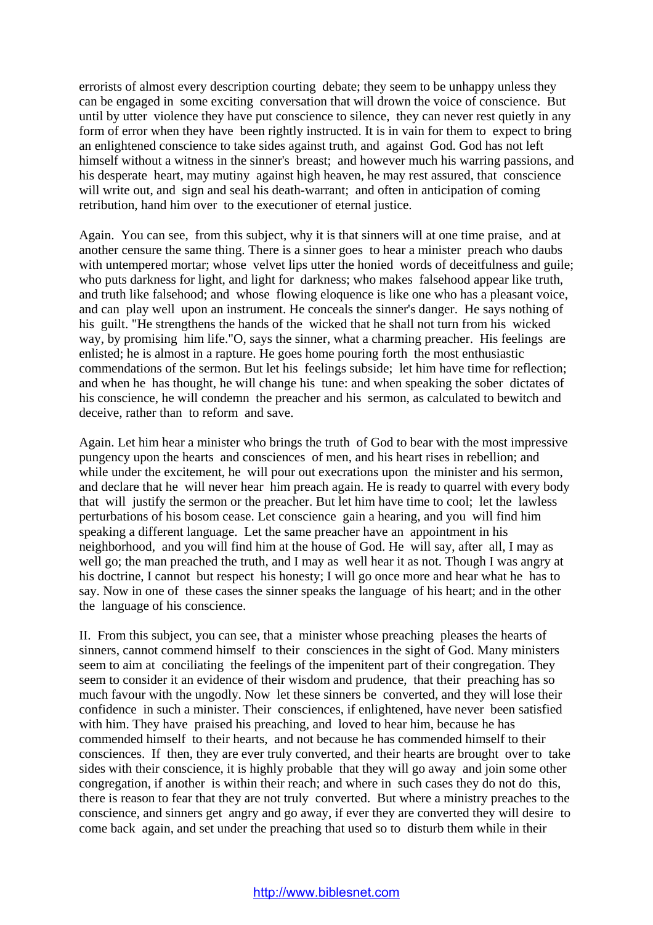errorists of almost every description courting debate; they seem to be unhappy unless they can be engaged in some exciting conversation that will drown the voice of conscience. But until by utter violence they have put conscience to silence, they can never rest quietly in any form of error when they have been rightly instructed. It is in vain for them to expect to bring an enlightened conscience to take sides against truth, and against God. God has not left himself without a witness in the sinner's breast; and however much his warring passions, and his desperate heart, may mutiny against high heaven, he may rest assured, that conscience will write out, and sign and seal his death-warrant; and often in anticipation of coming retribution, hand him over to the executioner of eternal justice.

Again. You can see, from this subject, why it is that sinners will at one time praise, and at another censure the same thing. There is a sinner goes to hear a minister preach who daubs with untempered mortar; whose velvet lips utter the honied words of deceitfulness and guile; who puts darkness for light, and light for darkness; who makes falsehood appear like truth, and truth like falsehood; and whose flowing eloquence is like one who has a pleasant voice, and can play well upon an instrument. He conceals the sinner's danger. He says nothing of his guilt. "He strengthens the hands of the wicked that he shall not turn from his wicked way, by promising him life."O, says the sinner, what a charming preacher. His feelings are enlisted; he is almost in a rapture. He goes home pouring forth the most enthusiastic commendations of the sermon. But let his feelings subside; let him have time for reflection; and when he has thought, he will change his tune: and when speaking the sober dictates of his conscience, he will condemn the preacher and his sermon, as calculated to bewitch and deceive, rather than to reform and save.

Again. Let him hear a minister who brings the truth of God to bear with the most impressive pungency upon the hearts and consciences of men, and his heart rises in rebellion; and while under the excitement, he will pour out execrations upon the minister and his sermon, and declare that he will never hear him preach again. He is ready to quarrel with every body that will justify the sermon or the preacher. But let him have time to cool; let the lawless perturbations of his bosom cease. Let conscience gain a hearing, and you will find him speaking a different language. Let the same preacher have an appointment in his neighborhood, and you will find him at the house of God. He will say, after all, I may as well go; the man preached the truth, and I may as well hear it as not. Though I was angry at his doctrine, I cannot but respect his honesty; I will go once more and hear what he has to say. Now in one of these cases the sinner speaks the language of his heart; and in the other the language of his conscience.

II. From this subject, you can see, that a minister whose preaching pleases the hearts of sinners, cannot commend himself to their consciences in the sight of God. Many ministers seem to aim at conciliating the feelings of the impenitent part of their congregation. They seem to consider it an evidence of their wisdom and prudence, that their preaching has so much favour with the ungodly. Now let these sinners be converted, and they will lose their confidence in such a minister. Their consciences, if enlightened, have never been satisfied with him. They have praised his preaching, and loved to hear him, because he has commended himself to their hearts, and not because he has commended himself to their consciences. If then, they are ever truly converted, and their hearts are brought over to take sides with their conscience, it is highly probable that they will go away and join some other congregation, if another is within their reach; and where in such cases they do not do this, there is reason to fear that they are not truly converted. But where a ministry preaches to the conscience, and sinners get angry and go away, if ever they are converted they will desire to come back again, and set under the preaching that used so to disturb them while in their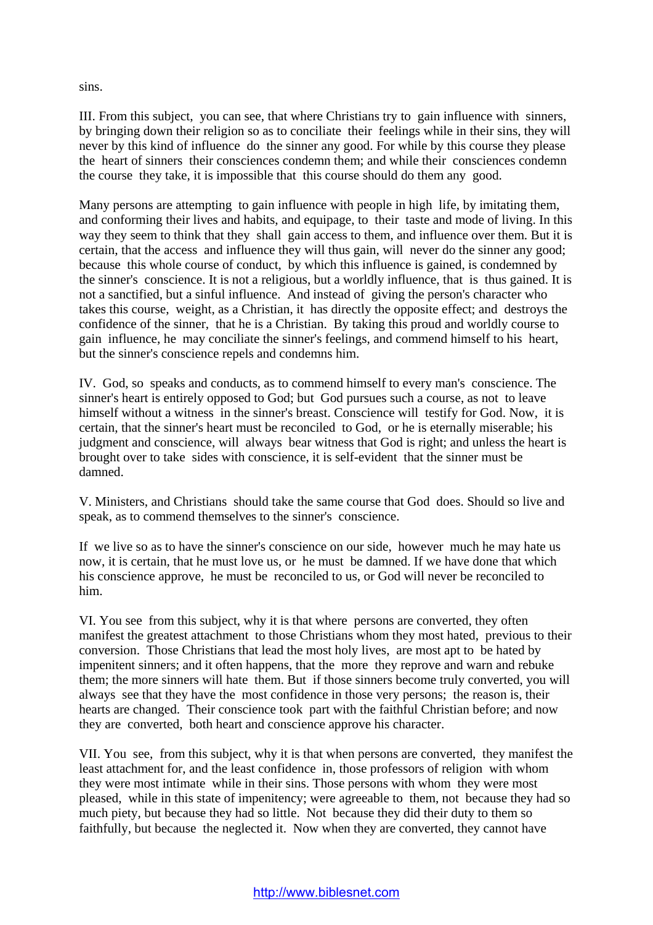sins.

III. From this subject, you can see, that where Christians try to gain influence with sinners, by bringing down their religion so as to conciliate their feelings while in their sins, they will never by this kind of influence do the sinner any good. For while by this course they please the heart of sinners their consciences condemn them; and while their consciences condemn the course they take, it is impossible that this course should do them any good.

Many persons are attempting to gain influence with people in high life, by imitating them, and conforming their lives and habits, and equipage, to their taste and mode of living. In this way they seem to think that they shall gain access to them, and influence over them. But it is certain, that the access and influence they will thus gain, will never do the sinner any good; because this whole course of conduct, by which this influence is gained, is condemned by the sinner's conscience. It is not a religious, but a worldly influence, that is thus gained. It is not a sanctified, but a sinful influence. And instead of giving the person's character who takes this course, weight, as a Christian, it has directly the opposite effect; and destroys the confidence of the sinner, that he is a Christian. By taking this proud and worldly course to gain influence, he may conciliate the sinner's feelings, and commend himself to his heart, but the sinner's conscience repels and condemns him.

IV. God, so speaks and conducts, as to commend himself to every man's conscience. The sinner's heart is entirely opposed to God; but God pursues such a course, as not to leave himself without a witness in the sinner's breast. Conscience will testify for God. Now, it is certain, that the sinner's heart must be reconciled to God, or he is eternally miserable; his judgment and conscience, will always bear witness that God is right; and unless the heart is brought over to take sides with conscience, it is self-evident that the sinner must be damned.

V. Ministers, and Christians should take the same course that God does. Should so live and speak, as to commend themselves to the sinner's conscience.

If we live so as to have the sinner's conscience on our side, however much he may hate us now, it is certain, that he must love us, or he must be damned. If we have done that which his conscience approve, he must be reconciled to us, or God will never be reconciled to him.

VI. You see from this subject, why it is that where persons are converted, they often manifest the greatest attachment to those Christians whom they most hated, previous to their conversion. Those Christians that lead the most holy lives, are most apt to be hated by impenitent sinners; and it often happens, that the more they reprove and warn and rebuke them; the more sinners will hate them. But if those sinners become truly converted, you will always see that they have the most confidence in those very persons; the reason is, their hearts are changed. Their conscience took part with the faithful Christian before; and now they are converted, both heart and conscience approve his character.

VII. You see, from this subject, why it is that when persons are converted, they manifest the least attachment for, and the least confidence in, those professors of religion with whom they were most intimate while in their sins. Those persons with whom they were most pleased, while in this state of impenitency; were agreeable to them, not because they had so much piety, but because they had so little. Not because they did their duty to them so faithfully, but because the neglected it. Now when they are converted, they cannot have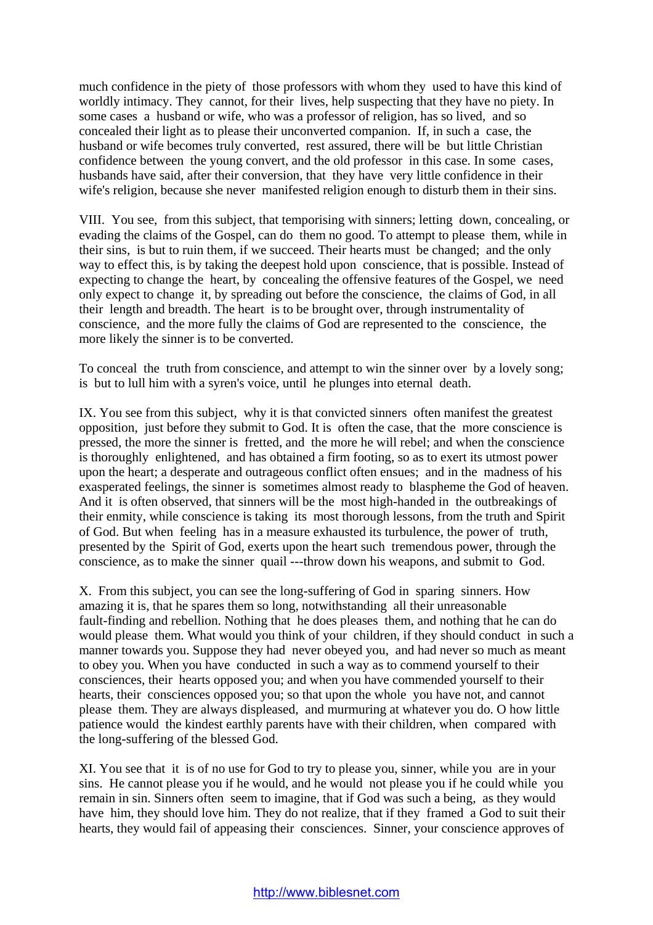much confidence in the piety of those professors with whom they used to have this kind of worldly intimacy. They cannot, for their lives, help suspecting that they have no piety. In some cases a husband or wife, who was a professor of religion, has so lived, and so concealed their light as to please their unconverted companion. If, in such a case, the husband or wife becomes truly converted, rest assured, there will be but little Christian confidence between the young convert, and the old professor in this case. In some cases, husbands have said, after their conversion, that they have very little confidence in their wife's religion, because she never manifested religion enough to disturb them in their sins.

VIII. You see, from this subject, that temporising with sinners; letting down, concealing, or evading the claims of the Gospel, can do them no good. To attempt to please them, while in their sins, is but to ruin them, if we succeed. Their hearts must be changed; and the only way to effect this, is by taking the deepest hold upon conscience, that is possible. Instead of expecting to change the heart, by concealing the offensive features of the Gospel, we need only expect to change it, by spreading out before the conscience, the claims of God, in all their length and breadth. The heart is to be brought over, through instrumentality of conscience, and the more fully the claims of God are represented to the conscience, the more likely the sinner is to be converted.

To conceal the truth from conscience, and attempt to win the sinner over by a lovely song; is but to lull him with a syren's voice, until he plunges into eternal death.

IX. You see from this subject, why it is that convicted sinners often manifest the greatest opposition, just before they submit to God. It is often the case, that the more conscience is pressed, the more the sinner is fretted, and the more he will rebel; and when the conscience is thoroughly enlightened, and has obtained a firm footing, so as to exert its utmost power upon the heart; a desperate and outrageous conflict often ensues; and in the madness of his exasperated feelings, the sinner is sometimes almost ready to blaspheme the God of heaven. And it is often observed, that sinners will be the most high-handed in the outbreakings of their enmity, while conscience is taking its most thorough lessons, from the truth and Spirit of God. But when feeling has in a measure exhausted its turbulence, the power of truth, presented by the Spirit of God, exerts upon the heart such tremendous power, through the conscience, as to make the sinner quail ---throw down his weapons, and submit to God.

X. From this subject, you can see the long-suffering of God in sparing sinners. How amazing it is, that he spares them so long, notwithstanding all their unreasonable fault-finding and rebellion. Nothing that he does pleases them, and nothing that he can do would please them. What would you think of your children, if they should conduct in such a manner towards you. Suppose they had never obeyed you, and had never so much as meant to obey you. When you have conducted in such a way as to commend yourself to their consciences, their hearts opposed you; and when you have commended yourself to their hearts, their consciences opposed you; so that upon the whole you have not, and cannot please them. They are always displeased, and murmuring at whatever you do. O how little patience would the kindest earthly parents have with their children, when compared with the long-suffering of the blessed God.

XI. You see that it is of no use for God to try to please you, sinner, while you are in your sins. He cannot please you if he would, and he would not please you if he could while you remain in sin. Sinners often seem to imagine, that if God was such a being, as they would have him, they should love him. They do not realize, that if they framed a God to suit their hearts, they would fail of appeasing their consciences. Sinner, your conscience approves of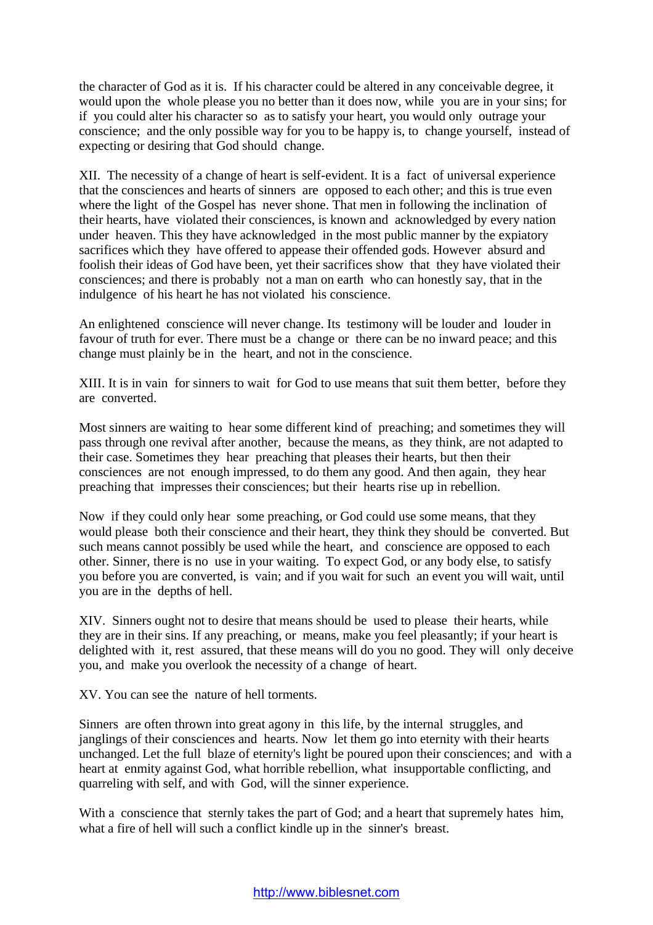the character of God as it is. If his character could be altered in any conceivable degree, it would upon the whole please you no better than it does now, while you are in your sins; for if you could alter his character so as to satisfy your heart, you would only outrage your conscience; and the only possible way for you to be happy is, to change yourself, instead of expecting or desiring that God should change.

XII. The necessity of a change of heart is self-evident. It is a fact of universal experience that the consciences and hearts of sinners are opposed to each other; and this is true even where the light of the Gospel has never shone. That men in following the inclination of their hearts, have violated their consciences, is known and acknowledged by every nation under heaven. This they have acknowledged in the most public manner by the expiatory sacrifices which they have offered to appease their offended gods. However absurd and foolish their ideas of God have been, yet their sacrifices show that they have violated their consciences; and there is probably not a man on earth who can honestly say, that in the indulgence of his heart he has not violated his conscience.

An enlightened conscience will never change. Its testimony will be louder and louder in favour of truth for ever. There must be a change or there can be no inward peace; and this change must plainly be in the heart, and not in the conscience.

XIII. It is in vain for sinners to wait for God to use means that suit them better, before they are converted.

Most sinners are waiting to hear some different kind of preaching; and sometimes they will pass through one revival after another, because the means, as they think, are not adapted to their case. Sometimes they hear preaching that pleases their hearts, but then their consciences are not enough impressed, to do them any good. And then again, they hear preaching that impresses their consciences; but their hearts rise up in rebellion.

Now if they could only hear some preaching, or God could use some means, that they would please both their conscience and their heart, they think they should be converted. But such means cannot possibly be used while the heart, and conscience are opposed to each other. Sinner, there is no use in your waiting. To expect God, or any body else, to satisfy you before you are converted, is vain; and if you wait for such an event you will wait, until you are in the depths of hell.

XIV. Sinners ought not to desire that means should be used to please their hearts, while they are in their sins. If any preaching, or means, make you feel pleasantly; if your heart is delighted with it, rest assured, that these means will do you no good. They will only deceive you, and make you overlook the necessity of a change of heart.

XV. You can see the nature of hell torments.

Sinners are often thrown into great agony in this life, by the internal struggles, and janglings of their consciences and hearts. Now let them go into eternity with their hearts unchanged. Let the full blaze of eternity's light be poured upon their consciences; and with a heart at enmity against God, what horrible rebellion, what insupportable conflicting, and quarreling with self, and with God, will the sinner experience.

With a conscience that sternly takes the part of God; and a heart that supremely hates him, what a fire of hell will such a conflict kindle up in the sinner's breast.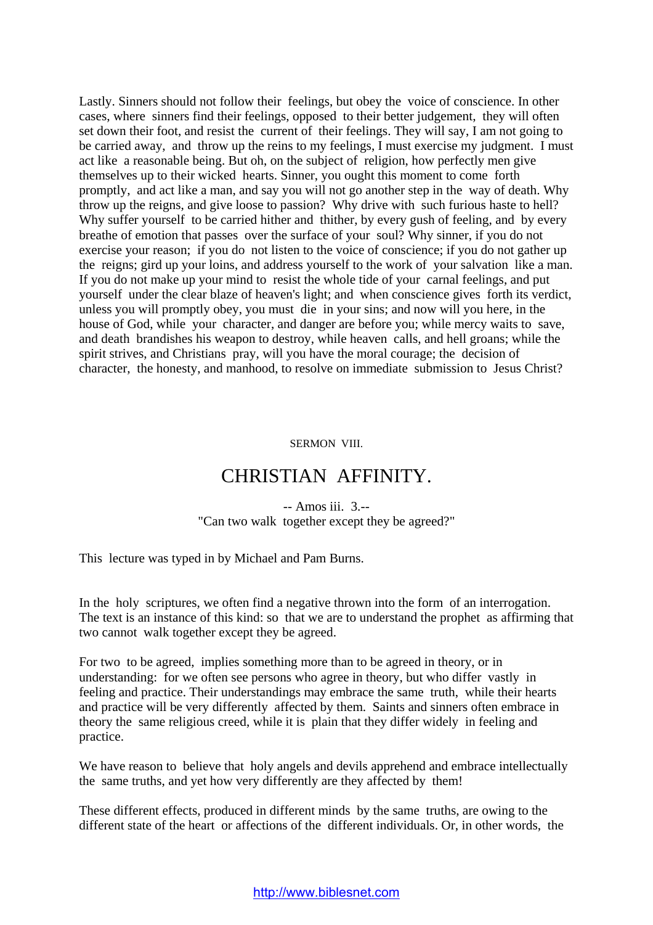Lastly. Sinners should not follow their feelings, but obey the voice of conscience. In other cases, where sinners find their feelings, opposed to their better judgement, they will often set down their foot, and resist the current of their feelings. They will say, I am not going to be carried away, and throw up the reins to my feelings, I must exercise my judgment. I must act like a reasonable being. But oh, on the subject of religion, how perfectly men give themselves up to their wicked hearts. Sinner, you ought this moment to come forth promptly, and act like a man, and say you will not go another step in the way of death. Why throw up the reigns, and give loose to passion? Why drive with such furious haste to hell? Why suffer yourself to be carried hither and thither, by every gush of feeling, and by every breathe of emotion that passes over the surface of your soul? Why sinner, if you do not exercise your reason; if you do not listen to the voice of conscience; if you do not gather up the reigns; gird up your loins, and address yourself to the work of your salvation like a man. If you do not make up your mind to resist the whole tide of your carnal feelings, and put yourself under the clear blaze of heaven's light; and when conscience gives forth its verdict, unless you will promptly obey, you must die in your sins; and now will you here, in the house of God, while your character, and danger are before you; while mercy waits to save, and death brandishes his weapon to destroy, while heaven calls, and hell groans; while the spirit strives, and Christians pray, will you have the moral courage; the decision of character, the honesty, and manhood, to resolve on immediate submission to Jesus Christ?

SERMON VIII.

# CHRISTIAN AFFINITY.

-- Amos iii. 3.-- "Can two walk together except they be agreed?"

This lecture was typed in by Michael and Pam Burns.

In the holy scriptures, we often find a negative thrown into the form of an interrogation. The text is an instance of this kind: so that we are to understand the prophet as affirming that two cannot walk together except they be agreed.

For two to be agreed, implies something more than to be agreed in theory, or in understanding: for we often see persons who agree in theory, but who differ vastly in feeling and practice. Their understandings may embrace the same truth, while their hearts and practice will be very differently affected by them. Saints and sinners often embrace in theory the same religious creed, while it is plain that they differ widely in feeling and practice.

We have reason to believe that holy angels and devils apprehend and embrace intellectually the same truths, and yet how very differently are they affected by them!

These different effects, produced in different minds by the same truths, are owing to the different state of the heart or affections of the different individuals. Or, in other words, the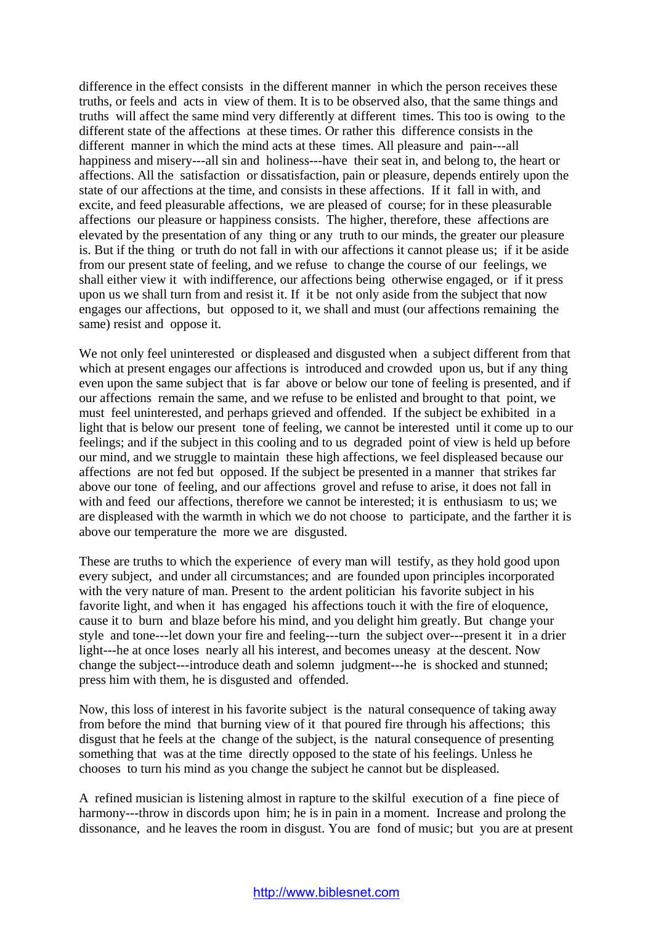difference in the effect consists in the different manner in which the person receives these truths, or feels and acts in view of them. It is to be observed also, that the same things and truths will affect the same mind very differently at different times. This too is owing to the different state of the affections at these times. Or rather this difference consists in the different manner in which the mind acts at these times. All pleasure and pain---all happiness and misery---all sin and holiness---have their seat in, and belong to, the heart or affections. All the satisfaction or dissatisfaction, pain or pleasure, depends entirely upon the state of our affections at the time, and consists in these affections. If it fall in with, and excite, and feed pleasurable affections, we are pleased of course; for in these pleasurable affections our pleasure or happiness consists. The higher, therefore, these affections are elevated by the presentation of any thing or any truth to our minds, the greater our pleasure is. But if the thing or truth do not fall in with our affections it cannot please us; if it be aside from our present state of feeling, and we refuse to change the course of our feelings, we shall either view it with indifference, our affections being otherwise engaged, or if it press upon us we shall turn from and resist it. If it be not only aside from the subject that now engages our affections, but opposed to it, we shall and must (our affections remaining the same) resist and oppose it.

We not only feel uninterested or displeased and disgusted when a subject different from that which at present engages our affections is introduced and crowded upon us, but if any thing even upon the same subject that is far above or below our tone of feeling is presented, and if our affections remain the same, and we refuse to be enlisted and brought to that point, we must feel uninterested, and perhaps grieved and offended. If the subject be exhibited in a light that is below our present tone of feeling, we cannot be interested until it come up to our feelings; and if the subject in this cooling and to us degraded point of view is held up before our mind, and we struggle to maintain these high affections, we feel displeased because our affections are not fed but opposed. If the subject be presented in a manner that strikes far above our tone of feeling, and our affections grovel and refuse to arise, it does not fall in with and feed our affections, therefore we cannot be interested; it is enthusiasm to us; we are displeased with the warmth in which we do not choose to participate, and the farther it is above our temperature the more we are disgusted.

These are truths to which the experience of every man will testify, as they hold good upon every subject, and under all circumstances; and are founded upon principles incorporated with the very nature of man. Present to the ardent politician his favorite subject in his favorite light, and when it has engaged his affections touch it with the fire of eloquence, cause it to burn and blaze before his mind, and you delight him greatly. But change your style and tone---let down your fire and feeling---turn the subject over---present it in a drier light---he at once loses nearly all his interest, and becomes uneasy at the descent. Now change the subject---introduce death and solemn judgment---he is shocked and stunned; press him with them, he is disgusted and offended.

Now, this loss of interest in his favorite subject is the natural consequence of taking away from before the mind that burning view of it that poured fire through his affections; this disgust that he feels at the change of the subject, is the natural consequence of presenting something that was at the time directly opposed to the state of his feelings. Unless he chooses to turn his mind as you change the subject he cannot but be displeased.

A refined musician is listening almost in rapture to the skilful execution of a fine piece of harmony---throw in discords upon him; he is in pain in a moment. Increase and prolong the dissonance, and he leaves the room in disgust. You are fond of music; but you are at present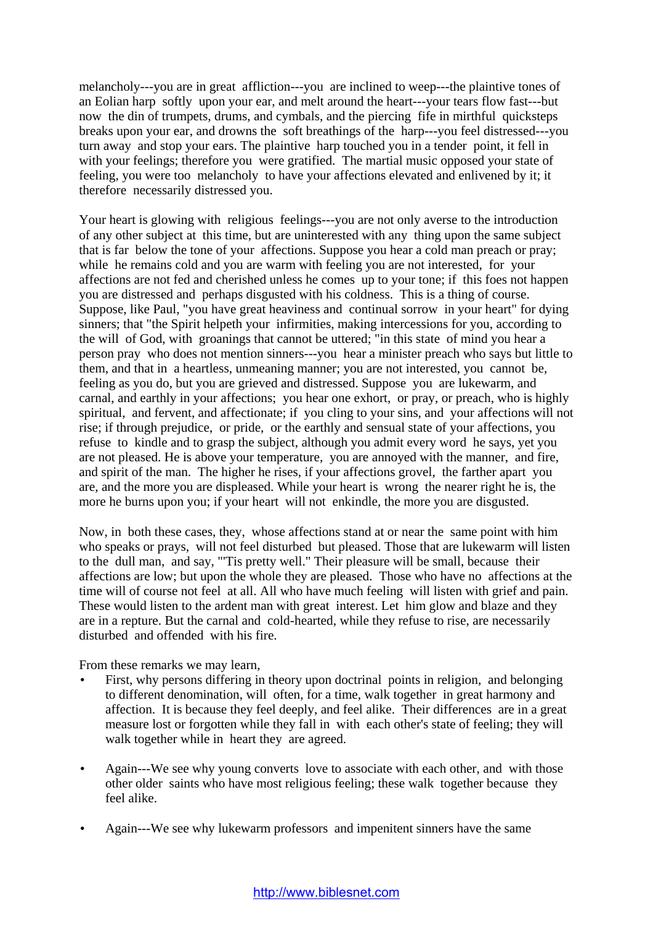melancholy---you are in great affliction---you are inclined to weep---the plaintive tones of an Eolian harp softly upon your ear, and melt around the heart---your tears flow fast---but now the din of trumpets, drums, and cymbals, and the piercing fife in mirthful quicksteps breaks upon your ear, and drowns the soft breathings of the harp---you feel distressed---you turn away and stop your ears. The plaintive harp touched you in a tender point, it fell in with your feelings; therefore you were gratified. The martial music opposed your state of feeling, you were too melancholy to have your affections elevated and enlivened by it; it therefore necessarily distressed you.

Your heart is glowing with religious feelings---you are not only averse to the introduction of any other subject at this time, but are uninterested with any thing upon the same subject that is far below the tone of your affections. Suppose you hear a cold man preach or pray; while he remains cold and you are warm with feeling you are not interested, for your affections are not fed and cherished unless he comes up to your tone; if this foes not happen you are distressed and perhaps disgusted with his coldness. This is a thing of course. Suppose, like Paul, "you have great heaviness and continual sorrow in your heart" for dying sinners; that "the Spirit helpeth your infirmities, making intercessions for you, according to the will of God, with groanings that cannot be uttered; "in this state of mind you hear a person pray who does not mention sinners---you hear a minister preach who says but little to them, and that in a heartless, unmeaning manner; you are not interested, you cannot be, feeling as you do, but you are grieved and distressed. Suppose you are lukewarm, and carnal, and earthly in your affections; you hear one exhort, or pray, or preach, who is highly spiritual, and fervent, and affectionate; if you cling to your sins, and your affections will not rise; if through prejudice, or pride, or the earthly and sensual state of your affections, you refuse to kindle and to grasp the subject, although you admit every word he says, yet you are not pleased. He is above your temperature, you are annoyed with the manner, and fire, and spirit of the man. The higher he rises, if your affections grovel, the farther apart you are, and the more you are displeased. While your heart is wrong the nearer right he is, the more he burns upon you; if your heart will not enkindle, the more you are disgusted.

Now, in both these cases, they, whose affections stand at or near the same point with him who speaks or prays, will not feel disturbed but pleased. Those that are lukewarm will listen to the dull man, and say, "'Tis pretty well." Their pleasure will be small, because their affections are low; but upon the whole they are pleased. Those who have no affections at the time will of course not feel at all. All who have much feeling will listen with grief and pain. These would listen to the ardent man with great interest. Let him glow and blaze and they are in a repture. But the carnal and cold-hearted, while they refuse to rise, are necessarily disturbed and offended with his fire.

From these remarks we may learn,

- First, why persons differing in theory upon doctrinal points in religion, and belonging to different denomination, will often, for a time, walk together in great harmony and affection. It is because they feel deeply, and feel alike. Their differences are in a great measure lost or forgotten while they fall in with each other's state of feeling; they will walk together while in heart they are agreed.
- Again---We see why young converts love to associate with each other, and with those other older saints who have most religious feeling; these walk together because they feel alike.
- Again---We see why lukewarm professors and impenitent sinners have the same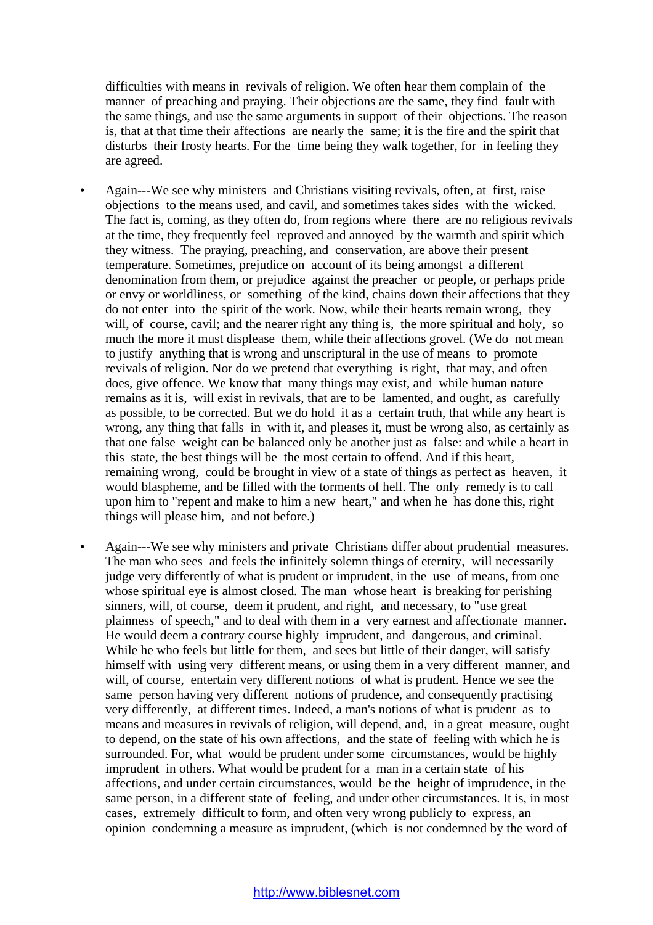difficulties with means in revivals of religion. We often hear them complain of the manner of preaching and praying. Their objections are the same, they find fault with the same things, and use the same arguments in support of their objections. The reason is, that at that time their affections are nearly the same; it is the fire and the spirit that disturbs their frosty hearts. For the time being they walk together, for in feeling they are agreed.

- Again---We see why ministers and Christians visiting revivals, often, at first, raise objections to the means used, and cavil, and sometimes takes sides with the wicked. The fact is, coming, as they often do, from regions where there are no religious revivals at the time, they frequently feel reproved and annoyed by the warmth and spirit which they witness. The praying, preaching, and conservation, are above their present temperature. Sometimes, prejudice on account of its being amongst a different denomination from them, or prejudice against the preacher or people, or perhaps pride or envy or worldliness, or something of the kind, chains down their affections that they do not enter into the spirit of the work. Now, while their hearts remain wrong, they will, of course, cavil; and the nearer right any thing is, the more spiritual and holy, so much the more it must displease them, while their affections grovel. (We do not mean to justify anything that is wrong and unscriptural in the use of means to promote revivals of religion. Nor do we pretend that everything is right, that may, and often does, give offence. We know that many things may exist, and while human nature remains as it is, will exist in revivals, that are to be lamented, and ought, as carefully as possible, to be corrected. But we do hold it as a certain truth, that while any heart is wrong, any thing that falls in with it, and pleases it, must be wrong also, as certainly as that one false weight can be balanced only be another just as false: and while a heart in this state, the best things will be the most certain to offend. And if this heart, remaining wrong, could be brought in view of a state of things as perfect as heaven, it would blaspheme, and be filled with the torments of hell. The only remedy is to call upon him to "repent and make to him a new heart," and when he has done this, right things will please him, and not before.)
- Again---We see why ministers and private Christians differ about prudential measures. The man who sees and feels the infinitely solemn things of eternity, will necessarily judge very differently of what is prudent or imprudent, in the use of means, from one whose spiritual eye is almost closed. The man whose heart is breaking for perishing sinners, will, of course, deem it prudent, and right, and necessary, to "use great plainness of speech," and to deal with them in a very earnest and affectionate manner. He would deem a contrary course highly imprudent, and dangerous, and criminal. While he who feels but little for them, and sees but little of their danger, will satisfy himself with using very different means, or using them in a very different manner, and will, of course, entertain very different notions of what is prudent. Hence we see the same person having very different notions of prudence, and consequently practising very differently, at different times. Indeed, a man's notions of what is prudent as to means and measures in revivals of religion, will depend, and, in a great measure, ought to depend, on the state of his own affections, and the state of feeling with which he is surrounded. For, what would be prudent under some circumstances, would be highly imprudent in others. What would be prudent for a man in a certain state of his affections, and under certain circumstances, would be the height of imprudence, in the same person, in a different state of feeling, and under other circumstances. It is, in most cases, extremely difficult to form, and often very wrong publicly to express, an opinion condemning a measure as imprudent, (which is not condemned by the word of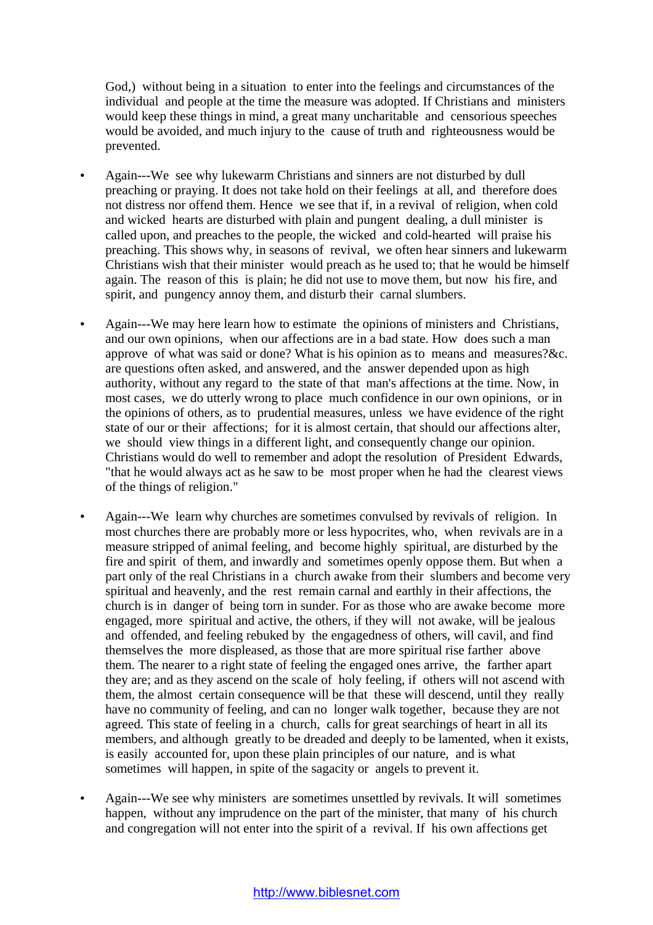God,) without being in a situation to enter into the feelings and circumstances of the individual and people at the time the measure was adopted. If Christians and ministers would keep these things in mind, a great many uncharitable and censorious speeches would be avoided, and much injury to the cause of truth and righteousness would be prevented.

- Again---We see why lukewarm Christians and sinners are not disturbed by dull preaching or praying. It does not take hold on their feelings at all, and therefore does not distress nor offend them. Hence we see that if, in a revival of religion, when cold and wicked hearts are disturbed with plain and pungent dealing, a dull minister is called upon, and preaches to the people, the wicked and cold-hearted will praise his preaching. This shows why, in seasons of revival, we often hear sinners and lukewarm Christians wish that their minister would preach as he used to; that he would be himself again. The reason of this is plain; he did not use to move them, but now his fire, and spirit, and pungency annoy them, and disturb their carnal slumbers.
- Again---We may here learn how to estimate the opinions of ministers and Christians, and our own opinions, when our affections are in a bad state. How does such a man approve of what was said or done? What is his opinion as to means and measures?&c. are questions often asked, and answered, and the answer depended upon as high authority, without any regard to the state of that man's affections at the time. Now, in most cases, we do utterly wrong to place much confidence in our own opinions, or in the opinions of others, as to prudential measures, unless we have evidence of the right state of our or their affections; for it is almost certain, that should our affections alter, we should view things in a different light, and consequently change our opinion. Christians would do well to remember and adopt the resolution of President Edwards, "that he would always act as he saw to be most proper when he had the clearest views of the things of religion."
- Again---We learn why churches are sometimes convulsed by revivals of religion. In most churches there are probably more or less hypocrites, who, when revivals are in a measure stripped of animal feeling, and become highly spiritual, are disturbed by the fire and spirit of them, and inwardly and sometimes openly oppose them. But when a part only of the real Christians in a church awake from their slumbers and become very spiritual and heavenly, and the rest remain carnal and earthly in their affections, the church is in danger of being torn in sunder. For as those who are awake become more engaged, more spiritual and active, the others, if they will not awake, will be jealous and offended, and feeling rebuked by the engagedness of others, will cavil, and find themselves the more displeased, as those that are more spiritual rise farther above them. The nearer to a right state of feeling the engaged ones arrive, the farther apart they are; and as they ascend on the scale of holy feeling, if others will not ascend with them, the almost certain consequence will be that these will descend, until they really have no community of feeling, and can no longer walk together, because they are not agreed. This state of feeling in a church, calls for great searchings of heart in all its members, and although greatly to be dreaded and deeply to be lamented, when it exists, is easily accounted for, upon these plain principles of our nature, and is what sometimes will happen, in spite of the sagacity or angels to prevent it.
- Again---We see why ministers are sometimes unsettled by revivals. It will sometimes happen, without any imprudence on the part of the minister, that many of his church and congregation will not enter into the spirit of a revival. If his own affections get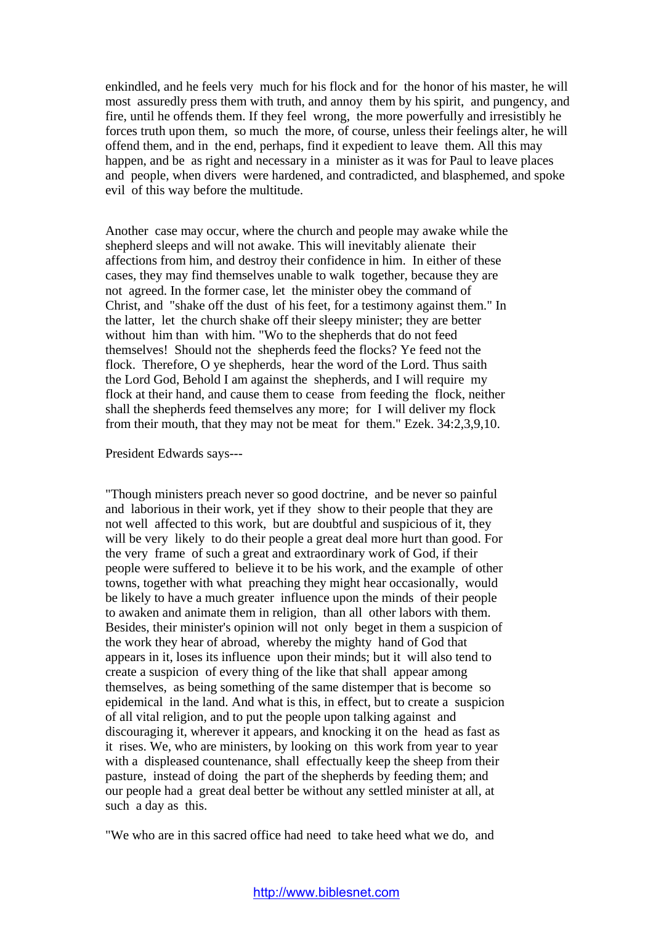enkindled, and he feels very much for his flock and for the honor of his master, he will most assuredly press them with truth, and annoy them by his spirit, and pungency, and fire, until he offends them. If they feel wrong, the more powerfully and irresistibly he forces truth upon them, so much the more, of course, unless their feelings alter, he will offend them, and in the end, perhaps, find it expedient to leave them. All this may happen, and be as right and necessary in a minister as it was for Paul to leave places and people, when divers were hardened, and contradicted, and blasphemed, and spoke evil of this way before the multitude.

Another case may occur, where the church and people may awake while the shepherd sleeps and will not awake. This will inevitably alienate their affections from him, and destroy their confidence in him. In either of these cases, they may find themselves unable to walk together, because they are not agreed. In the former case, let the minister obey the command of Christ, and "shake off the dust of his feet, for a testimony against them." In the latter, let the church shake off their sleepy minister; they are better without him than with him. "Wo to the shepherds that do not feed themselves! Should not the shepherds feed the flocks? Ye feed not the flock. Therefore, O ye shepherds, hear the word of the Lord. Thus saith the Lord God, Behold I am against the shepherds, and I will require my flock at their hand, and cause them to cease from feeding the flock, neither shall the shepherds feed themselves any more; for I will deliver my flock from their mouth, that they may not be meat for them." Ezek. 34:2,3,9,10.

President Edwards says---

"Though ministers preach never so good doctrine, and be never so painful and laborious in their work, yet if they show to their people that they are not well affected to this work, but are doubtful and suspicious of it, they will be very likely to do their people a great deal more hurt than good. For the very frame of such a great and extraordinary work of God, if their people were suffered to believe it to be his work, and the example of other towns, together with what preaching they might hear occasionally, would be likely to have a much greater influence upon the minds of their people to awaken and animate them in religion, than all other labors with them. Besides, their minister's opinion will not only beget in them a suspicion of the work they hear of abroad, whereby the mighty hand of God that appears in it, loses its influence upon their minds; but it will also tend to create a suspicion of every thing of the like that shall appear among themselves, as being something of the same distemper that is become so epidemical in the land. And what is this, in effect, but to create a suspicion of all vital religion, and to put the people upon talking against and discouraging it, wherever it appears, and knocking it on the head as fast as it rises. We, who are ministers, by looking on this work from year to year with a displeased countenance, shall effectually keep the sheep from their pasture, instead of doing the part of the shepherds by feeding them; and our people had a great deal better be without any settled minister at all, at such a day as this.

"We who are in this sacred office had need to take heed what we do, and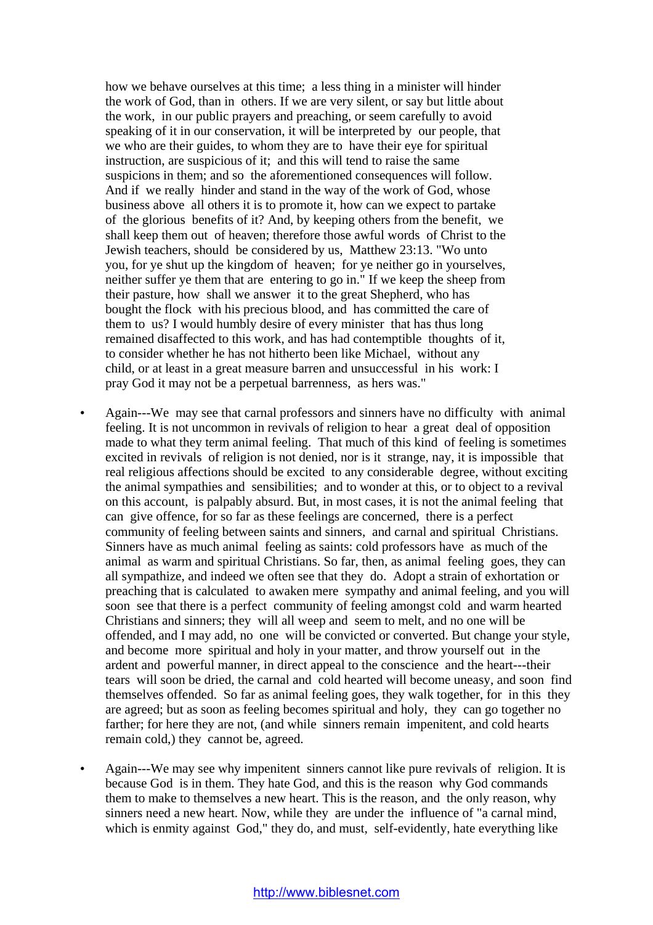how we behave ourselves at this time; a less thing in a minister will hinder the work of God, than in others. If we are very silent, or say but little about the work, in our public prayers and preaching, or seem carefully to avoid speaking of it in our conservation, it will be interpreted by our people, that we who are their guides, to whom they are to have their eye for spiritual instruction, are suspicious of it; and this will tend to raise the same suspicions in them; and so the aforementioned consequences will follow. And if we really hinder and stand in the way of the work of God, whose business above all others it is to promote it, how can we expect to partake of the glorious benefits of it? And, by keeping others from the benefit, we shall keep them out of heaven; therefore those awful words of Christ to the Jewish teachers, should be considered by us, Matthew 23:13. "Wo unto you, for ye shut up the kingdom of heaven; for ye neither go in yourselves, neither suffer ye them that are entering to go in." If we keep the sheep from their pasture, how shall we answer it to the great Shepherd, who has bought the flock with his precious blood, and has committed the care of them to us? I would humbly desire of every minister that has thus long remained disaffected to this work, and has had contemptible thoughts of it, to consider whether he has not hitherto been like Michael, without any child, or at least in a great measure barren and unsuccessful in his work: I pray God it may not be a perpetual barrenness, as hers was."

- Again---We may see that carnal professors and sinners have no difficulty with animal feeling. It is not uncommon in revivals of religion to hear a great deal of opposition made to what they term animal feeling. That much of this kind of feeling is sometimes excited in revivals of religion is not denied, nor is it strange, nay, it is impossible that real religious affections should be excited to any considerable degree, without exciting the animal sympathies and sensibilities; and to wonder at this, or to object to a revival on this account, is palpably absurd. But, in most cases, it is not the animal feeling that can give offence, for so far as these feelings are concerned, there is a perfect community of feeling between saints and sinners, and carnal and spiritual Christians. Sinners have as much animal feeling as saints: cold professors have as much of the animal as warm and spiritual Christians. So far, then, as animal feeling goes, they can all sympathize, and indeed we often see that they do. Adopt a strain of exhortation or preaching that is calculated to awaken mere sympathy and animal feeling, and you will soon see that there is a perfect community of feeling amongst cold and warm hearted Christians and sinners; they will all weep and seem to melt, and no one will be offended, and I may add, no one will be convicted or converted. But change your style, and become more spiritual and holy in your matter, and throw yourself out in the ardent and powerful manner, in direct appeal to the conscience and the heart---their tears will soon be dried, the carnal and cold hearted will become uneasy, and soon find themselves offended. So far as animal feeling goes, they walk together, for in this they are agreed; but as soon as feeling becomes spiritual and holy, they can go together no farther; for here they are not, (and while sinners remain impenitent, and cold hearts remain cold,) they cannot be, agreed.
- Again---We may see why impenitent sinners cannot like pure revivals of religion. It is because God is in them. They hate God, and this is the reason why God commands them to make to themselves a new heart. This is the reason, and the only reason, why sinners need a new heart. Now, while they are under the influence of "a carnal mind, which is enmity against God," they do, and must, self-evidently, hate everything like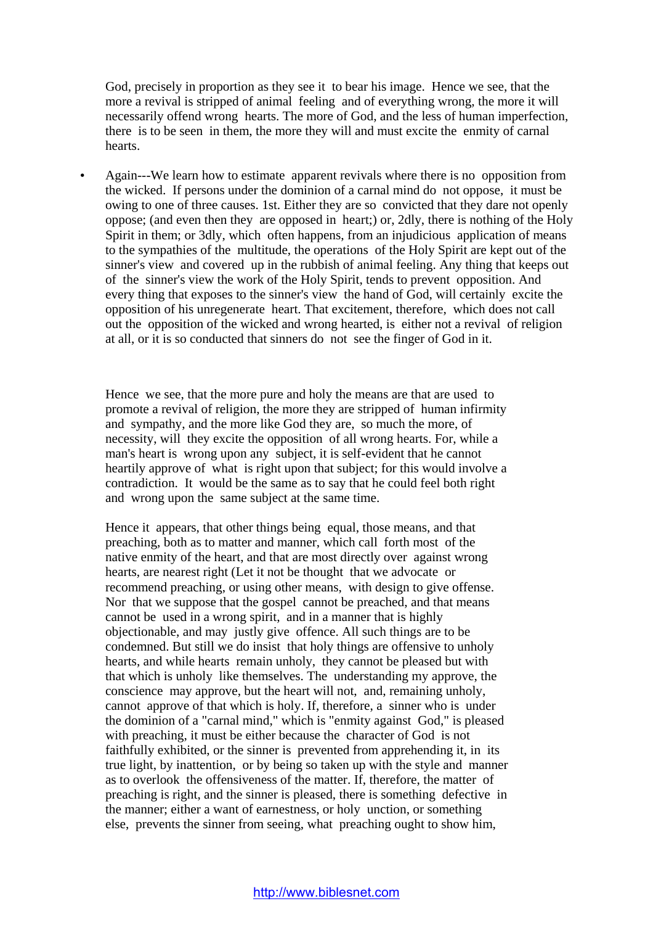God, precisely in proportion as they see it to bear his image. Hence we see, that the more a revival is stripped of animal feeling and of everything wrong, the more it will necessarily offend wrong hearts. The more of God, and the less of human imperfection, there is to be seen in them, the more they will and must excite the enmity of carnal hearts.

• Again---We learn how to estimate apparent revivals where there is no opposition from the wicked. If persons under the dominion of a carnal mind do not oppose, it must be owing to one of three causes. 1st. Either they are so convicted that they dare not openly oppose; (and even then they are opposed in heart;) or, 2dly, there is nothing of the Holy Spirit in them; or 3dly, which often happens, from an injudicious application of means to the sympathies of the multitude, the operations of the Holy Spirit are kept out of the sinner's view and covered up in the rubbish of animal feeling. Any thing that keeps out of the sinner's view the work of the Holy Spirit, tends to prevent opposition. And every thing that exposes to the sinner's view the hand of God, will certainly excite the opposition of his unregenerate heart. That excitement, therefore, which does not call out the opposition of the wicked and wrong hearted, is either not a revival of religion at all, or it is so conducted that sinners do not see the finger of God in it.

Hence we see, that the more pure and holy the means are that are used to promote a revival of religion, the more they are stripped of human infirmity and sympathy, and the more like God they are, so much the more, of necessity, will they excite the opposition of all wrong hearts. For, while a man's heart is wrong upon any subject, it is self-evident that he cannot heartily approve of what is right upon that subject; for this would involve a contradiction. It would be the same as to say that he could feel both right and wrong upon the same subject at the same time.

Hence it appears, that other things being equal, those means, and that preaching, both as to matter and manner, which call forth most of the native enmity of the heart, and that are most directly over against wrong hearts, are nearest right (Let it not be thought that we advocate or recommend preaching, or using other means, with design to give offense. Nor that we suppose that the gospel cannot be preached, and that means cannot be used in a wrong spirit, and in a manner that is highly objectionable, and may justly give offence. All such things are to be condemned. But still we do insist that holy things are offensive to unholy hearts, and while hearts remain unholy, they cannot be pleased but with that which is unholy like themselves. The understanding my approve, the conscience may approve, but the heart will not, and, remaining unholy, cannot approve of that which is holy. If, therefore, a sinner who is under the dominion of a "carnal mind," which is "enmity against God," is pleased with preaching, it must be either because the character of God is not faithfully exhibited, or the sinner is prevented from apprehending it, in its true light, by inattention, or by being so taken up with the style and manner as to overlook the offensiveness of the matter. If, therefore, the matter of preaching is right, and the sinner is pleased, there is something defective in the manner; either a want of earnestness, or holy unction, or something else, prevents the sinner from seeing, what preaching ought to show him,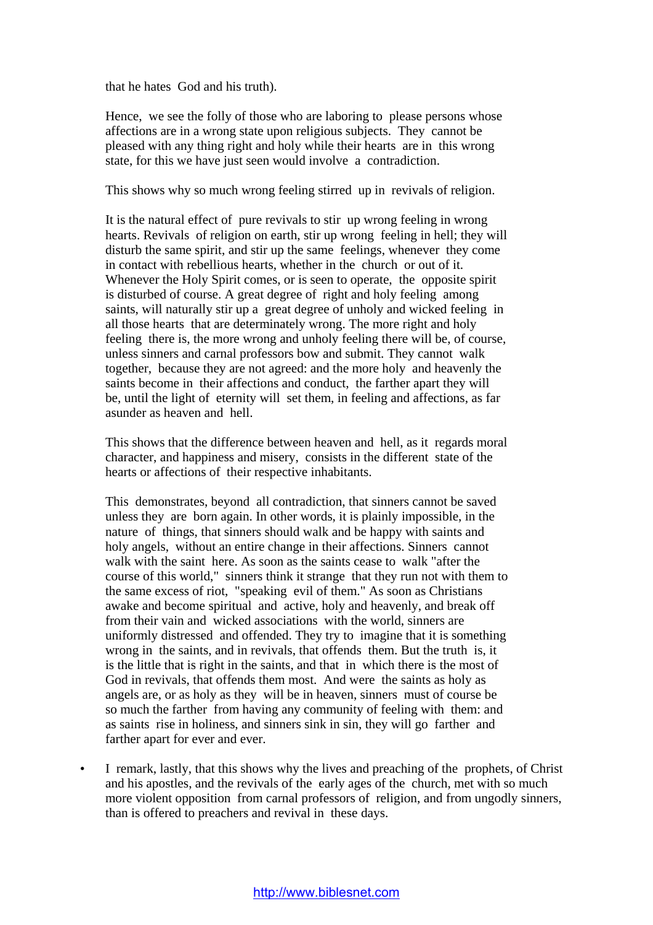that he hates God and his truth).

Hence, we see the folly of those who are laboring to please persons whose affections are in a wrong state upon religious subjects. They cannot be pleased with any thing right and holy while their hearts are in this wrong state, for this we have just seen would involve a contradiction.

This shows why so much wrong feeling stirred up in revivals of religion.

It is the natural effect of pure revivals to stir up wrong feeling in wrong hearts. Revivals of religion on earth, stir up wrong feeling in hell; they will disturb the same spirit, and stir up the same feelings, whenever they come in contact with rebellious hearts, whether in the church or out of it. Whenever the Holy Spirit comes, or is seen to operate, the opposite spirit is disturbed of course. A great degree of right and holy feeling among saints, will naturally stir up a great degree of unholy and wicked feeling in all those hearts that are determinately wrong. The more right and holy feeling there is, the more wrong and unholy feeling there will be, of course, unless sinners and carnal professors bow and submit. They cannot walk together, because they are not agreed: and the more holy and heavenly the saints become in their affections and conduct, the farther apart they will be, until the light of eternity will set them, in feeling and affections, as far asunder as heaven and hell.

This shows that the difference between heaven and hell, as it regards moral character, and happiness and misery, consists in the different state of the hearts or affections of their respective inhabitants.

This demonstrates, beyond all contradiction, that sinners cannot be saved unless they are born again. In other words, it is plainly impossible, in the nature of things, that sinners should walk and be happy with saints and holy angels, without an entire change in their affections. Sinners cannot walk with the saint here. As soon as the saints cease to walk "after the course of this world," sinners think it strange that they run not with them to the same excess of riot, "speaking evil of them." As soon as Christians awake and become spiritual and active, holy and heavenly, and break off from their vain and wicked associations with the world, sinners are uniformly distressed and offended. They try to imagine that it is something wrong in the saints, and in revivals, that offends them. But the truth is, it is the little that is right in the saints, and that in which there is the most of God in revivals, that offends them most. And were the saints as holy as angels are, or as holy as they will be in heaven, sinners must of course be so much the farther from having any community of feeling with them: and as saints rise in holiness, and sinners sink in sin, they will go farther and farther apart for ever and ever.

• I remark, lastly, that this shows why the lives and preaching of the prophets, of Christ and his apostles, and the revivals of the early ages of the church, met with so much more violent opposition from carnal professors of religion, and from ungodly sinners, than is offered to preachers and revival in these days.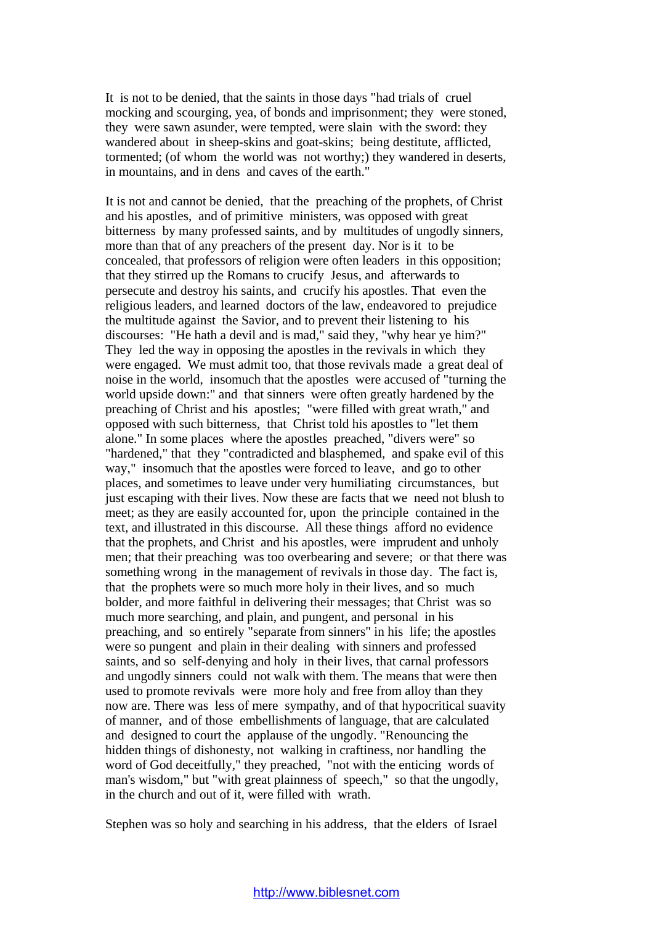It is not to be denied, that the saints in those days "had trials of cruel mocking and scourging, yea, of bonds and imprisonment; they were stoned, they were sawn asunder, were tempted, were slain with the sword: they wandered about in sheep-skins and goat-skins; being destitute, afflicted, tormented; (of whom the world was not worthy;) they wandered in deserts, in mountains, and in dens and caves of the earth."

It is not and cannot be denied, that the preaching of the prophets, of Christ and his apostles, and of primitive ministers, was opposed with great bitterness by many professed saints, and by multitudes of ungodly sinners, more than that of any preachers of the present day. Nor is it to be concealed, that professors of religion were often leaders in this opposition; that they stirred up the Romans to crucify Jesus, and afterwards to persecute and destroy his saints, and crucify his apostles. That even the religious leaders, and learned doctors of the law, endeavored to prejudice the multitude against the Savior, and to prevent their listening to his discourses: "He hath a devil and is mad," said they, "why hear ye him?" They led the way in opposing the apostles in the revivals in which they were engaged. We must admit too, that those revivals made a great deal of noise in the world, insomuch that the apostles were accused of "turning the world upside down:" and that sinners were often greatly hardened by the preaching of Christ and his apostles; "were filled with great wrath," and opposed with such bitterness, that Christ told his apostles to "let them alone." In some places where the apostles preached, "divers were" so "hardened," that they "contradicted and blasphemed, and spake evil of this way," insomuch that the apostles were forced to leave, and go to other places, and sometimes to leave under very humiliating circumstances, but just escaping with their lives. Now these are facts that we need not blush to meet; as they are easily accounted for, upon the principle contained in the text, and illustrated in this discourse. All these things afford no evidence that the prophets, and Christ and his apostles, were imprudent and unholy men; that their preaching was too overbearing and severe; or that there was something wrong in the management of revivals in those day. The fact is, that the prophets were so much more holy in their lives, and so much bolder, and more faithful in delivering their messages; that Christ was so much more searching, and plain, and pungent, and personal in his preaching, and so entirely "separate from sinners" in his life; the apostles were so pungent and plain in their dealing with sinners and professed saints, and so self-denying and holy in their lives, that carnal professors and ungodly sinners could not walk with them. The means that were then used to promote revivals were more holy and free from alloy than they now are. There was less of mere sympathy, and of that hypocritical suavity of manner, and of those embellishments of language, that are calculated and designed to court the applause of the ungodly. "Renouncing the hidden things of dishonesty, not walking in craftiness, nor handling the word of God deceitfully," they preached, "not with the enticing words of man's wisdom," but "with great plainness of speech," so that the ungodly, in the church and out of it, were filled with wrath.

Stephen was so holy and searching in his address, that the elders of Israel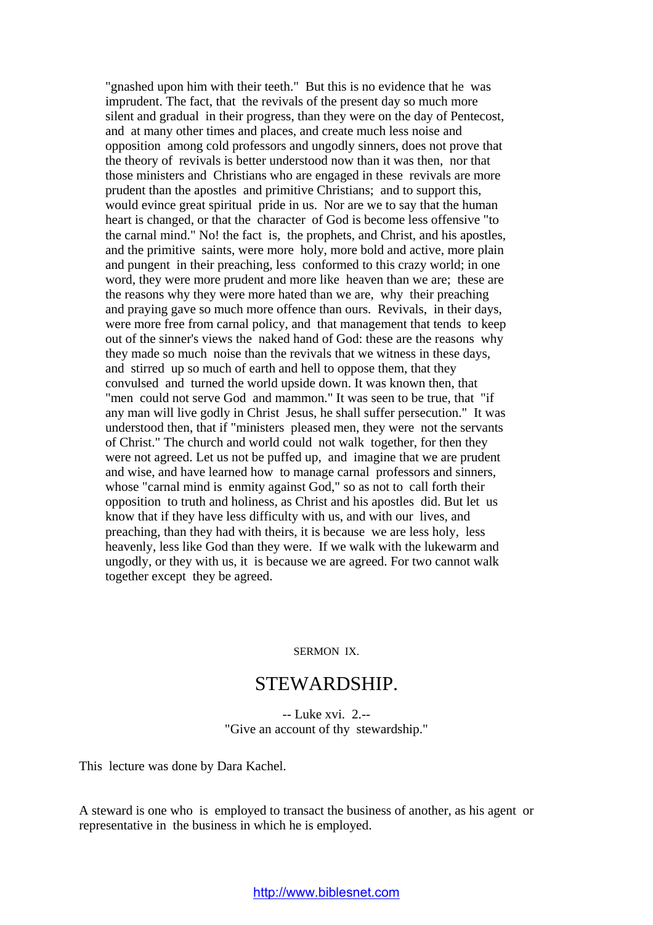"gnashed upon him with their teeth." But this is no evidence that he was imprudent. The fact, that the revivals of the present day so much more silent and gradual in their progress, than they were on the day of Pentecost, and at many other times and places, and create much less noise and opposition among cold professors and ungodly sinners, does not prove that the theory of revivals is better understood now than it was then, nor that those ministers and Christians who are engaged in these revivals are more prudent than the apostles and primitive Christians; and to support this, would evince great spiritual pride in us. Nor are we to say that the human heart is changed, or that the character of God is become less offensive "to the carnal mind." No! the fact is, the prophets, and Christ, and his apostles, and the primitive saints, were more holy, more bold and active, more plain and pungent in their preaching, less conformed to this crazy world; in one word, they were more prudent and more like heaven than we are; these are the reasons why they were more hated than we are, why their preaching and praying gave so much more offence than ours. Revivals, in their days, were more free from carnal policy, and that management that tends to keep out of the sinner's views the naked hand of God: these are the reasons why they made so much noise than the revivals that we witness in these days, and stirred up so much of earth and hell to oppose them, that they convulsed and turned the world upside down. It was known then, that "men could not serve God and mammon." It was seen to be true, that "if any man will live godly in Christ Jesus, he shall suffer persecution." It was understood then, that if "ministers pleased men, they were not the servants of Christ." The church and world could not walk together, for then they were not agreed. Let us not be puffed up, and imagine that we are prudent and wise, and have learned how to manage carnal professors and sinners, whose "carnal mind is enmity against God," so as not to call forth their opposition to truth and holiness, as Christ and his apostles did. But let us know that if they have less difficulty with us, and with our lives, and preaching, than they had with theirs, it is because we are less holy, less heavenly, less like God than they were. If we walk with the lukewarm and ungodly, or they with us, it is because we are agreed. For two cannot walk together except they be agreed.

#### SERMON IX.

# STEWARDSHIP.

-- Luke xvi. 2.-- "Give an account of thy stewardship."

This lecture was done by Dara Kachel.

A steward is one who is employed to transact the business of another, as his agent or representative in the business in which he is employed.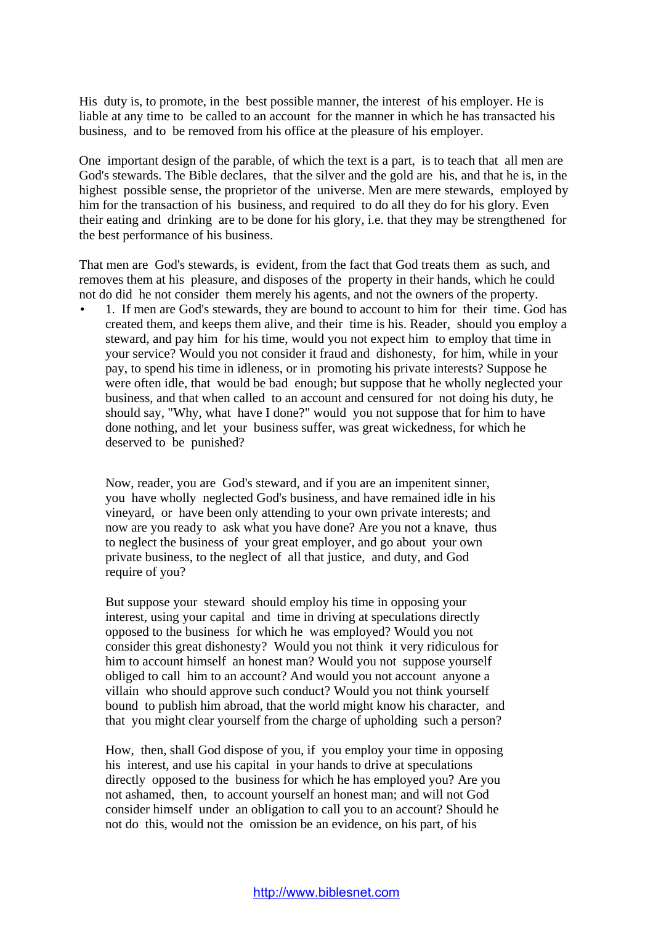His duty is, to promote, in the best possible manner, the interest of his employer. He is liable at any time to be called to an account for the manner in which he has transacted his business, and to be removed from his office at the pleasure of his employer.

One important design of the parable, of which the text is a part, is to teach that all men are God's stewards. The Bible declares, that the silver and the gold are his, and that he is, in the highest possible sense, the proprietor of the universe. Men are mere stewards, employed by him for the transaction of his business, and required to do all they do for his glory. Even their eating and drinking are to be done for his glory, i.e. that they may be strengthened for the best performance of his business.

That men are God's stewards, is evident, from the fact that God treats them as such, and removes them at his pleasure, and disposes of the property in their hands, which he could not do did he not consider them merely his agents, and not the owners of the property.

• 1. If men are God's stewards, they are bound to account to him for their time. God has created them, and keeps them alive, and their time is his. Reader, should you employ a steward, and pay him for his time, would you not expect him to employ that time in your service? Would you not consider it fraud and dishonesty, for him, while in your pay, to spend his time in idleness, or in promoting his private interests? Suppose he were often idle, that would be bad enough; but suppose that he wholly neglected your business, and that when called to an account and censured for not doing his duty, he should say, "Why, what have I done?" would you not suppose that for him to have done nothing, and let your business suffer, was great wickedness, for which he deserved to be punished?

Now, reader, you are God's steward, and if you are an impenitent sinner, you have wholly neglected God's business, and have remained idle in his vineyard, or have been only attending to your own private interests; and now are you ready to ask what you have done? Are you not a knave, thus to neglect the business of your great employer, and go about your own private business, to the neglect of all that justice, and duty, and God require of you?

But suppose your steward should employ his time in opposing your interest, using your capital and time in driving at speculations directly opposed to the business for which he was employed? Would you not consider this great dishonesty? Would you not think it very ridiculous for him to account himself an honest man? Would you not suppose yourself obliged to call him to an account? And would you not account anyone a villain who should approve such conduct? Would you not think yourself bound to publish him abroad, that the world might know his character, and that you might clear yourself from the charge of upholding such a person?

How, then, shall God dispose of you, if you employ your time in opposing his interest, and use his capital in your hands to drive at speculations directly opposed to the business for which he has employed you? Are you not ashamed, then, to account yourself an honest man; and will not God consider himself under an obligation to call you to an account? Should he not do this, would not the omission be an evidence, on his part, of his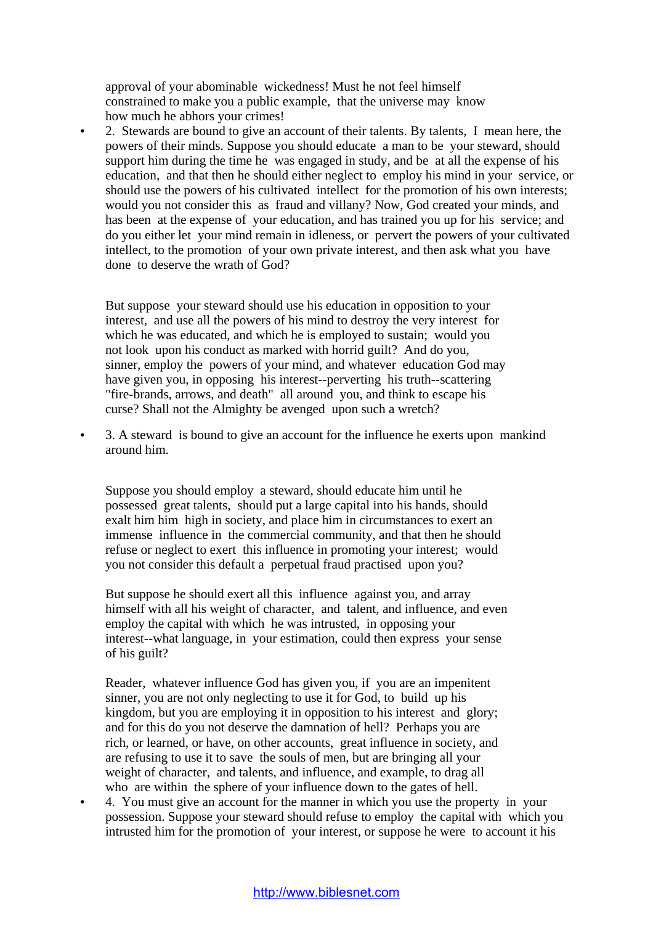approval of your abominable wickedness! Must he not feel himself constrained to make you a public example, that the universe may know how much he abhors your crimes!

• 2. Stewards are bound to give an account of their talents. By talents, I mean here, the powers of their minds. Suppose you should educate a man to be your steward, should support him during the time he was engaged in study, and be at all the expense of his education, and that then he should either neglect to employ his mind in your service, or should use the powers of his cultivated intellect for the promotion of his own interests; would you not consider this as fraud and villany? Now, God created your minds, and has been at the expense of your education, and has trained you up for his service; and do you either let your mind remain in idleness, or pervert the powers of your cultivated intellect, to the promotion of your own private interest, and then ask what you have done to deserve the wrath of God?

But suppose your steward should use his education in opposition to your interest, and use all the powers of his mind to destroy the very interest for which he was educated, and which he is employed to sustain; would you not look upon his conduct as marked with horrid guilt? And do you, sinner, employ the powers of your mind, and whatever education God may have given you, in opposing his interest--perverting his truth--scattering "fire-brands, arrows, and death" all around you, and think to escape his curse? Shall not the Almighty be avenged upon such a wretch?

• 3. A steward is bound to give an account for the influence he exerts upon mankind around him.

Suppose you should employ a steward, should educate him until he possessed great talents, should put a large capital into his hands, should exalt him him high in society, and place him in circumstances to exert an immense influence in the commercial community, and that then he should refuse or neglect to exert this influence in promoting your interest; would you not consider this default a perpetual fraud practised upon you?

But suppose he should exert all this influence against you, and array himself with all his weight of character, and talent, and influence, and even employ the capital with which he was intrusted, in opposing your interest--what language, in your estimation, could then express your sense of his guilt?

Reader, whatever influence God has given you, if you are an impenitent sinner, you are not only neglecting to use it for God, to build up his kingdom, but you are employing it in opposition to his interest and glory; and for this do you not deserve the damnation of hell? Perhaps you are rich, or learned, or have, on other accounts, great influence in society, and are refusing to use it to save the souls of men, but are bringing all your weight of character, and talents, and influence, and example, to drag all who are within the sphere of your influence down to the gates of hell.

• 4. You must give an account for the manner in which you use the property in your possession. Suppose your steward should refuse to employ the capital with which you intrusted him for the promotion of your interest, or suppose he were to account it his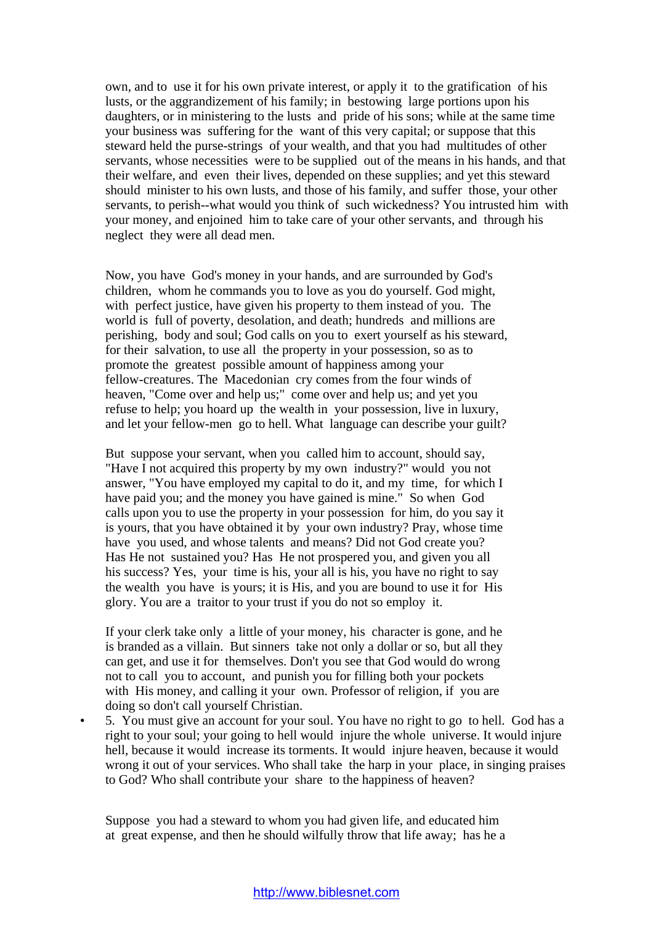own, and to use it for his own private interest, or apply it to the gratification of his lusts, or the aggrandizement of his family; in bestowing large portions upon his daughters, or in ministering to the lusts and pride of his sons; while at the same time your business was suffering for the want of this very capital; or suppose that this steward held the purse-strings of your wealth, and that you had multitudes of other servants, whose necessities were to be supplied out of the means in his hands, and that their welfare, and even their lives, depended on these supplies; and yet this steward should minister to his own lusts, and those of his family, and suffer those, your other servants, to perish--what would you think of such wickedness? You intrusted him with your money, and enjoined him to take care of your other servants, and through his neglect they were all dead men.

Now, you have God's money in your hands, and are surrounded by God's children, whom he commands you to love as you do yourself. God might, with perfect justice, have given his property to them instead of you. The world is full of poverty, desolation, and death; hundreds and millions are perishing, body and soul; God calls on you to exert yourself as his steward, for their salvation, to use all the property in your possession, so as to promote the greatest possible amount of happiness among your fellow-creatures. The Macedonian cry comes from the four winds of heaven, "Come over and help us;" come over and help us; and yet you refuse to help; you hoard up the wealth in your possession, live in luxury, and let your fellow-men go to hell. What language can describe your guilt?

But suppose your servant, when you called him to account, should say, "Have I not acquired this property by my own industry?" would you not answer, "You have employed my capital to do it, and my time, for which I have paid you; and the money you have gained is mine." So when God calls upon you to use the property in your possession for him, do you say it is yours, that you have obtained it by your own industry? Pray, whose time have you used, and whose talents and means? Did not God create you? Has He not sustained you? Has He not prospered you, and given you all his success? Yes, your time is his, your all is his, you have no right to say the wealth you have is yours; it is His, and you are bound to use it for His glory. You are a traitor to your trust if you do not so employ it.

If your clerk take only a little of your money, his character is gone, and he is branded as a villain. But sinners take not only a dollar or so, but all they can get, and use it for themselves. Don't you see that God would do wrong not to call you to account, and punish you for filling both your pockets with His money, and calling it your own. Professor of religion, if you are doing so don't call yourself Christian.

• 5. You must give an account for your soul. You have no right to go to hell. God has a right to your soul; your going to hell would injure the whole universe. It would injure hell, because it would increase its torments. It would injure heaven, because it would wrong it out of your services. Who shall take the harp in your place, in singing praises to God? Who shall contribute your share to the happiness of heaven?

Suppose you had a steward to whom you had given life, and educated him at great expense, and then he should wilfully throw that life away; has he a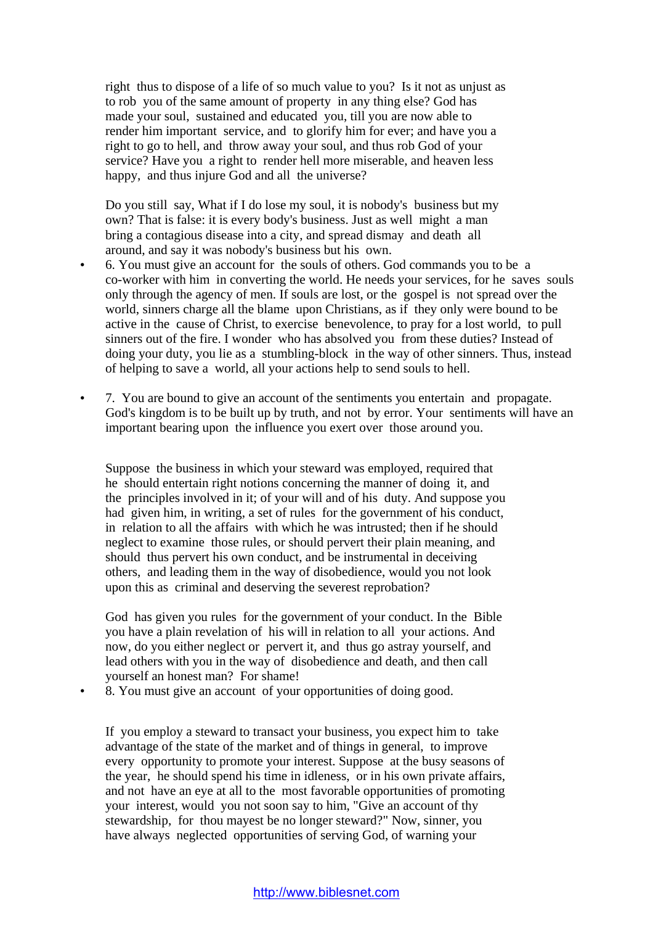right thus to dispose of a life of so much value to you? Is it not as unjust as to rob you of the same amount of property in any thing else? God has made your soul, sustained and educated you, till you are now able to render him important service, and to glorify him for ever; and have you a right to go to hell, and throw away your soul, and thus rob God of your service? Have you a right to render hell more miserable, and heaven less happy, and thus injure God and all the universe?

Do you still say, What if I do lose my soul, it is nobody's business but my own? That is false: it is every body's business. Just as well might a man bring a contagious disease into a city, and spread dismay and death all around, and say it was nobody's business but his own.

- 6. You must give an account for the souls of others. God commands you to be a co-worker with him in converting the world. He needs your services, for he saves souls only through the agency of men. If souls are lost, or the gospel is not spread over the world, sinners charge all the blame upon Christians, as if they only were bound to be active in the cause of Christ, to exercise benevolence, to pray for a lost world, to pull sinners out of the fire. I wonder who has absolved you from these duties? Instead of doing your duty, you lie as a stumbling-block in the way of other sinners. Thus, instead of helping to save a world, all your actions help to send souls to hell.
- 7. You are bound to give an account of the sentiments you entertain and propagate. God's kingdom is to be built up by truth, and not by error. Your sentiments will have an important bearing upon the influence you exert over those around you.

Suppose the business in which your steward was employed, required that he should entertain right notions concerning the manner of doing it, and the principles involved in it; of your will and of his duty. And suppose you had given him, in writing, a set of rules for the government of his conduct, in relation to all the affairs with which he was intrusted; then if he should neglect to examine those rules, or should pervert their plain meaning, and should thus pervert his own conduct, and be instrumental in deceiving others, and leading them in the way of disobedience, would you not look upon this as criminal and deserving the severest reprobation?

God has given you rules for the government of your conduct. In the Bible you have a plain revelation of his will in relation to all your actions. And now, do you either neglect or pervert it, and thus go astray yourself, and lead others with you in the way of disobedience and death, and then call yourself an honest man? For shame!

• 8. You must give an account of your opportunities of doing good.

If you employ a steward to transact your business, you expect him to take advantage of the state of the market and of things in general, to improve every opportunity to promote your interest. Suppose at the busy seasons of the year, he should spend his time in idleness, or in his own private affairs, and not have an eye at all to the most favorable opportunities of promoting your interest, would you not soon say to him, "Give an account of thy stewardship, for thou mayest be no longer steward?" Now, sinner, you have always neglected opportunities of serving God, of warning your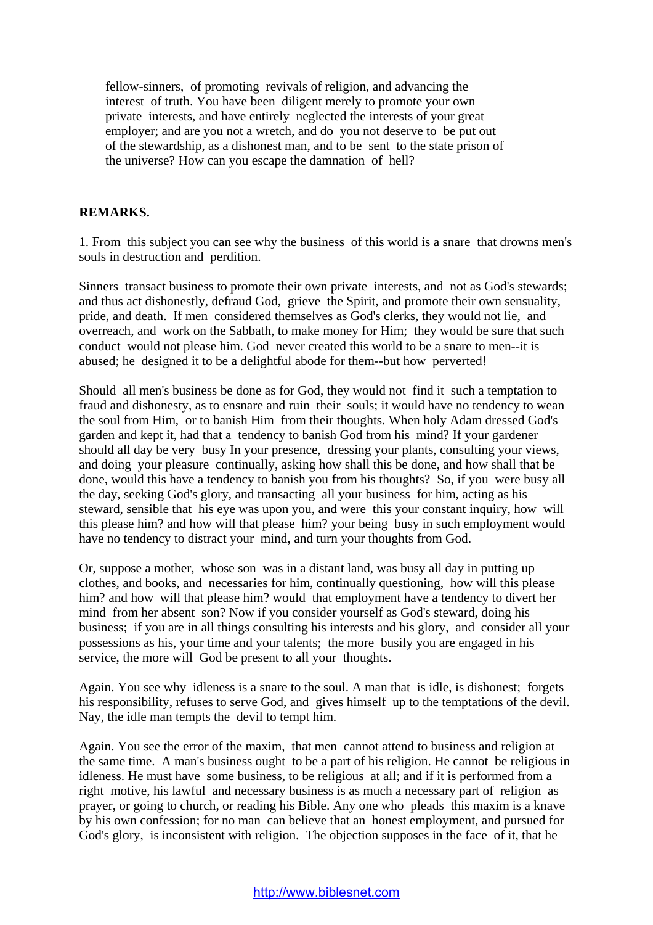fellow-sinners, of promoting revivals of religion, and advancing the interest of truth. You have been diligent merely to promote your own private interests, and have entirely neglected the interests of your great employer; and are you not a wretch, and do you not deserve to be put out of the stewardship, as a dishonest man, and to be sent to the state prison of the universe? How can you escape the damnation of hell?

#### **REMARKS.**

1. From this subject you can see why the business of this world is a snare that drowns men's souls in destruction and perdition.

Sinners transact business to promote their own private interests, and not as God's stewards; and thus act dishonestly, defraud God, grieve the Spirit, and promote their own sensuality, pride, and death. If men considered themselves as God's clerks, they would not lie, and overreach, and work on the Sabbath, to make money for Him; they would be sure that such conduct would not please him. God never created this world to be a snare to men--it is abused; he designed it to be a delightful abode for them--but how perverted!

Should all men's business be done as for God, they would not find it such a temptation to fraud and dishonesty, as to ensnare and ruin their souls; it would have no tendency to wean the soul from Him, or to banish Him from their thoughts. When holy Adam dressed God's garden and kept it, had that a tendency to banish God from his mind? If your gardener should all day be very busy In your presence, dressing your plants, consulting your views, and doing your pleasure continually, asking how shall this be done, and how shall that be done, would this have a tendency to banish you from his thoughts? So, if you were busy all the day, seeking God's glory, and transacting all your business for him, acting as his steward, sensible that his eye was upon you, and were this your constant inquiry, how will this please him? and how will that please him? your being busy in such employment would have no tendency to distract your mind, and turn your thoughts from God.

Or, suppose a mother, whose son was in a distant land, was busy all day in putting up clothes, and books, and necessaries for him, continually questioning, how will this please him? and how will that please him? would that employment have a tendency to divert her mind from her absent son? Now if you consider yourself as God's steward, doing his business; if you are in all things consulting his interests and his glory, and consider all your possessions as his, your time and your talents; the more busily you are engaged in his service, the more will God be present to all your thoughts.

Again. You see why idleness is a snare to the soul. A man that is idle, is dishonest; forgets his responsibility, refuses to serve God, and gives himself up to the temptations of the devil. Nay, the idle man tempts the devil to tempt him.

Again. You see the error of the maxim, that men cannot attend to business and religion at the same time. A man's business ought to be a part of his religion. He cannot be religious in idleness. He must have some business, to be religious at all; and if it is performed from a right motive, his lawful and necessary business is as much a necessary part of religion as prayer, or going to church, or reading his Bible. Any one who pleads this maxim is a knave by his own confession; for no man can believe that an honest employment, and pursued for God's glory, is inconsistent with religion. The objection supposes in the face of it, that he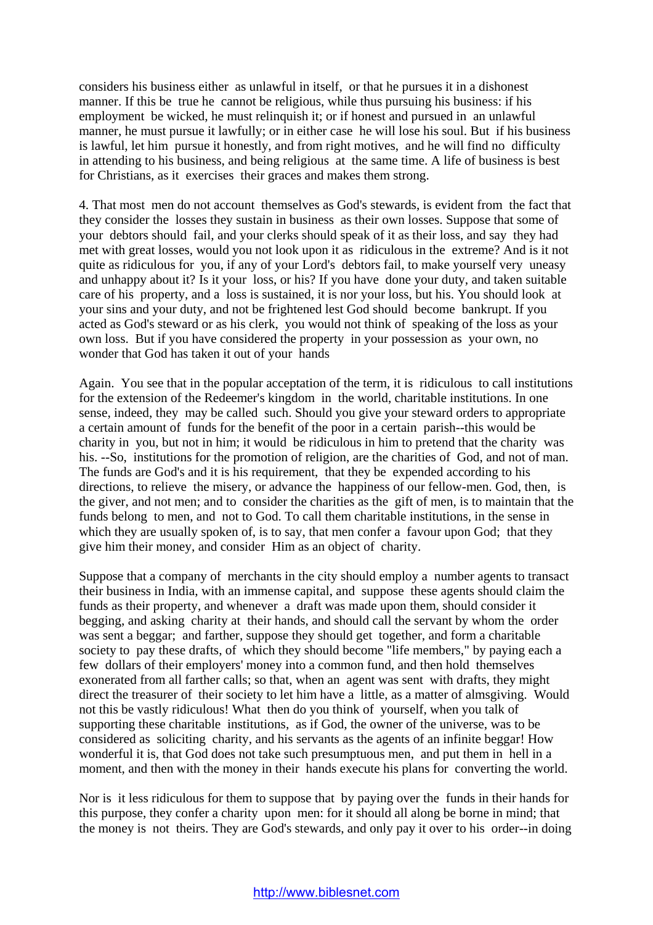considers his business either as unlawful in itself, or that he pursues it in a dishonest manner. If this be true he cannot be religious, while thus pursuing his business: if his employment be wicked, he must relinquish it; or if honest and pursued in an unlawful manner, he must pursue it lawfully; or in either case he will lose his soul. But if his business is lawful, let him pursue it honestly, and from right motives, and he will find no difficulty in attending to his business, and being religious at the same time. A life of business is best for Christians, as it exercises their graces and makes them strong.

4. That most men do not account themselves as God's stewards, is evident from the fact that they consider the losses they sustain in business as their own losses. Suppose that some of your debtors should fail, and your clerks should speak of it as their loss, and say they had met with great losses, would you not look upon it as ridiculous in the extreme? And is it not quite as ridiculous for you, if any of your Lord's debtors fail, to make yourself very uneasy and unhappy about it? Is it your loss, or his? If you have done your duty, and taken suitable care of his property, and a loss is sustained, it is nor your loss, but his. You should look at your sins and your duty, and not be frightened lest God should become bankrupt. If you acted as God's steward or as his clerk, you would not think of speaking of the loss as your own loss. But if you have considered the property in your possession as your own, no wonder that God has taken it out of your hands

Again. You see that in the popular acceptation of the term, it is ridiculous to call institutions for the extension of the Redeemer's kingdom in the world, charitable institutions. In one sense, indeed, they may be called such. Should you give your steward orders to appropriate a certain amount of funds for the benefit of the poor in a certain parish--this would be charity in you, but not in him; it would be ridiculous in him to pretend that the charity was his. --So, institutions for the promotion of religion, are the charities of God, and not of man. The funds are God's and it is his requirement, that they be expended according to his directions, to relieve the misery, or advance the happiness of our fellow-men. God, then, is the giver, and not men; and to consider the charities as the gift of men, is to maintain that the funds belong to men, and not to God. To call them charitable institutions, in the sense in which they are usually spoken of, is to say, that men confer a favour upon God; that they give him their money, and consider Him as an object of charity.

Suppose that a company of merchants in the city should employ a number agents to transact their business in India, with an immense capital, and suppose these agents should claim the funds as their property, and whenever a draft was made upon them, should consider it begging, and asking charity at their hands, and should call the servant by whom the order was sent a beggar; and farther, suppose they should get together, and form a charitable society to pay these drafts, of which they should become "life members," by paying each a few dollars of their employers' money into a common fund, and then hold themselves exonerated from all farther calls; so that, when an agent was sent with drafts, they might direct the treasurer of their society to let him have a little, as a matter of almsgiving. Would not this be vastly ridiculous! What then do you think of yourself, when you talk of supporting these charitable institutions, as if God, the owner of the universe, was to be considered as soliciting charity, and his servants as the agents of an infinite beggar! How wonderful it is, that God does not take such presumptuous men, and put them in hell in a moment, and then with the money in their hands execute his plans for converting the world.

Nor is it less ridiculous for them to suppose that by paying over the funds in their hands for this purpose, they confer a charity upon men: for it should all along be borne in mind; that the money is not theirs. They are God's stewards, and only pay it over to his order--in doing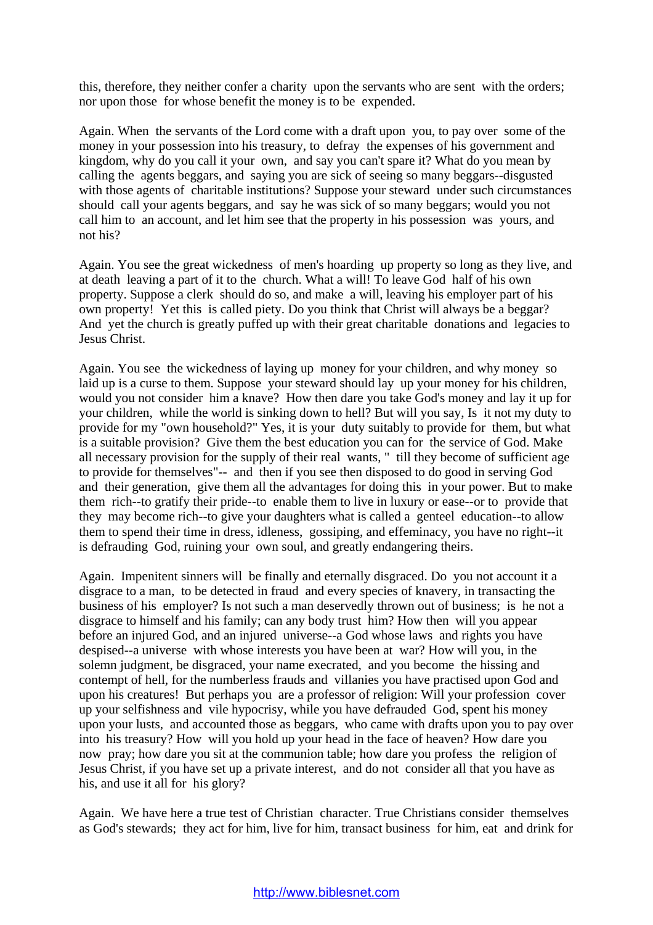this, therefore, they neither confer a charity upon the servants who are sent with the orders; nor upon those for whose benefit the money is to be expended.

Again. When the servants of the Lord come with a draft upon you, to pay over some of the money in your possession into his treasury, to defray the expenses of his government and kingdom, why do you call it your own, and say you can't spare it? What do you mean by calling the agents beggars, and saying you are sick of seeing so many beggars--disgusted with those agents of charitable institutions? Suppose your steward under such circumstances should call your agents beggars, and say he was sick of so many beggars; would you not call him to an account, and let him see that the property in his possession was yours, and not his?

Again. You see the great wickedness of men's hoarding up property so long as they live, and at death leaving a part of it to the church. What a will! To leave God half of his own property. Suppose a clerk should do so, and make a will, leaving his employer part of his own property! Yet this is called piety. Do you think that Christ will always be a beggar? And yet the church is greatly puffed up with their great charitable donations and legacies to Jesus Christ.

Again. You see the wickedness of laying up money for your children, and why money so laid up is a curse to them. Suppose your steward should lay up your money for his children, would you not consider him a knave? How then dare you take God's money and lay it up for your children, while the world is sinking down to hell? But will you say, Is it not my duty to provide for my "own household?" Yes, it is your duty suitably to provide for them, but what is a suitable provision? Give them the best education you can for the service of God. Make all necessary provision for the supply of their real wants, " till they become of sufficient age to provide for themselves"-- and then if you see then disposed to do good in serving God and their generation, give them all the advantages for doing this in your power. But to make them rich--to gratify their pride--to enable them to live in luxury or ease--or to provide that they may become rich--to give your daughters what is called a genteel education--to allow them to spend their time in dress, idleness, gossiping, and effeminacy, you have no right--it is defrauding God, ruining your own soul, and greatly endangering theirs.

Again. Impenitent sinners will be finally and eternally disgraced. Do you not account it a disgrace to a man, to be detected in fraud and every species of knavery, in transacting the business of his employer? Is not such a man deservedly thrown out of business; is he not a disgrace to himself and his family; can any body trust him? How then will you appear before an injured God, and an injured universe--a God whose laws and rights you have despised--a universe with whose interests you have been at war? How will you, in the solemn judgment, be disgraced, your name execrated, and you become the hissing and contempt of hell, for the numberless frauds and villanies you have practised upon God and upon his creatures! But perhaps you are a professor of religion: Will your profession cover up your selfishness and vile hypocrisy, while you have defrauded God, spent his money upon your lusts, and accounted those as beggars, who came with drafts upon you to pay over into his treasury? How will you hold up your head in the face of heaven? How dare you now pray; how dare you sit at the communion table; how dare you profess the religion of Jesus Christ, if you have set up a private interest, and do not consider all that you have as his, and use it all for his glory?

Again. We have here a true test of Christian character. True Christians consider themselves as God's stewards; they act for him, live for him, transact business for him, eat and drink for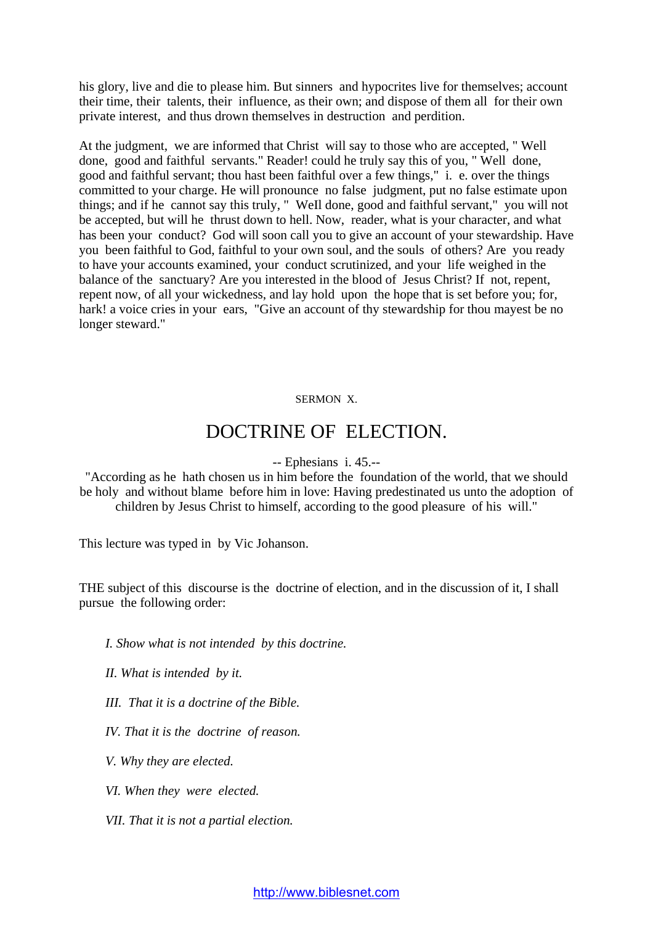his glory, live and die to please him. But sinners and hypocrites live for themselves; account their time, their talents, their influence, as their own; and dispose of them all for their own private interest, and thus drown themselves in destruction and perdition.

At the judgment, we are informed that Christ will say to those who are accepted, " Well done, good and faithful servants." Reader! could he truly say this of you, " Well done, good and faithful servant; thou hast been faithful over a few things," i. e. over the things committed to your charge. He will pronounce no false judgment, put no false estimate upon things; and if he cannot say this truly, " WeIl done, good and faithful servant," you will not be accepted, but will he thrust down to hell. Now, reader, what is your character, and what has been your conduct? God will soon call you to give an account of your stewardship. Have you been faithful to God, faithful to your own soul, and the souls of others? Are you ready to have your accounts examined, your conduct scrutinized, and your life weighed in the balance of the sanctuary? Are you interested in the blood of Jesus Christ? If not, repent, repent now, of all your wickedness, and lay hold upon the hope that is set before you; for, hark! a voice cries in your ears, "Give an account of thy stewardship for thou mayest be no longer steward."

#### SERMON X.

# DOCTRINE OF ELECTION.

-- Ephesians i. 45.--

"According as he hath chosen us in him before the foundation of the world, that we should be holy and without blame before him in love: Having predestinated us unto the adoption of children by Jesus Christ to himself, according to the good pleasure of his will."

This lecture was typed in by Vic Johanson.

THE subject of this discourse is the doctrine of election, and in the discussion of it, I shall pursue the following order:

- *I. Show what is not intended by this doctrine.*
- *II. What is intended by it.*
- *III. That it is a doctrine of the Bible.*
- *IV. That it is the doctrine of reason.*
- *V. Why they are elected.*
- *VI. When they were elected.*
- *VII. That it is not a partial election.*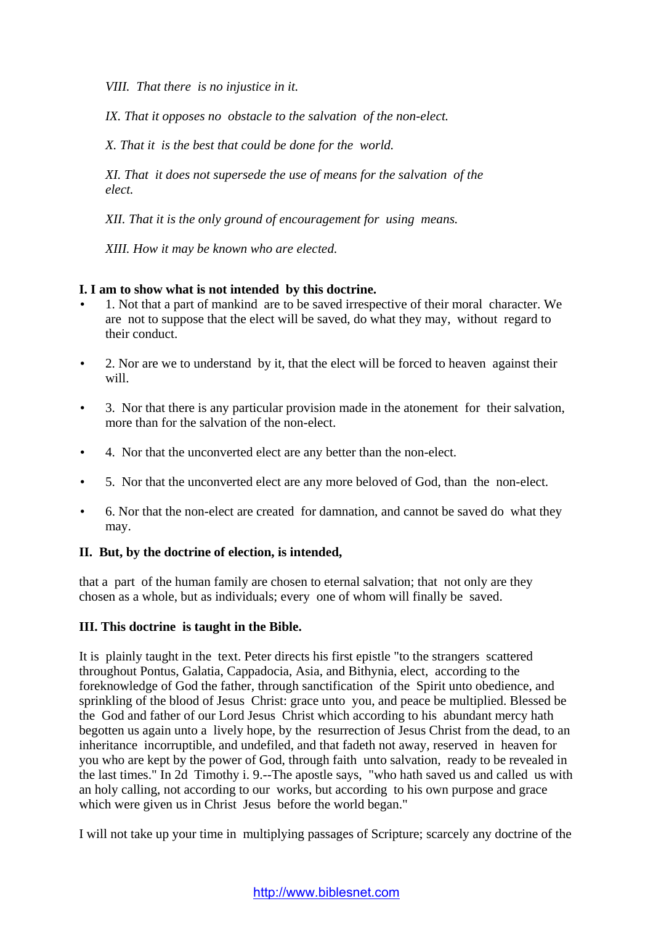*VIII. That there is no injustice in it.*

*IX. That it opposes no obstacle to the salvation of the non-elect.*

*X. That it is the best that could be done for the world.*

*XI. That it does not supersede the use of means for the salvation of the elect.*

*XII. That it is the only ground of encouragement for using means.*

*XIII. How it may be known who are elected.*

## **I. I am to show what is not intended by this doctrine.**

- 1. Not that a part of mankind are to be saved irrespective of their moral character. We are not to suppose that the elect will be saved, do what they may, without regard to their conduct.
- 2. Nor are we to understand by it, that the elect will be forced to heaven against their will.
- 3. Nor that there is any particular provision made in the atonement for their salvation, more than for the salvation of the non-elect.
- 4. Nor that the unconverted elect are any better than the non-elect.
- 5. Nor that the unconverted elect are any more beloved of God, than the non-elect.
- 6. Nor that the non-elect are created for damnation, and cannot be saved do what they may.

# **II. But, by the doctrine of election, is intended,**

that a part of the human family are chosen to eternal salvation; that not only are they chosen as a whole, but as individuals; every one of whom will finally be saved.

# **III. This doctrine is taught in the Bible.**

It is plainly taught in the text. Peter directs his first epistle "to the strangers scattered throughout Pontus, Galatia, Cappadocia, Asia, and Bithynia, elect, according to the foreknowledge of God the father, through sanctification of the Spirit unto obedience, and sprinkling of the blood of Jesus Christ: grace unto you, and peace be multiplied. Blessed be the God and father of our Lord Jesus Christ which according to his abundant mercy hath begotten us again unto a lively hope, by the resurrection of Jesus Christ from the dead, to an inheritance incorruptible, and undefiled, and that fadeth not away, reserved in heaven for you who are kept by the power of God, through faith unto salvation, ready to be revealed in the last times." In 2d Timothy i. 9.--The apostle says, "who hath saved us and called us with an holy calling, not according to our works, but according to his own purpose and grace which were given us in Christ Jesus before the world began."

I will not take up your time in multiplying passages of Scripture; scarcely any doctrine of the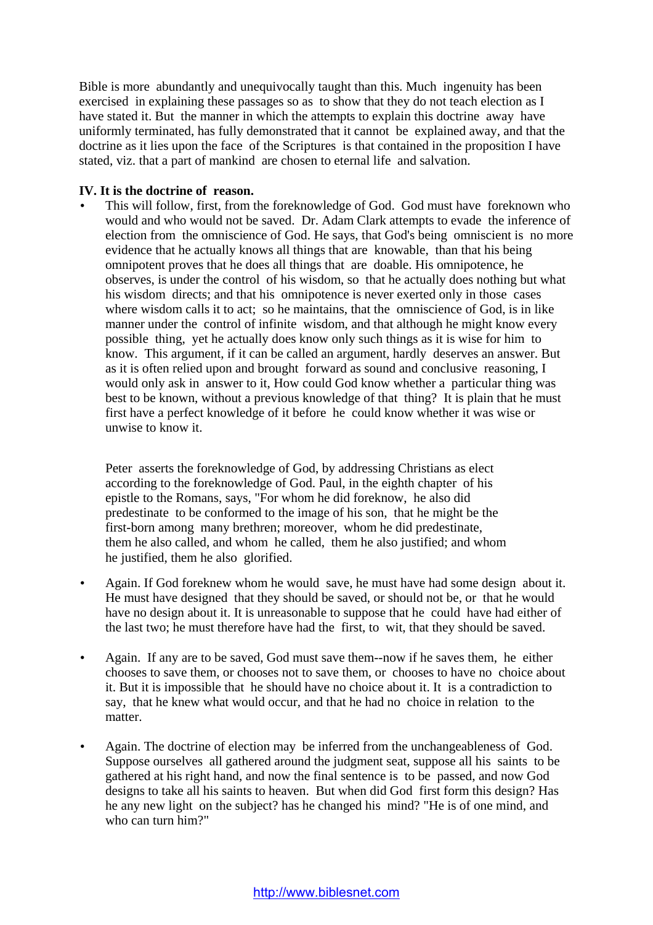Bible is more abundantly and unequivocally taught than this. Much ingenuity has been exercised in explaining these passages so as to show that they do not teach election as I have stated it. But the manner in which the attempts to explain this doctrine away have uniformly terminated, has fully demonstrated that it cannot be explained away, and that the doctrine as it lies upon the face of the Scriptures is that contained in the proposition I have stated, viz. that a part of mankind are chosen to eternal life and salvation.

#### **IV. It is the doctrine of reason.**

This will follow, first, from the foreknowledge of God. God must have foreknown who would and who would not be saved. Dr. Adam Clark attempts to evade the inference of election from the omniscience of God. He says, that God's being omniscient is no more evidence that he actually knows all things that are knowable, than that his being omnipotent proves that he does all things that are doable. His omnipotence, he observes, is under the control of his wisdom, so that he actually does nothing but what his wisdom directs; and that his omnipotence is never exerted only in those cases where wisdom calls it to act; so he maintains, that the omniscience of God, is in like manner under the control of infinite wisdom, and that although he might know every possible thing, yet he actually does know only such things as it is wise for him to know. This argument, if it can be called an argument, hardly deserves an answer. But as it is often relied upon and brought forward as sound and conclusive reasoning, I would only ask in answer to it, How could God know whether a particular thing was best to be known, without a previous knowledge of that thing? It is plain that he must first have a perfect knowledge of it before he could know whether it was wise or unwise to know it.

Peter asserts the foreknowledge of God, by addressing Christians as elect according to the foreknowledge of God. Paul, in the eighth chapter of his epistle to the Romans, says, "For whom he did foreknow, he also did predestinate to be conformed to the image of his son, that he might be the first-born among many brethren; moreover, whom he did predestinate, them he also called, and whom he called, them he also justified; and whom he justified, them he also glorified.

- Again. If God foreknew whom he would save, he must have had some design about it. He must have designed that they should be saved, or should not be, or that he would have no design about it. It is unreasonable to suppose that he could have had either of the last two; he must therefore have had the first, to wit, that they should be saved.
- Again. If any are to be saved, God must save them--now if he saves them, he either chooses to save them, or chooses not to save them, or chooses to have no choice about it. But it is impossible that he should have no choice about it. It is a contradiction to say, that he knew what would occur, and that he had no choice in relation to the matter.
- Again. The doctrine of election may be inferred from the unchangeableness of God. Suppose ourselves all gathered around the judgment seat, suppose all his saints to be gathered at his right hand, and now the final sentence is to be passed, and now God designs to take all his saints to heaven. But when did God first form this design? Has he any new light on the subject? has he changed his mind? "He is of one mind, and who can turn him?"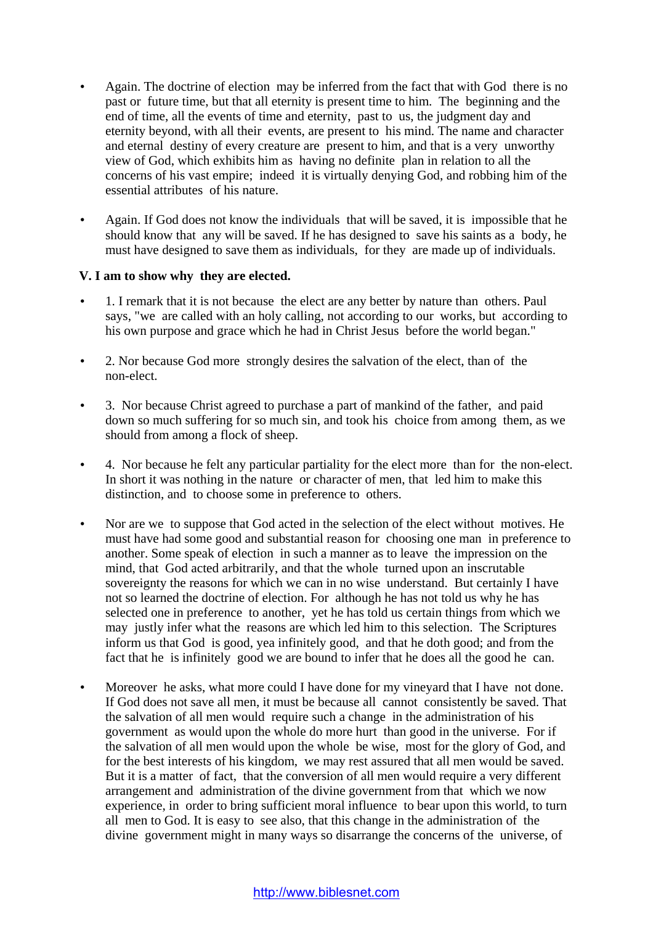- Again. The doctrine of election may be inferred from the fact that with God there is no past or future time, but that all eternity is present time to him. The beginning and the end of time, all the events of time and eternity, past to us, the judgment day and eternity beyond, with all their events, are present to his mind. The name and character and eternal destiny of every creature are present to him, and that is a very unworthy view of God, which exhibits him as having no definite plan in relation to all the concerns of his vast empire; indeed it is virtually denying God, and robbing him of the essential attributes of his nature.
- Again. If God does not know the individuals that will be saved, it is impossible that he should know that any will be saved. If he has designed to save his saints as a body, he must have designed to save them as individuals, for they are made up of individuals.

#### **V. I am to show why they are elected.**

- 1. I remark that it is not because the elect are any better by nature than others. Paul says, "we are called with an holy calling, not according to our works, but according to his own purpose and grace which he had in Christ Jesus before the world began."
- 2. Nor because God more strongly desires the salvation of the elect, than of the non-elect.
- 3. Nor because Christ agreed to purchase a part of mankind of the father, and paid down so much suffering for so much sin, and took his choice from among them, as we should from among a flock of sheep.
- 4. Nor because he felt any particular partiality for the elect more than for the non-elect. In short it was nothing in the nature or character of men, that led him to make this distinction, and to choose some in preference to others.
- Nor are we to suppose that God acted in the selection of the elect without motives. He must have had some good and substantial reason for choosing one man in preference to another. Some speak of election in such a manner as to leave the impression on the mind, that God acted arbitrarily, and that the whole turned upon an inscrutable sovereignty the reasons for which we can in no wise understand. But certainly I have not so learned the doctrine of election. For although he has not told us why he has selected one in preference to another, yet he has told us certain things from which we may justly infer what the reasons are which led him to this selection. The Scriptures inform us that God is good, yea infinitely good, and that he doth good; and from the fact that he is infinitely good we are bound to infer that he does all the good he can.
- Moreover he asks, what more could I have done for my vineyard that I have not done. If God does not save all men, it must be because all cannot consistently be saved. That the salvation of all men would require such a change in the administration of his government as would upon the whole do more hurt than good in the universe. For if the salvation of all men would upon the whole be wise, most for the glory of God, and for the best interests of his kingdom, we may rest assured that all men would be saved. But it is a matter of fact, that the conversion of all men would require a very different arrangement and administration of the divine government from that which we now experience, in order to bring sufficient moral influence to bear upon this world, to turn all men to God. It is easy to see also, that this change in the administration of the divine government might in many ways so disarrange the concerns of the universe, of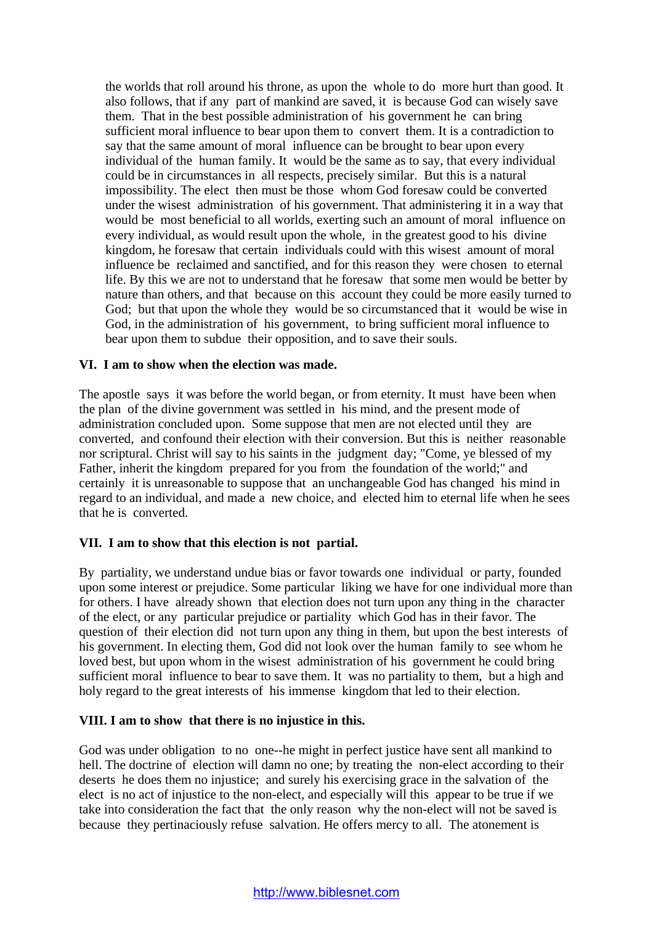the worlds that roll around his throne, as upon the whole to do more hurt than good. It also follows, that if any part of mankind are saved, it is because God can wisely save them. That in the best possible administration of his government he can bring sufficient moral influence to bear upon them to convert them. It is a contradiction to say that the same amount of moral influence can be brought to bear upon every individual of the human family. It would be the same as to say, that every individual could be in circumstances in all respects, precisely similar. But this is a natural impossibility. The elect then must be those whom God foresaw could be converted under the wisest administration of his government. That administering it in a way that would be most beneficial to all worlds, exerting such an amount of moral influence on every individual, as would result upon the whole, in the greatest good to his divine kingdom, he foresaw that certain individuals could with this wisest amount of moral influence be reclaimed and sanctified, and for this reason they were chosen to eternal life. By this we are not to understand that he foresaw that some men would be better by nature than others, and that because on this account they could be more easily turned to God; but that upon the whole they would be so circumstanced that it would be wise in God, in the administration of his government, to bring sufficient moral influence to bear upon them to subdue their opposition, and to save their souls.

#### **VI. I am to show when the election was made.**

The apostle says it was before the world began, or from eternity. It must have been when the plan of the divine government was settled in his mind, and the present mode of administration concluded upon. Some suppose that men are not elected until they are converted, and confound their election with their conversion. But this is neither reasonable nor scriptural. Christ will say to his saints in the judgment day; "Come, ye blessed of my Father, inherit the kingdom prepared for you from the foundation of the world;" and certainly it is unreasonable to suppose that an unchangeable God has changed his mind in regard to an individual, and made a new choice, and elected him to eternal life when he sees that he is converted.

#### **VII. I am to show that this election is not partial.**

By partiality, we understand undue bias or favor towards one individual or party, founded upon some interest or prejudice. Some particular liking we have for one individual more than for others. I have already shown that election does not turn upon any thing in the character of the elect, or any particular prejudice or partiality which God has in their favor. The question of their election did not turn upon any thing in them, but upon the best interests of his government. In electing them, God did not look over the human family to see whom he loved best, but upon whom in the wisest administration of his government he could bring sufficient moral influence to bear to save them. It was no partiality to them, but a high and holy regard to the great interests of his immense kingdom that led to their election.

#### **VIII. I am to show that there is no injustice in this.**

God was under obligation to no one--he might in perfect justice have sent all mankind to hell. The doctrine of election will damn no one; by treating the non-elect according to their deserts he does them no injustice; and surely his exercising grace in the salvation of the elect is no act of injustice to the non-elect, and especially will this appear to be true if we take into consideration the fact that the only reason why the non-elect will not be saved is because they pertinaciously refuse salvation. He offers mercy to all. The atonement is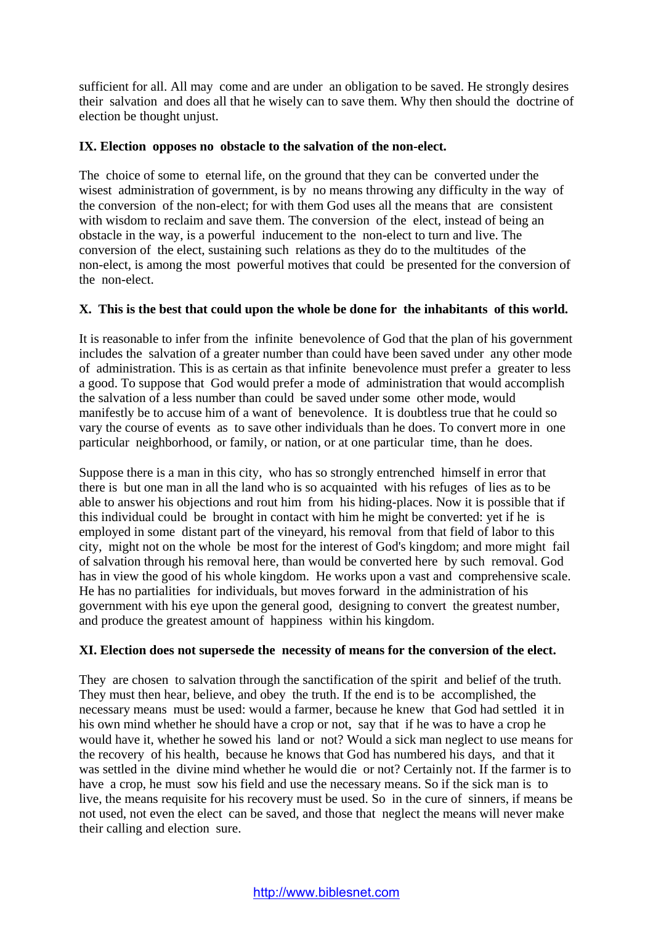sufficient for all. All may come and are under an obligation to be saved. He strongly desires their salvation and does all that he wisely can to save them. Why then should the doctrine of election be thought unjust.

### **IX. Election opposes no obstacle to the salvation of the non-elect.**

The choice of some to eternal life, on the ground that they can be converted under the wisest administration of government, is by no means throwing any difficulty in the way of the conversion of the non-elect; for with them God uses all the means that are consistent with wisdom to reclaim and save them. The conversion of the elect, instead of being an obstacle in the way, is a powerful inducement to the non-elect to turn and live. The conversion of the elect, sustaining such relations as they do to the multitudes of the non-elect, is among the most powerful motives that could be presented for the conversion of the non-elect.

## **X. This is the best that could upon the whole be done for the inhabitants of this world.**

It is reasonable to infer from the infinite benevolence of God that the plan of his government includes the salvation of a greater number than could have been saved under any other mode of administration. This is as certain as that infinite benevolence must prefer a greater to less a good. To suppose that God would prefer a mode of administration that would accomplish the salvation of a less number than could be saved under some other mode, would manifestly be to accuse him of a want of benevolence. It is doubtless true that he could so vary the course of events as to save other individuals than he does. To convert more in one particular neighborhood, or family, or nation, or at one particular time, than he does.

Suppose there is a man in this city, who has so strongly entrenched himself in error that there is but one man in all the land who is so acquainted with his refuges of lies as to be able to answer his objections and rout him from his hiding-places. Now it is possible that if this individual could be brought in contact with him he might be converted: yet if he is employed in some distant part of the vineyard, his removal from that field of labor to this city, might not on the whole be most for the interest of God's kingdom; and more might fail of salvation through his removal here, than would be converted here by such removal. God has in view the good of his whole kingdom. He works upon a vast and comprehensive scale. He has no partialities for individuals, but moves forward in the administration of his government with his eye upon the general good, designing to convert the greatest number, and produce the greatest amount of happiness within his kingdom.

# **XI. Election does not supersede the necessity of means for the conversion of the elect.**

They are chosen to salvation through the sanctification of the spirit and belief of the truth. They must then hear, believe, and obey the truth. If the end is to be accomplished, the necessary means must be used: would a farmer, because he knew that God had settled it in his own mind whether he should have a crop or not, say that if he was to have a crop he would have it, whether he sowed his land or not? Would a sick man neglect to use means for the recovery of his health, because he knows that God has numbered his days, and that it was settled in the divine mind whether he would die or not? Certainly not. If the farmer is to have a crop, he must sow his field and use the necessary means. So if the sick man is to live, the means requisite for his recovery must be used. So in the cure of sinners, if means be not used, not even the elect can be saved, and those that neglect the means will never make their calling and election sure.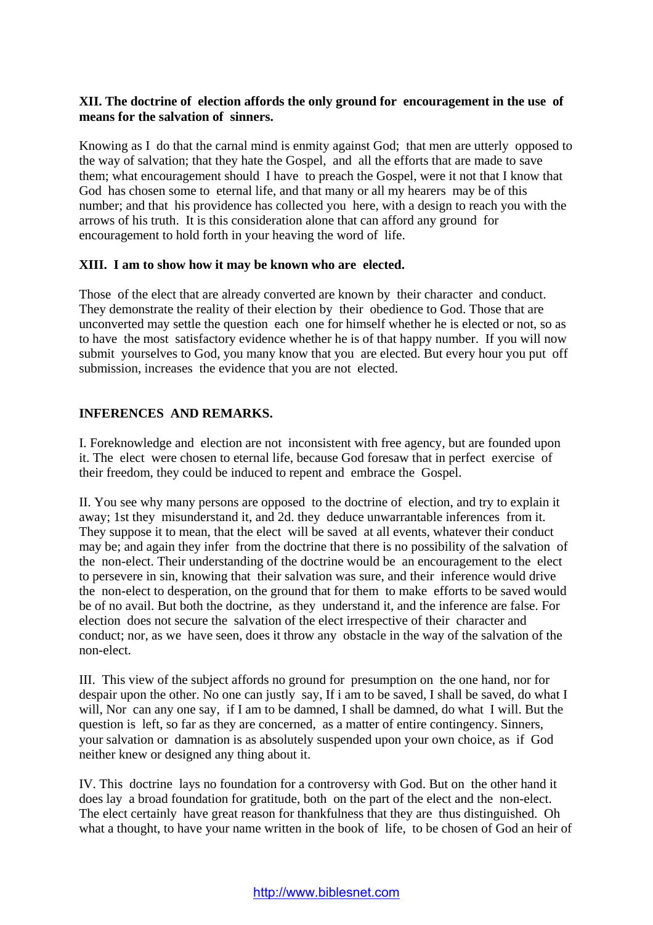### **XII. The doctrine of election affords the only ground for encouragement in the use of means for the salvation of sinners.**

Knowing as I do that the carnal mind is enmity against God; that men are utterly opposed to the way of salvation; that they hate the Gospel, and all the efforts that are made to save them; what encouragement should I have to preach the Gospel, were it not that I know that God has chosen some to eternal life, and that many or all my hearers may be of this number; and that his providence has collected you here, with a design to reach you with the arrows of his truth. It is this consideration alone that can afford any ground for encouragement to hold forth in your heaving the word of life.

#### **XIII. I am to show how it may be known who are elected.**

Those of the elect that are already converted are known by their character and conduct. They demonstrate the reality of their election by their obedience to God. Those that are unconverted may settle the question each one for himself whether he is elected or not, so as to have the most satisfactory evidence whether he is of that happy number. If you will now submit yourselves to God, you many know that you are elected. But every hour you put off submission, increases the evidence that you are not elected.

#### **INFERENCES AND REMARKS.**

I. Foreknowledge and election are not inconsistent with free agency, but are founded upon it. The elect were chosen to eternal life, because God foresaw that in perfect exercise of their freedom, they could be induced to repent and embrace the Gospel.

II. You see why many persons are opposed to the doctrine of election, and try to explain it away; 1st they misunderstand it, and 2d. they deduce unwarrantable inferences from it. They suppose it to mean, that the elect will be saved at all events, whatever their conduct may be; and again they infer from the doctrine that there is no possibility of the salvation of the non-elect. Their understanding of the doctrine would be an encouragement to the elect to persevere in sin, knowing that their salvation was sure, and their inference would drive the non-elect to desperation, on the ground that for them to make efforts to be saved would be of no avail. But both the doctrine, as they understand it, and the inference are false. For election does not secure the salvation of the elect irrespective of their character and conduct; nor, as we have seen, does it throw any obstacle in the way of the salvation of the non-elect.

III. This view of the subject affords no ground for presumption on the one hand, nor for despair upon the other. No one can justly say, If i am to be saved, I shall be saved, do what I will, Nor can any one say, if I am to be damned, I shall be damned, do what I will. But the question is left, so far as they are concerned, as a matter of entire contingency. Sinners, your salvation or damnation is as absolutely suspended upon your own choice, as if God neither knew or designed any thing about it.

IV. This doctrine lays no foundation for a controversy with God. But on the other hand it does lay a broad foundation for gratitude, both on the part of the elect and the non-elect. The elect certainly have great reason for thankfulness that they are thus distinguished. Oh what a thought, to have your name written in the book of life, to be chosen of God an heir of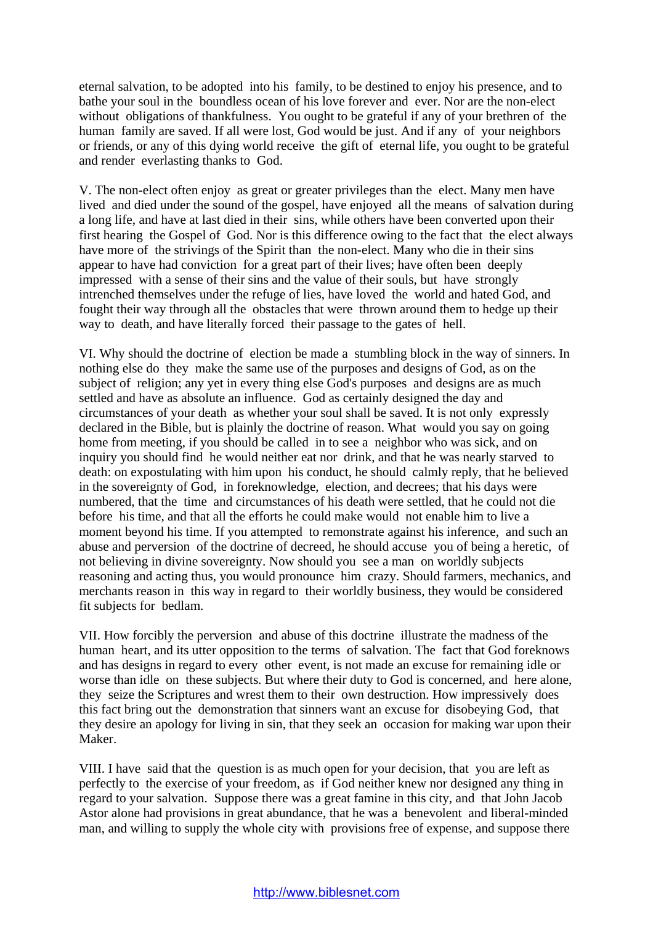eternal salvation, to be adopted into his family, to be destined to enjoy his presence, and to bathe your soul in the boundless ocean of his love forever and ever. Nor are the non-elect without obligations of thankfulness. You ought to be grateful if any of your brethren of the human family are saved. If all were lost, God would be just. And if any of your neighbors or friends, or any of this dying world receive the gift of eternal life, you ought to be grateful and render everlasting thanks to God.

V. The non-elect often enjoy as great or greater privileges than the elect. Many men have lived and died under the sound of the gospel, have enjoyed all the means of salvation during a long life, and have at last died in their sins, while others have been converted upon their first hearing the Gospel of God. Nor is this difference owing to the fact that the elect always have more of the strivings of the Spirit than the non-elect. Many who die in their sins appear to have had conviction for a great part of their lives; have often been deeply impressed with a sense of their sins and the value of their souls, but have strongly intrenched themselves under the refuge of lies, have loved the world and hated God, and fought their way through all the obstacles that were thrown around them to hedge up their way to death, and have literally forced their passage to the gates of hell.

VI. Why should the doctrine of election be made a stumbling block in the way of sinners. In nothing else do they make the same use of the purposes and designs of God, as on the subject of religion; any yet in every thing else God's purposes and designs are as much settled and have as absolute an influence. God as certainly designed the day and circumstances of your death as whether your soul shall be saved. It is not only expressly declared in the Bible, but is plainly the doctrine of reason. What would you say on going home from meeting, if you should be called in to see a neighbor who was sick, and on inquiry you should find he would neither eat nor drink, and that he was nearly starved to death: on expostulating with him upon his conduct, he should calmly reply, that he believed in the sovereignty of God, in foreknowledge, election, and decrees; that his days were numbered, that the time and circumstances of his death were settled, that he could not die before his time, and that all the efforts he could make would not enable him to live a moment beyond his time. If you attempted to remonstrate against his inference, and such an abuse and perversion of the doctrine of decreed, he should accuse you of being a heretic, of not believing in divine sovereignty. Now should you see a man on worldly subjects reasoning and acting thus, you would pronounce him crazy. Should farmers, mechanics, and merchants reason in this way in regard to their worldly business, they would be considered fit subjects for bedlam.

VII. How forcibly the perversion and abuse of this doctrine illustrate the madness of the human heart, and its utter opposition to the terms of salvation. The fact that God foreknows and has designs in regard to every other event, is not made an excuse for remaining idle or worse than idle on these subjects. But where their duty to God is concerned, and here alone, they seize the Scriptures and wrest them to their own destruction. How impressively does this fact bring out the demonstration that sinners want an excuse for disobeying God, that they desire an apology for living in sin, that they seek an occasion for making war upon their Maker.

VIII. I have said that the question is as much open for your decision, that you are left as perfectly to the exercise of your freedom, as if God neither knew nor designed any thing in regard to your salvation. Suppose there was a great famine in this city, and that John Jacob Astor alone had provisions in great abundance, that he was a benevolent and liberal-minded man, and willing to supply the whole city with provisions free of expense, and suppose there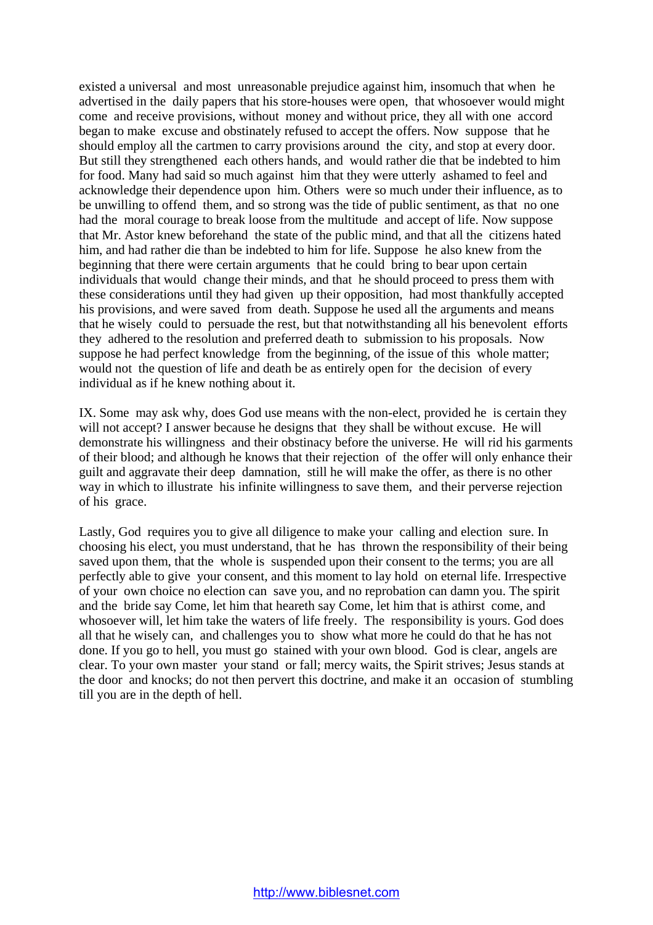existed a universal and most unreasonable prejudice against him, insomuch that when he advertised in the daily papers that his store-houses were open, that whosoever would might come and receive provisions, without money and without price, they all with one accord began to make excuse and obstinately refused to accept the offers. Now suppose that he should employ all the cartmen to carry provisions around the city, and stop at every door. But still they strengthened each others hands, and would rather die that be indebted to him for food. Many had said so much against him that they were utterly ashamed to feel and acknowledge their dependence upon him. Others were so much under their influence, as to be unwilling to offend them, and so strong was the tide of public sentiment, as that no one had the moral courage to break loose from the multitude and accept of life. Now suppose that Mr. Astor knew beforehand the state of the public mind, and that all the citizens hated him, and had rather die than be indebted to him for life. Suppose he also knew from the beginning that there were certain arguments that he could bring to bear upon certain individuals that would change their minds, and that he should proceed to press them with these considerations until they had given up their opposition, had most thankfully accepted his provisions, and were saved from death. Suppose he used all the arguments and means that he wisely could to persuade the rest, but that notwithstanding all his benevolent efforts they adhered to the resolution and preferred death to submission to his proposals. Now suppose he had perfect knowledge from the beginning, of the issue of this whole matter; would not the question of life and death be as entirely open for the decision of every individual as if he knew nothing about it.

IX. Some may ask why, does God use means with the non-elect, provided he is certain they will not accept? I answer because he designs that they shall be without excuse. He will demonstrate his willingness and their obstinacy before the universe. He will rid his garments of their blood; and although he knows that their rejection of the offer will only enhance their guilt and aggravate their deep damnation, still he will make the offer, as there is no other way in which to illustrate his infinite willingness to save them, and their perverse rejection of his grace.

Lastly, God requires you to give all diligence to make your calling and election sure. In choosing his elect, you must understand, that he has thrown the responsibility of their being saved upon them, that the whole is suspended upon their consent to the terms; you are all perfectly able to give your consent, and this moment to lay hold on eternal life. Irrespective of your own choice no election can save you, and no reprobation can damn you. The spirit and the bride say Come, let him that heareth say Come, let him that is athirst come, and whosoever will, let him take the waters of life freely. The responsibility is yours. God does all that he wisely can, and challenges you to show what more he could do that he has not done. If you go to hell, you must go stained with your own blood. God is clear, angels are clear. To your own master your stand or fall; mercy waits, the Spirit strives; Jesus stands at the door and knocks; do not then pervert this doctrine, and make it an occasion of stumbling till you are in the depth of hell.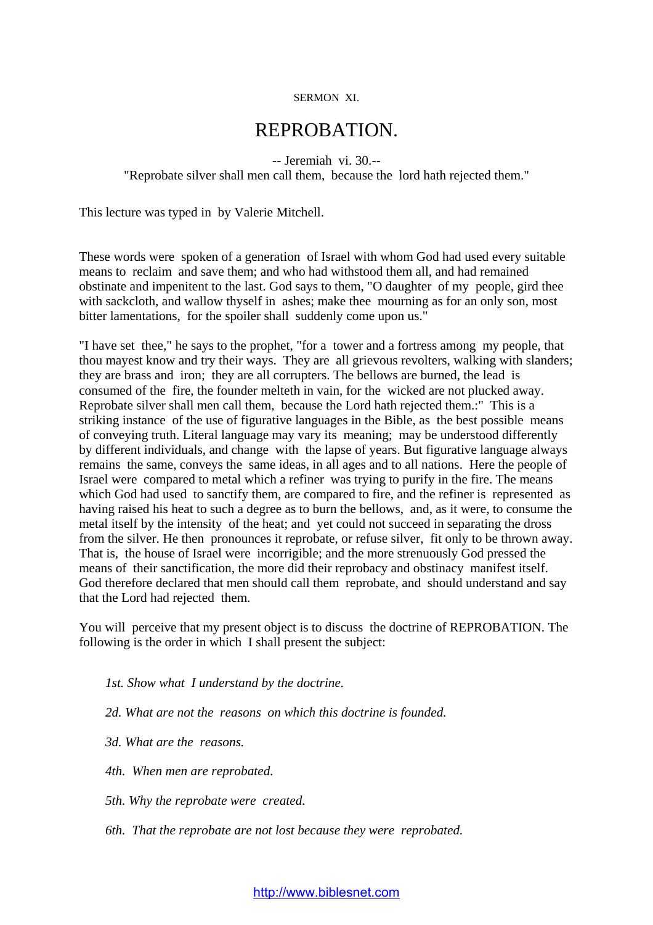#### SERMON XI.

# REPROBATION.

-- Jeremiah vi. 30.--

"Reprobate silver shall men call them, because the lord hath rejected them."

This lecture was typed in by Valerie Mitchell.

These words were spoken of a generation of Israel with whom God had used every suitable means to reclaim and save them; and who had withstood them all, and had remained obstinate and impenitent to the last. God says to them, "O daughter of my people, gird thee with sackcloth, and wallow thyself in ashes; make thee mourning as for an only son, most bitter lamentations, for the spoiler shall suddenly come upon us."

"I have set thee," he says to the prophet, "for a tower and a fortress among my people, that thou mayest know and try their ways. They are all grievous revolters, walking with slanders; they are brass and iron; they are all corrupters. The bellows are burned, the lead is consumed of the fire, the founder melteth in vain, for the wicked are not plucked away. Reprobate silver shall men call them, because the Lord hath rejected them.:" This is a striking instance of the use of figurative languages in the Bible, as the best possible means of conveying truth. Literal language may vary its meaning; may be understood differently by different individuals, and change with the lapse of years. But figurative language always remains the same, conveys the same ideas, in all ages and to all nations. Here the people of Israel were compared to metal which a refiner was trying to purify in the fire. The means which God had used to sanctify them, are compared to fire, and the refiner is represented as having raised his heat to such a degree as to burn the bellows, and, as it were, to consume the metal itself by the intensity of the heat; and yet could not succeed in separating the dross from the silver. He then pronounces it reprobate, or refuse silver, fit only to be thrown away. That is, the house of Israel were incorrigible; and the more strenuously God pressed the means of their sanctification, the more did their reprobacy and obstinacy manifest itself. God therefore declared that men should call them reprobate, and should understand and say that the Lord had rejected them.

You will perceive that my present object is to discuss the doctrine of REPROBATION. The following is the order in which I shall present the subject:

- *1st. Show what I understand by the doctrine.*
- *2d. What are not the reasons on which this doctrine is founded.*
- *3d. What are the reasons.*
- *4th. When men are reprobated.*
- *5th. Why the reprobate were created.*
- *6th. That the reprobate are not lost because they were reprobated.*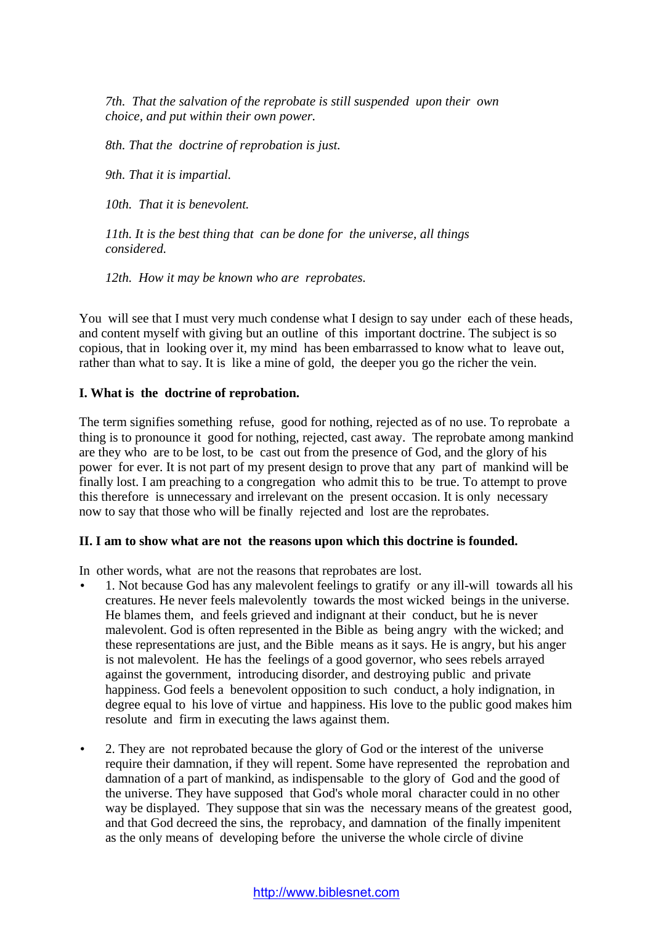*7th. That the salvation of the reprobate is still suspended upon their own choice, and put within their own power.*

*8th. That the doctrine of reprobation is just.*

*9th. That it is impartial.*

*10th. That it is benevolent.*

*11th. It is the best thing that can be done for the universe, all things considered.*

*12th. How it may be known who are reprobates.*

You will see that I must very much condense what I design to say under each of these heads, and content myself with giving but an outline of this important doctrine. The subject is so copious, that in looking over it, my mind has been embarrassed to know what to leave out, rather than what to say. It is like a mine of gold, the deeper you go the richer the vein.

## **I. What is the doctrine of reprobation.**

The term signifies something refuse, good for nothing, rejected as of no use. To reprobate a thing is to pronounce it good for nothing, rejected, cast away. The reprobate among mankind are they who are to be lost, to be cast out from the presence of God, and the glory of his power for ever. It is not part of my present design to prove that any part of mankind will be finally lost. I am preaching to a congregation who admit this to be true. To attempt to prove this therefore is unnecessary and irrelevant on the present occasion. It is only necessary now to say that those who will be finally rejected and lost are the reprobates.

#### **II. I am to show what are not the reasons upon which this doctrine is founded.**

In other words, what are not the reasons that reprobates are lost.

- 1. Not because God has any malevolent feelings to gratify or any ill-will towards all his creatures. He never feels malevolently towards the most wicked beings in the universe. He blames them, and feels grieved and indignant at their conduct, but he is never malevolent. God is often represented in the Bible as being angry with the wicked; and these representations are just, and the Bible means as it says. He is angry, but his anger is not malevolent. He has the feelings of a good governor, who sees rebels arrayed against the government, introducing disorder, and destroying public and private happiness. God feels a benevolent opposition to such conduct, a holy indignation, in degree equal to his love of virtue and happiness. His love to the public good makes him resolute and firm in executing the laws against them.
- 2. They are not reprobated because the glory of God or the interest of the universe require their damnation, if they will repent. Some have represented the reprobation and damnation of a part of mankind, as indispensable to the glory of God and the good of the universe. They have supposed that God's whole moral character could in no other way be displayed. They suppose that sin was the necessary means of the greatest good, and that God decreed the sins, the reprobacy, and damnation of the finally impenitent as the only means of developing before the universe the whole circle of divine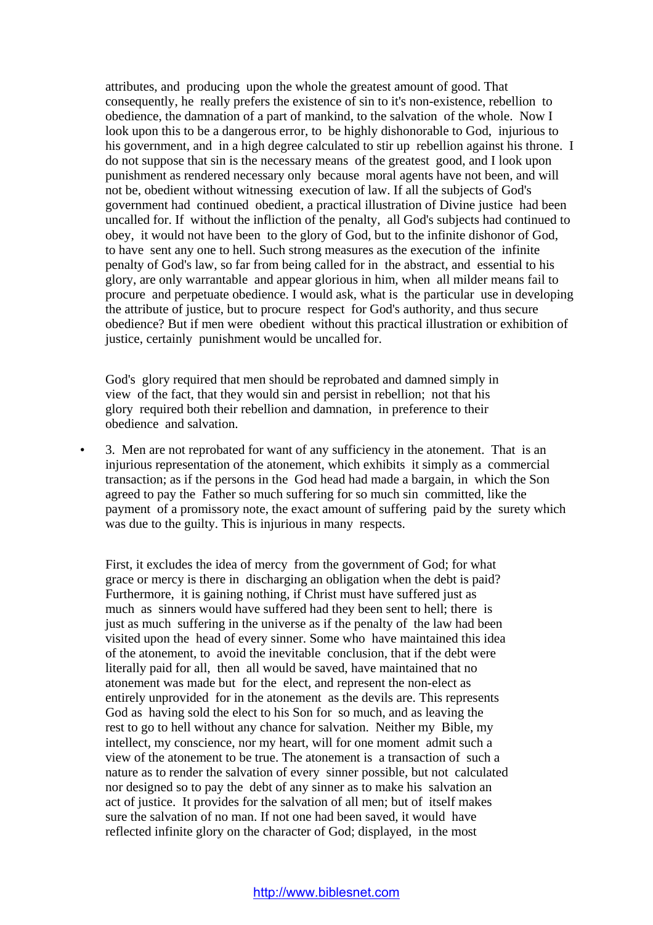attributes, and producing upon the whole the greatest amount of good. That consequently, he really prefers the existence of sin to it's non-existence, rebellion to obedience, the damnation of a part of mankind, to the salvation of the whole. Now I look upon this to be a dangerous error, to be highly dishonorable to God, injurious to his government, and in a high degree calculated to stir up rebellion against his throne. I do not suppose that sin is the necessary means of the greatest good, and I look upon punishment as rendered necessary only because moral agents have not been, and will not be, obedient without witnessing execution of law. If all the subjects of God's government had continued obedient, a practical illustration of Divine justice had been uncalled for. If without the infliction of the penalty, all God's subjects had continued to obey, it would not have been to the glory of God, but to the infinite dishonor of God, to have sent any one to hell. Such strong measures as the execution of the infinite penalty of God's law, so far from being called for in the abstract, and essential to his glory, are only warrantable and appear glorious in him, when all milder means fail to procure and perpetuate obedience. I would ask, what is the particular use in developing the attribute of justice, but to procure respect for God's authority, and thus secure obedience? But if men were obedient without this practical illustration or exhibition of justice, certainly punishment would be uncalled for.

God's glory required that men should be reprobated and damned simply in view of the fact, that they would sin and persist in rebellion; not that his glory required both their rebellion and damnation, in preference to their obedience and salvation.

• 3. Men are not reprobated for want of any sufficiency in the atonement. That is an injurious representation of the atonement, which exhibits it simply as a commercial transaction; as if the persons in the God head had made a bargain, in which the Son agreed to pay the Father so much suffering for so much sin committed, like the payment of a promissory note, the exact amount of suffering paid by the surety which was due to the guilty. This is injurious in many respects.

First, it excludes the idea of mercy from the government of God; for what grace or mercy is there in discharging an obligation when the debt is paid? Furthermore, it is gaining nothing, if Christ must have suffered just as much as sinners would have suffered had they been sent to hell; there is just as much suffering in the universe as if the penalty of the law had been visited upon the head of every sinner. Some who have maintained this idea of the atonement, to avoid the inevitable conclusion, that if the debt were literally paid for all, then all would be saved, have maintained that no atonement was made but for the elect, and represent the non-elect as entirely unprovided for in the atonement as the devils are. This represents God as having sold the elect to his Son for so much, and as leaving the rest to go to hell without any chance for salvation. Neither my Bible, my intellect, my conscience, nor my heart, will for one moment admit such a view of the atonement to be true. The atonement is a transaction of such a nature as to render the salvation of every sinner possible, but not calculated nor designed so to pay the debt of any sinner as to make his salvation an act of justice. It provides for the salvation of all men; but of itself makes sure the salvation of no man. If not one had been saved, it would have reflected infinite glory on the character of God; displayed, in the most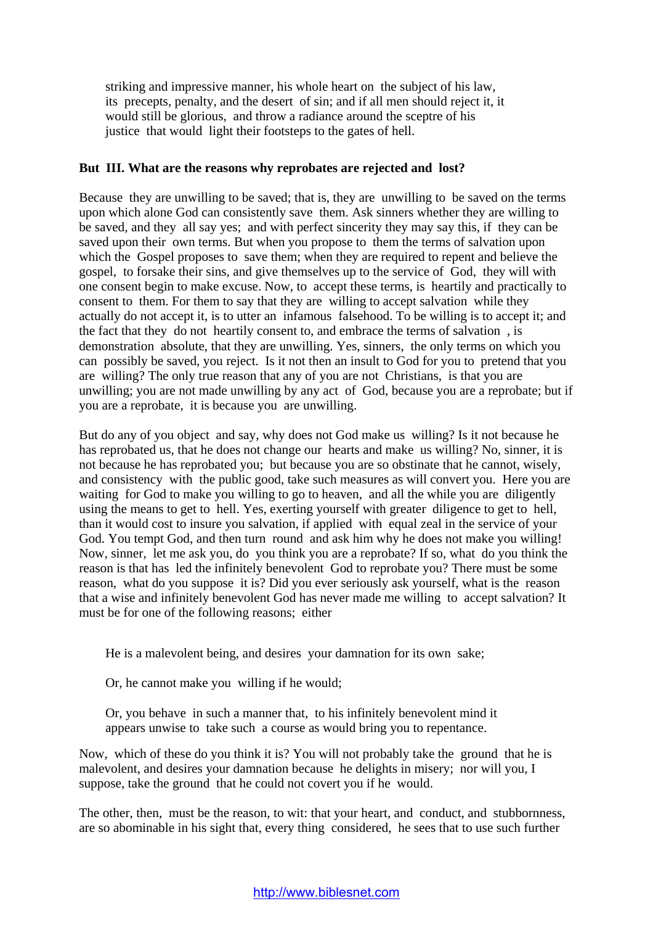striking and impressive manner, his whole heart on the subject of his law, its precepts, penalty, and the desert of sin; and if all men should reject it, it would still be glorious, and throw a radiance around the sceptre of his justice that would light their footsteps to the gates of hell.

### **But III. What are the reasons why reprobates are rejected and lost?**

Because they are unwilling to be saved; that is, they are unwilling to be saved on the terms upon which alone God can consistently save them. Ask sinners whether they are willing to be saved, and they all say yes; and with perfect sincerity they may say this, if they can be saved upon their own terms. But when you propose to them the terms of salvation upon which the Gospel proposes to save them; when they are required to repent and believe the gospel, to forsake their sins, and give themselves up to the service of God, they will with one consent begin to make excuse. Now, to accept these terms, is heartily and practically to consent to them. For them to say that they are willing to accept salvation while they actually do not accept it, is to utter an infamous falsehood. To be willing is to accept it; and the fact that they do not heartily consent to, and embrace the terms of salvation , is demonstration absolute, that they are unwilling. Yes, sinners, the only terms on which you can possibly be saved, you reject. Is it not then an insult to God for you to pretend that you are willing? The only true reason that any of you are not Christians, is that you are unwilling; you are not made unwilling by any act of God, because you are a reprobate; but if you are a reprobate, it is because you are unwilling.

But do any of you object and say, why does not God make us willing? Is it not because he has reprobated us, that he does not change our hearts and make us willing? No, sinner, it is not because he has reprobated you; but because you are so obstinate that he cannot, wisely, and consistency with the public good, take such measures as will convert you. Here you are waiting for God to make you willing to go to heaven, and all the while you are diligently using the means to get to hell. Yes, exerting yourself with greater diligence to get to hell, than it would cost to insure you salvation, if applied with equal zeal in the service of your God. You tempt God, and then turn round and ask him why he does not make you willing! Now, sinner, let me ask you, do you think you are a reprobate? If so, what do you think the reason is that has led the infinitely benevolent God to reprobate you? There must be some reason, what do you suppose it is? Did you ever seriously ask yourself, what is the reason that a wise and infinitely benevolent God has never made me willing to accept salvation? It must be for one of the following reasons; either

He is a malevolent being, and desires your damnation for its own sake;

Or, he cannot make you willing if he would;

Or, you behave in such a manner that, to his infinitely benevolent mind it appears unwise to take such a course as would bring you to repentance.

Now, which of these do you think it is? You will not probably take the ground that he is malevolent, and desires your damnation because he delights in misery; nor will you, I suppose, take the ground that he could not covert you if he would.

The other, then, must be the reason, to wit: that your heart, and conduct, and stubbornness, are so abominable in his sight that, every thing considered, he sees that to use such further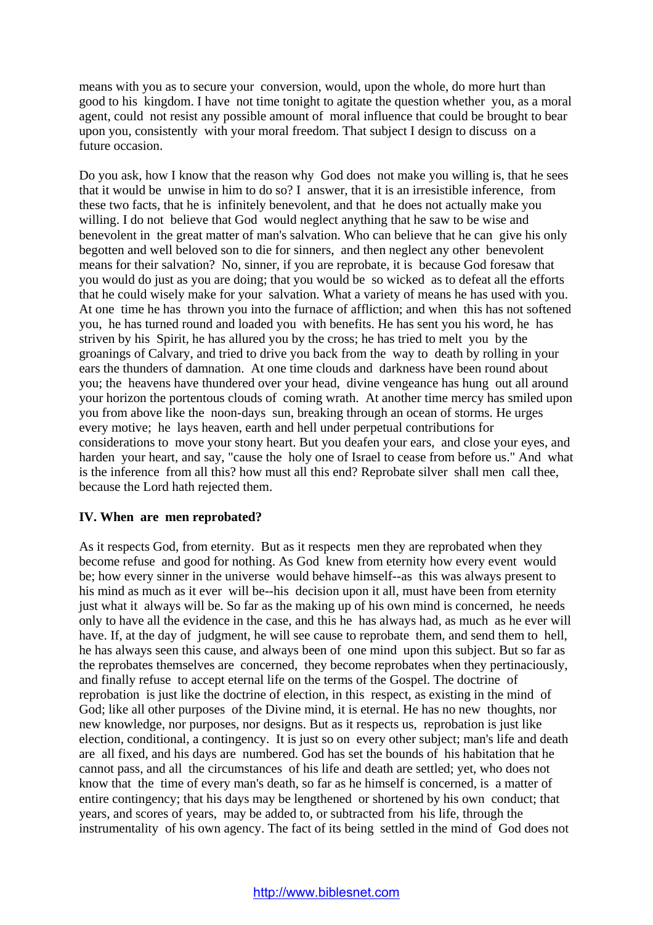means with you as to secure your conversion, would, upon the whole, do more hurt than good to his kingdom. I have not time tonight to agitate the question whether you, as a moral agent, could not resist any possible amount of moral influence that could be brought to bear upon you, consistently with your moral freedom. That subject I design to discuss on a future occasion.

Do you ask, how I know that the reason why God does not make you willing is, that he sees that it would be unwise in him to do so? I answer, that it is an irresistible inference, from these two facts, that he is infinitely benevolent, and that he does not actually make you willing. I do not believe that God would neglect anything that he saw to be wise and benevolent in the great matter of man's salvation. Who can believe that he can give his only begotten and well beloved son to die for sinners, and then neglect any other benevolent means for their salvation? No, sinner, if you are reprobate, it is because God foresaw that you would do just as you are doing; that you would be so wicked as to defeat all the efforts that he could wisely make for your salvation. What a variety of means he has used with you. At one time he has thrown you into the furnace of affliction; and when this has not softened you, he has turned round and loaded you with benefits. He has sent you his word, he has striven by his Spirit, he has allured you by the cross; he has tried to melt you by the groanings of Calvary, and tried to drive you back from the way to death by rolling in your ears the thunders of damnation. At one time clouds and darkness have been round about you; the heavens have thundered over your head, divine vengeance has hung out all around your horizon the portentous clouds of coming wrath. At another time mercy has smiled upon you from above like the noon-days sun, breaking through an ocean of storms. He urges every motive; he lays heaven, earth and hell under perpetual contributions for considerations to move your stony heart. But you deafen your ears, and close your eyes, and harden your heart, and say, "cause the holy one of Israel to cease from before us." And what is the inference from all this? how must all this end? Reprobate silver shall men call thee, because the Lord hath rejected them.

#### **IV. When are men reprobated?**

As it respects God, from eternity. But as it respects men they are reprobated when they become refuse and good for nothing. As God knew from eternity how every event would be; how every sinner in the universe would behave himself--as this was always present to his mind as much as it ever will be--his decision upon it all, must have been from eternity just what it always will be. So far as the making up of his own mind is concerned, he needs only to have all the evidence in the case, and this he has always had, as much as he ever will have. If, at the day of judgment, he will see cause to reprobate them, and send them to hell, he has always seen this cause, and always been of one mind upon this subject. But so far as the reprobates themselves are concerned, they become reprobates when they pertinaciously, and finally refuse to accept eternal life on the terms of the Gospel. The doctrine of reprobation is just like the doctrine of election, in this respect, as existing in the mind of God; like all other purposes of the Divine mind, it is eternal. He has no new thoughts, nor new knowledge, nor purposes, nor designs. But as it respects us, reprobation is just like election, conditional, a contingency. It is just so on every other subject; man's life and death are all fixed, and his days are numbered. God has set the bounds of his habitation that he cannot pass, and all the circumstances of his life and death are settled; yet, who does not know that the time of every man's death, so far as he himself is concerned, is a matter of entire contingency; that his days may be lengthened or shortened by his own conduct; that years, and scores of years, may be added to, or subtracted from his life, through the instrumentality of his own agency. The fact of its being settled in the mind of God does not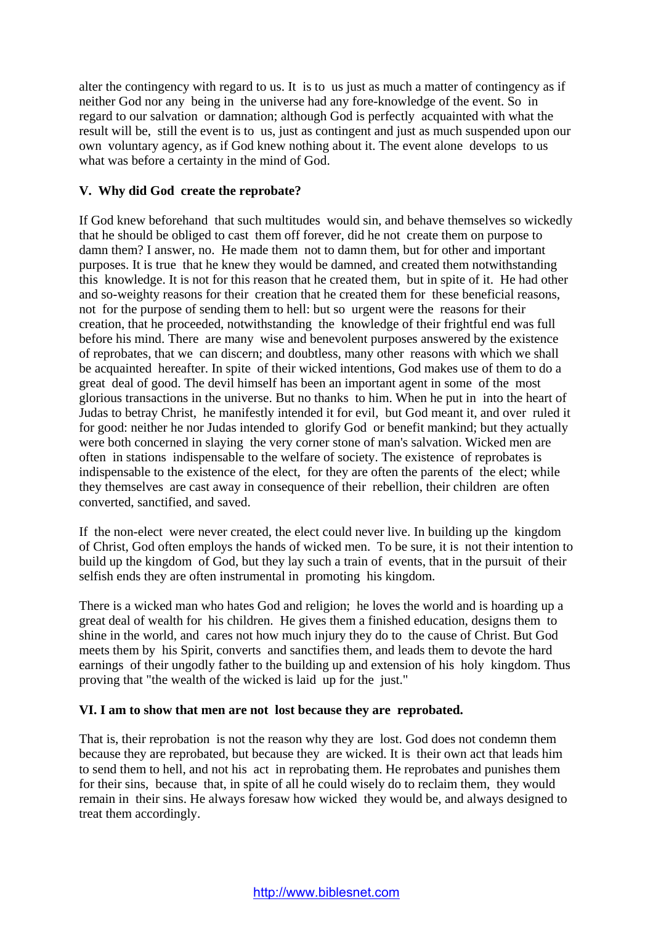alter the contingency with regard to us. It is to us just as much a matter of contingency as if neither God nor any being in the universe had any fore-knowledge of the event. So in regard to our salvation or damnation; although God is perfectly acquainted with what the result will be, still the event is to us, just as contingent and just as much suspended upon our own voluntary agency, as if God knew nothing about it. The event alone develops to us what was before a certainty in the mind of God.

## **V. Why did God create the reprobate?**

If God knew beforehand that such multitudes would sin, and behave themselves so wickedly that he should be obliged to cast them off forever, did he not create them on purpose to damn them? I answer, no. He made them not to damn them, but for other and important purposes. It is true that he knew they would be damned, and created them notwithstanding this knowledge. It is not for this reason that he created them, but in spite of it. He had other and so-weighty reasons for their creation that he created them for these beneficial reasons, not for the purpose of sending them to hell: but so urgent were the reasons for their creation, that he proceeded, notwithstanding the knowledge of their frightful end was full before his mind. There are many wise and benevolent purposes answered by the existence of reprobates, that we can discern; and doubtless, many other reasons with which we shall be acquainted hereafter. In spite of their wicked intentions, God makes use of them to do a great deal of good. The devil himself has been an important agent in some of the most glorious transactions in the universe. But no thanks to him. When he put in into the heart of Judas to betray Christ, he manifestly intended it for evil, but God meant it, and over ruled it for good: neither he nor Judas intended to glorify God or benefit mankind; but they actually were both concerned in slaying the very corner stone of man's salvation. Wicked men are often in stations indispensable to the welfare of society. The existence of reprobates is indispensable to the existence of the elect, for they are often the parents of the elect; while they themselves are cast away in consequence of their rebellion, their children are often converted, sanctified, and saved.

If the non-elect were never created, the elect could never live. In building up the kingdom of Christ, God often employs the hands of wicked men. To be sure, it is not their intention to build up the kingdom of God, but they lay such a train of events, that in the pursuit of their selfish ends they are often instrumental in promoting his kingdom.

There is a wicked man who hates God and religion; he loves the world and is hoarding up a great deal of wealth for his children. He gives them a finished education, designs them to shine in the world, and cares not how much injury they do to the cause of Christ. But God meets them by his Spirit, converts and sanctifies them, and leads them to devote the hard earnings of their ungodly father to the building up and extension of his holy kingdom. Thus proving that "the wealth of the wicked is laid up for the just."

#### **VI. I am to show that men are not lost because they are reprobated.**

That is, their reprobation is not the reason why they are lost. God does not condemn them because they are reprobated, but because they are wicked. It is their own act that leads him to send them to hell, and not his act in reprobating them. He reprobates and punishes them for their sins, because that, in spite of all he could wisely do to reclaim them, they would remain in their sins. He always foresaw how wicked they would be, and always designed to treat them accordingly.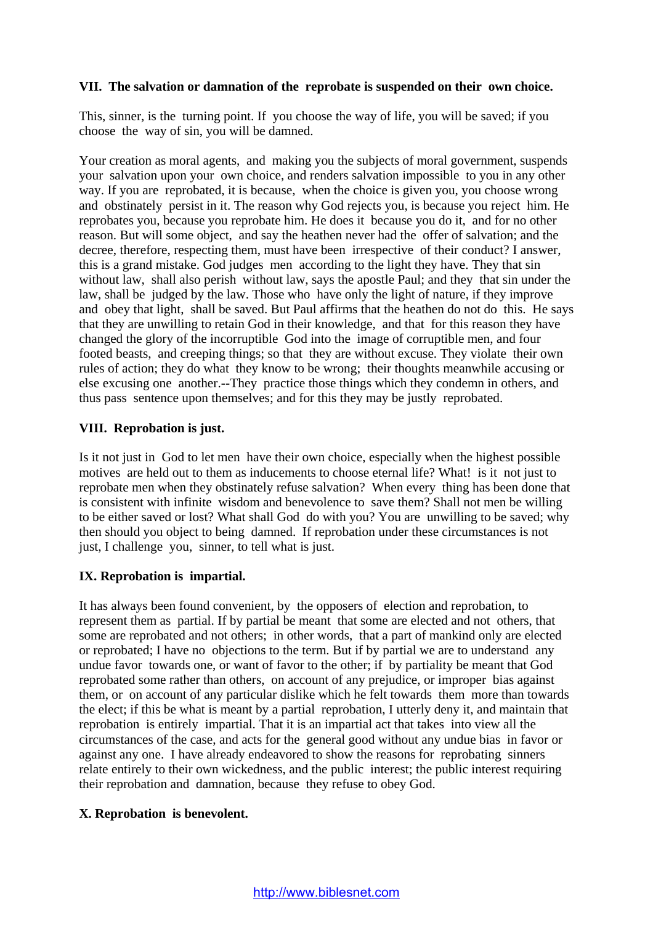### **VII. The salvation or damnation of the reprobate is suspended on their own choice.**

This, sinner, is the turning point. If you choose the way of life, you will be saved; if you choose the way of sin, you will be damned.

Your creation as moral agents, and making you the subjects of moral government, suspends your salvation upon your own choice, and renders salvation impossible to you in any other way. If you are reprobated, it is because, when the choice is given you, you choose wrong and obstinately persist in it. The reason why God rejects you, is because you reject him. He reprobates you, because you reprobate him. He does it because you do it, and for no other reason. But will some object, and say the heathen never had the offer of salvation; and the decree, therefore, respecting them, must have been irrespective of their conduct? I answer, this is a grand mistake. God judges men according to the light they have. They that sin without law, shall also perish without law, says the apostle Paul; and they that sin under the law, shall be judged by the law. Those who have only the light of nature, if they improve and obey that light, shall be saved. But Paul affirms that the heathen do not do this. He says that they are unwilling to retain God in their knowledge, and that for this reason they have changed the glory of the incorruptible God into the image of corruptible men, and four footed beasts, and creeping things; so that they are without excuse. They violate their own rules of action; they do what they know to be wrong; their thoughts meanwhile accusing or else excusing one another.--They practice those things which they condemn in others, and thus pass sentence upon themselves; and for this they may be justly reprobated.

#### **VIII. Reprobation is just.**

Is it not just in God to let men have their own choice, especially when the highest possible motives are held out to them as inducements to choose eternal life? What! is it not just to reprobate men when they obstinately refuse salvation? When every thing has been done that is consistent with infinite wisdom and benevolence to save them? Shall not men be willing to be either saved or lost? What shall God do with you? You are unwilling to be saved; why then should you object to being damned. If reprobation under these circumstances is not just, I challenge you, sinner, to tell what is just.

# **IX. Reprobation is impartial.**

It has always been found convenient, by the opposers of election and reprobation, to represent them as partial. If by partial be meant that some are elected and not others, that some are reprobated and not others; in other words, that a part of mankind only are elected or reprobated; I have no objections to the term. But if by partial we are to understand any undue favor towards one, or want of favor to the other; if by partiality be meant that God reprobated some rather than others, on account of any prejudice, or improper bias against them, or on account of any particular dislike which he felt towards them more than towards the elect; if this be what is meant by a partial reprobation, I utterly deny it, and maintain that reprobation is entirely impartial. That it is an impartial act that takes into view all the circumstances of the case, and acts for the general good without any undue bias in favor or against any one. I have already endeavored to show the reasons for reprobating sinners relate entirely to their own wickedness, and the public interest; the public interest requiring their reprobation and damnation, because they refuse to obey God.

# **X. Reprobation is benevolent.**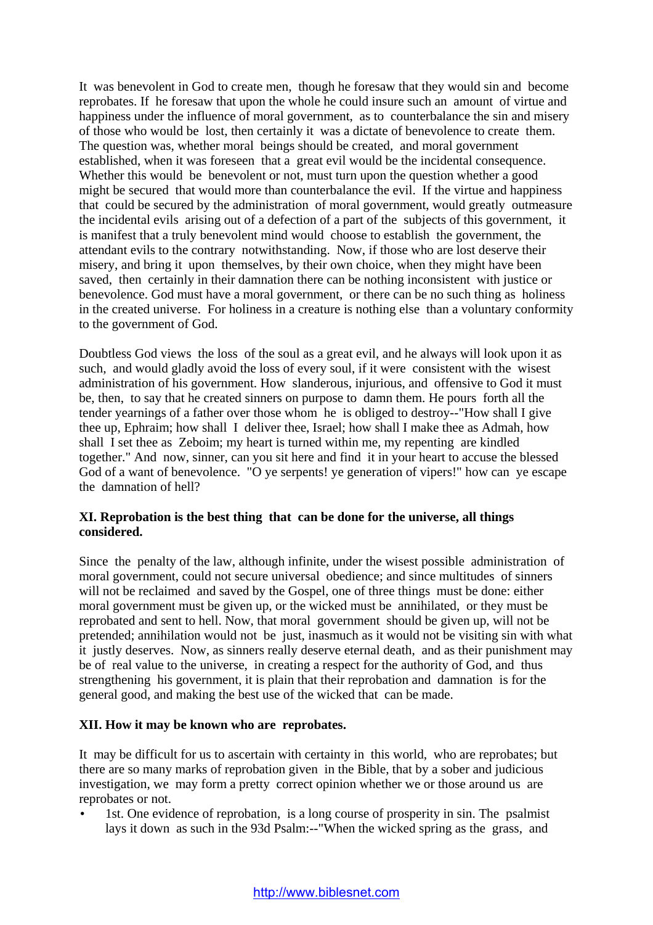It was benevolent in God to create men, though he foresaw that they would sin and become reprobates. If he foresaw that upon the whole he could insure such an amount of virtue and happiness under the influence of moral government, as to counterbalance the sin and misery of those who would be lost, then certainly it was a dictate of benevolence to create them. The question was, whether moral beings should be created, and moral government established, when it was foreseen that a great evil would be the incidental consequence. Whether this would be benevolent or not, must turn upon the question whether a good might be secured that would more than counterbalance the evil. If the virtue and happiness that could be secured by the administration of moral government, would greatly outmeasure the incidental evils arising out of a defection of a part of the subjects of this government, it is manifest that a truly benevolent mind would choose to establish the government, the attendant evils to the contrary notwithstanding. Now, if those who are lost deserve their misery, and bring it upon themselves, by their own choice, when they might have been saved, then certainly in their damnation there can be nothing inconsistent with justice or benevolence. God must have a moral government, or there can be no such thing as holiness in the created universe. For holiness in a creature is nothing else than a voluntary conformity to the government of God.

Doubtless God views the loss of the soul as a great evil, and he always will look upon it as such, and would gladly avoid the loss of every soul, if it were consistent with the wisest administration of his government. How slanderous, injurious, and offensive to God it must be, then, to say that he created sinners on purpose to damn them. He pours forth all the tender yearnings of a father over those whom he is obliged to destroy--"How shall I give thee up, Ephraim; how shall I deliver thee, Israel; how shall I make thee as Admah, how shall I set thee as Zeboim; my heart is turned within me, my repenting are kindled together." And now, sinner, can you sit here and find it in your heart to accuse the blessed God of a want of benevolence. "O ye serpents! ye generation of vipers!" how can ye escape the damnation of hell?

## **XI. Reprobation is the best thing that can be done for the universe, all things considered.**

Since the penalty of the law, although infinite, under the wisest possible administration of moral government, could not secure universal obedience; and since multitudes of sinners will not be reclaimed and saved by the Gospel, one of three things must be done: either moral government must be given up, or the wicked must be annihilated, or they must be reprobated and sent to hell. Now, that moral government should be given up, will not be pretended; annihilation would not be just, inasmuch as it would not be visiting sin with what it justly deserves. Now, as sinners really deserve eternal death, and as their punishment may be of real value to the universe, in creating a respect for the authority of God, and thus strengthening his government, it is plain that their reprobation and damnation is for the general good, and making the best use of the wicked that can be made.

#### **XII. How it may be known who are reprobates.**

It may be difficult for us to ascertain with certainty in this world, who are reprobates; but there are so many marks of reprobation given in the Bible, that by a sober and judicious investigation, we may form a pretty correct opinion whether we or those around us are reprobates or not.

1st. One evidence of reprobation, is a long course of prosperity in sin. The psalmist lays it down as such in the 93d Psalm:--"When the wicked spring as the grass, and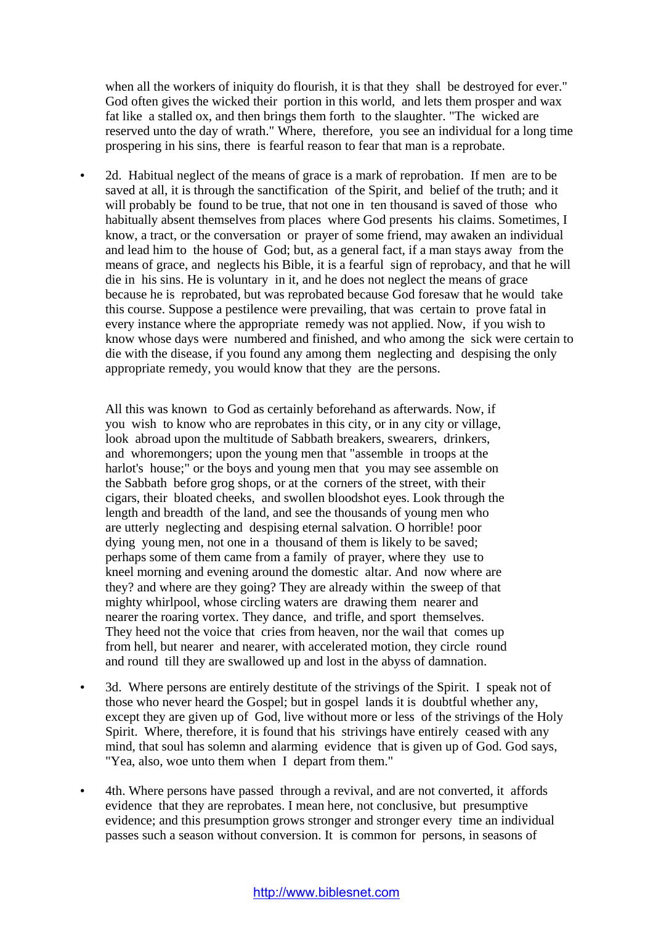when all the workers of iniquity do flourish, it is that they shall be destroyed for ever." God often gives the wicked their portion in this world, and lets them prosper and wax fat like a stalled ox, and then brings them forth to the slaughter. "The wicked are reserved unto the day of wrath." Where, therefore, you see an individual for a long time prospering in his sins, there is fearful reason to fear that man is a reprobate.

• 2d. Habitual neglect of the means of grace is a mark of reprobation. If men are to be saved at all, it is through the sanctification of the Spirit, and belief of the truth; and it will probably be found to be true, that not one in ten thousand is saved of those who habitually absent themselves from places where God presents his claims. Sometimes, I know, a tract, or the conversation or prayer of some friend, may awaken an individual and lead him to the house of God; but, as a general fact, if a man stays away from the means of grace, and neglects his Bible, it is a fearful sign of reprobacy, and that he will die in his sins. He is voluntary in it, and he does not neglect the means of grace because he is reprobated, but was reprobated because God foresaw that he would take this course. Suppose a pestilence were prevailing, that was certain to prove fatal in every instance where the appropriate remedy was not applied. Now, if you wish to know whose days were numbered and finished, and who among the sick were certain to die with the disease, if you found any among them neglecting and despising the only appropriate remedy, you would know that they are the persons.

All this was known to God as certainly beforehand as afterwards. Now, if you wish to know who are reprobates in this city, or in any city or village, look abroad upon the multitude of Sabbath breakers, swearers, drinkers, and whoremongers; upon the young men that "assemble in troops at the harlot's house;" or the boys and young men that you may see assemble on the Sabbath before grog shops, or at the corners of the street, with their cigars, their bloated cheeks, and swollen bloodshot eyes. Look through the length and breadth of the land, and see the thousands of young men who are utterly neglecting and despising eternal salvation. O horrible! poor dying young men, not one in a thousand of them is likely to be saved; perhaps some of them came from a family of prayer, where they use to kneel morning and evening around the domestic altar. And now where are they? and where are they going? They are already within the sweep of that mighty whirlpool, whose circling waters are drawing them nearer and nearer the roaring vortex. They dance, and trifle, and sport themselves. They heed not the voice that cries from heaven, nor the wail that comes up from hell, but nearer and nearer, with accelerated motion, they circle round and round till they are swallowed up and lost in the abyss of damnation.

- 3d. Where persons are entirely destitute of the strivings of the Spirit. I speak not of those who never heard the Gospel; but in gospel lands it is doubtful whether any, except they are given up of God, live without more or less of the strivings of the Holy Spirit. Where, therefore, it is found that his strivings have entirely ceased with any mind, that soul has solemn and alarming evidence that is given up of God. God says, "Yea, also, woe unto them when I depart from them."
- 4th. Where persons have passed through a revival, and are not converted, it affords evidence that they are reprobates. I mean here, not conclusive, but presumptive evidence; and this presumption grows stronger and stronger every time an individual passes such a season without conversion. It is common for persons, in seasons of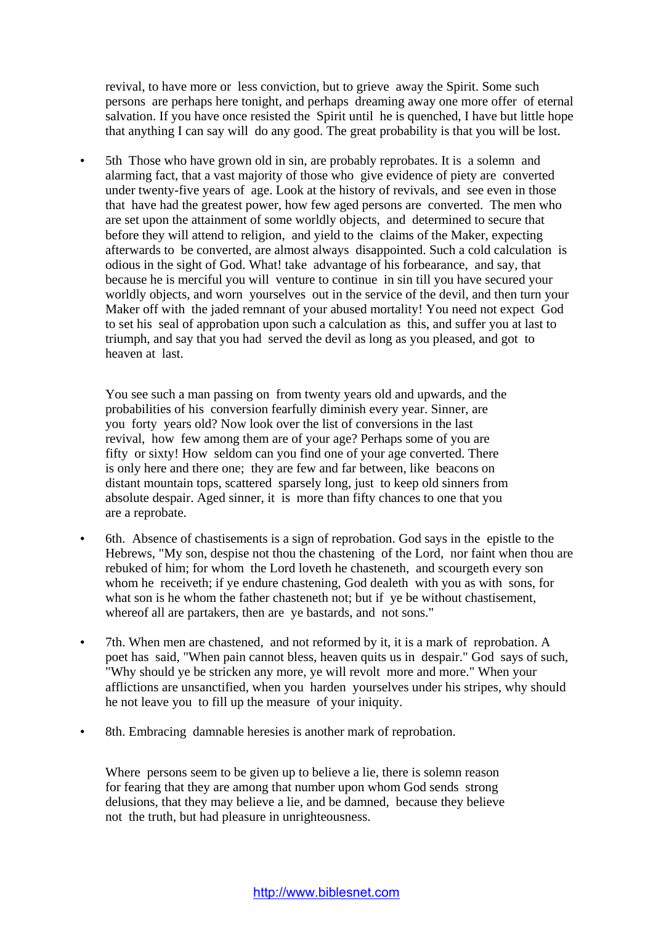revival, to have more or less conviction, but to grieve away the Spirit. Some such persons are perhaps here tonight, and perhaps dreaming away one more offer of eternal salvation. If you have once resisted the Spirit until he is quenched, I have but little hope that anything I can say will do any good. The great probability is that you will be lost.

• 5th Those who have grown old in sin, are probably reprobates. It is a solemn and alarming fact, that a vast majority of those who give evidence of piety are converted under twenty-five years of age. Look at the history of revivals, and see even in those that have had the greatest power, how few aged persons are converted. The men who are set upon the attainment of some worldly objects, and determined to secure that before they will attend to religion, and yield to the claims of the Maker, expecting afterwards to be converted, are almost always disappointed. Such a cold calculation is odious in the sight of God. What! take advantage of his forbearance, and say, that because he is merciful you will venture to continue in sin till you have secured your worldly objects, and worn yourselves out in the service of the devil, and then turn your Maker off with the jaded remnant of your abused mortality! You need not expect God to set his seal of approbation upon such a calculation as this, and suffer you at last to triumph, and say that you had served the devil as long as you pleased, and got to heaven at last.

You see such a man passing on from twenty years old and upwards, and the probabilities of his conversion fearfully diminish every year. Sinner, are you forty years old? Now look over the list of conversions in the last revival, how few among them are of your age? Perhaps some of you are fifty or sixty! How seldom can you find one of your age converted. There is only here and there one; they are few and far between, like beacons on distant mountain tops, scattered sparsely long, just to keep old sinners from absolute despair. Aged sinner, it is more than fifty chances to one that you are a reprobate.

- 6th. Absence of chastisements is a sign of reprobation. God says in the epistle to the Hebrews, "My son, despise not thou the chastening of the Lord, nor faint when thou are rebuked of him; for whom the Lord loveth he chasteneth, and scourgeth every son whom he receiveth; if ye endure chastening, God dealeth with you as with sons, for what son is he whom the father chasteneth not; but if ye be without chastisement, whereof all are partakers, then are ye bastards, and not sons."
- 7th. When men are chastened, and not reformed by it, it is a mark of reprobation. A poet has said, "When pain cannot bless, heaven quits us in despair." God says of such, "Why should ye be stricken any more, ye will revolt more and more." When your afflictions are unsanctified, when you harden yourselves under his stripes, why should he not leave you to fill up the measure of your iniquity.
- 8th. Embracing damnable heresies is another mark of reprobation.

Where persons seem to be given up to believe a lie, there is solemn reason for fearing that they are among that number upon whom God sends strong delusions, that they may believe a lie, and be damned, because they believe not the truth, but had pleasure in unrighteousness.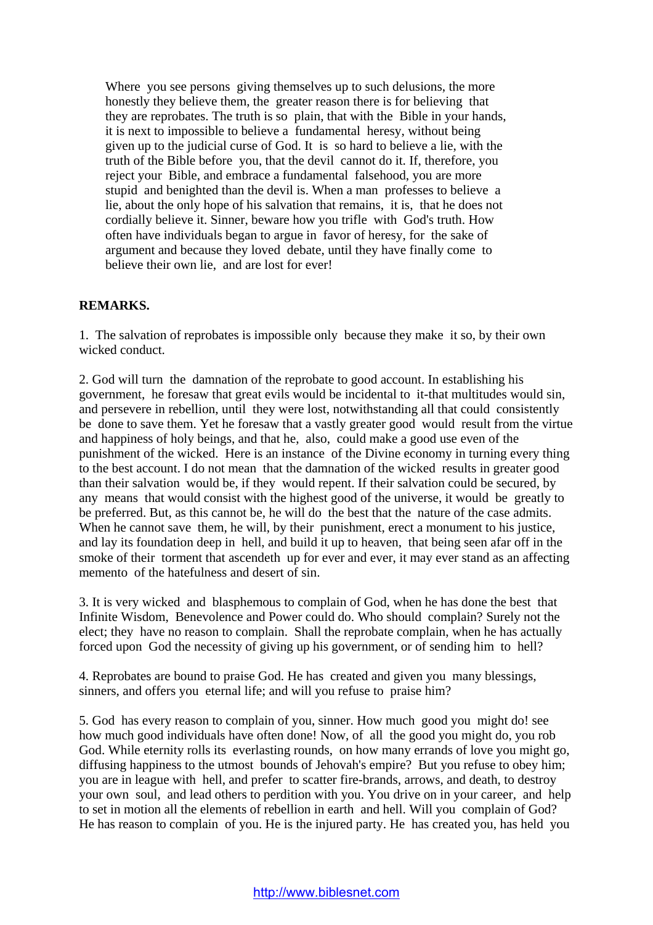Where you see persons giving themselves up to such delusions, the more honestly they believe them, the greater reason there is for believing that they are reprobates. The truth is so plain, that with the Bible in your hands, it is next to impossible to believe a fundamental heresy, without being given up to the judicial curse of God. It is so hard to believe a lie, with the truth of the Bible before you, that the devil cannot do it. If, therefore, you reject your Bible, and embrace a fundamental falsehood, you are more stupid and benighted than the devil is. When a man professes to believe a lie, about the only hope of his salvation that remains, it is, that he does not cordially believe it. Sinner, beware how you trifle with God's truth. How often have individuals began to argue in favor of heresy, for the sake of argument and because they loved debate, until they have finally come to believe their own lie, and are lost for ever!

# **REMARKS.**

1. The salvation of reprobates is impossible only because they make it so, by their own wicked conduct.

2. God will turn the damnation of the reprobate to good account. In establishing his government, he foresaw that great evils would be incidental to it-that multitudes would sin, and persevere in rebellion, until they were lost, notwithstanding all that could consistently be done to save them. Yet he foresaw that a vastly greater good would result from the virtue and happiness of holy beings, and that he, also, could make a good use even of the punishment of the wicked. Here is an instance of the Divine economy in turning every thing to the best account. I do not mean that the damnation of the wicked results in greater good than their salvation would be, if they would repent. If their salvation could be secured, by any means that would consist with the highest good of the universe, it would be greatly to be preferred. But, as this cannot be, he will do the best that the nature of the case admits. When he cannot save them, he will, by their punishment, erect a monument to his justice, and lay its foundation deep in hell, and build it up to heaven, that being seen afar off in the smoke of their torment that ascendeth up for ever and ever, it may ever stand as an affecting memento of the hatefulness and desert of sin.

3. It is very wicked and blasphemous to complain of God, when he has done the best that Infinite Wisdom, Benevolence and Power could do. Who should complain? Surely not the elect; they have no reason to complain. Shall the reprobate complain, when he has actually forced upon God the necessity of giving up his government, or of sending him to hell?

4. Reprobates are bound to praise God. He has created and given you many blessings, sinners, and offers you eternal life; and will you refuse to praise him?

5. God has every reason to complain of you, sinner. How much good you might do! see how much good individuals have often done! Now, of all the good you might do, you rob God. While eternity rolls its everlasting rounds, on how many errands of love you might go, diffusing happiness to the utmost bounds of Jehovah's empire? But you refuse to obey him; you are in league with hell, and prefer to scatter fire-brands, arrows, and death, to destroy your own soul, and lead others to perdition with you. You drive on in your career, and help to set in motion all the elements of rebellion in earth and hell. Will you complain of God? He has reason to complain of you. He is the injured party. He has created you, has held you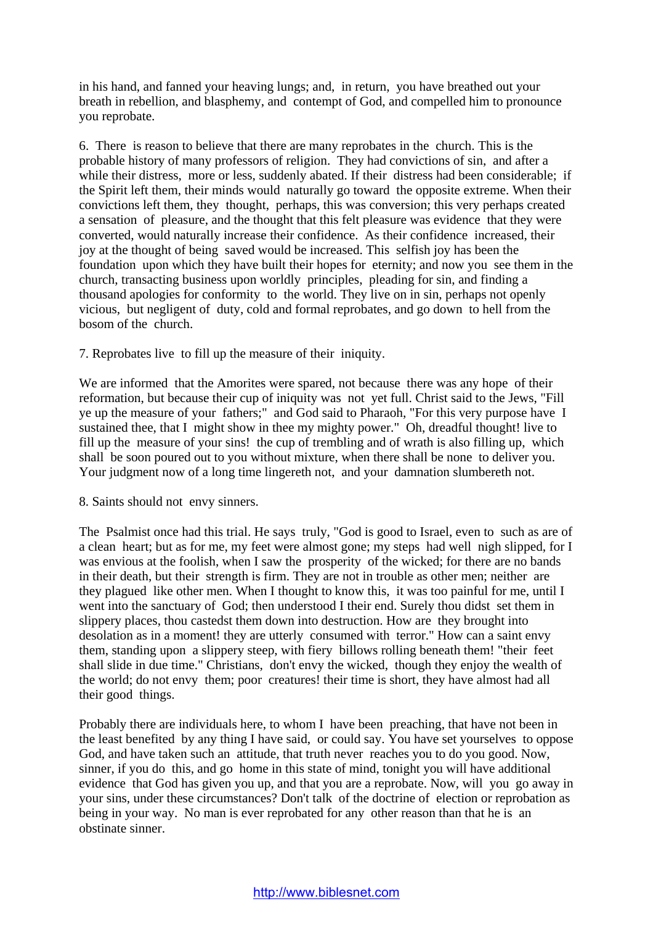in his hand, and fanned your heaving lungs; and, in return, you have breathed out your breath in rebellion, and blasphemy, and contempt of God, and compelled him to pronounce you reprobate.

6. There is reason to believe that there are many reprobates in the church. This is the probable history of many professors of religion. They had convictions of sin, and after a while their distress, more or less, suddenly abated. If their distress had been considerable; if the Spirit left them, their minds would naturally go toward the opposite extreme. When their convictions left them, they thought, perhaps, this was conversion; this very perhaps created a sensation of pleasure, and the thought that this felt pleasure was evidence that they were converted, would naturally increase their confidence. As their confidence increased, their joy at the thought of being saved would be increased. This selfish joy has been the foundation upon which they have built their hopes for eternity; and now you see them in the church, transacting business upon worldly principles, pleading for sin, and finding a thousand apologies for conformity to the world. They live on in sin, perhaps not openly vicious, but negligent of duty, cold and formal reprobates, and go down to hell from the bosom of the church.

7. Reprobates live to fill up the measure of their iniquity.

We are informed that the Amorites were spared, not because there was any hope of their reformation, but because their cup of iniquity was not yet full. Christ said to the Jews, "Fill ye up the measure of your fathers;" and God said to Pharaoh, "For this very purpose have I sustained thee, that I might show in thee my mighty power." Oh, dreadful thought! live to fill up the measure of your sins! the cup of trembling and of wrath is also filling up, which shall be soon poured out to you without mixture, when there shall be none to deliver you. Your judgment now of a long time lingereth not, and your damnation slumbereth not.

8. Saints should not envy sinners.

The Psalmist once had this trial. He says truly, "God is good to Israel, even to such as are of a clean heart; but as for me, my feet were almost gone; my steps had well nigh slipped, for I was envious at the foolish, when I saw the prosperity of the wicked; for there are no bands in their death, but their strength is firm. They are not in trouble as other men; neither are they plagued like other men. When I thought to know this, it was too painful for me, until I went into the sanctuary of God; then understood I their end. Surely thou didst set them in slippery places, thou castedst them down into destruction. How are they brought into desolation as in a moment! they are utterly consumed with terror." How can a saint envy them, standing upon a slippery steep, with fiery billows rolling beneath them! "their feet shall slide in due time." Christians, don't envy the wicked, though they enjoy the wealth of the world; do not envy them; poor creatures! their time is short, they have almost had all their good things.

Probably there are individuals here, to whom I have been preaching, that have not been in the least benefited by any thing I have said, or could say. You have set yourselves to oppose God, and have taken such an attitude, that truth never reaches you to do you good. Now, sinner, if you do this, and go home in this state of mind, tonight you will have additional evidence that God has given you up, and that you are a reprobate. Now, will you go away in your sins, under these circumstances? Don't talk of the doctrine of election or reprobation as being in your way. No man is ever reprobated for any other reason than that he is an obstinate sinner.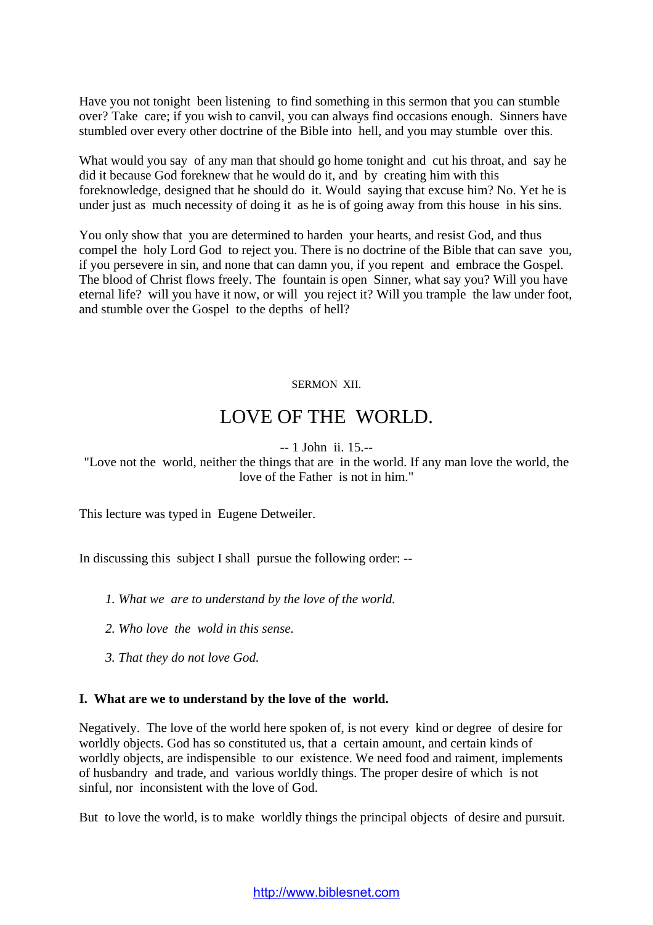Have you not tonight been listening to find something in this sermon that you can stumble over? Take care; if you wish to canvil, you can always find occasions enough. Sinners have stumbled over every other doctrine of the Bible into hell, and you may stumble over this.

What would you say of any man that should go home tonight and cut his throat, and say he did it because God foreknew that he would do it, and by creating him with this foreknowledge, designed that he should do it. Would saying that excuse him? No. Yet he is under just as much necessity of doing it as he is of going away from this house in his sins.

You only show that you are determined to harden your hearts, and resist God, and thus compel the holy Lord God to reject you. There is no doctrine of the Bible that can save you, if you persevere in sin, and none that can damn you, if you repent and embrace the Gospel. The blood of Christ flows freely. The fountain is open Sinner, what say you? Will you have eternal life? will you have it now, or will you reject it? Will you trample the law under foot, and stumble over the Gospel to the depths of hell?

# SERMON XII.

# LOVE OF THE WORLD.

# -- 1 John ii. 15.--

"Love not the world, neither the things that are in the world. If any man love the world, the love of the Father is not in him."

This lecture was typed in Eugene Detweiler.

In discussing this subject I shall pursue the following order: --

*1. What we are to understand by the love of the world.*

- *2. Who love the wold in this sense.*
- *3. That they do not love God.*

#### **I. What are we to understand by the love of the world.**

Negatively. The love of the world here spoken of, is not every kind or degree of desire for worldly objects. God has so constituted us, that a certain amount, and certain kinds of worldly objects, are indispensible to our existence. We need food and raiment, implements of husbandry and trade, and various worldly things. The proper desire of which is not sinful, nor inconsistent with the love of God.

But to love the world, is to make worldly things the principal objects of desire and pursuit.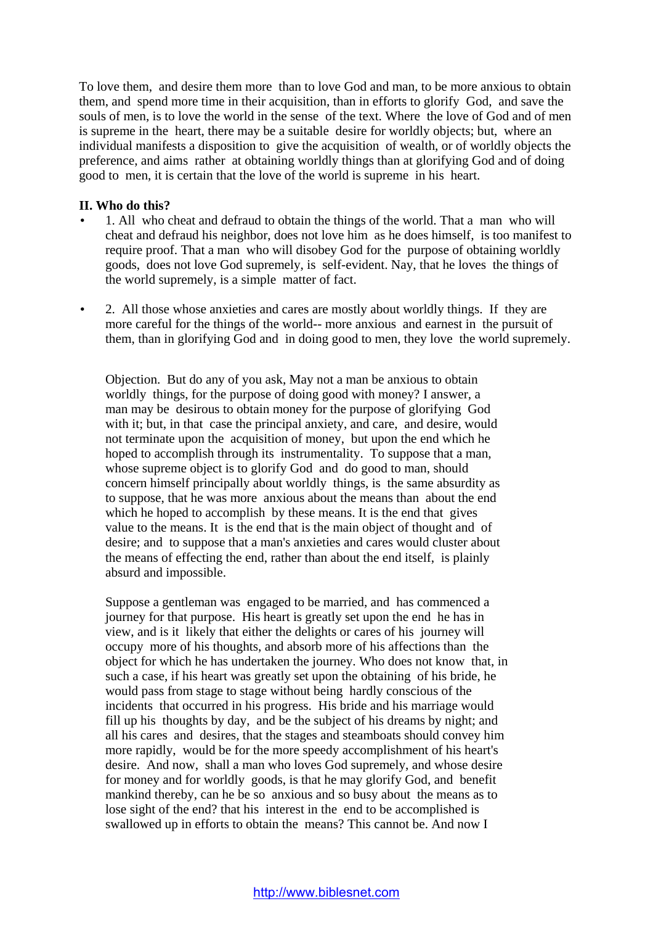To love them, and desire them more than to love God and man, to be more anxious to obtain them, and spend more time in their acquisition, than in efforts to glorify God, and save the souls of men, is to love the world in the sense of the text. Where the love of God and of men is supreme in the heart, there may be a suitable desire for worldly objects; but, where an individual manifests a disposition to give the acquisition of wealth, or of worldly objects the preference, and aims rather at obtaining worldly things than at glorifying God and of doing good to men, it is certain that the love of the world is supreme in his heart.

#### **II. Who do this?**

- 1. All who cheat and defraud to obtain the things of the world. That a man who will cheat and defraud his neighbor, does not love him as he does himself, is too manifest to require proof. That a man who will disobey God for the purpose of obtaining worldly goods, does not love God supremely, is self-evident. Nay, that he loves the things of the world supremely, is a simple matter of fact.
- 2. All those whose anxieties and cares are mostly about worldly things. If they are more careful for the things of the world-- more anxious and earnest in the pursuit of them, than in glorifying God and in doing good to men, they love the world supremely.

Objection. But do any of you ask, May not a man be anxious to obtain worldly things, for the purpose of doing good with money? I answer, a man may be desirous to obtain money for the purpose of glorifying God with it; but, in that case the principal anxiety, and care, and desire, would not terminate upon the acquisition of money, but upon the end which he hoped to accomplish through its instrumentality. To suppose that a man, whose supreme object is to glorify God and do good to man, should concern himself principally about worldly things, is the same absurdity as to suppose, that he was more anxious about the means than about the end which he hoped to accomplish by these means. It is the end that gives value to the means. It is the end that is the main object of thought and of desire; and to suppose that a man's anxieties and cares would cluster about the means of effecting the end, rather than about the end itself, is plainly absurd and impossible.

Suppose a gentleman was engaged to be married, and has commenced a journey for that purpose. His heart is greatly set upon the end he has in view, and is it likely that either the delights or cares of his journey will occupy more of his thoughts, and absorb more of his affections than the object for which he has undertaken the journey. Who does not know that, in such a case, if his heart was greatly set upon the obtaining of his bride, he would pass from stage to stage without being hardly conscious of the incidents that occurred in his progress. His bride and his marriage would fill up his thoughts by day, and be the subject of his dreams by night; and all his cares and desires, that the stages and steamboats should convey him more rapidly, would be for the more speedy accomplishment of his heart's desire. And now, shall a man who loves God supremely, and whose desire for money and for worldly goods, is that he may glorify God, and benefit mankind thereby, can he be so anxious and so busy about the means as to lose sight of the end? that his interest in the end to be accomplished is swallowed up in efforts to obtain the means? This cannot be. And now I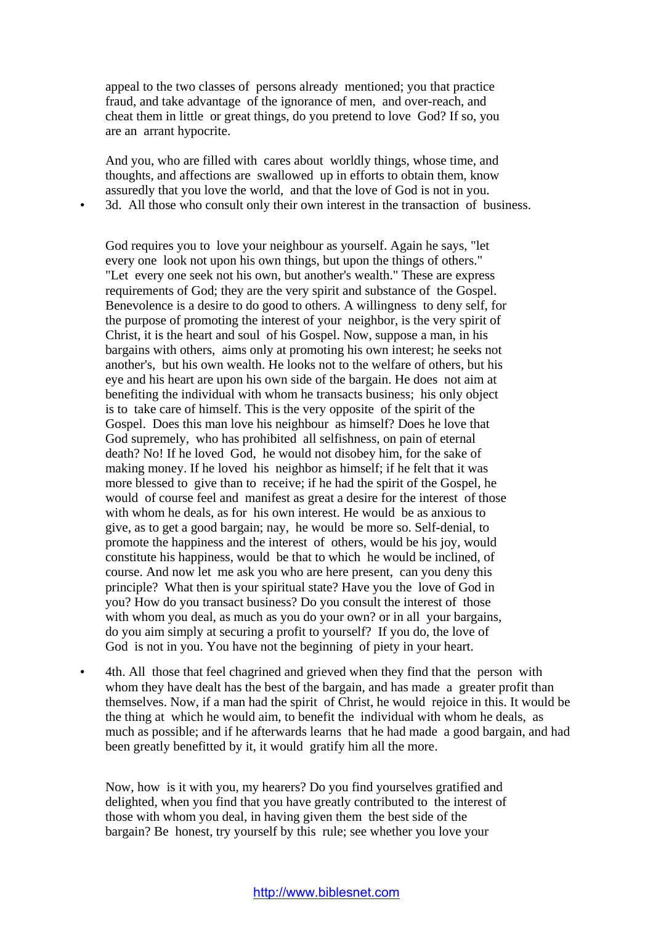appeal to the two classes of persons already mentioned; you that practice fraud, and take advantage of the ignorance of men, and over-reach, and cheat them in little or great things, do you pretend to love God? If so, you are an arrant hypocrite.

And you, who are filled with cares about worldly things, whose time, and thoughts, and affections are swallowed up in efforts to obtain them, know assuredly that you love the world, and that the love of God is not in you. 3d. All those who consult only their own interest in the transaction of business.

God requires you to love your neighbour as yourself. Again he says, "let every one look not upon his own things, but upon the things of others." "Let every one seek not his own, but another's wealth." These are express requirements of God; they are the very spirit and substance of the Gospel. Benevolence is a desire to do good to others. A willingness to deny self, for the purpose of promoting the interest of your neighbor, is the very spirit of Christ, it is the heart and soul of his Gospel. Now, suppose a man, in his bargains with others, aims only at promoting his own interest; he seeks not another's, but his own wealth. He looks not to the welfare of others, but his eye and his heart are upon his own side of the bargain. He does not aim at benefiting the individual with whom he transacts business; his only object is to take care of himself. This is the very opposite of the spirit of the Gospel. Does this man love his neighbour as himself? Does he love that God supremely, who has prohibited all selfishness, on pain of eternal death? No! If he loved God, he would not disobey him, for the sake of making money. If he loved his neighbor as himself; if he felt that it was more blessed to give than to receive; if he had the spirit of the Gospel, he would of course feel and manifest as great a desire for the interest of those with whom he deals, as for his own interest. He would be as anxious to give, as to get a good bargain; nay, he would be more so. Self-denial, to promote the happiness and the interest of others, would be his joy, would constitute his happiness, would be that to which he would be inclined, of course. And now let me ask you who are here present, can you deny this principle? What then is your spiritual state? Have you the love of God in you? How do you transact business? Do you consult the interest of those with whom you deal, as much as you do your own? or in all your bargains, do you aim simply at securing a profit to yourself? If you do, the love of God is not in you. You have not the beginning of piety in your heart.

• 4th. All those that feel chagrined and grieved when they find that the person with whom they have dealt has the best of the bargain, and has made a greater profit than themselves. Now, if a man had the spirit of Christ, he would rejoice in this. It would be the thing at which he would aim, to benefit the individual with whom he deals, as much as possible; and if he afterwards learns that he had made a good bargain, and had been greatly benefitted by it, it would gratify him all the more.

Now, how is it with you, my hearers? Do you find yourselves gratified and delighted, when you find that you have greatly contributed to the interest of those with whom you deal, in having given them the best side of the bargain? Be honest, try yourself by this rule; see whether you love your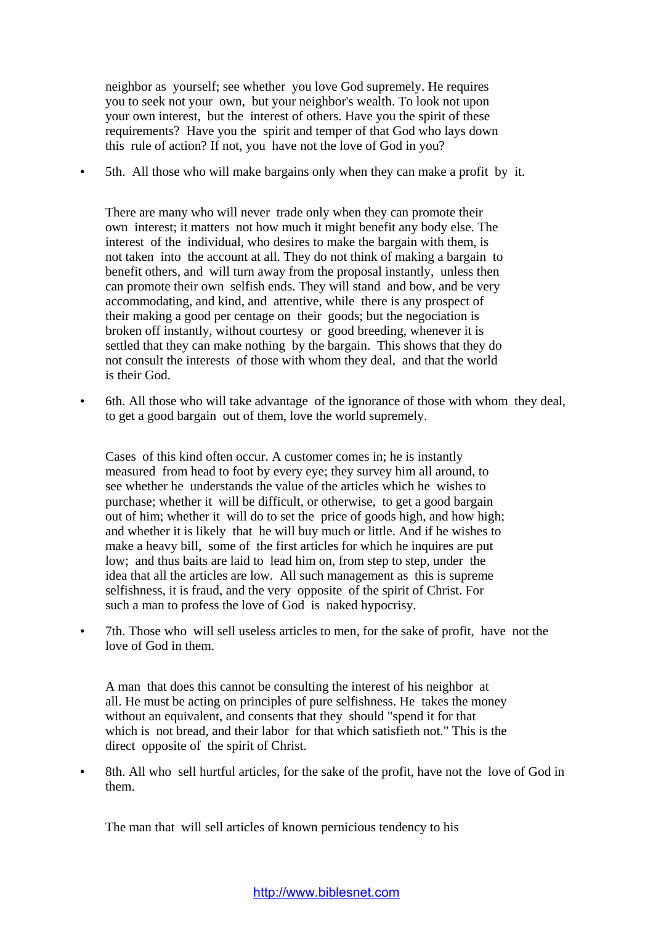neighbor as yourself; see whether you love God supremely. He requires you to seek not your own, but your neighbor's wealth. To look not upon your own interest, but the interest of others. Have you the spirit of these requirements? Have you the spirit and temper of that God who lays down this rule of action? If not, you have not the love of God in you?

• 5th. All those who will make bargains only when they can make a profit by it.

There are many who will never trade only when they can promote their own interest; it matters not how much it might benefit any body else. The interest of the individual, who desires to make the bargain with them, is not taken into the account at all. They do not think of making a bargain to benefit others, and will turn away from the proposal instantly, unless then can promote their own selfish ends. They will stand and bow, and be very accommodating, and kind, and attentive, while there is any prospect of their making a good per centage on their goods; but the negociation is broken off instantly, without courtesy or good breeding, whenever it is settled that they can make nothing by the bargain. This shows that they do not consult the interests of those with whom they deal, and that the world is their God.

• 6th. All those who will take advantage of the ignorance of those with whom they deal, to get a good bargain out of them, love the world supremely.

Cases of this kind often occur. A customer comes in; he is instantly measured from head to foot by every eye; they survey him all around, to see whether he understands the value of the articles which he wishes to purchase; whether it will be difficult, or otherwise, to get a good bargain out of him; whether it will do to set the price of goods high, and how high; and whether it is likely that he will buy much or little. And if he wishes to make a heavy bill, some of the first articles for which he inquires are put low; and thus baits are laid to lead him on, from step to step, under the idea that all the articles are low. All such management as this is supreme selfishness, it is fraud, and the very opposite of the spirit of Christ. For such a man to profess the love of God is naked hypocrisy.

• 7th. Those who will sell useless articles to men, for the sake of profit, have not the love of God in them.

A man that does this cannot be consulting the interest of his neighbor at all. He must be acting on principles of pure selfishness. He takes the money without an equivalent, and consents that they should "spend it for that which is not bread, and their labor for that which satisfieth not." This is the direct opposite of the spirit of Christ.

• 8th. All who sell hurtful articles, for the sake of the profit, have not the love of God in them.

The man that will sell articles of known pernicious tendency to his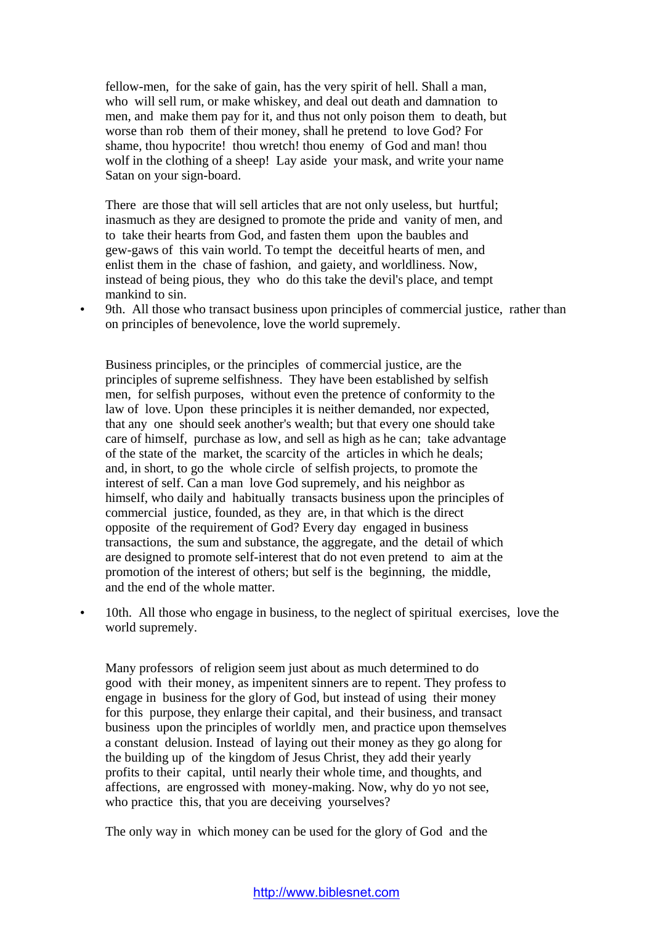fellow-men, for the sake of gain, has the very spirit of hell. Shall a man, who will sell rum, or make whiskey, and deal out death and damnation to men, and make them pay for it, and thus not only poison them to death, but worse than rob them of their money, shall he pretend to love God? For shame, thou hypocrite! thou wretch! thou enemy of God and man! thou wolf in the clothing of a sheep! Lay aside your mask, and write your name Satan on your sign-board.

There are those that will sell articles that are not only useless, but hurtful; inasmuch as they are designed to promote the pride and vanity of men, and to take their hearts from God, and fasten them upon the baubles and gew-gaws of this vain world. To tempt the deceitful hearts of men, and enlist them in the chase of fashion, and gaiety, and worldliness. Now, instead of being pious, they who do this take the devil's place, and tempt mankind to sin.

• 9th. All those who transact business upon principles of commercial justice, rather than on principles of benevolence, love the world supremely.

Business principles, or the principles of commercial justice, are the principles of supreme selfishness. They have been established by selfish men, for selfish purposes, without even the pretence of conformity to the law of love. Upon these principles it is neither demanded, nor expected, that any one should seek another's wealth; but that every one should take care of himself, purchase as low, and sell as high as he can; take advantage of the state of the market, the scarcity of the articles in which he deals; and, in short, to go the whole circle of selfish projects, to promote the interest of self. Can a man love God supremely, and his neighbor as himself, who daily and habitually transacts business upon the principles of commercial justice, founded, as they are, in that which is the direct opposite of the requirement of God? Every day engaged in business transactions, the sum and substance, the aggregate, and the detail of which are designed to promote self-interest that do not even pretend to aim at the promotion of the interest of others; but self is the beginning, the middle, and the end of the whole matter.

• 10th. All those who engage in business, to the neglect of spiritual exercises, love the world supremely.

Many professors of religion seem just about as much determined to do good with their money, as impenitent sinners are to repent. They profess to engage in business for the glory of God, but instead of using their money for this purpose, they enlarge their capital, and their business, and transact business upon the principles of worldly men, and practice upon themselves a constant delusion. Instead of laying out their money as they go along for the building up of the kingdom of Jesus Christ, they add their yearly profits to their capital, until nearly their whole time, and thoughts, and affections, are engrossed with money-making. Now, why do yo not see, who practice this, that you are deceiving yourselves?

The only way in which money can be used for the glory of God and the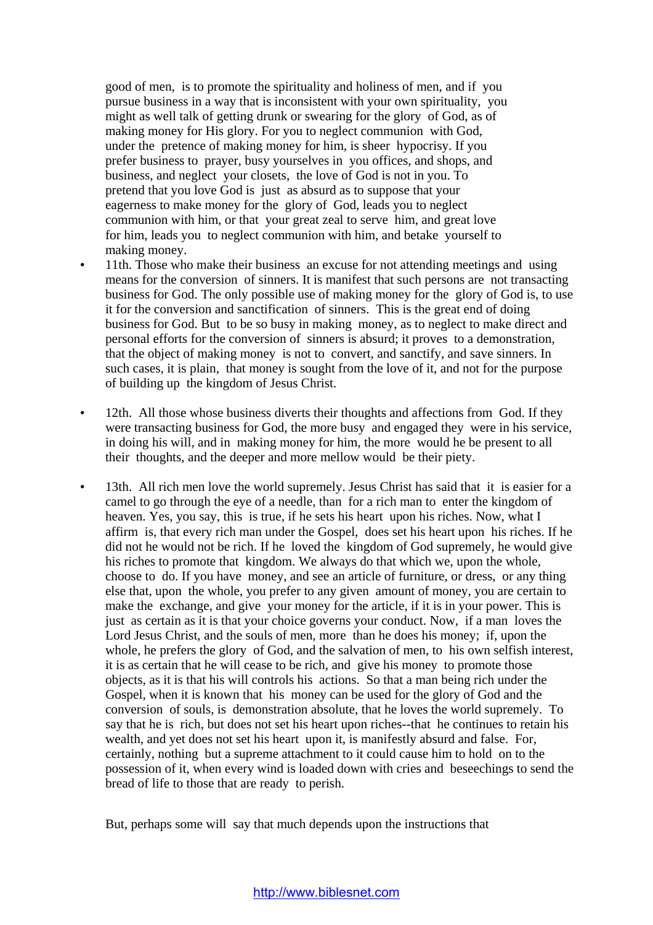good of men, is to promote the spirituality and holiness of men, and if you pursue business in a way that is inconsistent with your own spirituality, you might as well talk of getting drunk or swearing for the glory of God, as of making money for His glory. For you to neglect communion with God, under the pretence of making money for him, is sheer hypocrisy. If you prefer business to prayer, busy yourselves in you offices, and shops, and business, and neglect your closets, the love of God is not in you. To pretend that you love God is just as absurd as to suppose that your eagerness to make money for the glory of God, leads you to neglect communion with him, or that your great zeal to serve him, and great love for him, leads you to neglect communion with him, and betake yourself to making money.

- 11th. Those who make their business an excuse for not attending meetings and using means for the conversion of sinners. It is manifest that such persons are not transacting business for God. The only possible use of making money for the glory of God is, to use it for the conversion and sanctification of sinners. This is the great end of doing business for God. But to be so busy in making money, as to neglect to make direct and personal efforts for the conversion of sinners is absurd; it proves to a demonstration, that the object of making money is not to convert, and sanctify, and save sinners. In such cases, it is plain, that money is sought from the love of it, and not for the purpose of building up the kingdom of Jesus Christ.
- 12th. All those whose business diverts their thoughts and affections from God. If they were transacting business for God, the more busy and engaged they were in his service, in doing his will, and in making money for him, the more would he be present to all their thoughts, and the deeper and more mellow would be their piety.
- 13th. All rich men love the world supremely. Jesus Christ has said that it is easier for a camel to go through the eye of a needle, than for a rich man to enter the kingdom of heaven. Yes, you say, this is true, if he sets his heart upon his riches. Now, what I affirm is, that every rich man under the Gospel, does set his heart upon his riches. If he did not he would not be rich. If he loved the kingdom of God supremely, he would give his riches to promote that kingdom. We always do that which we, upon the whole, choose to do. If you have money, and see an article of furniture, or dress, or any thing else that, upon the whole, you prefer to any given amount of money, you are certain to make the exchange, and give your money for the article, if it is in your power. This is just as certain as it is that your choice governs your conduct. Now, if a man loves the Lord Jesus Christ, and the souls of men, more than he does his money; if, upon the whole, he prefers the glory of God, and the salvation of men, to his own selfish interest, it is as certain that he will cease to be rich, and give his money to promote those objects, as it is that his will controls his actions. So that a man being rich under the Gospel, when it is known that his money can be used for the glory of God and the conversion of souls, is demonstration absolute, that he loves the world supremely. To say that he is rich, but does not set his heart upon riches--that he continues to retain his wealth, and yet does not set his heart upon it, is manifestly absurd and false. For, certainly, nothing but a supreme attachment to it could cause him to hold on to the possession of it, when every wind is loaded down with cries and beseechings to send the bread of life to those that are ready to perish.

But, perhaps some will say that much depends upon the instructions that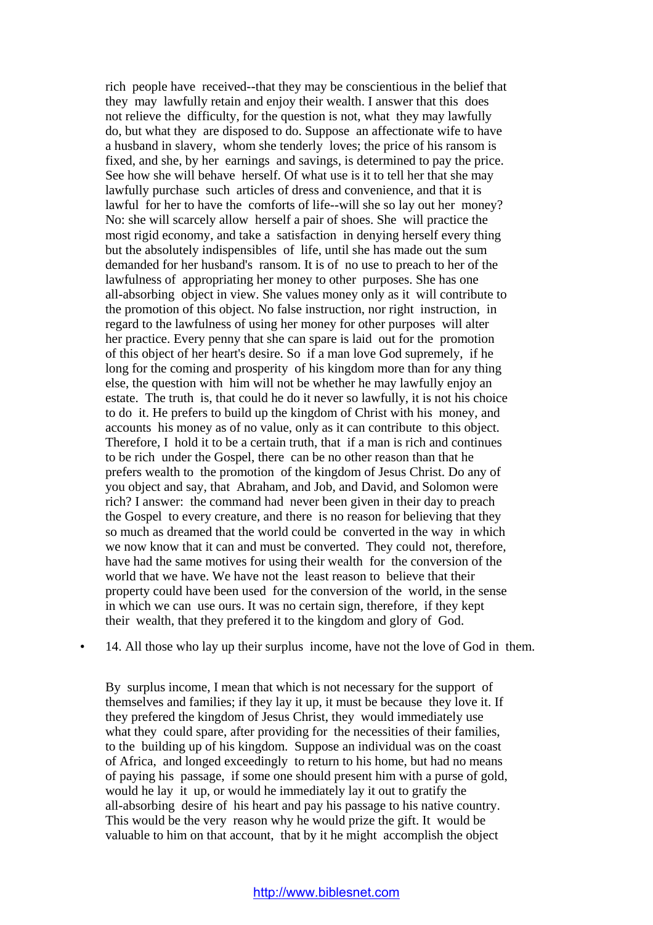rich people have received--that they may be conscientious in the belief that they may lawfully retain and enjoy their wealth. I answer that this does not relieve the difficulty, for the question is not, what they may lawfully do, but what they are disposed to do. Suppose an affectionate wife to have a husband in slavery, whom she tenderly loves; the price of his ransom is fixed, and she, by her earnings and savings, is determined to pay the price. See how she will behave herself. Of what use is it to tell her that she may lawfully purchase such articles of dress and convenience, and that it is lawful for her to have the comforts of life--will she so lay out her money? No: she will scarcely allow herself a pair of shoes. She will practice the most rigid economy, and take a satisfaction in denying herself every thing but the absolutely indispensibles of life, until she has made out the sum demanded for her husband's ransom. It is of no use to preach to her of the lawfulness of appropriating her money to other purposes. She has one all-absorbing object in view. She values money only as it will contribute to the promotion of this object. No false instruction, nor right instruction, in regard to the lawfulness of using her money for other purposes will alter her practice. Every penny that she can spare is laid out for the promotion of this object of her heart's desire. So if a man love God supremely, if he long for the coming and prosperity of his kingdom more than for any thing else, the question with him will not be whether he may lawfully enjoy an estate. The truth is, that could he do it never so lawfully, it is not his choice to do it. He prefers to build up the kingdom of Christ with his money, and accounts his money as of no value, only as it can contribute to this object. Therefore, I hold it to be a certain truth, that if a man is rich and continues to be rich under the Gospel, there can be no other reason than that he prefers wealth to the promotion of the kingdom of Jesus Christ. Do any of you object and say, that Abraham, and Job, and David, and Solomon were rich? I answer: the command had never been given in their day to preach the Gospel to every creature, and there is no reason for believing that they so much as dreamed that the world could be converted in the way in which we now know that it can and must be converted. They could not, therefore, have had the same motives for using their wealth for the conversion of the world that we have. We have not the least reason to believe that their property could have been used for the conversion of the world, in the sense in which we can use ours. It was no certain sign, therefore, if they kept their wealth, that they prefered it to the kingdom and glory of God.

• 14. All those who lay up their surplus income, have not the love of God in them.

By surplus income, I mean that which is not necessary for the support of themselves and families; if they lay it up, it must be because they love it. If they prefered the kingdom of Jesus Christ, they would immediately use what they could spare, after providing for the necessities of their families, to the building up of his kingdom. Suppose an individual was on the coast of Africa, and longed exceedingly to return to his home, but had no means of paying his passage, if some one should present him with a purse of gold, would he lay it up, or would he immediately lay it out to gratify the all-absorbing desire of his heart and pay his passage to his native country. This would be the very reason why he would prize the gift. It would be valuable to him on that account, that by it he might accomplish the object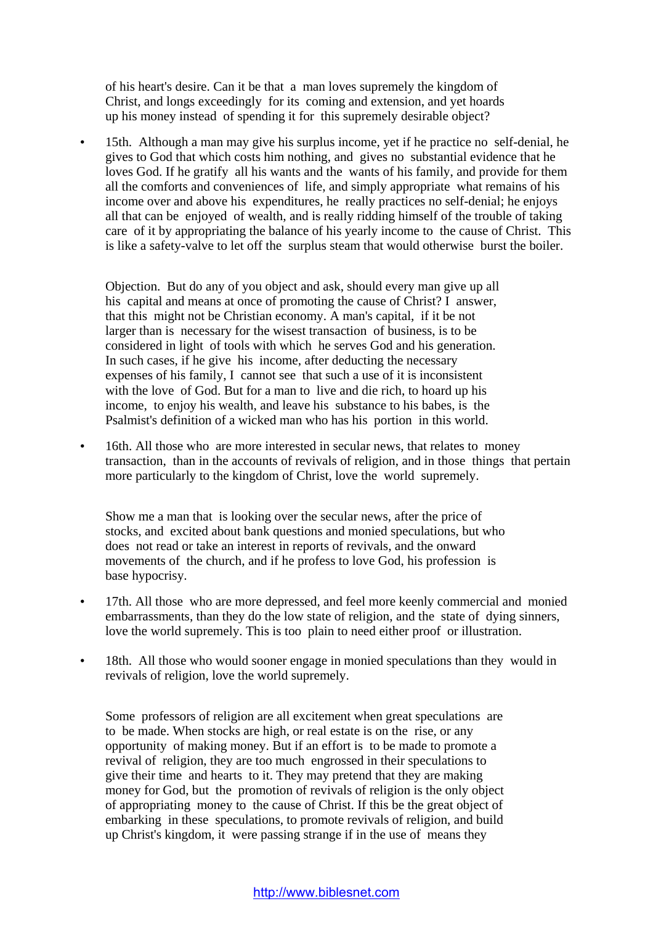of his heart's desire. Can it be that a man loves supremely the kingdom of Christ, and longs exceedingly for its coming and extension, and yet hoards up his money instead of spending it for this supremely desirable object?

• 15th. Although a man may give his surplus income, yet if he practice no self-denial, he gives to God that which costs him nothing, and gives no substantial evidence that he loves God. If he gratify all his wants and the wants of his family, and provide for them all the comforts and conveniences of life, and simply appropriate what remains of his income over and above his expenditures, he really practices no self-denial; he enjoys all that can be enjoyed of wealth, and is really ridding himself of the trouble of taking care of it by appropriating the balance of his yearly income to the cause of Christ. This is like a safety-valve to let off the surplus steam that would otherwise burst the boiler.

Objection. But do any of you object and ask, should every man give up all his capital and means at once of promoting the cause of Christ? I answer, that this might not be Christian economy. A man's capital, if it be not larger than is necessary for the wisest transaction of business, is to be considered in light of tools with which he serves God and his generation. In such cases, if he give his income, after deducting the necessary expenses of his family, I cannot see that such a use of it is inconsistent with the love of God. But for a man to live and die rich, to hoard up his income, to enjoy his wealth, and leave his substance to his babes, is the Psalmist's definition of a wicked man who has his portion in this world.

16th. All those who are more interested in secular news, that relates to money transaction, than in the accounts of revivals of religion, and in those things that pertain more particularly to the kingdom of Christ, love the world supremely.

Show me a man that is looking over the secular news, after the price of stocks, and excited about bank questions and monied speculations, but who does not read or take an interest in reports of revivals, and the onward movements of the church, and if he profess to love God, his profession is base hypocrisy.

- 17th. All those who are more depressed, and feel more keenly commercial and monied embarrassments, than they do the low state of religion, and the state of dying sinners, love the world supremely. This is too plain to need either proof or illustration.
- 18th. All those who would sooner engage in monied speculations than they would in revivals of religion, love the world supremely.

Some professors of religion are all excitement when great speculations are to be made. When stocks are high, or real estate is on the rise, or any opportunity of making money. But if an effort is to be made to promote a revival of religion, they are too much engrossed in their speculations to give their time and hearts to it. They may pretend that they are making money for God, but the promotion of revivals of religion is the only object of appropriating money to the cause of Christ. If this be the great object of embarking in these speculations, to promote revivals of religion, and build up Christ's kingdom, it were passing strange if in the use of means they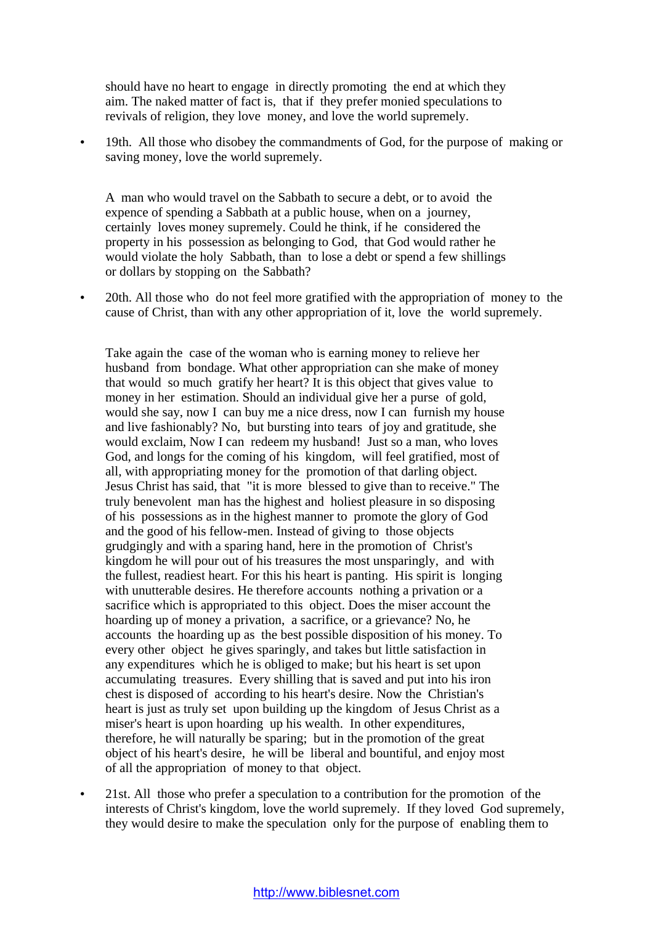should have no heart to engage in directly promoting the end at which they aim. The naked matter of fact is, that if they prefer monied speculations to revivals of religion, they love money, and love the world supremely.

• 19th. All those who disobey the commandments of God, for the purpose of making or saving money, love the world supremely.

A man who would travel on the Sabbath to secure a debt, or to avoid the expence of spending a Sabbath at a public house, when on a journey, certainly loves money supremely. Could he think, if he considered the property in his possession as belonging to God, that God would rather he would violate the holy Sabbath, than to lose a debt or spend a few shillings or dollars by stopping on the Sabbath?

• 20th. All those who do not feel more gratified with the appropriation of money to the cause of Christ, than with any other appropriation of it, love the world supremely.

Take again the case of the woman who is earning money to relieve her husband from bondage. What other appropriation can she make of money that would so much gratify her heart? It is this object that gives value to money in her estimation. Should an individual give her a purse of gold, would she say, now I can buy me a nice dress, now I can furnish my house and live fashionably? No, but bursting into tears of joy and gratitude, she would exclaim, Now I can redeem my husband! Just so a man, who loves God, and longs for the coming of his kingdom, will feel gratified, most of all, with appropriating money for the promotion of that darling object. Jesus Christ has said, that "it is more blessed to give than to receive." The truly benevolent man has the highest and holiest pleasure in so disposing of his possessions as in the highest manner to promote the glory of God and the good of his fellow-men. Instead of giving to those objects grudgingly and with a sparing hand, here in the promotion of Christ's kingdom he will pour out of his treasures the most unsparingly, and with the fullest, readiest heart. For this his heart is panting. His spirit is longing with unutterable desires. He therefore accounts nothing a privation or a sacrifice which is appropriated to this object. Does the miser account the hoarding up of money a privation, a sacrifice, or a grievance? No, he accounts the hoarding up as the best possible disposition of his money. To every other object he gives sparingly, and takes but little satisfaction in any expenditures which he is obliged to make; but his heart is set upon accumulating treasures. Every shilling that is saved and put into his iron chest is disposed of according to his heart's desire. Now the Christian's heart is just as truly set upon building up the kingdom of Jesus Christ as a miser's heart is upon hoarding up his wealth. In other expenditures, therefore, he will naturally be sparing; but in the promotion of the great object of his heart's desire, he will be liberal and bountiful, and enjoy most of all the appropriation of money to that object.

• 21st. All those who prefer a speculation to a contribution for the promotion of the interests of Christ's kingdom, love the world supremely. If they loved God supremely, they would desire to make the speculation only for the purpose of enabling them to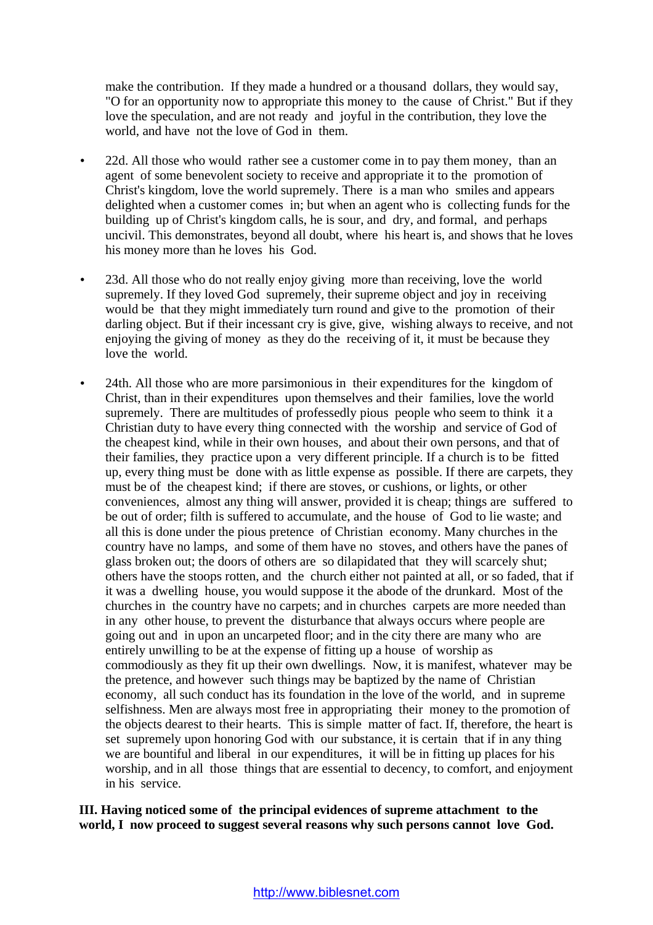make the contribution. If they made a hundred or a thousand dollars, they would say, "O for an opportunity now to appropriate this money to the cause of Christ." But if they love the speculation, and are not ready and joyful in the contribution, they love the world, and have not the love of God in them.

- 22d. All those who would rather see a customer come in to pay them money, than an agent of some benevolent society to receive and appropriate it to the promotion of Christ's kingdom, love the world supremely. There is a man who smiles and appears delighted when a customer comes in; but when an agent who is collecting funds for the building up of Christ's kingdom calls, he is sour, and dry, and formal, and perhaps uncivil. This demonstrates, beyond all doubt, where his heart is, and shows that he loves his money more than he loves his God.
- 23d. All those who do not really enjoy giving more than receiving, love the world supremely. If they loved God supremely, their supreme object and joy in receiving would be that they might immediately turn round and give to the promotion of their darling object. But if their incessant cry is give, give, wishing always to receive, and not enjoying the giving of money as they do the receiving of it, it must be because they love the world.
- 24th. All those who are more parsimonious in their expenditures for the kingdom of Christ, than in their expenditures upon themselves and their families, love the world supremely. There are multitudes of professedly pious people who seem to think it a Christian duty to have every thing connected with the worship and service of God of the cheapest kind, while in their own houses, and about their own persons, and that of their families, they practice upon a very different principle. If a church is to be fitted up, every thing must be done with as little expense as possible. If there are carpets, they must be of the cheapest kind; if there are stoves, or cushions, or lights, or other conveniences, almost any thing will answer, provided it is cheap; things are suffered to be out of order; filth is suffered to accumulate, and the house of God to lie waste; and all this is done under the pious pretence of Christian economy. Many churches in the country have no lamps, and some of them have no stoves, and others have the panes of glass broken out; the doors of others are so dilapidated that they will scarcely shut; others have the stoops rotten, and the church either not painted at all, or so faded, that if it was a dwelling house, you would suppose it the abode of the drunkard. Most of the churches in the country have no carpets; and in churches carpets are more needed than in any other house, to prevent the disturbance that always occurs where people are going out and in upon an uncarpeted floor; and in the city there are many who are entirely unwilling to be at the expense of fitting up a house of worship as commodiously as they fit up their own dwellings. Now, it is manifest, whatever may be the pretence, and however such things may be baptized by the name of Christian economy, all such conduct has its foundation in the love of the world, and in supreme selfishness. Men are always most free in appropriating their money to the promotion of the objects dearest to their hearts. This is simple matter of fact. If, therefore, the heart is set supremely upon honoring God with our substance, it is certain that if in any thing we are bountiful and liberal in our expenditures, it will be in fitting up places for his worship, and in all those things that are essential to decency, to comfort, and enjoyment in his service.

**III. Having noticed some of the principal evidences of supreme attachment to the world, I** now proceed to suggest several reasons why such persons cannot love God.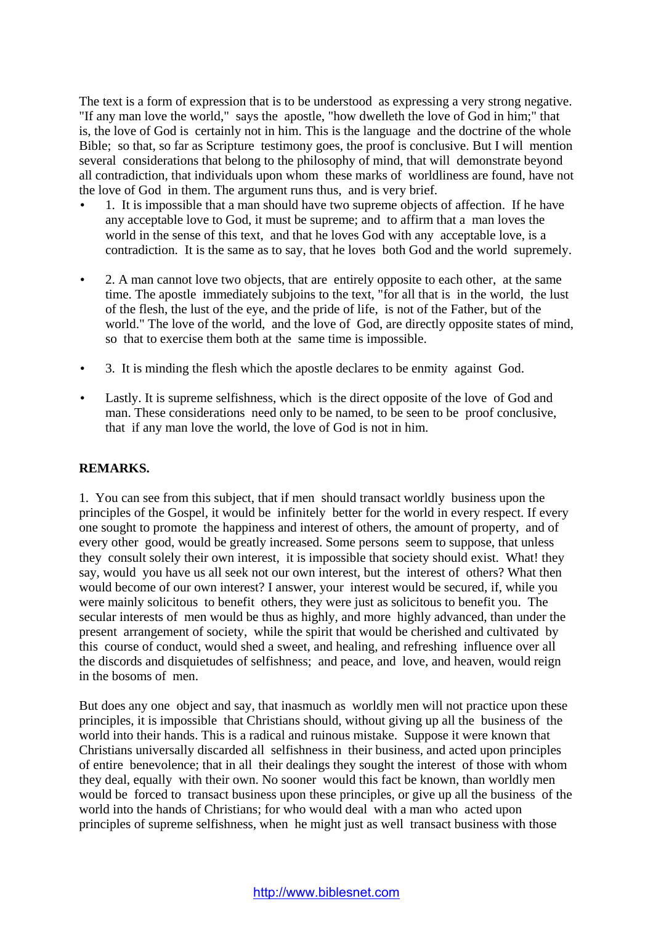The text is a form of expression that is to be understood as expressing a very strong negative. "If any man love the world," says the apostle, "how dwelleth the love of God in him;" that is, the love of God is certainly not in him. This is the language and the doctrine of the whole Bible; so that, so far as Scripture testimony goes, the proof is conclusive. But I will mention several considerations that belong to the philosophy of mind, that will demonstrate beyond all contradiction, that individuals upon whom these marks of worldliness are found, have not the love of God in them. The argument runs thus, and is very brief.

- 1. It is impossible that a man should have two supreme objects of affection. If he have any acceptable love to God, it must be supreme; and to affirm that a man loves the world in the sense of this text, and that he loves God with any acceptable love, is a contradiction. It is the same as to say, that he loves both God and the world supremely.
- 2. A man cannot love two objects, that are entirely opposite to each other, at the same time. The apostle immediately subjoins to the text, "for all that is in the world, the lust of the flesh, the lust of the eye, and the pride of life, is not of the Father, but of the world." The love of the world, and the love of God, are directly opposite states of mind, so that to exercise them both at the same time is impossible.
- 3. It is minding the flesh which the apostle declares to be enmity against God.
- Lastly. It is supreme selfishness, which is the direct opposite of the love of God and man. These considerations need only to be named, to be seen to be proof conclusive, that if any man love the world, the love of God is not in him.

#### **REMARKS.**

1. You can see from this subject, that if men should transact worldly business upon the principles of the Gospel, it would be infinitely better for the world in every respect. If every one sought to promote the happiness and interest of others, the amount of property, and of every other good, would be greatly increased. Some persons seem to suppose, that unless they consult solely their own interest, it is impossible that society should exist. What! they say, would you have us all seek not our own interest, but the interest of others? What then would become of our own interest? I answer, your interest would be secured, if, while you were mainly solicitous to benefit others, they were just as solicitous to benefit you. The secular interests of men would be thus as highly, and more highly advanced, than under the present arrangement of society, while the spirit that would be cherished and cultivated by this course of conduct, would shed a sweet, and healing, and refreshing influence over all the discords and disquietudes of selfishness; and peace, and love, and heaven, would reign in the bosoms of men.

But does any one object and say, that inasmuch as worldly men will not practice upon these principles, it is impossible that Christians should, without giving up all the business of the world into their hands. This is a radical and ruinous mistake. Suppose it were known that Christians universally discarded all selfishness in their business, and acted upon principles of entire benevolence; that in all their dealings they sought the interest of those with whom they deal, equally with their own. No sooner would this fact be known, than worldly men would be forced to transact business upon these principles, or give up all the business of the world into the hands of Christians; for who would deal with a man who acted upon principles of supreme selfishness, when he might just as well transact business with those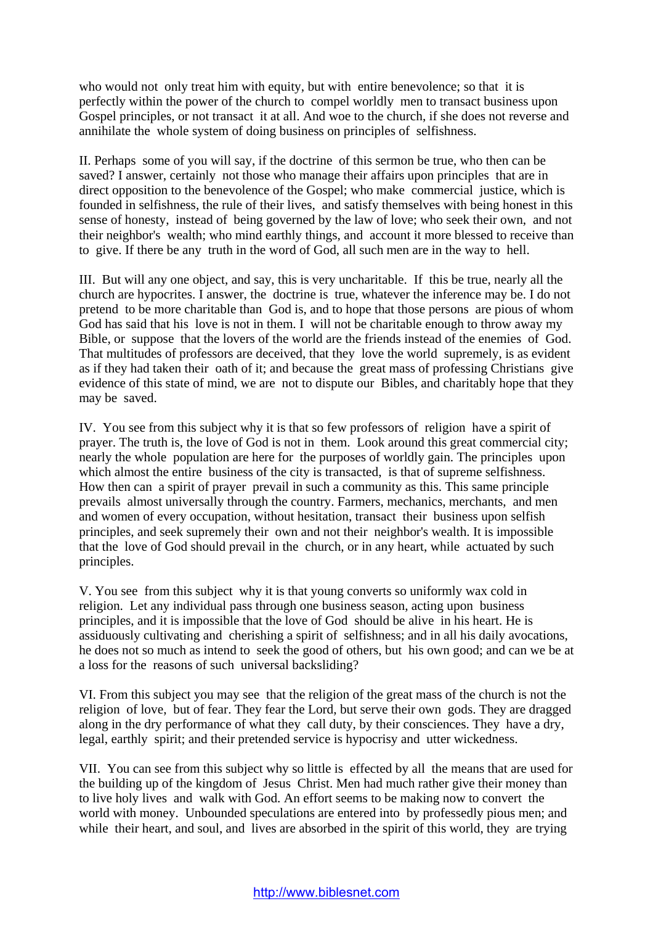who would not only treat him with equity, but with entire benevolence; so that it is perfectly within the power of the church to compel worldly men to transact business upon Gospel principles, or not transact it at all. And woe to the church, if she does not reverse and annihilate the whole system of doing business on principles of selfishness.

II. Perhaps some of you will say, if the doctrine of this sermon be true, who then can be saved? I answer, certainly not those who manage their affairs upon principles that are in direct opposition to the benevolence of the Gospel; who make commercial justice, which is founded in selfishness, the rule of their lives, and satisfy themselves with being honest in this sense of honesty, instead of being governed by the law of love; who seek their own, and not their neighbor's wealth; who mind earthly things, and account it more blessed to receive than to give. If there be any truth in the word of God, all such men are in the way to hell.

III. But will any one object, and say, this is very uncharitable. If this be true, nearly all the church are hypocrites. I answer, the doctrine is true, whatever the inference may be. I do not pretend to be more charitable than God is, and to hope that those persons are pious of whom God has said that his love is not in them. I will not be charitable enough to throw away my Bible, or suppose that the lovers of the world are the friends instead of the enemies of God. That multitudes of professors are deceived, that they love the world supremely, is as evident as if they had taken their oath of it; and because the great mass of professing Christians give evidence of this state of mind, we are not to dispute our Bibles, and charitably hope that they may be saved.

IV. You see from this subject why it is that so few professors of religion have a spirit of prayer. The truth is, the love of God is not in them. Look around this great commercial city; nearly the whole population are here for the purposes of worldly gain. The principles upon which almost the entire business of the city is transacted, is that of supreme selfishness. How then can a spirit of prayer prevail in such a community as this. This same principle prevails almost universally through the country. Farmers, mechanics, merchants, and men and women of every occupation, without hesitation, transact their business upon selfish principles, and seek supremely their own and not their neighbor's wealth. It is impossible that the love of God should prevail in the church, or in any heart, while actuated by such principles.

V. You see from this subject why it is that young converts so uniformly wax cold in religion. Let any individual pass through one business season, acting upon business principles, and it is impossible that the love of God should be alive in his heart. He is assiduously cultivating and cherishing a spirit of selfishness; and in all his daily avocations, he does not so much as intend to seek the good of others, but his own good; and can we be at a loss for the reasons of such universal backsliding?

VI. From this subject you may see that the religion of the great mass of the church is not the religion of love, but of fear. They fear the Lord, but serve their own gods. They are dragged along in the dry performance of what they call duty, by their consciences. They have a dry, legal, earthly spirit; and their pretended service is hypocrisy and utter wickedness.

VII. You can see from this subject why so little is effected by all the means that are used for the building up of the kingdom of Jesus Christ. Men had much rather give their money than to live holy lives and walk with God. An effort seems to be making now to convert the world with money. Unbounded speculations are entered into by professedly pious men; and while their heart, and soul, and lives are absorbed in the spirit of this world, they are trying